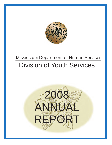

# Division of Youth Services Mississippi Department of Human Services

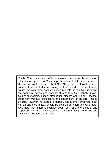Youth Court statistical data contained herein is based upon information reported to Mississippi Department of Human Services, Division of Youth Services (MDHS/DYS) by the local youth courts, court staff, court clerks and county staff assigned to the local youth courts. As with large data collection projects of this type involving thousands of cases and dozens of reporters (i.e., county intake, county counselors, school attendance officers and Youth Services' staff) from various jurisdictions, the assignment of an error rate is difficult. However, no system is perfect, and a small error rate, both human and mechanical, should be considered when analyzing data. Also note that different counties count only one offense and one disposition per referral, while others may count multiple offenses and multiple dispositions per referral.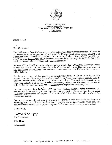

#### STATE OF MISSISSIPPI HALEY REEVES BARBOUR, GOVERNOR DEPARTMENT OF HUMAN SERVICES DON THOMPSON EXECUTIVE DIRECTOR

March 4, 2009

#### Dear Colleague:

The 2008 Anual Report is herewith compiled and advanced for your consideration. We have 45 Adolescent Offender Program (AOP) sub grants for 82 counties at a total cost of \$11.2M as of December 2008. The average youth population at Oakley Training School (OTS) was 127 boys and 19 girls for 2008. A total of 1300 students have matriculated through the AOP's for 2008. The result has been a reduced OTS population and longer stays.

Between 2007 and 2008, statewide referrals were down by 248 or 1.3%. Adams County was added to counties with 500 or more referrals, whie Coahoma and Forrest Counties were dropped. Harrison, Hinds, Desoto, Rankin and Jackson Counties were among the highest ranked referrals at 500 and above.

For the same period, training school commitments were down by 115 or 17.8% below 2007 figues. The top offense type is disorderly conduct, up 7.2%, whie simple assault, CHIS, malicious mischief/vandalism and drug offenses were down. The most used disposition was supervised probation, up 13.4%. Warnings, counseling, releases and dismissals were down as well. To the communities' credit, AOP commitments or dispositions were up by 23%.

Our test programs, Fast ForWard, PX2 and Tony Gobar, continue under evaluation. The communties have made signficant improvements but must contiue progress for sustained, substantial improvement. The objective is to habilitate/rehabilitate juveniles and to produce future Mississippi leaders.

I commend and compliment each of you for a job extremely well done in the best interest of Mississippian. I would urge you, however, to review, analyze and evaluate futue goals and document achievements and improved programs. Let's restore excellence to juvenile justice<br>
Respectfully,<br>
Don Thompson

Respectfully,

Don Thompson

DT:RH:rgs

Attachment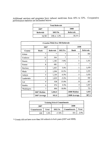Additional services and programs have reduced recidivism from 40% to 32%. Comparative performance statistics are delineated below:

|           | <b>Total Referrals</b> |           |
|-----------|------------------------|-----------|
| 2007      |                        | 2008      |
| Referrals | <b>DELTA</b>           | Referrals |
| 18,783    | 248 or $-1.3\%$        | 18,535    |

| <b>Counties With Over 500 Referrals</b> |                |           |              |                |           |  |
|-----------------------------------------|----------------|-----------|--------------|----------------|-----------|--|
|                                         | 2007           |           |              | 2008           |           |  |
| County                                  | Rank           | Referrals | <b>DELTA</b> | Rank           | Referrals |  |
| Adams                                   | $\ast$         | $\pm$     | $\ast$       | 9              | 563       |  |
| Coahoma                                 | 10             | 504       | $\ast$       | $\ast$         | $\ast$    |  |
| Desoto                                  | 3              | 1,184     | $-7.0%$      | 3              | 1,101     |  |
| Forrest                                 | 8              | 683       | $\star$      | $\ast$         | ×         |  |
| Harrison                                | 1              | 1,403     | 5.4%         | 1              | 1,479     |  |
| Hinds                                   | $\overline{2}$ | 1,206     | 10.5%        | $\overline{2}$ | 1,333     |  |
| Jackson                                 | 4              | 1,104     | $-6.5%$      | 5              | 1,032     |  |
| Lauderdale                              | 5              | 1,039     | $-5.2%$      | 6              | 985       |  |
| Lee                                     | 9              | 528       | 15.0%        | ጸ              | 607       |  |
| Rankin                                  | 6              | 974       | 9.5%         | 4              | 1,067     |  |
| Washington                              | 7              | 890       | $-18.8%$     | 7              | 723       |  |
|                                         | 2007 Median    | 1,006.5   |              | 2008 Median    | 1,032     |  |
|                                         | 2007 Average   | 951.5     |              | 2008 Average   | 987.5     |  |

| <b>Training School Commitments</b> |         |              |             |       |
|------------------------------------|---------|--------------|-------------|-------|
| 2007                               |         |              | 2008        |       |
| Commitments                        | Total   | <b>DELTA</b> | Commitments | Total |
| 646                                | $3.4\%$ | $-17.8%$     | 531         | 2.9%  |

\* County did not have more than 500 referrals in both years (2007 and 2008).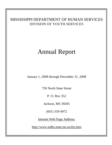#### MISSISSIPPI DEPARTMENT OF HUMAN SERVICES DIVISION OF YOUTH SERVICES

# Annual Report

January 1, 2008 through December 31, 2008

750 North State Street

P. O. Box 352

Jackson, MS 39205

(601) 359-4972

Internet Web Page Address:

[http://www.mdhs.state.ms.us/dys.htm](http://www.mdhs.)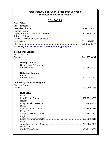#### **CONTACTS**

| <b>State Office</b>                                  |              |
|------------------------------------------------------|--------------|
| Don Thompson                                         |              |
|                                                      | 601-359-4480 |
| <b>Richard Harris</b>                                |              |
|                                                      | 601-359-4180 |
| Kathy H. Pittman                                     |              |
| Director, Division of Youth Services                 |              |
|                                                      | 601-359-4972 |
|                                                      | 601-359-4970 |
| Website @ http://www.mdhs.state.ms.us/dys_policy.htm |              |
| <b>Institutional Services</b>                        |              |
| Jim Maccarone                                        |              |
|                                                      | 601-359-4434 |
|                                                      |              |
| <b>Oakley Campus</b>                                 |              |
| Charlie "Mike" Thornton                              |              |
|                                                      | 601-857-8031 |
|                                                      |              |
| <b>Columbia Campus</b>                               |              |
| Vacant                                               |              |
|                                                      | 601-736-4591 |
| <b>Community Services Program</b>                    |              |
| <b>Clarence Powell</b>                               |              |
|                                                      | 601-359-4955 |
|                                                      |              |
| <b>REGIONS:</b>                                      |              |
| Region I                                             |              |
|                                                      | 662-252-6709 |
| <b>Region II</b>                                     |              |
|                                                      | 662-843-8556 |
| <b>Region III</b>                                    |              |
|                                                      | 601-859-1276 |
| <b>Region IV</b>                                     |              |
|                                                      | 601-485-7881 |
| Region V                                             |              |
|                                                      | 601-833-3311 |
| Region V                                             |              |
|                                                      | 228-865-7028 |
| <b>Region VI</b>                                     | 601-932-5766 |
|                                                      |              |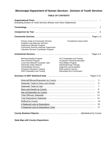#### *TABLE OF CONTENTS*

| (Including Division of Youth Services Mission and Vision Statements)                                                                                                                                                           |                                                                                                                                                                                                                        |                               |
|--------------------------------------------------------------------------------------------------------------------------------------------------------------------------------------------------------------------------------|------------------------------------------------------------------------------------------------------------------------------------------------------------------------------------------------------------------------|-------------------------------|
|                                                                                                                                                                                                                                |                                                                                                                                                                                                                        | ii.                           |
|                                                                                                                                                                                                                                |                                                                                                                                                                                                                        | ΪÜ                            |
|                                                                                                                                                                                                                                |                                                                                                                                                                                                                        |                               |
| <b>Primary Goals of Community Services</b><br><b>Probation and Aftercare Services</b><br>Adolescent Offender Program<br><b>Community Services Intensive Supervision</b><br>Volunteer Services Coordinator Program              | <b>Transitional Living Center</b>                                                                                                                                                                                      |                               |
|                                                                                                                                                                                                                                |                                                                                                                                                                                                                        | Pages 3-4                     |
| Winning Reading Program<br>Fast ForWord Program<br>Local Area Network Computer Labs<br><b>Interactive Video Network</b><br>Library/Media Services<br><b>Character Education Training</b><br><b>GED Preparation and Testing</b> | <b>ACT Preparation and Testing</b><br><b>Vocational Technical Education</b><br>Para-Military Program<br>Individual/Group Therapy<br>Diagnostic and Evaluation<br>Multi-systemic Service<br>Mississippi Arts Commission |                               |
|                                                                                                                                                                                                                                |                                                                                                                                                                                                                        | Pages 5-15                    |
|                                                                                                                                                                                                                                |                                                                                                                                                                                                                        | 5                             |
|                                                                                                                                                                                                                                |                                                                                                                                                                                                                        | 6                             |
|                                                                                                                                                                                                                                |                                                                                                                                                                                                                        | 7                             |
|                                                                                                                                                                                                                                |                                                                                                                                                                                                                        | 8                             |
|                                                                                                                                                                                                                                |                                                                                                                                                                                                                        | 10                            |
|                                                                                                                                                                                                                                |                                                                                                                                                                                                                        | 12                            |
|                                                                                                                                                                                                                                |                                                                                                                                                                                                                        | 13                            |
|                                                                                                                                                                                                                                |                                                                                                                                                                                                                        | 14                            |
|                                                                                                                                                                                                                                |                                                                                                                                                                                                                        | 16                            |
|                                                                                                                                                                                                                                |                                                                                                                                                                                                                        | 17                            |
|                                                                                                                                                                                                                                |                                                                                                                                                                                                                        | <b>Alphabetical by County</b> |

*State Map with County Dispositions*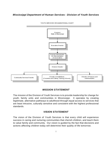

#### *MISSION STATEMENT*

The mission of the Division of Youth Services is to provide leadership for change for youth, family units and communities in Mississippi. It operates by creating legitimate, alternative pathways to adulthood through equal access to services that are least intrusive, culturally sensitive and consistent with the highest professional standards.

#### *VISION STATEMENT*

The vision of the Division of Youth Services is that every child will experience success in caring and nurturing communities that cherish children, and teach them to value family and community. Our vision is guided by the fact that decisions and actions affecting children today will determine their quality of life tomorrow.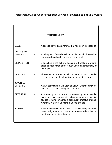|                                     | <b>TERMINOLOGY</b>                                                                                                                                                                                                                    |
|-------------------------------------|---------------------------------------------------------------------------------------------------------------------------------------------------------------------------------------------------------------------------------------|
|                                     |                                                                                                                                                                                                                                       |
| <b>CASE</b>                         | A case is defined as a referral that has been disposed of.                                                                                                                                                                            |
| <b>DELINQUENT</b><br><b>OFFENSE</b> | A delinquent offense is a violation of a law which would be<br>considered a crime if committed by an adult.                                                                                                                           |
| <b>DISPOSITION</b>                  | Disposition is the act of disposing or handling a referral<br>that has been made to the Youth Court, either formally or<br>informally.                                                                                                |
| <b>DISPOSED</b>                     | The term used when a decision is made on how to handle<br>a case, usually at the discretion of the youth courts.                                                                                                                      |
| <b>JUVENILE</b><br><b>OFFENSE</b>   | An act committed in violation of a law. Offenses may be<br>classified as either delinquent or status.                                                                                                                                 |
| <b>REFERRAL</b>                     | A request by police, parents, or an agency that a juvenile<br>intake unit take appropriate action concerning a juvenile<br>alleged to have committed a delinquent or status offense.<br>A referral may involve more than one offense. |
| <b>STATUS</b>                       | A status offense is an act, which if committed by an adult,<br>is not designated as a crime under state or federal law, or<br>municipal or county ordinance.                                                                          |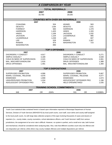| <b>A COMPARISON BY YEAR</b>  |           |                           |                                         |           |         |
|------------------------------|-----------|---------------------------|-----------------------------------------|-----------|---------|
|                              |           |                           |                                         |           |         |
|                              |           | <b>TOTAL REFERRALS</b>    |                                         |           |         |
|                              | 2007      |                           | 2008                                    |           |         |
|                              | 18,783    |                           | 18,535                                  |           |         |
|                              |           |                           |                                         |           |         |
|                              |           |                           | <b>COUNTIES WITH OVER 500 REFERRALS</b> |           |         |
| 2007                         |           |                           | 2008                                    |           |         |
| <b>COAHOMA</b>               |           | 504                       | <b>ADAMS</b>                            | 563       |         |
| <b>DESOTO</b>                |           | 1184                      | <b>DESOTO</b>                           | 1101      |         |
| <b>FORREST</b>               |           | 683                       | <b>HARRISON</b>                         | 1,479     |         |
| <b>HARRISON</b>              |           | 1,403                     | <b>HINDS</b>                            | 1,333     |         |
| <b>HINDS</b>                 |           | 1,206                     | <b>JACKSON</b>                          | 1,032     |         |
| <b>JACKSON</b>               |           | 1,104                     | LAUDERDALE                              | 985       |         |
| <b>LAUDERDALE</b>            |           | 1,039                     | <b>LEE</b>                              | 607       |         |
| <b>LEE</b>                   |           | 528                       | <b>RANKIN</b>                           | 1,067     |         |
| <b>RANKIN</b>                |           | 974                       | <b>WASHINGTON</b>                       | 723       |         |
| <b>WASHINGTON</b>            |           | 890                       |                                         |           |         |
|                              |           |                           |                                         |           |         |
|                              |           | <b>TOP 5 OFFENSES</b>     |                                         |           |         |
| 2007                         |           |                           | 2008                                    |           |         |
| DISORDERLY CONDUCT           | 4,917     |                           | DISORDERLY CONDUCT                      |           | 5,271   |
| SIMPLE ASSUALT               | 3,189     |                           | SIMPLE ASSUALT                          |           | 3,028   |
| CHILD IN NEED OF SUPERVISION | 2,315     |                           | CHILD IN NEED OF SUPERVISION            |           | 2,061   |
| MAL. MISCHIEF/VANDALISM      | 1,616     |                           | <b>DRUG OFFENSES</b>                    |           | 1,388   |
| <b>DRUG OFFENSES</b>         | 1,491     |                           | MAL. MISCHIEF/VANDALISM                 |           | 1,300   |
|                              |           |                           |                                         |           |         |
|                              |           | <b>TOP 5 DISPOSITIONS</b> |                                         |           |         |
| 2007                         |           |                           | 2008                                    |           |         |
| SUPERVISED PROBATION         | 4,996     |                           | SUPERVISED PROBATION                    |           | 5,667   |
| WARN, COUNSEL, RELEASE       | 4,976     |                           | WARN, COUNSEL, RELEASE                  |           | 4,077   |
| <b>DISMISSED</b>             | 1,908     |                           | <b>DISMISSED</b>                        |           | 1,674   |
| UNSUPERVISED PROBATION       | 1,034     |                           | ADOLESCENT OFFENDER PRO.                |           | 1,198   |
| ADOLESCENT OFFENDER PRO.     | 974       |                           | <b>HELD OPEN/RETIRED</b>                |           | 1,035   |
|                              |           |                           |                                         |           |         |
|                              |           |                           | <b>TRAINING SCHOOL COMMITMENTS</b>      |           |         |
| 2007                         |           |                           | 2008                                    |           |         |
| 646                          | <b>OR</b> | .034%                     | 531                                     | <b>OR</b> | 0.0286% |

Youth Court statistical data contained herein is based upon information reported to Mississippi Department of Human Services, Division of Youth Services (MDHS/DYS) by local youth courts, court staff, court clerks and county staff assigned to the local youth courts. As with large data collection projects of this type involving thousands of cases and dozens of reporters (I.e., county intake, county counselors, school attendance officers, and Youth Services' staff) from various jurisdictions, the assignment of an error rate is difficult. However, no system is perfect, and a small error rate, both human and mechanical, should be considered when analyzing data. Also, note that different counties count only one offense and one disposition per referral, while others may county multiple offenses and multiple dispositions per referral.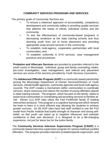#### **COMMUNITY SERVICES PROGRAMS AND SERVICES**

The primary goals of Community Services are:

- To ensure a balanced approach of accountability, competency development and community safety in providing quality services that address the needs of clients, individual victims and the community;
- To test the effectiveness of community-based programs in decreasing recidivism at the state training schools and thus diverting youth from out of home placement and providing appropriate wrap-around services in the community;
- To establish multi-agency, cooperative partnerships with local communities; and,
- To establish uniformity in DYS services, case management practices and procedures.

**Probation and Aftercare Services** are provided to juveniles referred to the youth courts in Mississippi. Individual, group and family counseling**,** intake, pre-court investigation, case management, and referral and placement services are some of the services provided by Youth Services Counselors.

The **Adolescent Offender Program (AOP)** is a community-based partnership among the Mississippi Department of Human Services/Division of Youth Services, mental health agencies, community agencies and local multi-agency councils. The AOP creates a mechanism within communities to coordinate services, share resources and reduce the number of young offenders placed in state training schools. The program, which focuses on the family, seeks to assist local communities in coordinating and providing services to families atrisk. Eleven (11) AOP sites utilize the Fast ForWord® family of reading intervention products. This program is a cognitive learning tool which retrains the brain to learn in a more efficient way allowing the students to achieve greater success. Six (6) AOP sites have had staff certified to use the PX2 model from Pacific Institute that builds strength of character and strong selfbelief, so that youth can stand up to negative influences and maintain confidence in their own decisions. It is designed to be a life-changing experience, not just for teens but for the entire family.

The **Community Services Intensive Supervision Program (CSISP)** is a community-based intensive supervision program for serious habitual youthful offenders. The program provides intensive probation/parole supervision, and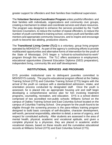greater support for offenders and their families than traditional supervision.

The **Volunteer Services Coordinator Program** unites youthful offenders and their families with individuals, organizations and community civic groups, creating a mechanism to obtain and coordinate services and share resources. The program was designed to enhance the services provided by the Youth Services Counselors, to reduce the number of repeat offenders, to reduce the number of youth committed to training school, connect youth and families with mentors and appropriate community resources, and to inspire and encourage youth to become law abiding, productive citizens.

The **Transitional Living Center (TLC)** is a voluntary, group living program operated by MDHS/DYS. As part of the agency's continuing efforts to provide multifaceted opportunities and alternative forms of intervention for the youth of the State of Mississippi, DYS began a "school-to-school/school-to-work" program through this venture. The TLC offers assistance in employment, educational opportunities (General Education Diploma (GED) preparation), independent living, community life and staff development.

#### **INSTITUTIONAL SERVICES AND PROGRAMS**

DYS provides institutional care to delinquent juveniles committed to MDHS/DYS custody. The psycho-educational program offered at the Oakley Training School (OTS) and Columbia Training School (CTS) begins with the arrival of the youth on campus with a standardized admission, intake, and orientation process conducted by designated staff. Once the youth is assessed, he is placed into an appropriate housing unit and staff begin developing a comprehensive service plan for him involving treatment programs, counseling, recreation, and education. DYS is a school district comprised of two accredited non-public schools: Williams School on the campus of Oakley Training School and East Columbia School located on the campus of Columbia Training School. One program for the youth found to be eligible through the screening process is the para-military training program designed to build basic concepts of self-discipline, character development, self-worth, personal responsibility, attention to detail, a sense of urgency, and respect for constituted authority. After students are assessed in the area of mental health, physical, academic and vocational aptitude, and given a complete physical by a physician, they are placed in academic and/or vocational classes, based on these results and the cumulative educational records at Williams School (OTS) and East Columbia School (CTS).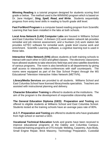**Winning Reading** is a tutorial program designed for students scoring third grade or below. The method used is the WINNING program which is based on Dr. Jane Hodges', **Sing, Spell, Read, and Write**. Students sequentially progress from entry level skills in reading to fourth grade skill level.

**Fast ForWord Program** is a computer based reading program from Scientific Learning that has been installed in the labs at both schools.

**Local Area Network (LAN) Computer Labs** are housed in Williams School and East Columbia School. A thirteen (13) work station network lab provides remedial and job interest assessment, and a fourteen (14) work station lab provides AZTEC software for remedial work, grade level course work and enrichment. Scientific Learning software, a cognitive learning tool is used in these labs.

**Interactive Video Network (IVN)** allows students at both training schools to interact with each other in GED and gifted classes. The electronic classrooms have allowed students to take electronic field trips and view satellite downlinks of various programs. The room is also beneficial to all departments by giving staff access to interactive video-conferences with staff counterparts. The rooms were equipped as part of the Star School Project through the MS Educational Television Interactive Video Network (METIVN).

**Library/Media Services** are provided to all students. Williams School and East Columbia School have licensed library/media specialists. Teachers are assisted with instructional planning and delivery.

**Character Education Training** is offered to students at the institutions. The aim of the program is the development of responsible citizenship skills.

**The General Education Diploma (GED) Preparation and Testing** are offered to eligible students at Williams School and East Columbia School. Students tested at the training schools have an average pass rate of 80%.

**A.C.T. Preparation and Testing** are offered to students who have graduated from high school or earned a GED.

**Vocational Technical Education** funds and grants have been received to improve educational programs at the Oakley and Columbia Campus. Vocational training programs at OTS include: Welding, Carpentry, Auto Body, Small Engine Repair, Brick Masonry, Technology Preparation, Custodial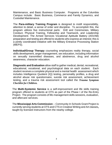Maintenance, and Basic Business Computer. Programs at the Columbia Campus include: Basic Business, Commerce and Family Dynamics, and Custodial Maintenance.

The **Para-military Training Program** is designed to instill responsibility, attention to detail, a sense of order and discipline. To accomplish this, the program utilizes five instructional parts: Drill and Ceremonies, Military Conduct, Physical Training, Fellowship and Teamwork, and Leadership Development. The Armed Services Vocational Aptitude Battery (ASVAB) preparation and testing are offered to students who express an interest; this is a jointly coordinated initiative with the Military Entrance Processing Station (MEPS).

**Individual/Group Therapy** counseling emphasizes reality therapy, social skills development, anger management, sex education, including information on sexually transmitted diseases, and abstinence, drug and alcohol awareness, character education.

**Diagnostic and Evaluation** allow staff to gather medical, dental, recreational, educational, vocational, and psychological data on each student. Each student receives a complete physical and a mental health assessment which includes Intelligence Quotient (IQ) testing, personality profiles, a drug and alcohol abuse risk questionnaire, suicide risk assessment, achievement testing, and a trauma risk assessment tool called the *Trauma Symptom Checklist for Children.*

The **Multi-Systemic Service** is a self-improvement and life skills training program offered to students at OTS as part of the Phase I of the Re-Entry Project. The program consists of life-management skills sessions, evaluation, and aftercare services.

The **Mississippi Arts Commission** -- Community In Schools Grant Project is currently serving students at OTS and CTS in Creative Writing and Art classes**,**  taught by licensed instructors from the nearby college.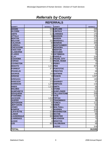### *Referrals by County*

| <b>REFERRALS</b>  |                  |                        |                  |
|-------------------|------------------|------------------------|------------------|
| <b>COUNTY</b>     | <b>REFERRALS</b> | <b>COUNTY</b>          | <b>REFERRALS</b> |
| <b>ADAMS</b>      |                  | 563 LEFLORE            | 206              |
| <b>ALCORN</b>     |                  | 111 LINCOLN            | 361              |
| <b>AMITE</b>      |                  | 113 LOWNDES            | 170              |
| <b>ATTALA</b>     |                  | <b>39 MADISON</b>      | 378              |
| <b>BENTON</b>     |                  | <b>7 MARION</b>        | 121              |
| <b>BOLIVAR</b>    |                  | 232 MARSHALL           | 216              |
| <b>CALHOUN</b>    |                  | 60 MONROE              | 200              |
| <b>CARROLL</b>    |                  | 14 MONTGOMERY          | 90               |
| <b>CHICKASAW</b>  |                  | 27 NESHOBA             | 115              |
| <b>CHOCTAW</b>    |                  | 8 NEWTON               | 89               |
| <b>CLAIBORNE</b>  |                  | <b>76 NOXUBEE</b>      | 24               |
| <b>CLARKE</b>     |                  | 62 OKTIBBEHA           | 73               |
| <b>CLAY</b>       |                  | 114 PANOLA             | 224              |
| <b>COAHOMA</b>    |                  | 452 * PEARL CITY       | 265              |
| <b>COPIAH</b>     |                  | 212 PEARL RIVER        | 75               |
| <b>COVINGTON</b>  |                  | 52 PERRY               | 13               |
| <b>DESOTO</b>     | 1,101 PIKE       |                        | 457              |
| <b>FORREST</b>    |                  | 471 PONTOTOC           | 71               |
| <b>FRANKLIN</b>   |                  | <b>83 PRENTISS</b>     | 69               |
| <b>GEORGE</b>     |                  | 250 QUITMAN            | 104              |
| <b>GREENE</b>     |                  | 34 RANKIN              | 1,067            |
| <b>GRENADA</b>    |                  | 397 SCOTT              | 190              |
| <b>HANCOCK</b>    |                  | 272 SHARKEY            | 57               |
| <b>HARRISON</b>   |                  | 1,479 SIMPSON          | $\overline{115}$ |
| <b>HINDS</b>      |                  | 1,333 SMITH            | 56               |
| <b>HOLMES</b>     |                  | 61STONE                | 62               |
| <b>HUMPHREYS</b>  |                  | 36 SUNFLOWER           | 210              |
| <b>ISSAQUENA</b>  |                  | <b>15 TALLAHATCHIE</b> | 209              |
| <b>ITAWAMBA</b>   |                  | 97 TATE                | 112              |
| <b>JACKSON</b>    |                  | 1,032 TIPPAH           | 50               |
| <b>JASPER</b>     |                  | 131 TISHOMINGO         | 58               |
| <b>JEFFERSON</b>  |                  | 32 TUNICA              | 111              |
| <b>JEFF-DAVIS</b> |                  | 40 UNION               | 52               |
| <b>JONES</b>      |                  | 180 WALTHALL           | 121              |
| <b>KEMPER</b>     |                  | 27 WARREN              | 208              |
| <b>LAFAYETTE</b>  |                  | 210 WASHINGTON         | 723              |
| <b>LAMAR</b>      |                  | 146 WAYNE              | 88               |
| <b>LAUDERDALE</b> |                  | 985 WEBSTER            | 14               |
| <b>LAWRENCE</b>   |                  | <b>39 WILKINSON</b>    | 73               |
| <b>LEAKE</b>      |                  | 16 WINSTON             | 42               |
| <b>LEE</b>        |                  | <b>607 YALOBUSHA</b>   | 56               |
|                   |                  | <b>YAZOO</b>           | 324              |
| <b>TOTAL</b>      |                  |                        | 18,535           |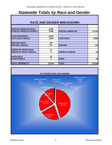# *Statewide Totals by Race and Gender*

| 8,356  |                         |        |
|--------|-------------------------|--------|
| 3,986  | <b>AFRICAN AMERICAN</b> | 12,342 |
|        |                         |        |
| 4,042  |                         |        |
| 1,954  | <b>CAUCASIAN</b>        | 5,996  |
|        |                         |        |
| 107    |                         |        |
| 35     | <b>HISPANIC</b>         | 142    |
|        |                         |        |
| 13     |                         |        |
| 9      | <b>AMERICAN INDIAN</b>  | 22     |
|        |                         |        |
| 30     |                         |        |
| 3      | <b>ASIAN</b>            | 33     |
|        |                         |        |
| 18,535 | <b>TOTAL</b>            | 18,535 |
|        |                         |        |

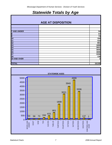# *Statewide Totals by Age*

| <b>AGE AT DISPOSITION</b> |  |  |  |  |  |
|---------------------------|--|--|--|--|--|
|---------------------------|--|--|--|--|--|

| <b>7 AND UNDER</b>                                     | 54               |
|--------------------------------------------------------|------------------|
|                                                        | 57               |
|                                                        | 73               |
|                                                        | 194              |
|                                                        | 415              |
|                                                        | 801              |
| 8<br>9<br>10<br>11<br>12<br>13<br>14<br>15<br>16<br>17 | 1808             |
|                                                        | 3021             |
|                                                        | 3940             |
|                                                        | 4696             |
|                                                        | 3336             |
| 18                                                     | 138              |
| <b>19 AND OVER</b>                                     | $2 \overline{)}$ |
|                                                        |                  |
| <b>TOTAL</b>                                           | 18,535           |

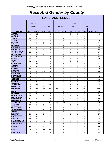# *Race And Gender by County*

| <b>RACE AND GENDER</b>             |             |                 |                     |                     |                     |                   |                            |                             |                |                             |                |
|------------------------------------|-------------|-----------------|---------------------|---------------------|---------------------|-------------------|----------------------------|-----------------------------|----------------|-----------------------------|----------------|
|                                    |             | <b>AFRICAN</b>  |                     |                     |                     |                   |                            | <b>AMERICAN</b>             |                |                             |                |
|                                    |             | <b>AMERICAN</b> |                     | <b>CAUCASIAN</b>    |                     | <b>HISPANIC</b>   |                            | <b>INDIAN</b>               |                | <b>ASIAN</b>                |                |
| <b>COUNTY</b>                      | <b>MALE</b> | <b>FEMALE</b>   | <b>MALE</b>         | <b>FEMALE</b>       | <b>MALE</b>         | <b>FEMALE</b>     | <b>MALE</b>                | <b>FEMALE</b>               | <b>MALE</b>    | <b>FEMALE</b>               | <b>TOTAL</b>   |
| <b>ADAMS</b>                       | 278         | 225             | 27                  | 33                  | 0                   | 0                 | 0                          | 0                           | 0              | 0                           | 563            |
| <b>ALCORN</b>                      | 22          | 2               | 57                  | 26                  | 3                   | 1                 | 0                          | 0                           | 0              | 0                           | 111            |
| <b>AMITE</b>                       | 58          | 42              | 9                   | 3                   | 1                   | 0                 | 0                          | 0                           | 0              | 0                           | 113            |
| ATTALA                             | 20          | 12              | 3                   | 4                   | 0                   | 0                 | 0                          | $\mathbf 0$                 | 0              | 0                           | 39             |
| <b>BENTON</b>                      | 4           | 0               | 1                   | 1                   | 0                   | $\Omega$          | 0                          | 1                           | 0              | 0                           | $\overline{7}$ |
| BOLIVAR                            | 133         | 71              | 21                  | 7                   | 0                   | 0                 | 0                          | $\mathbf 0$                 | 0              | 0                           | 232            |
| <b>CALHOUN</b>                     | 22          | 9               | 22                  | 5                   | 2                   | 0                 | 0                          | 0                           | 0              | 0                           | 60             |
| <b>CARROLL</b>                     | 8           | 1               | 5                   | 0                   | 0                   | 0                 | 0                          | 0                           | 0              | 0                           | 14             |
| <b>CHICKASAW</b><br><b>CHOCTAW</b> | 15          | 3               | 4                   | 4                   | $\mathbf{1}$        | 0                 | 0                          | 0                           | 0              | 0                           | 27             |
| <b>CLAIBORNE</b>                   |             | $\overline{2}$  | 4                   | 2                   | 0                   | 0                 | 0                          | 0                           | 0              | 0                           | 8              |
| <b>CLARKE</b>                      | 39<br>25    | 37<br>17        | 0<br>12             | 0<br>8              | 0<br>0              | 0<br>0            | 0<br>0                     | 0<br>0                      | 0<br>0         | 0<br>0                      | 76<br>62       |
| <b>CLAY</b>                        | 71          | 17              | 18                  | 8                   | 0                   | $\Omega$          | 0                          | $\Omega$                    | 0              | 0                           | 114            |
| <b>COAHOMA</b>                     | 293         | 153             | 4                   | 2                   | 0                   | 0                 | 0                          | $\mathbf 0$                 | 0              | 0                           | 452            |
| COPIAH                             | 139         | 52              | 8                   | 9                   | $\overline{2}$      | 2                 | 0                          | $\mathbf 0$                 | 0              | 0                           | 212            |
| <b>COVINGTON</b>                   | 18          | 12              | 13                  | 9                   | 0                   | 0                 | 0                          | 0                           | 0              | 0                           | 52             |
| <b>DESOTO</b>                      |             |                 |                     |                     |                     |                   |                            |                             |                |                             |                |
|                                    | 325         | 205             | 336                 | 209                 | 18                  | 5                 | 0                          | 1                           | $\overline{2}$ | 0                           | 1101           |
| <b>FORREST</b>                     | 228         | 107             | 105                 | 31                  | 0                   | $\Omega$          | 0                          | 0                           | 0              | 0                           | 471            |
| <b>FRANKLIN</b>                    | 35          | 19              | 23                  | 6                   | 0                   | 0                 | 0                          | 0                           | 0              | 0                           | 83             |
| <b>GEORGE</b>                      | 36          | 11              | 142                 | 61                  | 0                   | 0                 | 0                          | $\mathbf 0$                 | 0              | 0                           | 250            |
| <b>GREENE</b>                      | 8           | 2               | 19                  | 5                   | 0                   | 0                 | 0                          | 0                           | 0              | 0                           | 34             |
| <b>GRENADA</b>                     | 176         | 137             | 55                  | 29                  | $\mathbf 0$         | 0                 | 0                          | 0                           | 0              | 0                           | 397            |
| <b>HANCOCK</b>                     | 27          | 10              | 161                 | 71                  | 1                   | 1                 | 1                          | $\mathbf 0$                 | 0              | 0                           | 272            |
| <b>HARRISON</b>                    | 563         | 237             | 464                 | 187                 | 11                  | $\Omega$          | 1                          | $\Omega$                    | 15             | 1                           | 1479           |
| <b>HINDS</b>                       | 862         | 405             | 33                  | 30                  | 3                   | 0                 | 0                          | $\mathbf 0$                 | 0              | 0                           | 1333           |
| <b>HOLMES</b>                      | 40          | 21              | 0                   | 0                   | $\mathbf 0$         | 0                 | 0                          | $\mathbf 0$                 | 0              | 0                           | 61             |
| <b>HUMPHREYS</b>                   | 22          | 10              | 4                   | 0                   | 0                   | 0                 | 0                          | 0                           | 0              | 0                           | 36             |
| <b>ISSAQUENA</b>                   | 12          | 3               | 0                   | 0                   | 0                   | 0                 | 0                          | 0                           | 0              | 0                           | 15             |
| <b>ITAWAMBA</b><br><b>JACKSON</b>  | 8           | 3               | 57                  | 28                  | $\mathbf{1}$        | $\mathbf{0}$      | $\mathbf{0}$               | $\mathbf 0$                 | $\mathbf 0$    | $\Omega$                    | 97             |
| <b>JASPER</b>                      | 405<br>78   | 155<br>41       | 321<br>9            | 117<br>3            | 14<br>$\mathbf 0$   | 10<br>$\mathbf 0$ | $\mathbf 2$<br>$\mathbf 0$ | $\mathbf{1}$<br>$\mathbf 0$ | 6<br>0         | $\mathbf{1}$<br>$\mathbf 0$ | 1032           |
| <b>JEFFERSON</b>                   | 17          | 15              | $\mathsf{O}\xspace$ | $\mathsf{O}\xspace$ | $\mathbf 0$         | $\mathbf 0$       | $\mathsf 0$                | $\mathbf 0$                 | 0              | $\mathbf 0$                 | 131<br>32      |
| <b>JEFF-DAVIS</b>                  | 21          | 11              | 8                   | 0                   | $\mathbf 0$         | $\mathbf 0$       | 0                          | $\mathbf 0$                 | $\mathbf 0$    | 0                           | 40             |
| <b>JONES</b>                       | 71          | 55              | 38                  | 15                  | $\mathbf{1}$        | $\mathbf 0$       | 0                          | $\mathbf 0$                 | 0              | $\mathbf 0$                 | 180            |
| <b>KEMPER</b>                      | 16          | 11              | $\mathbf 0$         | $\mathbf{0}$        | $\mathbf 0$         | $\mathbf{0}$      | 0                          | $\mathbf 0$                 | $\mathbf 0$    | 0                           | 27             |
| <b>LAFAYETTE</b>                   | 86          | 53              | 47                  | 23                  | $\mathbf 0$         | $\mathbf{1}$      | $\mathsf{O}\xspace$        | $\mathbf 0$                 | $\mathbf 0$    | $\Omega$                    | 210            |
| <b>LAMAR</b>                       | 54          | 9               | 61                  | 20                  | $\overline{2}$      | $\mathbf 0$       | $\mathsf{O}\xspace$        | $\mathbf 0$                 | $\mathbf 0$    | 0                           | 146            |
| <b>LAUDERDALE</b>                  | 558         | 232             | 125                 | 67                  | $\mathbf 0$         | $\overline{2}$    | 1                          | $\mathbf 0$                 | 0              | $\mathbf 0$                 | 985            |
| <b>LAWRENCE</b>                    | 8           | 12              | 13                  | 5                   | $\mathbf 0$         | $\mathbf 0$       | 0                          | $\mathbf{1}$                | $\mathbf 0$    | $\mathbf 0$                 | 39             |
| <b>LEAKE</b>                       | 12          | $\mathbf{1}$    | $\overline{2}$      | $\mathbf{1}$        | 0                   | 0                 | 0                          | 0                           | 0              | 0                           | 16             |
| LEE                                | 229         | 82              | 185                 | 109                 | 1                   | $\mathbf 0$       | $\mathbf 0$                | $\mathbf 0$                 | $\mathbf{1}$   | 0                           | 607            |
| <b>LEFLORE</b>                     | 162         | 39              | 3                   | $\overline{2}$      | $\mathsf{O}\xspace$ | $\mathbf 0$       | $\mathbf 0$                | $\mathsf 0$                 | $\mathsf 0$    | $\mathbf 0$                 | 206            |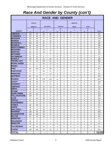# *Race And Gender by County (con't)*

| <b>RACE AND GENDER</b>             |              |                   |                |                  |                |                              |                          |                 |                  |              |              |
|------------------------------------|--------------|-------------------|----------------|------------------|----------------|------------------------------|--------------------------|-----------------|------------------|--------------|--------------|
|                                    |              | <b>AFRICAN</b>    |                |                  |                |                              |                          | <b>AMERICAN</b> |                  |              |              |
|                                    |              | <b>AMERICAN</b>   |                | <b>CAUCASIAN</b> |                | <b>HISPANIC</b>              |                          | <b>INDIAN</b>   |                  | <b>ASIAN</b> |              |
| <b>COUNTY</b>                      | M            | F                 | M              | F                | M              | F                            | M                        | F               | M                | F            | <b>TOTAL</b> |
| <b>LINCOLN</b>                     | 140          | 83                | 68             | 68               | $\mathbf{1}$   | 0                            | 0                        | 0               | 1                | 0            | 361          |
| <b>LOWNDES</b>                     | 102          | 30                | 22             | 14               | $\Omega$       | $\Omega$                     | 2                        | 0               | $\Omega$         | $\Omega$     | 170          |
| <b>MADISON</b>                     | 191          | 65                | 77             | 42               | $\overline{2}$ | 0                            | 1                        | 0               | 0                | $\mathbf 0$  | 378          |
| <b>MARION</b>                      | 42           | 28                | 34             | 16               | 0              | 1                            | 0                        | 0               | 0                | 0            | 121          |
| <b>MARSHALL</b>                    | 106          | 46                | 35             | 21               | $\overline{7}$ | 1                            | 0                        | 0               | 0                | $\mathbf 0$  | 216          |
| <b>MONROE</b>                      | 84           | 38                | 66             | 8                | 3              | $\mathbf{1}$                 | 0                        | 0               | 0                | 0            | 200          |
| <b>MONTGOMERY</b>                  | 52           | 25                | 8              | 5                | 0              | 0                            | 0                        | 0               | 0                | $\mathbf 0$  | 90           |
| <b>NESHOBA</b>                     | 47           | 15                | 34             | 13               | 1              | 0                            | 3                        | 1               | 0                | 1            | 115          |
| <b>NEWTON</b>                      | 50           | 12                | 19             | 3                | 1              | 0                            | 0                        | 4               | 0                | 0            | 89           |
| <b>NOXUBEE</b>                     | 12           | 11                | $\mathbf{1}$   | 0                | 0              | 0                            | 0                        | 0               | 0                | 0            | 24           |
| <b>OKTIBBEHA</b>                   | 42           | 22                | 6              | 1                | 0              | 0                            | 0                        | 0               | 2                | 0            | 73           |
| <b>PANOLA</b><br>*PEARL CITY       | 134          | 41                | 31             | 18               | 0              | 0                            | 0                        | 0               | 0                | 0            | 224          |
| <b>PEARL RIVER</b>                 | 70           | 18                | 122            | 51               | 3              | 1                            | 0                        | 0               | 0                | 0            | 265          |
|                                    | 11           | $\overline{7}$    | 43             | 14               | 0              | 0                            | 0                        | 0               | 0                | 0            | 75           |
| <b>PERRY</b>                       | 3            | 0                 | 8              | 2                | 0              | 0                            | 0                        | 0               | 0                | 0            | 13           |
| <b>PIKE</b>                        | 267          | 103               | 47             | 38               | $\mathbf{1}$   | 0                            | $\mathbf{1}$             | 0               | 0                | 0            | 457          |
| <b>PONTOTOC</b>                    | 10           | 5                 | 45             | 11               | 0              | $\Omega$                     | 0                        | $\Omega$        | 0                | $\Omega$     | 71           |
| <b>PRENTISS</b>                    | 9            | $\overline{7}$    | 41             | 12               | 0              | 0                            | 0                        | 0               | 0                | 0            | 69           |
| <b>QUITMAN</b>                     | 68           | 23                | 7              | 6                | 0              | 0                            | 0                        | 0               | 0                | 0            | 104          |
| <b>RANKIN</b>                      | 232          | 82                | 470            | 263              | 14             | 4                            | 0                        | 0               | 2                | 0            | 1067         |
| ISCOTT                             | 88           | 46                | 33             | 17               | 4              | 2                            | 0                        | 0               | 0                | 0            | 190          |
| <b>SHARKEY</b>                     | 43           | 13                | $\mathbf{1}$   | 0                | 0              | 0                            | 0                        | 0               | 0                | 0            | 57           |
| <b>SIMPSON</b>                     | 49           | 27                | 26             | 13               | 0              | 0                            | 0                        | 0               | 0                | 0            | 115          |
| <b>SMITH</b>                       | 15           | 13                | 26             | 2                | 0              | $\Omega$                     | 0                        | 0               | 0                | 0            | 56           |
| STONE                              | 13           | $\overline{7}$    | 27             | 15               | 0              | 0                            | 0                        | 0               | 0                | 0            | 62           |
| <b>SUNFLOWER</b>                   | 112          | 86                | 10             | 2                | 0              | 0                            | 0                        | 0               | 0                | $\mathbf 0$  | 210          |
| <b>ITALLAHATCHIE</b>               | 109          | 77                | 14             | 9                | 0              | 0                            | 0                        | 0               | 0                | 0            | 209          |
| <b>TATE</b>                        | 47           | 23                | 28             | 11               | $\overline{2}$ | 1                            | 0                        | 0               | 0                | 0            | 112          |
| <b>TIPPAH</b>                      | 21           | $\overline{4}$    | 17             | 6                | 2              | $\mathbf 0$                  | $\mathbf 0$              | 0               | 0                | $\mathbf 0$  | 50           |
| <b>TISHOMINGO</b><br><b>TUNICA</b> | $\mathbf{1}$ | $\mathbf 0$       | 44             | 12               | 1              | $\mathbf 0$                  | $\pmb{0}$                | 0               | 0                | $\mathbf 0$  | 58           |
| <b>UNION</b>                       | 64           | 39<br>$\mathbf 2$ | 4<br>22        | 2<br>8           | 1<br>1         | $\mathbf{1}$<br>$\mathbf{1}$ | $\pmb{0}$<br>$\mathbf 0$ | 0<br>0          | $\mathbf 0$<br>0 | $\mathbf 0$  | 111<br>52    |
| <b>WALTHALL</b>                    | 18<br>49     | 24                | 32             | 16               | 0              | 0                            | 0                        | 0               | 0                | 0<br>0       | 121          |
| <b>WARREN</b>                      | 109          | 50                | 38             | 9                | 2              | $\mathbf 0$                  | 0                        | $\mathbf 0$     | $\mathbf 0$      | $\mathbf 0$  | 208          |
| <b>WASHINGTON</b>                  | 428          | 219               | 39             | 37               | 0              | $\mathbf{0}$                 | 0                        | 0               | 0                | $\mathbf 0$  | 723          |
| <b>WAYNE</b>                       | 52           | 14                | 18             | 4                | $\mathbf 0$    | $\mathbf{0}$                 | 0                        | 0               | $\mathbf 0$      | 0            | 88           |
| <b>WEBSTER</b>                     | 5            | $\mathbf{1}$      | $\overline{2}$ | 5                | $\mathbf 0$    | $\mathbf{0}$                 | $\mathbf{1}$             | 0               | $\mathbf 0$      | 0            | 14           |
| <b>WILKINSON</b>                   | 55           | 17                | 0              | $\mathbf{1}$     | $\mathbf 0$    | $\mathbf{0}$                 | $\mathbf 0$              | 0               | $\mathbf 0$      | $\mathbf 0$  | 73           |
| <b>WINSTON</b>                     | 16           | 9                 | 12             | 4                | $\mathbf 0$    | $\mathbf 0$                  | $\mathbf 0$              | $\mathbf 0$     | 1                | 0            | 42           |
| <b>YALOBUSHA</b>                   | 28           | 12                | 12             | 4                | 0              | 0                            | 0                        | 0               | 0                | 0            | 56           |
| <b>YAZOO</b>                       | 158          | 101               | 34             | 31               | 0              | $\mathbf 0$                  | $\mathbf 0$              | 0               | $\mathbf 0$      | $\mathbf 0$  | 324          |
| <b>TOTAL</b>                       |              |                   |                |                  |                |                              |                          |                 |                  |              | 18,535       |
|                                    |              |                   |                |                  |                |                              |                          |                 |                  |              |              |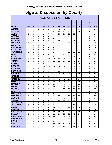# *Age at Disposition by County*

|                                   | <b>AGE AT DISPOSITION</b> |             |                |                |                |                |     |                |                |                |                |                |             |                |
|-----------------------------------|---------------------------|-------------|----------------|----------------|----------------|----------------|-----|----------------|----------------|----------------|----------------|----------------|-------------|----------------|
|                                   | 7&                        |             |                |                |                |                |     |                |                |                |                |                | 19          |                |
| <b>COUNTY</b>                     | <b>UNDER</b>              | 8           | 9              | 10             | 11             | 12             | 13  | 14             | 15             | 16             | 17             | 18             | & OVER      | <b>TOTAL</b>   |
| <b>ADAMS</b>                      | 2                         | 1           | $\mathbf 0$    | 3              | 8              | 27             | 65  | 94             | 144            | 126            | 89             | 4              | 0           | 563            |
| <b>ALCORN</b>                     | 0                         | 0           | $\overline{2}$ | 1              | $\mathbf{1}$   | 4              | 10  | 17             | 10             | 35             | 31             | $\Omega$       | $\Omega$    | 111            |
| <b>AMITE</b>                      | 0                         | 0           | 4              | 2              | 7              | 8              | 24  | 20             | 21             | 20             | 7              | 0              | $\Omega$    | 113            |
| <b>ATTALA</b>                     | 0                         | 0           | 0              | 0              | $\mathbf 0$    | 1              | 2   | 8              | 13             | 9              | 6              | $\mathbf 0$    | $\Omega$    | 39             |
| <b>BENTON</b>                     | 0                         | 0           | 0              | 0              | 0              | 0              | 1   | 2              | 0              | 4              | 0              | 0              | $\Omega$    | $\overline{7}$ |
| <b>BOLIVAR</b>                    | 0                         | 0           | $\Omega$       | 0              | 1              | $\overline{7}$ | 18  | 31             | 57             | 81             | 37             | 0              | $\Omega$    | 232            |
| <b>CALHOUN</b>                    | 0                         | $\Omega$    | 0              | 1              | 4              | 7              | 6   | 8              | 14             | 14             | 6              | $\mathbf 0$    | $\Omega$    | 60             |
| <b>CARROLL</b>                    | 0                         | 0           | 0              | 0              | 1              | 1              | 2   | $\overline{2}$ | 0              | 5              | 3              | $\mathbf 0$    | 0           | 14             |
| <b>CHICKASAW</b>                  | 0                         | 0           | 0              | 0              | 0              | $\mathbf 0$    | 3   | 6              | 5              | 8              | 5              | 0              | $\Omega$    | 27             |
| <b>CHOCTAW</b>                    | 0                         | $\Omega$    | $\Omega$       | 0              | 0              | $\Omega$       | 1   | 1              | $\Omega$       | 3              | 3              | 0              | $\Omega$    | 8              |
| <b>CLAIBORNE</b>                  | 3                         | 1           | $\mathbf 0$    | 0              | 4              | $\overline{2}$ | 3   | 9              | 11             | 19             | 22             | $\overline{2}$ | $\mathbf 0$ | 76             |
| <b>CLARKE</b>                     | 0                         | 0           | 0              | 0              | 4              | 5              | 5   | 12             | 15             | 12             | 9              | 0              | $\mathbf 0$ | 62             |
| <b>CLAY</b>                       | $\overline{2}$            | 2           | 0              | 1              | 1              | 5              | 5   | 21             | 28             | 26             | 23             | 0              | $\mathbf 0$ | 114            |
| <b>COAHOMA</b><br><b>COPIAH</b>   | 1                         | 0           | 1              | 4              | 12             | 28             | 44  | 105            | 88             | 88             | 81             | 0              | $\Omega$    | 452            |
|                                   | 0                         | $\Omega$    | 1              | 3              | 3              | 11             | 21  | 29             | 61             | 46             | 37             | 0              | $\Omega$    | 212            |
| <b>COVINGTON</b>                  | 0                         | 1           | $\Omega$       | 0              | 4              | 4              | 4   | 5              | $\overline{7}$ | 16             | 11             | 0              | $\Omega$    | 52             |
| <b>DESOTO</b>                     | 1                         | 19          | 17             | 38             | 59             | 68             | 142 | 166            | 169            | 234            | 188            | 0              | $\mathbf 0$ | 1101           |
| <b>FORREST</b>                    | 0                         | 0           | $\mathbf 0$    | $\overline{2}$ | $\overline{7}$ | $\overline{7}$ | 31  | 26             | 62             | 146            | 190            | 0              | $\mathbf 0$ | 471            |
| <b>FRANKLIN</b>                   | 0                         | 0           | $\mathbf 0$    | 3              | 2              | 9              | 16  | 21             | 13             | 17             | 1              | 1              | $\Omega$    | 83             |
| <b>GEORGE</b>                     | 1                         | 0           | 0              | 3              | 3              | 7              | 37  | 45             | 57             | 56             | 41             | 0              | $\Omega$    | 250            |
| <b>GREENE</b>                     | 0                         | 0           | $\mathbf 0$    | 0              | 0              | 1              | 4   | 5              | $\overline{7}$ | 10             | 7              | 0              | 0           | 34             |
| <b>GRENADA</b>                    | 0                         | 1           | 6              | 12             | 19             | 21             | 40  | 50             | 79             | 92             | 74             | 3              | 0           | 397            |
| <b>HANCOCK</b>                    | 0                         | 1           | 3              | 5              | 3              | 16             | 26  | 32             | 46             | 77             | 61             | $\overline{2}$ | $\mathbf 0$ | 272            |
| <b>HARRISON</b>                   | 0                         | 2           | 3              | 15             | 45             | 63             | 214 | 306            | 345            | 396            | 88             | 2              | 0           | 1479           |
| <b>HINDS</b>                      | 0                         | 0           | 0              | 4              | 26             | 48             | 137 | 258            | 251            | 349            | 220            | 40             | $\Omega$    | 1333           |
| <b>HOLMES</b>                     | 0                         | 0           | $\Omega$       | 0              | 0              | $\Omega$       | 4   | 12             | 12             | 17             | 13             | 3              | $\Omega$    | 61             |
| <b>HUMPHREYS</b>                  | 0                         | 0           | 1              | 1              | 1              | 2              | 1   | 9              | 8              | 7              | 6              | 0              | $\Omega$    | 36             |
| <b>ISSAQUENA</b>                  | 0                         | 0           | 0              | 0              | 0              | 0              | 0   | 1              | 5              | 9              | 0              | 0              | 0           | 15             |
| IITAWAMBA                         | 0                         | 0           | 1              | 1              | 3              | 3              | 13  | 8              | 15             | 28             | 25             | 0              | 0           | 97             |
| <b>JACKSON</b>                    | 0                         | 1           | 0              | 17             | 37             | 71             | 123 | 190            | 211            | 208            | 162            | 12             | 0           | 1032           |
| <b>JASPER</b>                     | $\mathbf{1}$              | $\mathbf 0$ | $\mathbf{1}$   | $\mathbf 0$    | 0              | 2              | 14  | 16             | 35             | 33             | 26             | 3              | $\mathbf 0$ | 131            |
| <b>JEFFERSON</b>                  | 0                         | 0           | 0              | $\mathbf 0$    | 1              | 1              | 1   | 8              | $\overline{7}$ | 10             | 4              | $\mathbf 0$    | $\mathbf 0$ | 32             |
| <b>JEFF-DAVIS</b>                 | 0                         | 0           | 0              | 0              | $\overline{2}$ | 3              | 6   | 4              | 9              | 10             | 6              | 0              | 0           | 40             |
| <b>JONES</b>                      | 0                         | 0           | 0              | 1              | 0              | 10             | 22  | 32             | 41             | 43             | 31             | 0              | $\mathbf 0$ | 180            |
| <b>KEMPER</b>                     | 0                         | 0           | $\mathbf 0$    | 0              | 0              | $\mathbf 0$    | 4   | 4              | 9              | 3              | $\overline{7}$ | 0              | 0           | 27             |
| <b>LAFAYETTE</b>                  | 0                         | 0           | $\mathbf{1}$   | 0              | 0              | 12             | 18  | 41             | 34             | 63             | 41             | 0              | 0           | 210            |
| <b>LAMAR</b><br><b>LAUDERDALE</b> | 0                         | 0           | 0              | $\overline{2}$ | $\overline{2}$ | 11             | 10  | 24             | 31             | 42             | 24             | 0              | 0           | 146            |
| <b>LAWRENCE</b>                   | 0                         | 1           | 3              | $\mathbf{2}$   | 10             | 46             | 81  | 140            | 220            | 290            | 192            | 0              | 0           | 985            |
|                                   | 0                         | 0           | $\mathbf 0$    | $\mathbf 0$    | 1              | 2              | 2   | 9              | 14             | $\overline{7}$ | 4              | $\mathbf 0$    | 0           | 39             |
| <b>LEAKE</b>                      | 0                         | 0           | 0              | 0              | 0              | 0              | 0   | 4              | 6              | 3              | 3              | 0              | 0           | 16             |
| <b>LEE</b>                        | 1                         | 0           | 2              | $\overline{7}$ | 3              | 36             | 55  | 81             | 136            | 120            | 157            | 9              | $\mathbf 0$ | 607            |
| <b>LEFLORE</b>                    | 2                         | 0           | 2              | 3              | 3              | 9              | 23  | 33             | 40             | 57             | 34             | 0              | 0           | 206            |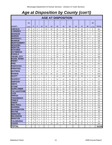# *Age at Disposition by County (con't)*

| <b>AGE AT DISPOSITION</b>          |                |                |              |              |                |              |                |                 |     |                   |     |                |                |              |
|------------------------------------|----------------|----------------|--------------|--------------|----------------|--------------|----------------|-----------------|-----|-------------------|-----|----------------|----------------|--------------|
|                                    | 7&             |                |              |              |                |              |                |                 |     |                   |     |                | 19             |              |
| <b>COUNTY</b>                      | <b>UNDER</b>   | 8              | 9            | 10           | 11             | $12 \,$      | 13             | 14              | 15  | 16                | 17  | 18             | & OVER         | <b>TOTAL</b> |
| <b>LINCOLN</b>                     | 24             | 4              | 6            | 3            | 22             | 20           | 18             | 51              | 69  | 111               | 33  | 0              | 0              | 361          |
| <b>LOWNDES</b>                     | 0              | $\Omega$       | 0            | 0            | 2              | 3            | 11             | 21              | 39  | 54                | 39  | $\mathbf{1}$   | 0              | 170          |
| <b>MADISON</b>                     | $\Omega$       | $\Omega$       | 0            | 1            | 5              | 9            | 26             | 54              | 87  | 110               | 84  | $\Omega$       | $\overline{2}$ | 378          |
| IMARION                            | $\Omega$       | $\Omega$       | $\Omega$     | $\Omega$     | 3              | 2            | 14             | 17              | 25  | 34                | 25  | $\mathbf{1}$   |                | 121          |
| <b>MARSHALL</b>                    | 0              | $\Omega$       | 1            | 1            | 8              | 8            | 27             | 25              | 39  | 44                | 50  | 13             | 0              | 216          |
| <b>MONROE</b>                      | 0              | $\Omega$       | 0            | 1            | 5              | 5            | 8              | 25              | 52  | 55                | 45  | 4              | 0              | 200          |
| <b>MONTGOMERY</b>                  | $\mathbf 0$    | $\Omega$       | 2            | 1            | 4              | $\Omega$     | 9              | 7               | 24  | 17                | 25  | 1              | 0              | 90           |
| <b>NESHOBA</b>                     | $\mathbf 0$    | $\Omega$       | $\Omega$     | 2            | 2              | 2            | 12             | 21              | 26  | 22                | 28  | 0              | 0              | 115          |
| <b>NEWTON</b>                      | $\mathbf 0$    | 1              | $\Omega$     | 1            | 2              | 5            | 4              | 13              | 25  | 24                | 14  | 0              | 0              | 89           |
| <b>NOXUBEE</b>                     | 0              | $\Omega$       | 0            | 0            | 0              | 0            | 0              | 5               | 3   | 8                 | 8   | 0              | 0              | 24           |
| <b>OKTIBBEHA</b>                   | $\Omega$       | $\Omega$       | 0            | 0            | 1              | 2            | 5              | 5               | 15  | 21                | 24  | 0              | $\Omega$       | 73           |
| <b>PANOLA</b>                      | 0              | 1              | $\Omega$     | 2            | 3              | 2            | 13             | 43              | 51  | 64                | 45  | 0              | 0              | 224          |
| *PEARL CITY                        | $\mathbf 0$    | $\overline{2}$ | 1            | 2            | 3              | 9            | 25             | 48              | 63  | 59                | 53  | 0              | 0              | 265          |
| <b>PEARL RIVER</b><br><b>PERRY</b> | $\mathbf 0$    | $\Omega$       | 0            | 0            | 1              | 10           | 4              | 11              | 15  | 13                | 21  | 0              | 0              | 75           |
|                                    | $\mathbf 0$    | $\Omega$       | 0            | $\Omega$     | 0              | $\mathbf{1}$ | 2              | 2               | 3   | 4                 | 1   | 0              | 0              | 13           |
| <b>PIKE</b>                        | 0              | 1              | 0            | 4            | 5              | 17           | 31             | 77              | 115 | 110               | 90  | 7              | 0              | 457          |
| <b>IPONTOTOC</b>                   | $\mathbf 0$    | $\Omega$       | $\Omega$     | 1            | 1              | 4            | 4              | 11              | 9   | 13                | 19  | 9              | 0              | 71           |
| <b>IPRENTISS</b>                   | 0              | 0              | 0            | 0            | 0              | 0            | 4              | 10              | 15  | 20                | 20  | 0              | 0              | 69           |
| <b>QUITMAN</b>                     | $\Omega$       | $\Omega$       | $\Omega$     | 5            | 0              | 4            | 14             | 21              | 26  | 23                | 11  | $\Omega$       | 0              | 104          |
| <b>RANKIN</b>                      | $\overline{7}$ | 10             | 12           | 20           | 28             | 40           | 81             | 144             | 221 | 280               | 224 | 0              | 0              | 1067         |
| <b>SCOTT</b>                       | $\mathbf 0$    | $\mathbf{1}$   | 1            | 1            | 0              | 1            | 13             | 40              | 46  | 57                | 30  | 0              | 0              | 190          |
| <b>SHARKEY</b>                     | 0              | 1              | 0            | 1            | 0              | 3            | 10             | 10              | 16  | 13                | 3   | 0              | 0              | 57           |
| <b>SIMPSON</b>                     | 1              | 0              | 0            | 1            | 1              | 4            | $\overline{7}$ | 21              | 31  | 23                | 23  | 3              | 0              | 115          |
| <b>SMITH</b>                       | 0              | 0              | 0            | 1            | 3              | 3            | $\overline{7}$ | 10              | 10  | 10                | 11  | $\mathbf{1}$   | 0              | 56           |
| <b>ISTONE</b>                      | $\mathbf 0$    | $\Omega$       | 0            | $\Omega$     | 0              | 3            | 6              | 3               | 15  | 22                | 13  | 0              | 0              | 62           |
| <b>SUNFLOWER</b>                   | $\Omega$       | $\Omega$       | $\mathbf{1}$ | 3            | 3              | 8            | 18             | 32              | 47  | 68                | 30  | 0              | 0              | 210          |
| <b>TALLAHATCHIE</b>                | $\mathbf 0$    | 1              | 0            | 1            | 1              | 6            | 14             | 36              | 41  | 60                | 49  | 0              | 0              | 209          |
| ITATE                              | $\mathbf 0$    | $\Omega$       | 0            | 0            | 3              | 3            | 8              | 9               | 33  | 31                | 23  | 2              | 0              | 112          |
| <b>TIPPAH</b>                      | 0              | $\Omega$       | 0            | 0            | 0              | 0            | 6              | 5               | 13  | 11                | 13  | $\overline{2}$ | 0              | 50           |
| <b>TISHOMINGO</b>                  | 0              | 0              | 0            | 3            | 0              | 0            | 4              | 8               | 14  | 15                | 14  | 0              | 0              | 58           |
| <b>TUNICA</b>                      | $\mathbf 0$    | $\mathbf 0$    | $\Omega$     | 0            | $\overline{2}$ | 5            | 14             | 12              | 27  | 32                | 16  | 3              | $\mathbf 0$    | 111          |
| <b>UNION</b>                       | 0              | $\mathbf 0$    | 0            | 1            | 0              | $\mathbf 0$  | $\overline{7}$ | 6               | 8   | 17                | 10  | 3              | 0              | 52           |
| <b>WALTHALL</b>                    | 1              | $\mathbf 0$    | 0            | 1            | 3              | 9            | 19             | 21              | 22  | 26                | 17  | $\overline{c}$ | 0              | 121          |
| <b>WARREN</b>                      | 0              | $\mathbf 0$    | 0            | $\mathbf 0$  | 2              | 8            | 21             | 42              | 64  | 53                | 18  | 0              | 0              | 208          |
| <b>WASHINGTON</b>                  | $\overline{7}$ | 4              | $\mathbf{1}$ | 5            | 14             | 26           | 68             | 137             | 161 | 182               | 114 | 4              | 0              | 723          |
| <b>WAYNE</b>                       | $\mathbf 0$    | $\mathbf 0$    | 0            | $\mathbf 0$  | 2              | 3            | $\mathbf{1}$   | 13              | 23  | 15                | 31  | $\mathbf 0$    | 0              | 88           |
| <b>WEBSTER</b>                     | 0              | $\mathbf 0$    | 0            | 0            | 0              | 1            | $\mathbf{3}$   | $\overline{2}$  | 1   | 4                 | 3   | 0              | 0              | 14           |
| <b>WILKINSON</b>                   | $\mathbf 0$    | $\mathbf 0$    | 0            | $\mathbf 0$  | 0              | $\mathbf 0$  | $\overline{7}$ | 14              | 13  | 28                | 11  | 0              | $\mathbf 0$    | 73           |
| <b>WINSTON</b>                     | $\mathbf 0$    | 0              | $\Omega$     | $\mathbf{1}$ | 0              | $\mathbf{1}$ | 5              | 12              | 11  | 8                 | 3   | $\mathbf{1}$   | $\mathbf 0$    | 42           |
| <b>YALOBUSHA</b><br><b>YAZOO</b>   | $\mathbf 0$    | 1              | 0            | $\mathbf 0$  | 0              | $\Omega$     | $\overline{2}$ | 12 <sup>2</sup> | 16  | $12 \overline{ }$ | 13  | $\mathbf 0$    | 0              | 56           |
|                                    | 0              | $\mathbf 0$    | 0            | $\mathbf 0$  | 9              | 16           | 18             | 70              | 70  | 84                | 57  | 0              | $\mathbf 0$    | 324          |
| <b>TOTAL</b>                       |                |                |              |              |                |              |                |                 |     |                   |     |                |                | 18,535       |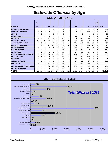# *Statewide Offenses by Age*

| <b>AGE AT OFFENSE</b>             |                    |                |                |          |                |              |                 |       |       |       |       |     |                     |              |
|-----------------------------------|--------------------|----------------|----------------|----------|----------------|--------------|-----------------|-------|-------|-------|-------|-----|---------------------|--------------|
| <b>OFFENSES</b>                   | 7&<br><b>UNDER</b> | 8 <sup>1</sup> | 9 <sub>l</sub> | 10       | 11             | 12           | 13 <sup>1</sup> | 14    | 15    | 16    | 17    | 18  | 19 &<br><b>OVER</b> | <b>TOTAL</b> |
| <b>AGGRAVATED ASSAULT</b>         | 0                  | $\overline{0}$ | $\overline{0}$ | 1        | 1              | $\mathbf{1}$ | 13              | 18    | 24    | 45    | 22    | 1   | 0                   | 126          |
| <b>ALCOHOL OFFENSES</b>           | $\Omega$           |                | $\Omega$       | $\Omega$ | $\Omega$       | 2            | 19              | 22    | 49    | 114   | 188   | 11  | $\Omega$            | 406          |
| <b>ARSON</b>                      | 0                  | 0              | $\Omega$       | 0        | $\Omega$       |              | 5               | 6     | 6     | 8     | 0     | 0   | $\Omega$            | 26           |
| <b>BOMB THREATS</b>               | $\Omega$           | 0              | $\Omega$       | $\Omega$ | $\Omega$       |              | $\mathbf{1}$    | 4     | 15    | 3     | 0     | 0   | 0                   | 24           |
| <b>BURGLARY</b>                   | $\Omega$           | 2              | 3              | 11       | 17             | 48           | 101             | 167   | 209   | 260   | 65    | 2   | $\Omega$            | 885          |
| <b>CHINS/ RUN AWAY</b>            | 45                 | 30             | 28             | 36       | 55             | 93           | 202             | 332   | 426   | 554   | 259   | 1   | $\Omega$            | 2061         |
| <b>CONTEMPT OF COURT</b>          |                    | $\Omega$       |                | 3        | $\overline{2}$ | 20           | 52              | 152   | 236   | 317   | 151   | 20  | 5                   | 960          |
| <b>DISORDERLY CONDUCT</b>         |                    | 14             | 14             | 42       | 129            | 286          | 550             | 893   | 1166  | 1218  | 915   | 43  | $\Omega$            | 5271         |
| <b>DRUG OFFENSES</b>              | $\Omega$           | 0              | $\overline{0}$ | 6        | 8              | 34           | 91              | 186   | 256   | 422   | 371   | 14  | $\Omega$            | 1388         |
| <b>GRAND LARCENY</b>              | 0                  | 0              | $\Omega$       |          | 6              | 7            | 25              | 41    | 79    | 102   | 50    | 4   | $\Omega$            | 315          |
| <b>HARASSMENT</b>                 | $\Omega$           |                | 2              |          | $\overline{2}$ | 11           | 20              | 18    | 30    | 37    | 44    | 1   | $\Omega$            | 167          |
| <b>MALICIOUS MISCHIEF/ VANDAL</b> | 3                  | $\overline{2}$ | 14             | 29       | 47             | 82           | 167             | 236   | 260   | 296   | 161   | 3   | $\mathbf 0$         | 1300         |
| <b>PETIT LARCENY</b>              | 0                  |                | $\overline{2}$ | 9        | 25             | 29           | 90              | 131   | 145   | 162   | 122   | 5   | 0                   | 721          |
| <b>ROBBERY</b>                    | 0                  | 0              | $\Omega$       | 0        | 0              |              | $\overline{2}$  | 17    | 13    | 22    | 7     | 2   | $\Omega$            | 64           |
| <b>SEXUAL OFFENSES</b>            | 0                  | 0              | 1              | 0        | 3              | 6            | 13              | 21    | 28    | 23    | 19    | 0   | 0                   | 114          |
| <b>SHOPLIFTING</b>                | $\Omega$           | $\Omega$       | 1              | 14       | 32             | 40           | 155             | 195   | 284   | 302   | 268   | 10  | $\Omega$            | 1301         |
| SIMPLE ASSAULT/DOM. VIOLEN        |                    | 4              | $\overline{7}$ | 38       | 78             | 124          | 255             | 512   | 650   | 715   | 619   | 25  | 0                   | 3028         |
| <b>WEAPON OFFENSES</b>            | 3                  | 2              | $\Omega$       | 3        | 12             | 24           | 52              | 63    | 67    | 88    | 59    | 5   | 0                   | 378          |
| <b>TOTAL</b>                      | 54                 | 57             | 73             | 194      | 417            | 810          | 1.813           | 3.014 | 3.943 | 4.688 | 3,320 | 147 | 5                   | 18,535       |

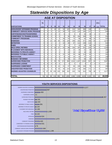# *Statewide Dispositions by Age*

| <b>AGE AT DISPOSITION</b>             |                |                |                |                |                |                |             |       |                |       |       |                |                 |              |
|---------------------------------------|----------------|----------------|----------------|----------------|----------------|----------------|-------------|-------|----------------|-------|-------|----------------|-----------------|--------------|
|                                       | 7&             |                |                |                |                |                |             |       |                |       |       |                | 19 &            |              |
| <b>DISPOSITIONS</b>                   | <b>UNDER</b>   | 8              | 9              | 10             | 11             | 12             | 13          | 14    | 15             | 16    | 17    | 18             | <b>OVER</b>     | <b>TOTAL</b> |
| <b>ADOLESCENT OFFENDER PROGRAM</b>    | 1              | 1              | 6              | 10             | 13             | 52             | 125         | 212   | 324            | 306   | 146   | 2              | $\overline{0}$  | 1,198        |
| <b>COMMUNITY SERVICE WORK PROGRAM</b> | 0              | 0              | 0              | 1              | 13             | 34             | 73          | 113   | 113            | 165   | 127   | 7              | $\Omega$        | 646          |
| <b>CERTIFIED/WAIVED/TRANSFERRED</b>   | $\Omega$       | $\Omega$       | $\Omega$       | $\Omega$       | $\Omega$       | $\Omega$       | $\Omega$    | 3     | 8              | 34    | 30    | 4              | $\Omega$        | 79           |
| COMMITMENT TO TRAINING SCHOOL         | $\Omega$       | $\Omega$       | $\Omega$       | $\overline{0}$ | $\Omega$       | 4              | 36          | 83    | 164            | 169   | 74    | 1              | $\Omega$        | 531          |
| <b>COMMUNITY PROGRAMS</b>             | 0              | 0              | $\Omega$       | $\Omega$       | 3              | 26             | 54          | 72    | 90             | 92    | 68    | 15             | $\Omega$        | 420          |
| <b>DISMISSED</b>                      | 5              | 4              | 14             | 26             | 45             | 84             | 149         | 258   | 331            | 371   | 346   | 40             | 1               | 1,674        |
| <b>DETENTION</b>                      | 0              | 0              |                |                | $\overline{2}$ | 10             | 28          | 97    | 111            | 158   | 113   | $\overline{2}$ | 1               | 524          |
| <b>FINED</b>                          | $\overline{2}$ | $\overline{0}$ | $\Omega$       | $\overline{0}$ | 3              | $\Omega$       | 6           | 7     | 13             | 34    | 54    | 24             | $\Omega$        | 143          |
| <b>HELD OPEN / RETIRED</b>            | 2              | 5              | 8              | 19             | 27             | 42             | 88          | 164   | 187            | 251   | 224   | 18             | $\Omega$        | 1.035        |
| <b>PLACEMENT WITH INDIVIDUAL</b>      | $\Omega$       | 0              | $\Omega$       | $\Omega$       | 1              | 5 <sup>1</sup> | 15          | 22    | 43             | 41    | 38    | $\Omega$       | $\Omega$        | 165          |
| <b>REFERRED TO PRIVATE AGENCY</b>     | 0              | 1              | 1              | 3              | $\overline{2}$ | 3              | 15          | 26    | 24             | 34    | 29    | 4              | $\overline{2}$  | 144          |
| <b>REFERRED TO PUBLIC AGENCY</b>      | $\overline{2}$ | 0              | 2              | 5 <sup>1</sup> | 8              | 22             | 34          | 55    | 86             | 114   | 62    | 1              | $\Omega$        | 391          |
| <b>RESTITUTION</b>                    | 0              | 1              | $\overline{2}$ | 5              | 6              | 8              | 16          | 24    | 42             | 47    | 41    |                | $\Omega$        | 193          |
| <b>RUNAWAY RETURNED</b>               | 0              | 0              | $\Omega$       | $\Omega$       | 3              | $\Omega$       | 39          | 22    | 37             | 60    | 26    | 4              | $\Omega$        | 191          |
| <b>SUPERVISED PROBATION</b>           | 5              | 5 <sup>1</sup> | 8              | 35             | 78             | 172            | 480         | 1,012 | 1,347          | 1,543 | 937   | 44             | 11              | 5.667        |
| <b>SUSPENDED LICENSE</b>              | $\Omega$       | $\overline{0}$ | $\Omega$       | $\overline{O}$ | $\Omega$       | 1              | $\mathbf 0$ | 2     | $\overline{2}$ |       | 2     | $\Omega$       | $\Omega$        | 11           |
| <b>SUSPENDED COMMITMENT</b>           | 0              | $\Omega$       | $\Omega$       | 0              | 12             | 21             | 47          | 64    | 105            | 134   | 75    | 1              | $\Omega$        | 459          |
| <b>UNSUPERVISED PROBATION</b>         | 13             | $\overline{7}$ | 3              | 6              | 20             | 40             | 143         | 123   | 178            | 266   | 171   | 17             | $\Omega$        | 987          |
| <b>WARNED ADJUSTED COUNSELED</b>      | 21             | 37             | 39             | 103            | 159            | 286            | 452         | 625   | 733            | 810   | 759   | 48             | 5 <sup>1</sup>  | 4,077        |
|                                       |                |                |                |                |                |                |             |       |                |       |       |                |                 |              |
| <b>TOTAL</b>                          | 51             | 61             | 84             | 214            | 395            |                | 810 1,800   | 2.984 | 3,938          | 4.633 | 3,322 | 233            | 10 <sup>1</sup> | 18,535       |

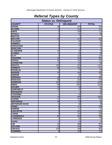# *Referral Types by County*

| <b>Status vs. Delinquent</b> |                         |                   |                  |  |  |  |  |  |  |
|------------------------------|-------------------------|-------------------|------------------|--|--|--|--|--|--|
| <b>COUNTY</b>                | <b>STATUS</b>           | <b>DELINQUENT</b> | <b>TOTAL</b>     |  |  |  |  |  |  |
| <b>ADAMS</b>                 | 38                      | 525               | 563              |  |  |  |  |  |  |
| <b>ALCORN</b>                | 0                       | 111               | 111              |  |  |  |  |  |  |
| <b>AMITE</b>                 | 5                       | 108               | 113              |  |  |  |  |  |  |
| <b>ATTALA</b>                | $\overline{2}$          | $\overline{37}$   | 39               |  |  |  |  |  |  |
| <b>BENTON</b>                | $\overline{2}$          | 5                 | 7                |  |  |  |  |  |  |
| <b>BOLIVAR</b>               | 19                      | 213               | 232              |  |  |  |  |  |  |
| <b>CALHOUN</b>               | $\overline{2}$          | $\overline{58}$   | 60               |  |  |  |  |  |  |
| <b>CARROLL</b>               | $\overline{0}$          | 14                | 14               |  |  |  |  |  |  |
| <b>CHICKASAW</b>             | 0                       | $\overline{27}$   | $\overline{27}$  |  |  |  |  |  |  |
| <b>CHOCTAW</b>               | $\overline{0}$          | 8                 | $\overline{8}$   |  |  |  |  |  |  |
| <b>CLAIBORNE</b>             | $\overline{24}$         | 52                | 76               |  |  |  |  |  |  |
| <b>CLARKE</b>                | 0                       | 62                | 62               |  |  |  |  |  |  |
| <b>CLAY</b>                  | $\overline{2}$          | 112               | 114              |  |  |  |  |  |  |
| <b>COAHOMA</b>               | $\overline{22}$         | 430               | 452              |  |  |  |  |  |  |
| <b>COPIAH</b>                | 56                      | 156               | $\overline{212}$ |  |  |  |  |  |  |
| <b>COVINGTON</b>             | 0                       | 52                | $\overline{52}$  |  |  |  |  |  |  |
| <b>DESOTO</b>                | 168                     | 933               | 1101             |  |  |  |  |  |  |
| <b>FORREST</b>               | 80                      | 391               | 471              |  |  |  |  |  |  |
| <b>FRANKLIN</b>              | 4                       | 79                | 83               |  |  |  |  |  |  |
| <b>GEORGE</b>                | 10                      | 240               | 250              |  |  |  |  |  |  |
| <b>GREENE</b>                | 4                       | $\overline{30}$   | 34               |  |  |  |  |  |  |
| <b>GRENADA</b>               | $\overline{26}$         | 371               | 397              |  |  |  |  |  |  |
| <b>HANCOCK</b>               | 38                      | 234               | 272              |  |  |  |  |  |  |
| <b>HARRISON</b>              | 224                     | 1255              | 1479             |  |  |  |  |  |  |
| <b>HINDS</b>                 | 68                      | 1265              | 1333             |  |  |  |  |  |  |
| <b>HOLMES</b>                | 13                      | 48                | 61               |  |  |  |  |  |  |
| <b>HUMPHREYS</b>             | 10                      | 26                | $\overline{36}$  |  |  |  |  |  |  |
| <b>ISSAQUENA</b>             | 7                       | $\overline{8}$    | $\overline{15}$  |  |  |  |  |  |  |
| <b>ITAWAMBA</b>              | 4                       | 93                | 97               |  |  |  |  |  |  |
| <b>JACKSON</b>               | $\overline{74}$         | 958               | 1032             |  |  |  |  |  |  |
| <b>JASPER</b>                | 11                      | 120               | 131              |  |  |  |  |  |  |
| <b>JEFFERSON</b>             | 19                      | 13                | 32               |  |  |  |  |  |  |
| <b>JEFFERSON DAVIS</b>       | $\overline{0}$          | 40                | 40               |  |  |  |  |  |  |
| <b>JONES</b>                 | $\overline{9}$          | 171               | 180              |  |  |  |  |  |  |
| <b>KEMPER</b>                | $\overline{0}$          | $\overline{27}$   | 27               |  |  |  |  |  |  |
| <b>LAFAYETTE</b>             | $\overline{9}$          | 201               | 210              |  |  |  |  |  |  |
| <b>LAMAR</b>                 | 5                       | 141               | 146              |  |  |  |  |  |  |
| <b>LAUDERDALE</b>            | 81                      | 904               | 985              |  |  |  |  |  |  |
| <b>LAWRENCE</b>              | $\mathbf{1}$            | 38                | 39               |  |  |  |  |  |  |
| <b>LEAKE</b>                 | $\mathbf{1}$            | 15                | 16               |  |  |  |  |  |  |
| LEE                          | 21                      | 586               | 607              |  |  |  |  |  |  |
| <b>LEFLORE</b>               | 12                      | 194               | 206              |  |  |  |  |  |  |
| <b>LINCOLN</b>               | 253                     | 108               | 361              |  |  |  |  |  |  |
| <b>LOWNDES</b>               | $\overline{\mathbf{8}}$ | 162               | 170              |  |  |  |  |  |  |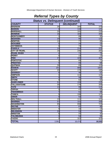# *Referral Types by County*

| <b>Status vs. Delinquent (continued)</b> |                 |                   |                 |  |  |  |  |  |  |
|------------------------------------------|-----------------|-------------------|-----------------|--|--|--|--|--|--|
| <b>COUNTY</b>                            | <b>STATUS</b>   | <b>DELINQUENT</b> | <b>TOTAL</b>    |  |  |  |  |  |  |
| <b>MADISON</b>                           | $\overline{34}$ | 344               | 378             |  |  |  |  |  |  |
| <b>MARION</b>                            | ω               | 118               | 121             |  |  |  |  |  |  |
| <b>MARSHALL</b>                          | $\overline{25}$ | 191               | 216             |  |  |  |  |  |  |
| <b>MONROE</b>                            | 16              | 184               | 200             |  |  |  |  |  |  |
| <b>MONTGOMERY</b>                        | 1               | 89                | 90              |  |  |  |  |  |  |
| <b>NESHOBA</b>                           | 20              | $\overline{95}$   | 115             |  |  |  |  |  |  |
| <b>NEWTON</b>                            | $\overline{12}$ | 77                | 89              |  |  |  |  |  |  |
| <b>NOXUBEE</b>                           | $\overline{0}$  | 24                | 24              |  |  |  |  |  |  |
| <b>OKTIBBEHA</b>                         | 0               | $\overline{73}$   | $\overline{73}$ |  |  |  |  |  |  |
| <b>PANOLA</b>                            | 10              | 214               | 224             |  |  |  |  |  |  |
| <b>CITY OF PEARL</b>                     | $\overline{19}$ | 246               | 265             |  |  |  |  |  |  |
| <b>PEARL RIVER</b>                       | 4               | $\overline{71}$   | $\overline{75}$ |  |  |  |  |  |  |
| <b>PERRY</b>                             | 0               | 13                | 13              |  |  |  |  |  |  |
| <b>PIKE</b>                              | $\overline{37}$ | 420               | 457             |  |  |  |  |  |  |
| <b>PONTOTOC</b>                          | $\overline{2}$  | 69                | $\overline{71}$ |  |  |  |  |  |  |
| <b>PRENTISS</b>                          | 0               | 69                | 69              |  |  |  |  |  |  |
| <b>QUITMAN</b>                           | $\overline{39}$ | 65                | 104             |  |  |  |  |  |  |
| <b>RANKIN</b>                            | 201             | 866               | 1067            |  |  |  |  |  |  |
| <b>SCOTT</b>                             | 20              | 170               | 190             |  |  |  |  |  |  |
| <b>SHARKEY</b>                           | 9               | 48                | $\overline{57}$ |  |  |  |  |  |  |
| <b>SIMPSON</b>                           | $\overline{2}$  | $\overline{113}$  | 115             |  |  |  |  |  |  |
| <b>SMITH</b>                             | 0               | 56                | $\overline{56}$ |  |  |  |  |  |  |
| <b>STONE</b>                             | 0               | 62                | 62              |  |  |  |  |  |  |
| <b>SUNFLOWER</b>                         | 51              | 159               | 210             |  |  |  |  |  |  |
| <b>TALLAHATCHIE</b>                      | $\overline{30}$ | 179               | 209             |  |  |  |  |  |  |
| <b>TATE</b>                              | $\overline{13}$ | 99                | 112             |  |  |  |  |  |  |
| <b>TIPPAH</b>                            | 3               | 47                | 50              |  |  |  |  |  |  |
| <b>TISHOMINGO</b>                        | 7               | $\overline{51}$   | 58              |  |  |  |  |  |  |
| <b>TUNICA</b>                            | 5               | 106               | 111             |  |  |  |  |  |  |
| <b>UNION</b>                             | 0               | $\overline{52}$   | 52              |  |  |  |  |  |  |
| <b>WALTHALL</b>                          | $\overline{10}$ | 111               | 121             |  |  |  |  |  |  |
| <b>WARREN</b>                            | 57              | 151               | 208             |  |  |  |  |  |  |
| <b>WASHINGTON</b>                        | 65              | 658               | 723             |  |  |  |  |  |  |
| <b>WAYNE</b>                             | $\blacksquare$  | 87                | 88              |  |  |  |  |  |  |
| <b>WEBSTER</b>                           | $\overline{4}$  | 10                | 14              |  |  |  |  |  |  |
| <b>WILKINSON</b>                         | $\overline{20}$ | 53                | 73              |  |  |  |  |  |  |
| <b>WINSTON</b>                           | 5               | $\overline{37}$   | 42              |  |  |  |  |  |  |
| <b>YALOBUSHA</b>                         | $\overline{2}$  | 54                | 56              |  |  |  |  |  |  |
| <b>YAZOO</b>                             | $\overline{2}$  | 322               | 324             |  |  |  |  |  |  |
| <b>TOTAL</b>                             | 2,061           | 16,474            | 18,535          |  |  |  |  |  |  |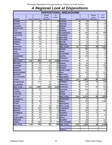# *A Regional Look at Dispositions*

| <b>DISPOSITIONAL BREAKDOWN</b> |                         |                  |                                    |              |                      |               |                  |                                    |                  |
|--------------------------------|-------------------------|------------------|------------------------------------|--------------|----------------------|---------------|------------------|------------------------------------|------------------|
|                                |                         |                  | <b>TRAINING</b>                    | <b>ALL</b>   |                      |               |                  | <b>TRAINING</b>                    | <b>ALL</b>       |
| <b>COUNTY</b>                  | <b>REGION</b>           | <b>PROBATION</b> | <b>SCHOOL</b><br><b>COMMITMENT</b> | <b>OTHER</b> | <b>COUNTY</b>        | <b>REGION</b> | <b>PROBATION</b> | <b>SCHOOL</b><br><b>COMMITMENT</b> | <b>OTHER</b>     |
| <b>ALCORN</b>                  | 1                       | 23               | 3                                  |              | 85 CLARKE            | 4             | 30               | 0                                  | 32               |
| <b>BENTON</b>                  | 1                       | 5                | 0                                  |              | 2 GEORGE             | 4             | 102              | 3                                  | 145              |
| <b>CALHOUN</b>                 | 1                       | 13               | 4                                  |              | 43 GREENE            | 4             | 15               | 0                                  | 19               |
| <b>CHICKASAW</b>               | 1                       | 10               | 0                                  |              | <b>17 JONES</b>      | 4             | 82               | 2                                  | 96               |
| <b>CLAY</b>                    | 1                       | 10               | 11                                 |              | 93 KEMPER            | 4             | 8                | 3                                  | 16               |
| <b>ITAWAMBA</b>                | 1                       | 28               | 1                                  |              | <b>68 LAUDERDALE</b> | 4             | 304              | 12                                 | 669              |
| <b>LAFAYETTE</b>               | 1                       | 13               | 4                                  |              | 193 LOWNDES          | 4             | 55               | 4                                  | 111              |
| LEE                            | 1                       | 155              | 7                                  |              | 445 NESHOBA          | 4             | 49               | 9                                  | 57               |
| <b>MARSHALL</b>                | 1                       | 34               | 0                                  |              | 182 NOXUBEE          | 4             | 11               | 0                                  | 13               |
| <b>MONROE</b>                  | 1                       | 74               | 1                                  |              | 125 WAYNE            | 4             | 33               | 10                                 | 45               |
| <b>PANOLA</b>                  | 1                       | 98               | 8                                  |              | 118 WINSTON          | 4             | 22               | 2                                  | $\frac{1}{8}$    |
| <b>PONTOTOC</b>                | 1                       | 30               | 0                                  |              | 41 REG. TOTAL        | 1,977         | 711              | 45                                 | 1,221            |
| <b>PRENTISS</b>                | 1                       | 7                | 0                                  |              | 62 ADAMS             | 5             | 289              | 5                                  | 269              |
| <b>TATE</b>                    | 1                       | 87               | $\Omega$                           |              | 25 AMITE             | 5             | 30               | $\overline{7}$                     | 76               |
| <b>TIPPAH</b>                  | 1                       | 17               | 0                                  |              | <b>33 CLAIBORNE</b>  | 5             | 50               | 1                                  | 25               |
| TISHOMINGO                     | 1                       | 41               | 2                                  |              | 15 COPIAH            | 5             | 124              | 17                                 | 71               |
| <b>UNION</b>                   | 1                       | 10               | 0                                  |              | 42 FRANKLIN          | 5             | 0                | 8                                  | 75               |
| <b>REG. TOTAL</b>              | 2.285                   | 655              | 41                                 |              | 1,589 JEFFERSON      | 5             | 18               | 0                                  | 14               |
| <b>BOLIVAR</b>                 | 2                       | 60               | 4                                  |              | 168 LAMAR            | 5             | 58               | 3                                  | 85               |
| <b>COAHOMA</b>                 | 2                       | 43               | 21                                 |              | 388 LINCOLN          | 5             | 156              | 4                                  | 201              |
| <b>DESOTO</b>                  | 2                       | 153              | 12                                 |              | 936 MARION           | 5             | 56               | 7                                  | 58               |
| <b>GRENADA</b>                 | $\mathbf 2$             | 101              | 54                                 |              | 242 PEARL RIVER      | 5             | 30               | 2                                  | 43               |
| <b>MONTOGOMERY</b>             | $\overline{\mathbf{2}}$ | 14               | 13                                 |              | 63 PIKE              | 5             | 225              | 20                                 | 212              |
| <b>QUITMAN</b>                 | $\overline{\mathbf{2}}$ | 9                | 6                                  |              | 89 WALTHALL          | 5             | 19               | 13                                 | 89               |
| <b>TALLAHATCHIE</b>            | $\overline{\mathbf{2}}$ | 13               | 4                                  |              | <b>192 WILKINSON</b> | 5             | 42               | 6                                  | 25               |
| TUNICA                         | $\overline{\mathbf{2}}$ | 24               | 1                                  |              | 86 REG. TOTAL        | 2,433         | 1,097            | 93                                 | 1,243            |
| <b>WASHINGTON</b>              | 2                       | 673              | 12                                 |              | <b>38 FORREST</b>    | 6             | 118              | 10                                 | 343              |
| <b>YALABUSHA</b>               | $\mathbf 2$             |                  | 16                                 |              | 33 HANCOCK           | 6             | 146              | 4                                  | 122              |
| <b>REG. TOTAL</b>              | 3,475                   | 1,097            | 143                                |              | 2,235 HARRISON       | 6             | 757              | 59                                 | 663              |
| <b>ATTALA</b>                  | 3                       | 16               | 5                                  |              | <b>18 JACKSON</b>    | 6             | 243              | 7                                  | 782              |
| <b>CARROLL</b>                 | 3                       | 2                | 1                                  |              | 11 PERRY             | 6             | $\Omega$         | 0                                  | 13               |
| <b>CHOCTAW</b>                 | $\mathbf{3}$            | $\overline{3}$   | 1                                  |              | 4 STONE              | 61            | 10 <sup>1</sup>  | 0                                  | 52               |
| <b>HOLMES</b>                  | 3                       | 22               | 6                                  |              | 33 REG. TOTAL        | 3,329         | 1,274            | 80                                 | 1,975            |
| <b>HUMPHREYS</b>               | 3                       | 5                | 0                                  |              | 31 COVINGTON         | 7             | 34               | $\mathbf 0$                        | 18               |
| <b>JASPER</b>                  | 3                       | 68               | 5                                  |              | 58 HINDS             | 7             | 234              | 0                                  | 1,099            |
| <b>LEAKE</b>                   | $\overline{3}$          | 3                | $\mathbf 0$                        |              | <b>13 ISSAQUENA</b>  | 7             | 14               | 0                                  |                  |
| <b>LEFLORE</b>                 | $\overline{3}$          | 46               | 18                                 |              | 142 JEFF. DAVIS      | 7             | 37               | 1                                  | $\boldsymbol{2}$ |
| <b>MADISON</b>                 | $\overline{\mathbf{3}}$ | 222              | 19                                 |              | <b>137 LAWRENCE</b>  | 7             | 39               | 0                                  | $\mathbf 0$      |
| <b>NEWTON</b>                  | 3                       | 50               | 10                                 |              | 29 RANKIN            | 7             | 354              | 15                                 | 698              |
| <b>OKTIBBEHA</b>               | $\overline{3}$          | 30               | $\,6$                              |              | 37 SHARKEY           | 7             | 40               | 11                                 | 6                |
| <b>SCOTT</b>                   | 3                       | 52               | 7                                  |              | 131 SIMPSON          | 7             | 61               | 3                                  | 51               |
| <b>SUNFLOWER</b>               | $\mathbf{3}$            | 39               | 8                                  |              | 163 SMITH            | 7             | 45               | $\overline{2}$                     | 9                |
| <b>WEBSTER</b>                 | 3                       | 9                | 0                                  |              | 5 WARREN             | 7             | 86               | 8                                  | 114              |
| <b>YAZOO</b>                   | 3                       | 185              | 5                                  |              | 134 CITY OF PEARL    | 7             | 106              | 9                                  | 150              |
| <b>REG. TOTAL</b>              | 1,789                   | 752              | 91                                 |              | 946 REG. TOTAL       | 3,247         | 1,050            | 49                                 | 2,148            |
|                                |                         |                  |                                    |              |                      |               |                  |                                    |                  |
|                                |                         |                  |                                    |              | <b>TOTALS</b>        |               |                  |                                    |                  |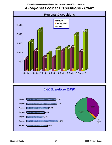# *A Regional Look at Dispositions - Chart*



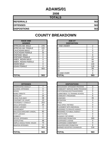### **ADAMS/01**

**2008**

| <b>TOTALS</b>       |     |
|---------------------|-----|
| <b>REFERRALS</b>    | 563 |
| <b>OFFENSES</b>     | 563 |
| <b>DISPOSITIONS</b> | 563 |

| <b>RACE AND</b><br><b>GENDER</b> |     | <b>AGE AT</b><br><b>DISPOSITION</b> |
|----------------------------------|-----|-------------------------------------|
| <b>AFRICAN AM. MALE</b>          | 278 | <b>7 AND UNDER</b>                  |
| AFRICAN AM. FEMALE               | 225 | 8                                   |
| <b>CAUCASIAN MALE</b>            | 27  | 9                                   |
| <b>CAUCASIAN FEMALE</b>          | 33  | 10                                  |
| <b>HISPANIC MALE</b>             | 0   | 11                                  |
| <b>HISPANIC FEMALE</b>           | 0   | 12                                  |
| AMER. INDIAN MALE                | 0   | 13                                  |
| AMER. INDIAN FEMALE              | 0   | 14                                  |
| <b>ASIAN MALE</b>                | 0   | 15                                  |
| ASIAN FEMALE                     | 0   | 16                                  |
|                                  | 563 | 17                                  |
|                                  |     | 18                                  |
|                                  |     | 19 AND OVER                         |
| <b>TOTAL</b>                     | 563 | <b>TOTAL</b>                        |

| <b>OFFENSES</b>             |     | <b>DISPOSITIONS</b>            |  |
|-----------------------------|-----|--------------------------------|--|
| AGGRAVATED ASSAULT          | 7   | ADOLESCENT OFFENDER PROGRAM    |  |
| ALCOHOL OFFENSES            | 0   | COMMUNITY SERVICE WORK PROGRAM |  |
| ARSON                       | 0   | CERTIFIED/WAIVED/TRANSFERRED   |  |
| <b>BOMB THREATS</b>         | 0   | COMMITMENT TO TRAINING SCHOOL  |  |
| <b>BURGLARY</b>             | 24  | <b>COMMUNITY PROGRAMS</b>      |  |
| CHINS/ RUN AWAY             | 38  | <b>DISMISSED</b>               |  |
| CONTEMPT OF COURT           | 13  | <b>DETENTION</b>               |  |
| DISORDERLY CONDUCT          | 253 | FINED                          |  |
| <b>DRUG OFFENSES</b>        | 20  | <b>HELD OPEN / RETIRED</b>     |  |
| <b>GRAND LARCENY</b>        | 3   | PLACEMENT WITH INDIVIDUAL      |  |
| HARASSMENT                  | 7   | REFERRED TO PRIVATE AGENCY     |  |
| MALICIOUS MISCHIEF/ VANDAL. | 60  | REFERRED TO PUBLIC AGENCY      |  |
| PETIT LARCENY               | 6   | <b>RESTITUTION</b>             |  |
| <b>ROBBERY</b>              | 0   | RUNAWAY RETURNED               |  |
| SEXUAL OFFENSES             | 2   | <b>SUPERVISED PROBATION</b>    |  |
| SHOPLIFTING                 | 48  | <b>SUSPENDED LICENSE</b>       |  |
| SIMPLE ASSAULT/DOM. VIOLEN  | 74  | SUSPENDED COMMITMENT           |  |
| <b>WEAPON OFFENSES</b>      | 8   | UNSUPERVISED PROBATION         |  |
|                             | 563 | WARNED ADJUSTED COUNSELED      |  |
| TOTAL                       | 563 | <b>TOTAL</b>                   |  |

| <b>OFFENSES</b>                    |                | <b>DISPOSITIONS</b>        |
|------------------------------------|----------------|----------------------------|
| AGGRAVATED ASSAULT                 | 7              | ADOLESCENT OFFENDER PR     |
| <b>ALCOHOL OFFENSES</b>            | 0              | COMMUNITY SERVICE WORK     |
| ARSON                              | 0              | CERTIFIED/WAIVED/TRANSFE   |
| <b>BOMB THREATS</b>                | 0              | COMMITMENT TO TRAINING S   |
| <b>BURGLARY</b>                    | 24             | COMMUNITY PROGRAMS         |
| CHINS/ RUN AWAY                    | 38             | <b>DISMISSED</b>           |
| <b>CONTEMPT OF COURT</b>           | 13             | <b>DETENTION</b>           |
| <b>DISORDERLY CONDUCT</b>          | 253            | FINED                      |
| <b>DRUG OFFENSES</b>               | 20             | <b>HELD OPEN / RETIRED</b> |
| <b>GRAND LARCENY</b>               | 3              | PLACEMENT WITH INDIVIDUA   |
| <b>HARASSMENT</b>                  | 7              | REFERRED TO PRIVATE AGEI   |
| <b>MALICIOUS MISCHIEF/ VANDAL.</b> | 60             | REFERRED TO PUBLIC AGEN    |
| <b>PETIT LARCENY</b>               | 6              | <b>RESTITUTION</b>         |
| <b>ROBBERY</b>                     | 0              | RUNAWAY RETURNED           |
| SEXUAL OFFENSES                    | $\overline{2}$ | SUPERVISED PROBATION       |
| <b>SHOPLIFTING</b>                 | 48             | SUSPENDED LICENSE          |
| SIMPLE ASSAULT/DOM. VIOLEN         | 74             | SUSPENDED COMMITMENT       |
| <b>WEAPON OFFENSES</b>             | 8              | UNSUPERVISED PROBATION     |
|                                    | 563            | WARNED ADJUSTED COUNSE     |
|                                    |                |                            |
| <b>TOTAL</b>                       | 563            | <b>TOTAL</b>               |

| <b>RACE AND</b><br><b>GENDER</b> |     | <b>AGE AT</b><br><b>DISPOSITION</b> |                |
|----------------------------------|-----|-------------------------------------|----------------|
| AFRICAN AM. MALE                 | 278 | 7 AND UNDER                         | $\overline{2}$ |
| AFRICAN AM. FEMALE               | 225 | 8                                   |                |
| <b>CAUCASIAN MALE</b>            | 27  | 9                                   | 0              |
| <b>CAUCASIAN FEMALE</b>          | 33  | 10                                  | 3              |
| <b>HISPANIC MALE</b>             | 0   | 11                                  | 8              |
| <b>HISPANIC FEMALE</b>           | 0   | 12                                  | 27             |
| AMER. INDIAN MALE                | 0   | 13                                  | 65             |
| AMER. INDIAN FEMALE              | 0   | 14                                  | 94             |
| ASIAN MALE                       | 0   | 15                                  | 144            |
| ASIAN FEMALE                     | 0   | 16                                  | 126            |
|                                  | 563 | 17                                  | 89             |
|                                  |     | 18                                  | 4              |
|                                  |     | 19 AND OVER                         | 0              |
| <b>TOTAL</b>                     | 563 | TOTAL                               | 563            |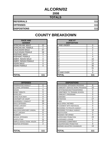### **ALCORN/02**

**2008**

| <b>TOTALS</b>       |     |
|---------------------|-----|
| <b>REFERRALS</b>    | 111 |
| <b>OFFENSES</b>     | 111 |
| <b>DISPOSITIONS</b> | 111 |

| <b>RACE AND</b><br><b>GENDER</b> |          | <b>AGE AT</b><br><b>DISPOSITION</b> |     |
|----------------------------------|----------|-------------------------------------|-----|
| AFRICAN AM. MALE                 | 22       | <b>7 AND UNDER</b>                  | 0   |
| AFRICAN AM. FEMALE               | 2        | 8                                   | 0   |
| <b>CAUCASIAN MALE</b>            | 57       | 9                                   | 2   |
| <b>CAUCASIAN FEMALE</b>          | 26       | 10                                  |     |
| <b>HISPANIC MALE</b>             | 3        | 11                                  |     |
| <b>HISPANIC FEMALE</b>           |          | 12                                  | 4   |
| AMER. INDIAN MALE                | 0        | 13                                  | 10  |
| AMER. INDIAN FEMALE              | 0        | 14                                  | 17  |
| ASIAN MALE                       | 0        | 15                                  | 10  |
| ASIAN FEMALE                     | $\Omega$ | 16                                  | 35  |
|                                  |          | 17                                  | 31  |
|                                  |          | 18                                  | 0   |
|                                  |          | 19 AND OVER                         | 0   |
| <b>TOTAL</b>                     | 111      | TOTAL                               | 111 |

| <b>COUNTY BREAKDOWN</b> |
|-------------------------|
|-------------------------|

| <b>OFFENSES</b>             |                | <b>DISPOSITIONS</b>            |
|-----------------------------|----------------|--------------------------------|
| AGGRAVATED ASSAULT          | 0              | ADOLESCENT OFFENDER PROGRAM    |
| ALCOHOL OFFENSES            | 7              | COMMUNITY SERVICE WORK PROGRAM |
| ARSON                       | 0              | CERTIFIED/WAIVED/TRANSFERRED   |
| BOMB THREATS                | 0              | COMMITMENT TO TRAINING SCHOOL  |
| <b>BURGLARY</b>             | 4              | <b>COMMUNITY PROGRAMS</b>      |
| CHINS/ RUN AWAY             | 0              | <b>DISMISSED</b>               |
| CONTEMPT OF COURT           | 5              | <b>DETENTION</b>               |
| DISORDERLY CONDUCT          | 25             | <b>FINED</b>                   |
| DRUG OFFENSES               | 14             | <b>HELD OPEN / RETIRED</b>     |
| GRAND LARCENY               | 2              | PLACEMENT WITH INDIVIDUAL      |
| HARASSMENT                  | 5              | REFERRED TO PRIVATE AGENCY     |
| MALICIOUS MISCHIEF/ VANDAL. | 13             | REFERRED TO PUBLIC AGENCY      |
| PETIT LARCENY               | 6              | <b>RESTITUTION</b>             |
| <b>ROBBERY</b>              | 0              | RUNAWAY RETURNED               |
| SEXUAL OFFENSES             | 0              | <b>SUPERVISED PROBATION</b>    |
| SHOPLIFTING                 | 11             | <b>SUSPENDED LICENSE</b>       |
| SIMPLE ASSAULT/DOM. VIOLEN  | 17             | SUSPENDED COMMITMENT           |
| WEAPON OFFENSES             | $\overline{2}$ | UNSUPERVISED PROBATION         |
|                             |                | WARNED ADJUSTED COUNSELED      |
| TOTAL                       | 111            | <b>TOTAL</b>                   |

| <b>OFFENSES</b>             |                | <b>DISPOSITIONS</b>        |
|-----------------------------|----------------|----------------------------|
| AGGRAVATED ASSAULT          | 0              | ADOLESCENT OFFENDER PR     |
| <b>ALCOHOL OFFENSES</b>     | 7              | COMMUNITY SERVICE WORK     |
| ARSON                       | 0              | CERTIFIED/WAIVED/TRANSFE   |
| <b>BOMB THREATS</b>         | 0              | COMMITMENT TO TRAINING S   |
| <b>BURGLARY</b>             | 4              | COMMUNITY PROGRAMS         |
| CHINS/ RUN AWAY             | 0              | <b>DISMISSED</b>           |
| <b>CONTEMPT OF COURT</b>    | 5              | <b>DETENTION</b>           |
| <b>DISORDERLY CONDUCT</b>   | 25             | <b>FINED</b>               |
| <b>DRUG OFFENSES</b>        | 14             | <b>HELD OPEN / RETIRED</b> |
| <b>GRAND LARCENY</b>        | 2              | PLACEMENT WITH INDIVIDUA   |
| <b>HARASSMENT</b>           | 5              | REFERRED TO PRIVATE AGEI   |
| MALICIOUS MISCHIEF/ VANDAL. | 13             | REFERRED TO PUBLIC AGEN    |
| <b>PETIT LARCENY</b>        | 6              | <b>RESTITUTION</b>         |
| <b>ROBBERY</b>              | 0              | RUNAWAY RETURNED           |
| <b>SEXUAL OFFENSES</b>      | 0              | SUPERVISED PROBATION       |
| <b>SHOPLIFTING</b>          | 11             | <b>SUSPENDED LICENSE</b>   |
| SIMPLE ASSAULT/DOM. VIOLEN  | 17             | SUSPENDED COMMITMENT       |
| <b>WEAPON OFFENSES</b>      | $\mathfrak{p}$ | UNSUPERVISED PROBATION     |
|                             |                | WARNED ADJUSTED COUNSE     |
|                             |                |                            |
| <b>TOTAL</b>                | 111            | <b>TOTAL</b>               |

| <b>RACE AND</b>        |          | <b>AGE AT</b>      |    |
|------------------------|----------|--------------------|----|
| <b>GENDER</b>          |          | <b>DISPOSITION</b> |    |
| AFRICAN AM. MALE       | 22       | <b>7 AND UNDER</b> | ∩  |
| AFRICAN AM. FEMALE     | 2        | 8                  | 0  |
| <b>CAUCASIAN MALE</b>  | 57       | '9                 | 2  |
| CAUCASIAN FEMALE       | 26       | 10                 |    |
| HISPANIC MALE          | 3        | 11                 |    |
| <b>HISPANIC FEMALE</b> |          | 12                 | 4  |
| AMER. INDIAN MALE      | 0        | 13                 | 10 |
| AMER. INDIAN FEMALE    | O        | 14                 | 17 |
| ASIAN MALE             | 0        | 15                 | 10 |
| ASIAN FEMALE           | $\Omega$ | 16                 | 35 |
|                        |          | 17                 | 31 |
|                        |          | 18                 | 0  |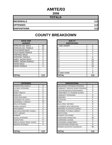# **AMITE/03**

**2008**

| <b>TOTALS</b>       |     |
|---------------------|-----|
| <b>REFERRALS</b>    | 113 |
| <b>OFFENSES</b>     | 113 |
| <b>DISPOSITIONS</b> | 113 |

#### **RACE AND GENDER DISPOSITION** AFRICAN AM. MALE 158 AFRICAN AM. FEMALE | 42 CAUCASIAN MALE 9 9 4 **CAUCASIAN FEMALE** HISPANIC MALE 1 HISPANIC FEMALE 1 0 AMER. INDIAN MALE 0 AMER. INDIAN FEMALE | 0 ASIAN MALE 20 ASIAN FEMALE 0 **TOTAL 113 TOTAL 113**

| <b>OFFENSES</b>                    |                | <b>DISPOSITIONS</b>           |
|------------------------------------|----------------|-------------------------------|
| AGGRAVATED ASSAULT                 | 0              | <b>ADOLESCENT OFFENDER PR</b> |
| ALCOHOL OFFENSES                   | 0              | COMMUNITY SERVICE WORK        |
| ARSON                              | 0              | CERTIFIED/WAIVED/TRANSFE      |
| <b>BOMB THREATS</b>                | 0              | COMMITMENT TO TRAINING S      |
| <b>BURGLARY</b>                    | 1              | COMMUNITY PROGRAMS            |
| <b>CHINS/ RUN AWAY</b>             | 5              | <b>DISMISSED</b>              |
| CONTEMPT OF COURT                  | 5              | <b>DETENTION</b>              |
| <b>DISORDERLY CONDUCT</b>          | 73             | <b>FINED</b>                  |
| <b>DRUG OFFENSES</b>               | 4              | <b>HELD OPEN / RETIRED</b>    |
| <b>GRAND LARCENY</b>               | 4              | PLACEMENT WITH INDIVIDUA      |
| <b>HARASSMENT</b>                  | 0              | REFERRED TO PRIVATE AGEI      |
| <b>MALICIOUS MISCHIEF/ VANDAL.</b> | 5              | REFERRED TO PUBLIC AGEN       |
| <b>PETIT LARCENY</b>               | $\overline{2}$ | <b>RESTITUTION</b>            |
| <b>ROBBERY</b>                     | 1              | RUNAWAY RETURNED              |
| <b>SEXUAL OFFENSES</b>             | 0              | SUPERVISED PROBATION          |
| <b>SHOPLIFTING</b>                 | 0              | SUSPENDED LICENSE             |
| SIMPLE ASSAULT/DOM, VIOLEN         | 9              | SUSPENDED COMMITMENT          |
| <b>WEAPON OFFENSES</b>             | 4              | UNSUPERVISED PROBATION        |
|                                    |                | WARNED ADJUSTED COUNSE        |
|                                    |                |                               |
| <b>TOTAL</b>                       | 113            | <b>TOTAL</b>                  |

| <b>AGE AT</b><br><b>DISPOSITION</b> |                |
|-------------------------------------|----------------|
| <b>7 AND UNDER</b>                  | 0              |
| 8                                   | 0              |
| 9                                   | 4              |
| 10                                  | $\overline{2}$ |
| 11                                  | $\overline{7}$ |
| 12                                  | 8              |
| 13                                  | 24             |
| 14                                  | 20             |
| 15                                  | 21             |
| 16                                  | 20             |
| 17                                  | 7              |
| $\overline{18}$                     | ი              |
| 19 AND OVER                         | 0              |
| <b>TOTAL</b>                        | 113            |

| <b>OFFENSES</b>             |                | <b>DISPOSITIONS</b>            |
|-----------------------------|----------------|--------------------------------|
| AGGRAVATED ASSAULT          | $\Omega$       | ADOLESCENT OFFENDER PROGRAM    |
| ALCOHOL OFFENSES            | 0              | COMMUNITY SERVICE WORK PROGRAM |
| ARSON                       | 0              | CERTIFIED/WAIVED/TRANSFERRED   |
| <b>BOMB THREATS</b>         | 0              | COMMITMENT TO TRAINING SCHOOL  |
| <b>BURGLARY</b>             |                | <b>COMMUNITY PROGRAMS</b>      |
| CHINS/ RUN AWAY             | 5              | <b>DISMISSED</b>               |
| CONTEMPT OF COURT           | 5              | <b>DETENTION</b>               |
| DISORDERLY CONDUCT          | 73             | <b>FINED</b>                   |
| <b>DRUG OFFENSES</b>        | 4              | <b>HELD OPEN / RETIRED</b>     |
| GRAND LARCENY               | 4              | PLACEMENT WITH INDIVIDUAL      |
| HARASSMENT                  | 0              | REFERRED TO PRIVATE AGENCY     |
| MALICIOUS MISCHIEF/ VANDAL. | 5              | REFERRED TO PUBLIC AGENCY      |
| PETIT LARCENY               | $\overline{2}$ | <b>RESTITUTION</b>             |
| ROBBERY                     |                | RUNAWAY RETURNED               |
| <b>SEXUAL OFFENSES</b>      | 0              | <b>SUPERVISED PROBATION</b>    |
| SHOPLIFTING                 | 0              | <b>SUSPENDED LICENSE</b>       |
| SIMPLE ASSAULT/DOM. VIOLEN  | 9              | SUSPENDED COMMITMENT           |
| <b>WEAPON OFFENSES</b>      | 4              | UNSUPERVISED PROBATION         |
|                             |                | WARNED ADJUSTED COUNSELED      |
| TOTAL                       | 113            | <b>TOTAL</b>                   |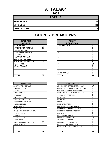### **ATTALA/04**

**2008**

| <b>TOTALS</b>       |    |
|---------------------|----|
| <b>REFERRALS</b>    | 39 |
| <b>OFFENSES</b>     | 39 |
| <b>DISPOSITIONS</b> | 39 |

| <b>RACE AND</b><br><b>GENDER</b> |    | <b>AGE AT</b><br><b>DISPOSITION</b> |
|----------------------------------|----|-------------------------------------|
| <b>AFRICAN AM. MALE</b>          | 20 | 7 AND UNDER                         |
| AFRICAN AM. FEMALE               | 12 | 8                                   |
| <b>CAUCASIAN MALE</b>            | 3  | 9                                   |
| <b>CAUCASIAN FEMALE</b>          | 4  | 10                                  |
| <b>HISPANIC MALE</b>             | 0  | 11                                  |
| <b>HISPANIC FEMALE</b>           | 0  | 12                                  |
| AMER. INDIAN MALE                | 0  | 13                                  |
| AMER. INDIAN FEMALE              | 0  | 14                                  |
| <b>ASIAN MALE</b>                | 0  | 15                                  |
| <b>ASIAN FEMALE</b>              | 0  | 16                                  |
|                                  |    | 17                                  |
|                                  |    | 18                                  |
|                                  |    | 19 AND OVER                         |
| <b>TOTAL</b>                     | 39 | TOTAL                               |

| <b>OFFENSES</b>             |                | <b>DISPOSITIONS</b>             |
|-----------------------------|----------------|---------------------------------|
| AGGRAVATED ASSAULT          | 0              | <b>ADOLESCENT OFFENDER PR</b>   |
| <b>ALCOHOL OFFENSES</b>     | 1              | <b>COMMUNITY SERVICE WORK</b>   |
| <b>ARSON</b>                | 0              | CERTIFIED/WAIVED/TRANSFE        |
| <b>BOMB THREATS</b>         | 0              | <b>COMMITMENT TO TRAINING S</b> |
| <b>BURGLARY</b>             | 0              | <b>COMMUNITY PROGRAMS</b>       |
| <b>CHINS/ RUN AWAY</b>      | $\overline{2}$ | <b>DISMISSED</b>                |
| <b>CONTEMPT OF COURT</b>    | 0              | <b>DETENTION</b>                |
| <b>DISORDERLY CONDUCT</b>   | $\overline{2}$ | <b>FINED</b>                    |
| <b>DRUG OFFENSES</b>        | 3              | HELD OPEN / RETIRED             |
| <b>GRAND LARCENY</b>        | 1              | PLACEMENT WITH INDIVIDUA        |
| <b>HARASSMENT</b>           | $\Omega$       | <b>REFERRED TO PRIVATE AGEI</b> |
| MALICIOUS MISCHIEF/ VANDAL. | $\overline{2}$ | <b>REFERRED TO PUBLIC AGEN</b>  |
| <b>PETIT LARCENY</b>        | 3              | <b>RESTITUTION</b>              |
| <b>ROBBERY</b>              | 0              | RUNAWAY RETURNED                |
| <b>SEXUAL OFFENSES</b>      | 0              | SUPERVISED PROBATION            |
| <b>SHOPLIFTING</b>          | 0              | <b>SUSPENDED LICENSE</b>        |
| SIMPLE ASSAULT/DOM, VIOLEN  | 23             | <b>SUSPENDED COMMITMENT</b>     |
| <b>WEAPON OFFENSES</b>      | 2              | UNSUPERVISED PROBATION          |
|                             |                | WARNED ADJUSTED COUNSE          |
|                             |                |                                 |
| <b>TOTAL</b>                | 39             | <b>TOTAL</b>                    |

| <b>RACE AND</b><br><b>GENDER</b> |          | <b>AGE AT</b><br><b>DISPOSITION</b> |          |
|----------------------------------|----------|-------------------------------------|----------|
| AFRICAN AM. MALE                 | 20       | <b>7 AND UNDER</b>                  | 0        |
| AFRICAN AM. FEMALE               | 12       | 8                                   | 0        |
| <b>CAUCASIAN MALE</b>            | 3        | 9                                   | $\Omega$ |
| <b>CAUCASIAN FEMALE</b>          | 4        | 10                                  | $\Omega$ |
| <b>HISPANIC MALE</b>             | 0        | 11                                  | $\Omega$ |
| <b>HISPANIC FEMALE</b>           | $\Omega$ | 12                                  |          |
| AMER. INDIAN MALE                | 0        | 13                                  | 2        |
| AMER. INDIAN FEMALE              | $\Omega$ | 14                                  | 8        |
| ASIAN MALE                       | $\Omega$ | 15                                  | 13       |
| <b>ASIAN FEMALE</b>              | $\Omega$ | 16                                  | 9        |
|                                  |          | 17                                  | 6        |
|                                  |          | 18                                  | 0        |
|                                  |          | 19 AND OVER                         | $\Omega$ |
| <b>TOTAL</b>                     | 39       | <b>TOTAL</b>                        | 39       |

| <b>OFFENSES</b>             |                |
|-----------------------------|----------------|
| AGGRAVATED ASSAULT          | 0              |
| ALCOHOL OFFENSES            |                |
| ARSON                       | 0              |
| <b>BOMB THREATS</b>         | 0              |
| <b>BURGLARY</b>             | 0              |
| CHINS/ RUN AWAY             | $\overline{2}$ |
| CONTEMPT OF COURT           | 0              |
| DISORDERLY CONDUCT          | $\overline{2}$ |
| <b>DRUG OFFENSES</b>        | 3              |
| <b>GRAND LARCENY</b>        |                |
| HARASSMENT                  | 0              |
| MALICIOUS MISCHIEF/ VANDAL. | $\overline{2}$ |
| PETIT LARCENY               | 3              |
| ROBBERY                     | 0              |
| SEXUAL OFFENSES             | $\Omega$       |
| SHOPLIFTING                 | $\Omega$       |
| SIMPLE ASSAULT/DOM. VIOLEN  | 23             |
| WEAPON OFFENSES             | 2              |
|                             |                |
| TOTAL                       | 39             |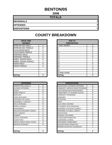### **BENTON/05**

**2008**

#### **TOTALS**

**REFERRALS 7**

**OFFENSES 7**

**DISPOSITIONS 7**

| <b>RACE AND</b><br><b>GENDER</b> |   | <b>AGE AT</b><br><b>DISPOSITION</b> |
|----------------------------------|---|-------------------------------------|
| <b>AFRICAN AM. MALE</b>          | 4 | <b>7 AND UNDER</b>                  |
| AFRICAN AM. FEMALE               | 0 | 8                                   |
| <b>CAUCASIAN MALE</b>            |   | 9                                   |
| <b>CAUCASIAN FEMALE</b>          |   | 10                                  |
| <b>HISPANIC MALE</b>             | 0 | 11                                  |
| <b>HISPANIC FEMALE</b>           | 0 | 12                                  |
| AMER. INDIAN MALE                | 0 | 13                                  |
| AMER. INDIAN FEMALE              | 1 | 14                                  |
| <b>ASIAN MALE</b>                | 0 | 15                                  |
| <b>ASIAN FEMALE</b>              | 0 | 16                                  |
|                                  |   | 17                                  |
|                                  |   | 18                                  |
|                                  |   | 19 AND OVER                         |
| <b>TOTAL</b>                     | 7 | <b>TOTAL</b>                        |

| <b>OFFENSES</b>                    |   | <b>DISPOSITIONS</b>           |
|------------------------------------|---|-------------------------------|
| AGGRAVATED ASSAULT                 | 0 | <b>ADOLESCENT OFFENDER PR</b> |
| <b>ALCOHOL OFFENSES</b>            | 0 | COMMUNITY SERVICE WORK        |
| ARSON                              | 0 | CERTIFIED/WAIVED/TRANSFE      |
| <b>BOMB THREATS</b>                | 0 | COMMITMENT TO TRAINING S      |
| <b>BURGLARY</b>                    | 1 | COMMUNITY PROGRAMS            |
| CHINS/ RUN AWAY                    | 2 | <b>DISMISSED</b>              |
| <b>CONTEMPT OF COURT</b>           | 0 | <b>DETENTION</b>              |
| <b>DISORDERLY CONDUCT</b>          | 0 | <b>FINED</b>                  |
| <b>DRUG OFFENSES</b>               | 0 | <b>HELD OPEN / RETIRED</b>    |
| <b>GRAND LARCENY</b>               | 0 | PLACEMENT WITH INDIVIDUA      |
| <b>HARASSMENT</b>                  | 0 | REFERRED TO PRIVATE AGEI      |
| <b>MALICIOUS MISCHIEF/ VANDAL.</b> | 0 | REFERRED TO PUBLIC AGEN       |
| PETIT LARCENY                      | 1 | RESTITUTION                   |
| <b>ROBBERY</b>                     | 0 | RUNAWAY RETURNED              |
| <b>SEXUAL OFFENSES</b>             | 0 | SUPERVISED PROBATION          |
| <b>SHOPLIFTING</b>                 | 0 | SUSPENDED LICENSE             |
| SIMPLE ASSAULT/DOM. VIOLEN         | 3 | SUSPENDED COMMITMENT          |
| <b>WEAPON OFFENSES</b>             | 0 | UNSUPERVISED PROBATION        |
|                                    |   | WARNED ADJUSTED COUNSE        |
|                                    |   |                               |
| <b>TOTAL</b>                       | 7 | <b>TOTAL</b>                  |

| <b>RACE AND</b><br><b>GENDER</b> |          | <b>AGE AT</b><br><b>DISPOSITION</b> |                |
|----------------------------------|----------|-------------------------------------|----------------|
| AFRICAN AM. MALE                 | 4        | 7 AND UNDER                         | 0              |
| AFRICAN AM. FEMALE               | $\Omega$ | ö                                   | $\Omega$       |
| <b>CAUCASIAN MALE</b>            |          | 9                                   | 0              |
| <b>CAUCASIAN FEMALE</b>          |          | 10                                  | 0              |
| <b>HISPANIC MALE</b>             | $\Omega$ | 11                                  | 0              |
| <b>HISPANIC FEMALE</b>           | $\Omega$ | 12                                  | 0              |
| AMER. INDIAN MALE                | $\Omega$ | 13                                  |                |
| AMER. INDIAN FEMALE              |          | 14                                  | $\overline{2}$ |
| ASIAN MALE                       | $\Omega$ | 15                                  | $\Omega$       |
| <b>ASIAN FEMALE</b>              | $\Omega$ | 16                                  | 4              |
|                                  |          | 17                                  | 0              |
|                                  |          | 18                                  | $\Omega$       |
|                                  |          | 19 AND OVER                         | $\Omega$       |
| <b>TOTAL</b>                     |          | TOTAL                               |                |

| <b>OFFENSES</b>             |          | <b>DISPOSITIONS</b>            |                |
|-----------------------------|----------|--------------------------------|----------------|
| AGGRAVATED ASSAULT          | 0        | ADOLESCENT OFFENDER PROGRAM    | $\Omega$       |
| ALCOHOL OFFENSES            | 0        | COMMUNITY SERVICE WORK PROGRAM | 0              |
| ARSON                       | $\Omega$ | CERTIFIED/WAIVED/TRANSFERRED   | 0              |
| <b>BOMB THREATS</b>         | $\Omega$ | COMMITMENT TO TRAINING SCHOOL  | 0              |
| BURGLARY                    |          | <b>COMMUNITY PROGRAMS</b>      | 0              |
| CHINS/ RUN AWAY             | 2        | <b>DISMISSED</b>               | 0              |
| CONTEMPT OF COURT           | 0        | <b>DETENTION</b>               | 0              |
| DISORDERLY CONDUCT          | 0        | <b>FINED</b>                   | $\Omega$       |
| <b>DRUG OFFENSES</b>        | 0        | HELD OPEN / RETIRED            | 0              |
| GRAND LARCENY               | 0        | PLACEMENT WITH INDIVIDUAL      | 0              |
| HARASSMENT                  | 0        | REFERRED TO PRIVATE AGENCY     | 0              |
| MALICIOUS MISCHIEF/ VANDAL. | 0        | REFERRED TO PUBLIC AGENCY      |                |
| PETIT LARCENY               | 1        | <b>RESTITUTION</b>             | 0              |
| ROBBERY                     | 0        | RUNAWAY RETURNED               | 0              |
| SEXUAL OFFENSES             | 0        | SUPERVISED PROBATION           | 3              |
| SHOPLIFTING                 | 0        | SUSPENDED LICENSE              | 0              |
| SIMPLE ASSAULT/DOM. VIOLEN  | 3        | SUSPENDED COMMITMENT           | 0              |
| <b>WEAPON OFFENSES</b>      | $\Omega$ | UNSUPERVISED PROBATION         | $\overline{2}$ |
|                             |          | WARNED ADJUSTED COUNSELED      |                |
|                             |          |                                |                |
| TOTAL                       |          | TOTAL                          | 7              |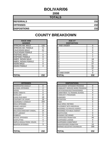### **BOLIVAR/06**

**2008**

| <b>TOTALS</b>       |     |
|---------------------|-----|
| <b>REFERRALS</b>    | 232 |
| <b>OFFENSES</b>     | 232 |
| <b>DISPOSITIONS</b> | 232 |

| <b>RACE AND</b><br><b>GENDER</b> |     | <b>AGE AT</b><br><b>DISPOSITION</b> |
|----------------------------------|-----|-------------------------------------|
| <b>AFRICAN AM. MALE</b>          | 133 | <b>7 AND UNDER</b>                  |
| AFRICAN AM. FEMALE               | 71  | 8                                   |
| <b>CAUCASIAN MALE</b>            | 21  | 9                                   |
| <b>CAUCASIAN FEMALE</b>          | 7   | 10                                  |
| <b>HISPANIC MALE</b>             | 0   | 11                                  |
| <b>HISPANIC FEMALE</b>           | 0   | 12                                  |
| <b>AMER. INDIAN MALE</b>         | 0   | 13                                  |
| AMER. INDIAN FEMALE              | 0   | 14                                  |
| <b>ASIAN MALE</b>                | 0   | 15                                  |
| ASIAN FEMALE                     | 0   | 16                                  |
|                                  |     | 17                                  |
|                                  |     | 18                                  |
|                                  |     | 19 AND OVER                         |
| <b>TOTAL</b>                     | 232 | ΤΟΤΑL                               |

| <b>OFFENSES</b>                   |                | <b>DISPOSITIONS</b>      |
|-----------------------------------|----------------|--------------------------|
| \GGRAVATED ASSAULT                | 0              | ADOLESCENT OFFENDER PR   |
| <b>\LCOHOL OFFENSES</b>           | $\mathfrak{p}$ | COMMUNITY SERVICE WORK   |
| <b>RSON</b>                       | 0              | CERTIFIED/WAIVED/TRANSFE |
| OMB THREATS                       | 0              | COMMITMENT TO TRAINING S |
| <b>SURGLARY</b>                   | 8              | COMMUNITY PROGRAMS       |
| <b>HINS/ RUN AWAY</b>             | 19             | <b>DISMISSED</b>         |
| CONTEMPT OF COURT                 | 16             | <b>DETENTION</b>         |
| <b>DISORDERLY CONDUCT</b>         | 154            | <b>FINED</b>             |
| RUG OFFENSES                      | 4              | HELD OPEN / RETIRED      |
| GRAND LARCENY                     | 0              | PLACEMENT WITH INDIVIDUA |
| IARASSMENT                        | 0              | REFERRED TO PRIVATE AGEI |
| //ALICIOUS MISCHIEF/ VANDAL.      | 14             | REFERRED TO PUBLIC AGEN  |
| PETIT LARCENY                     | 0              | <b>RESTITUTION</b>       |
| ROBBERY                           | 0              | RUNAWAY RETURNED         |
| <b>EXUAL OFFENSES</b>             |                | SUPERVISED PROBATION     |
| <b>SHOPLIFTING</b>                | 4              | SUSPENDED LICENSE        |
| <b>SIMPLE ASSAULT/DOM. VIOLEN</b> | 7              | SUSPENDED COMMITMENT     |
| <b>VEAPON OFFENSES</b>            | 3              | UNSUPERVISED PROBATION   |
|                                   |                | WARNED ADJUSTED COUNSE   |
|                                   |                |                          |
| ΓΩΤΑΙ                             | 232            | ΙΤΟΤΑΙ                   |

| <b>RACE AND</b><br><b>GENDER</b> |          | <b>AGE AT</b><br><b>DISPOSITION</b> |          |
|----------------------------------|----------|-------------------------------------|----------|
| AFRICAN AM. MALE                 | 133      | <b>7 AND UNDER</b>                  | 0        |
| AFRICAN AM. FEMALE               | 71       | ö                                   | 0        |
| <b>CAUCASIAN MALE</b>            | 21       | 9                                   | 0        |
| <b>CAUCASIAN FEMALE</b>          |          | 10                                  | 0        |
| <b>HISPANIC MALE</b>             | $\Omega$ | 11                                  |          |
| <b>HISPANIC FEMALE</b>           | $\Omega$ | 12                                  | 7        |
| AMER. INDIAN MALE                | $\Omega$ | 13                                  | 18       |
| AMER. INDIAN FEMALE              | $\Omega$ | 14                                  | 31       |
| ASIAN MALE                       | $\Omega$ | 15                                  | 57       |
| ASIAN FEMALE                     | $\Omega$ | 16                                  | 81       |
|                                  |          | 17                                  | 37       |
|                                  |          | 18                                  | $\Omega$ |
|                                  |          | 19 AND OVER                         | $\Omega$ |
| <b>TOTAL</b>                     | 232      | <b>TOTAL</b>                        | 232      |

| <b>OFFENSES</b>             |          |
|-----------------------------|----------|
| AGGRAVATED ASSAULT          | 0        |
| ALCOHOL OFFENSES            | 2        |
| ARSON                       | $\Omega$ |
| <b>BOMB THREATS</b>         | 0        |
| <b>BURGLARY</b>             | 8        |
| CHINS/ RUN AWAY             | 19       |
| CONTEMPT OF COURT           | 16       |
| DISORDERLY CONDUCT          | 154      |
| <b>DRUG OFFENSES</b>        | 4        |
| GRAND LARCENY               | $\Omega$ |
| HARASSMENT                  | 0        |
| MALICIOUS MISCHIEF/ VANDAL. | 14       |
| PETIT LARCENY               | $\Omega$ |
| ROBBERY                     | 0        |
| SEXUAL OFFENSES             | 1        |
| SHOPLIFTING                 | 4        |
| SIMPLE ASSAULT/DOM. VIOLEN  | 7        |
| WEAPON OFFENSES             | 3        |
|                             |          |
| TOTAL                       | 232      |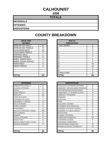### **CALHOUN/07**

**2008**

#### **TOTALS**

**REFERRALS**

**OFFENSES**

**DISPOSITIONS**

| <b>RACE AND</b><br><b>GENDER</b> |                | <b>AGE AT</b><br><b>DISPOSITION</b> |
|----------------------------------|----------------|-------------------------------------|
| <b>AFRICAN AM. MALE</b>          | 22             | 7 AND UNDER                         |
| AFRICAN AM. FEMALE               | 9              | 8                                   |
| <b>CAUCASIAN MALE</b>            | 22             | 9                                   |
| <b>CAUCASIAN FEMALE</b>          | 5              | 10                                  |
| <b>HISPANIC MALE</b>             | $\overline{2}$ | 11                                  |
| <b>HISPANIC FEMALE</b>           | 0              | 12                                  |
| AMER. INDIAN MALE                | 0              | 13                                  |
| AMER. INDIAN FEMALE              | 0              | 14                                  |
| <b>ASIAN MALE</b>                | 0              | 15                                  |
| <b>ASIAN FEMALE</b>              | $\Omega$       | 16                                  |
|                                  |                | 17                                  |
|                                  |                | 18                                  |
|                                  |                | 19 AND OVER                         |
| <b>TOTAL</b>                     | 60             | TOTAL                               |

| <b>OFFENSES</b>                    |                | <b>DISPOSITIONS</b>           |
|------------------------------------|----------------|-------------------------------|
| AGGRAVATED ASSAULT                 | 0              | <b>ADOLESCENT OFFENDER PR</b> |
| <b>ALCOHOL OFFENSES</b>            | 0              | COMMUNITY SERVICE WORK        |
| ARSON                              | 0              | CERTIFIED/WAIVED/TRANSFE      |
| <b>BOMB THREATS</b>                | 0              | COMMITMENT TO TRAINING S      |
| <b>BURGLARY</b>                    | 12             | COMMUNITY PROGRAMS            |
| CHINS/ RUN AWAY                    | 2              | <b>DISMISSED</b>              |
| <b>CONTEMPT OF COURT</b>           | 1              | <b>DETENTION</b>              |
| <b>DISORDERLY CONDUCT</b>          | 9              | <b>FINED</b>                  |
| <b>DRUG OFFENSES</b>               | $\overline{2}$ | <b>HELD OPEN / RETIRED</b>    |
| <b>GRAND LARCENY</b>               | 1              | PLACEMENT WITH INDIVIDUA      |
| <b>HARASSMENT</b>                  | 0              | REFERRED TO PRIVATE AGEI      |
| <b>MALICIOUS MISCHIEF/ VANDAL.</b> | 26             | REFERRED TO PUBLIC AGEN       |
| PETIT LARCENY                      | 0              | RESTITUTION                   |
| <b>ROBBERY</b>                     | 0              | RUNAWAY RETURNED              |
| <b>SEXUAL OFFENSES</b>             | 0              | SUPERVISED PROBATION          |
| <b>SHOPLIFTING</b>                 | 0              | SUSPENDED LICENSE             |
| SIMPLE ASSAULT/DOM. VIOLEN         | 5              | SUSPENDED COMMITMENT          |
| <b>WEAPON OFFENSES</b>             | 2              | UNSUPERVISED PROBATION        |
|                                    |                | WARNED ADJUSTED COUNSE        |
|                                    |                |                               |
| <b>TOTAL</b>                       | 60             | <b>TOTAL</b>                  |

| <b>RACE AND</b><br><b>GENDER</b> |                | <b>AGE AT</b><br><b>DISPOSITION</b> |          |
|----------------------------------|----------------|-------------------------------------|----------|
| AFRICAN AM. MALE                 | 22             | 7 AND UNDER                         | $\Omega$ |
| AFRICAN AM. FEMALE               | 9              |                                     | 0        |
| <b>CAUCASIAN MALE</b>            | 22             | 9                                   | 0        |
| CAUCASIAN FEMALE                 | 5              | 10                                  |          |
| <b>HISPANIC MALE</b>             | $\overline{2}$ | 11                                  | 4        |
| <b>HISPANIC FEMALE</b>           | $\Omega$       | 12                                  | 7        |
| AMER. INDIAN MALE                | $\Omega$       | 13                                  | 6        |
| AMER. INDIAN FEMALE              | 0              | 14                                  | 8        |
| ASIAN MALE                       | 0              | 15                                  | 14       |
| ASIAN FEMALE                     | 0              | 16                                  | 14       |
|                                  |                | 17                                  | 6        |
|                                  |                | 18                                  | 0        |
|                                  |                | 19 AND OVER                         | $\Omega$ |
| <b>TOTAL</b>                     | 60             | TOTAL                               | 60       |

| <b>OFFENSES</b>             |          | <b>DISPOSITIONS</b>            |          |
|-----------------------------|----------|--------------------------------|----------|
| AGGRAVATED ASSAULT          | $\Omega$ | ADOLESCENT OFFENDER PROGRAM    | 6        |
| ALCOHOL OFFENSES            | 0        | COMMUNITY SERVICE WORK PROGRAM | 0        |
| ARSON                       | 0        | CERTIFIED/WAIVED/TRANSFERRED   | 3        |
| BOMB THREATS                | 0        | COMMITMENT TO TRAINING SCHOOL  | 4        |
| <b>BURGLARY</b>             | 12       | <b>COMMUNITY PROGRAMS</b>      | 0        |
| CHINS/ RUN AWAY             | 2        | <b>DISMISSED</b>               | 4        |
| CONTEMPT OF COURT           |          | <b>DETENTION</b>               | 0        |
| DISORDERLY CONDUCT          | 9        | <b>FINED</b>                   | 0        |
| <b>DRUG OFFENSES</b>        | 2        | <b>HELD OPEN / RETIRED</b>     | 6        |
| <b>GRAND LARCENY</b>        |          | PLACEMENT WITH INDIVIDUAL      | 0        |
| HARASSMENT                  | 0        | REFERRED TO PRIVATE AGENCY     | 1        |
| MALICIOUS MISCHIEF/ VANDAL. | 26       | REFERRED TO PUBLIC AGENCY      | 6        |
| PETIT LARCENY               | 0        | <b>RESTITUTION</b>             | 5        |
| ROBBERY                     | $\Omega$ | RUNAWAY RETURNED               | $\Omega$ |
| SEXUAL OFFENSES             | 0        | <b>SUPERVISED PROBATION</b>    | 13       |
| SHOPLIFTING                 | 0        | <b>SUSPENDED LICENSE</b>       | 0        |
| SIMPLE ASSAULT/DOM. VIOLEN  | 5        | SUSPENDED COMMITMENT           | 1        |
| WEAPON OFFENSES             | 2        | UNSUPERVISED PROBATION         | $\Omega$ |
|                             |          | WARNED ADJUSTED COUNSELED      | 11       |
|                             |          |                                |          |
| TOTAL                       | 60       | <b>TOTAL</b>                   | 60       |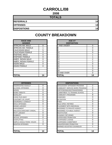### **CARROLL/08**

**2008**

| <b>TOTALS</b>       |    |
|---------------------|----|
| <b>REFERRALS</b>    | 14 |
| <b>OFFENSES</b>     | 14 |
| <b>DISPOSITIONS</b> | 14 |

| <b>RACE AND</b><br><b>GENDER</b> |    | <b>AGE AT</b><br><b>DISPOSITION</b> |
|----------------------------------|----|-------------------------------------|
| AFRICAN AM. MALE                 | 8  | <b>7 AND UNDER</b>                  |
| AFRICAN AM. FEMALE               |    | 8                                   |
| <b>CAUCASIAN MALE</b>            | 5  | 9                                   |
| <b>CAUCASIAN FEMALE</b>          | 0  | 10                                  |
| <b>HISPANIC MALE</b>             | 0  | 11                                  |
| <b>HISPANIC FEMALE</b>           | 0  | 12                                  |
| AMER. INDIAN MALE                | 0  | 13                                  |
| AMER. INDIAN FEMALE              | 0  | 14                                  |
| <b>ASIAN MALE</b>                | 0  | 15                                  |
| ASIAN FEMALE                     | 0  | 16                                  |
|                                  |    | 17                                  |
|                                  |    | 18                                  |
|                                  |    | 19 AND OVER                         |
| <b>TOTAL</b>                     | 14 | TOTAL                               |

| <b>OFFENSES</b>             |    | <b>DISPOSITIONS</b>        |
|-----------------------------|----|----------------------------|
| AGGRAVATED ASSAULT          | 0  | ADOLESCENT OFFENDER PR     |
| <b>ALCOHOL OFFENSES</b>     | 0  | COMMUNITY SERVICE WORK     |
| ARSON                       | 0  | CERTIFIED/WAIVED/TRANSFE   |
| <b>BOMB THREATS</b>         | 0  | COMMITMENT TO TRAINING S   |
| <b>BURGLARY</b>             | 8  | COMMUNITY PROGRAMS         |
| <b>CHINS/ RUN AWAY</b>      | 0  | <b>DISMISSED</b>           |
| <b>CONTEMPT OF COURT</b>    | 0  | <b>DETENTION</b>           |
| <b>DISORDERLY CONDUCT</b>   | 0  | <b>FINED</b>               |
| <b>DRUG OFFENSES</b>        | 0  | <b>HELD OPEN / RETIRED</b> |
| <b>GRAND LARCENY</b>        | 1  | PLACEMENT WITH INDIVIDUA   |
| <b>HARASSMENT</b>           | 1  | REFERRED TO PRIVATE AGEI   |
| MALICIOUS MISCHIEF/ VANDAL. | 0  | REFERRED TO PUBLIC AGEN    |
| PETIT LARCENY               | 0  | <b>RESTITUTION</b>         |
| <b>ROBBERY</b>              | 0  | RUNAWAY RETURNED           |
| SEXUAL OFFENSES             | 0  | SUPERVISED PROBATION       |
| <b>SHOPLIFTING</b>          | 1  | SUSPENDED LICENSE          |
| SIMPLE ASSAULT/DOM. VIOLEN  | 3  | SUSPENDED COMMITMENT       |
| <b>WEAPON OFFENSES</b>      | 0  | UNSUPERVISED PROBATION     |
|                             |    | WARNED ADJUSTED COUNSE     |
|                             |    |                            |
| <b>TOTAL</b>                | 14 | <b>TOTAL</b>               |

| <b>RACE AND</b><br><b>GENDER</b> |          | <b>AGE AT</b><br><b>DISPOSITION</b> |                |
|----------------------------------|----------|-------------------------------------|----------------|
| AFRICAN AM. MALE                 | 8        | 7 AND UNDER                         | 0              |
| AFRICAN AM. FEMALE               |          | ö                                   | $\Omega$       |
| <b>CAUCASIAN MALE</b>            | 5        | 9                                   | $\mathbf 0$    |
| CAUCASIAN FEMALE                 | 0        | 10                                  | $\Omega$       |
| <b>HISPANIC MALE</b>             | $\Omega$ | 11                                  |                |
| <b>HISPANIC FEMALE</b>           | $\Omega$ | 12                                  |                |
| AMER. INDIAN MALE                | $\Omega$ | 13                                  | $\overline{2}$ |
| AMER. INDIAN FEMALE              | 0        | 14                                  | $\overline{2}$ |
| ASIAN MALE                       | $\Omega$ | 15                                  | 0              |
| <b>ASIAN FEMALE</b>              | 0        | 16                                  | 5              |
|                                  |          | 17                                  | 3              |
|                                  |          | 18                                  | 0              |
|                                  |          | 19 AND OVER                         | $\Omega$       |
| TOTAL                            | 14       | TOTAL                               | 14             |

| <b>OFFENSES</b>             |          | <b>DISPOSITIONS</b>            |                |
|-----------------------------|----------|--------------------------------|----------------|
| AGGRAVATED ASSAULT          | $\Omega$ | ADOI ESCENT OFFENDER PROGRAM   | 2              |
| ALCOHOL OFFENSES            | 0        | COMMUNITY SERVICE WORK PROGRAM | 0              |
| ARSON                       | 0        | CERTIFIED/WAIVED/TRANSFERRED   | 0              |
| <b>BOMB THREATS</b>         | 0        | COMMITMENT TO TRAINING SCHOOL  | 1              |
| <b>BURGLARY</b>             | 8        | COMMUNITY PROGRAMS             | 8              |
| CHINS/ RUN AWAY             | 0        | <b>DISMISSED</b>               | $\Omega$       |
| CONTEMPT OF COURT           | 0        | <b>DETENTION</b>               | 0              |
| DISORDERLY CONDUCT          | 0        | <b>FINED</b>                   | 0              |
| DRUG OFFENSES               | 0        | HELD OPEN / RETIRED            | 0              |
| GRAND LARCENY               |          | PLACEMENT WITH INDIVIDUAL      | 0              |
| HARASSMENT                  |          | REFERRED TO PRIVATE AGENCY     | 0              |
| MALICIOUS MISCHIEF/ VANDAL. | 0        | REFERRED TO PUBLIC AGENCY      | 0              |
| PETIT LARCENY               | 0        | <b>RESTITUTION</b>             | 0              |
| <b>ROBBERY</b>              | 0        | RUNAWAY RETURNED               | 0              |
| <b>SEXUAL OFFENSES</b>      | 0        | SUPERVISED PROBATION           | $\overline{2}$ |
| SHOPLIFTING                 | 1        | SUSPENDED LICENSE              | 0              |
| SIMPLE ASSAULT/DOM. VIOLEN  | 3        | SUSPENDED COMMITMENT           | 0              |
| WEAPON OFFENSES             | 0        | UNSUPERVISED PROBATION         | 0              |
|                             |          | WARNED ADJUSTED COUNSELED      | 1              |
| <b>TOTAL</b>                | 14       | TOTAL                          | 14             |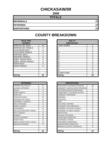#### **CHICKASAW/09**

**2008**

| <b>TOTALS</b>       |    |
|---------------------|----|
| <b>REFERRALS</b>    |    |
| <b>OFFENSES</b>     | 27 |
| <b>DISPOSITIONS</b> | 27 |

#### **COUNTY BREAKDOWN**

| <b>RACE AND</b><br><b>GENDER</b> |          | <b>AGE AT</b><br><b>DISPOSITION</b> |             |
|----------------------------------|----------|-------------------------------------|-------------|
| <b>AFRICAN AM. MALE</b>          | 15       | <b>7 AND UNDER</b>                  | 0           |
| AFRICAN AM. FEMALE               | 3        |                                     | $\mathbf 0$ |
| <b>CAUCASIAN MALE</b>            | 4        |                                     | $\mathbf 0$ |
| <b>CAUCASIAN FEMALE</b>          | 4        | 10                                  | $\mathbf 0$ |
| <b>HISPANIC MALE</b>             |          | 11                                  | 0           |
| <b>HISPANIC FEMALE</b>           | $\Omega$ | 12                                  | $\mathbf 0$ |
| AMER. INDIAN MALE                | 0        | 13                                  | 3           |
| AMER. INDIAN FEMALE              | $\Omega$ | 14                                  | 6           |
| <b>ASIAN MALE</b>                | $\Omega$ | 15                                  | 5           |
| <b>ASIAN FEMALE</b>              | $\Omega$ | 16                                  | 8           |
|                                  |          | 17                                  | 5           |
|                                  |          | 18                                  | 0           |
|                                  |          | 19 AND OVER                         | 0           |
| <b>TOTAL</b>                     | 27       | <b>TOTAL</b>                        | 27          |

| , \∪;, \; \; \;;; \∟∟       |                | . J                            |                |
|-----------------------------|----------------|--------------------------------|----------------|
| ASIAN FEMALE                | $\Omega$       | 16                             | 8              |
|                             |                | 17                             | 5              |
|                             |                | 18                             | $\mathbf 0$    |
|                             |                | 19 AND OVER                    | $\overline{0}$ |
| <b>TOTAL</b>                | 27             | <b>TOTAL</b>                   | 27             |
|                             |                |                                |                |
|                             |                |                                |                |
| <b>OFFENSES</b>             |                | <b>DISPOSITIONS</b>            |                |
| AGGRAVATED ASSAULT          | 0              | ADOLESCENT OFFENDER PROGRAM    | 14             |
| ALCOHOL OFFENSES            | $\mathbf 0$    | COMMUNITY SERVICE WORK PROGRAM | $\Omega$       |
| ARSON                       | 1              | CERTIFIED/WAIVED/TRANSFERRED   | $\Omega$       |
| <b>BOMB THREATS</b>         | $\overline{2}$ | COMMITMENT TO TRAINING SCHOOL  | $\mathbf 0$    |
| BURGLARY                    | 4              | <b>COMMUNITY PROGRAMS</b>      | 0              |
| CHINS/ RUN AWAY             | $\Omega$       | <b>DISMISSED</b>               | $\Omega$       |
| CONTEMPT OF COURT           | 0              | <b>DETENTION</b>               | 0              |
| DISORDERLY CONDUCT          | 5              | <b>FINED</b>                   | 0              |
| <b>DRUG OFFENSES</b>        | $\overline{2}$ | <b>HELD OPEN / RETIRED</b>     | $\overline{2}$ |
| <b>GRAND LARCENY</b>        | 1              | PLACEMENT WITH INDIVIDUAL      | $\mathbf{0}$   |
| HARASSMENT                  | 0              | REFERRED TO PRIVATE AGENCY     | $\Omega$       |
| MALICIOUS MISCHIEF/ VANDAL. | 4              | REFERRED TO PUBLIC AGENCY      | $\mathbf{1}$   |
| PETIT LARCENY               | $\overline{2}$ | <b>RESTITUTION</b>             | $\Omega$       |
| ROBBERY                     | $\Omega$       | <b>RUNAWAY RETURNED</b>        | 0              |
| <b>SEXUAL OFFENSES</b>      | $\Omega$       | <b>SUPERVISED PROBATION</b>    | 9              |
| <b>SHOPLIFTING</b>          | $\Omega$       | SUSPENDED LICENSE              | $\mathbf 0$    |
| SIMPLE ASSAULT/DOM. VIOLEN  | 6              | SUSPENDED COMMITMENT           | $\Omega$       |
| <b>WEAPON OFFENSES</b>      | $\Omega$       | UNSUPERVISED PROBATION         | 1              |
|                             |                | WARNED ADJUSTED COUNSELED      | $\Omega$       |
| TAT 1 L                     | $\sim$         | 50TAI                          | $\sim$         |

| <b>OFFENSES</b>             |          | <b>DISPOSITIONS</b>            |  |
|-----------------------------|----------|--------------------------------|--|
| AGGRAVATED ASSAULT          | 0        | ADOLESCENT OFFENDER PROGRAM    |  |
| ALCOHOL OFFENSES            | 0        | COMMUNITY SERVICE WORK PROGRAM |  |
| ARSON                       |          | CERTIFIED/WAIVED/TRANSFERRED   |  |
| BOMB THREATS                | 2        | COMMITMENT TO TRAINING SCHOOL  |  |
| BURGLARY                    | 4        | COMMUNITY PROGRAMS             |  |
| CHINS/ RUN AWAY             | 0        | <b>DISMISSED</b>               |  |
| CONTEMPT OF COURT           | 0        | <b>DETENTION</b>               |  |
| DISORDERLY CONDUCT          | 5        | <b>FINED</b>                   |  |
| DRUG OFFENSES               | 2        | HELD OPEN / RETIRED            |  |
| <b>GRAND LARCENY</b>        |          | PLACEMENT WITH INDIVIDUAL      |  |
| HARASSMENT                  | 0        | REFERRED TO PRIVATE AGENCY     |  |
| MALICIOUS MISCHIEF/ VANDAL. | 4        | REFERRED TO PUBLIC AGENCY      |  |
| PETIT LARCENY               | 2        | <b>RESTITUTION</b>             |  |
| ROBBERY                     | 0        | RUNAWAY RETURNED               |  |
| SEXUAL OFFENSES             | $\Omega$ | SUPERVISED PROBATION           |  |
| SHOPLIFTING                 | $\Omega$ | <b>SUSPENDED LICENSE</b>       |  |
| SIMPLE ASSAULT/DOM. VIOLEN  | 6        | SUSPENDED COMMITMENT           |  |
| <b>WEAPON OFFENSES</b>      | $\Omega$ | UNSUPERVISED PROBATION         |  |
|                             |          | WARNED ADJUSTED COUNSELED      |  |
| TOTAL                       | 27       | <b>TOTAL</b>                   |  |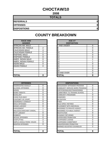# **CHOCTAW/10**

**2008**

#### **TOTALS**

**REFERRALS 8**

**OFFENSES 8**

**DISPOSITIONS 8**

| <b>RACE AND</b><br><b>GENDER</b> |   | <b>AGE AT</b><br><b>DISPOSITION</b> |
|----------------------------------|---|-------------------------------------|
| <b>AFRICAN AM. MALE</b>          |   | <b>7 AND UNDER</b>                  |
| AFRICAN AM. FEMALE               | 2 | 8                                   |
| <b>CAUCASIAN MALE</b>            | 4 | 9                                   |
| <b>CAUCASIAN FEMALE</b>          | 2 | 10                                  |
| <b>HISPANIC MALE</b>             | 0 | 11                                  |
| <b>HISPANIC FEMALE</b>           | 0 | 12                                  |
| AMER. INDIAN MALE                | 0 | 13                                  |
| AMER. INDIAN FEMALE              | 0 | 14                                  |
| <b>ASIAN MALE</b>                | 0 | 15                                  |
| <b>ASIAN FEMALE</b>              | 0 | 16                                  |
|                                  |   | 17                                  |
|                                  |   | 18                                  |
|                                  |   | 19 AND OVER                         |
| <b>TOTAL</b>                     | 8 | <b>TOTAL</b>                        |

| <b>OFFENSES</b>                    |   | <b>DISPOSITIONS</b>             |
|------------------------------------|---|---------------------------------|
| AGGRAVATED ASSAULT                 | 0 | <b>ADOLESCENT OFFENDER PR</b>   |
| <b>ALCOHOL OFFENSES</b>            | 0 | <b>COMMUNITY SERVICE WORK</b>   |
| ARSON                              | 0 | CERTIFIED/WAIVED/TRANSFE        |
| <b>BOMB THREATS</b>                | 0 | <b>COMMITMENT TO TRAINING S</b> |
| <b>BURGLARY</b>                    | 0 | <b>COMMUNITY PROGRAMS</b>       |
| CHINS/RUN AWAY                     | 0 | <b>DISMISSED</b>                |
| CONTEMPT OF COURT                  | 0 | <b>DETENTION</b>                |
| <b>DISORDERLY CONDUCT</b>          | 0 | <b>FINED</b>                    |
| <b>DRUG OFFENSES</b>               | 0 | <b>HELD OPEN / RETIRED</b>      |
| <b>GRAND LARCENY</b>               | 0 | PLACEMENT WITH INDIVIDUA        |
| <b>HARASSMENT</b>                  |   | REFERRED TO PRIVATE AGEI        |
| <b>MALICIOUS MISCHIEF/ VANDAL.</b> | 1 | REFERRED TO PUBLIC AGEN         |
| PETIT LARCENY                      | 0 | <b>RESTITUTION</b>              |
| <b>ROBBERY</b>                     | 0 | RUNAWAY RETURNED                |
| <b>SEXUAL OFFENSES</b>             | 0 | SUPERVISED PROBATION            |
| SHOPLIFTING                        | 2 | <b>SUSPENDED LICENSE</b>        |
| SIMPLE ASSAULT/DOM. VIOLEN         | 4 | <b>SUSPENDED COMMITMENT</b>     |
| <b>WEAPON OFFENSES</b>             | 0 | UNSUPERVISED PROBATION          |
|                                    |   | WARNED ADJUSTED COUNSE          |
|                                    |   |                                 |
| TOTAL                              | 8 | ITOTAL                          |

| <b>RACE AND</b><br><b>GENDER</b> |                | <b>AGE AT</b><br><b>DISPOSITION</b> |          |
|----------------------------------|----------------|-------------------------------------|----------|
| AFRICAN AM. MALE                 |                | 7 AND UNDER                         | 0        |
| AFRICAN AM. FEMALE               | 2              |                                     | $\Omega$ |
| <b>CAUCASIAN MALE</b>            | 4              | 9                                   | 0        |
| <b>CAUCASIAN FEMALE</b>          | $\overline{2}$ | 10                                  | 0        |
| <b>HISPANIC MALE</b>             | 0              | 11                                  | 0        |
| <b>HISPANIC FEMALE</b>           | 0              | 12                                  | 0        |
| AMER. INDIAN MALE                | 0              | 13                                  |          |
| AMER. INDIAN FEMALE              | 0              | 14                                  |          |
| ASIAN MALE                       | 0              | 15                                  | $\Omega$ |
| ASIAN FEMALE                     | 0              | 16                                  | 3        |
|                                  |                | 17                                  | 3        |
|                                  |                | 18                                  | 0        |
|                                  |                | 19 AND OVER                         | $\Omega$ |
| TOTAL                            | 8              | TOTAL                               | 8        |

| <b>OFFENSES</b>             |                | <b>DISPOSITIONS</b>            |
|-----------------------------|----------------|--------------------------------|
| AGGRAVATED ASSAULT          | $\Omega$       | ADOLESCENT OFFENDER PROGRAM    |
| ALCOHOL OFFENSES            | 0              | COMMUNITY SERVICE WORK PROGRAM |
| ARSON                       | 0              | CERTIFIED/WAIVED/TRANSFERRED   |
| <b>BOMB THREATS</b>         | 0              | COMMITMENT TO TRAINING SCHOOL  |
| <b>BURGLARY</b>             | 0              | COMMUNITY PROGRAMS             |
| CHINS/ RUN AWAY             | 0              | DISMISSED                      |
| CONTEMPT OF COURT           | 0              | <b>DETENTION</b>               |
| DISORDERLY CONDUCT          | 0              | <b>FINED</b>                   |
| <b>DRUG OFFENSES</b>        | 0              | <b>HELD OPEN / RETIRED</b>     |
| GRAND LARCENY               | $\Omega$       | PLACEMENT WITH INDIVIDUAL      |
| HARASSMENT                  |                | REFERRED TO PRIVATE AGENCY     |
| MALICIOUS MISCHIEF/ VANDAL. |                | REFERRED TO PUBLIC AGENCY      |
| PETIT LARCENY               | 0              | <b>RESTITUTION</b>             |
| ROBBERY                     | 0              | RUNAWAY RETURNED               |
| <b>SEXUAL OFFENSES</b>      | 0              | SUPERVISED PROBATION           |
| SHOPLIFTING                 | $\overline{2}$ | SUSPENDED LICENSE              |
| SIMPLE ASSAULT/DOM. VIOLEN  | 4              | SUSPENDED COMMITMENT           |
| WEAPON OFFENSES             | $\Omega$       | UNSUPERVISED PROBATION         |
|                             |                | WARNED ADJUSTED COUNSELED      |
| TOTAL                       | 8              | TOTAL                          |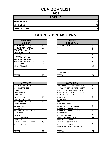# **CLAIBORNE/11**

**2008**

| <b>TOTALS</b>       |    |
|---------------------|----|
| <b>REFERRALS</b>    | 76 |
| <b>OFFENSES</b>     | 76 |
| <b>DISPOSITIONS</b> | 76 |

| <b>RACE AND</b><br><b>GENDER</b> |    | <b>AGE AT</b><br><b>DISPOSITION</b> |
|----------------------------------|----|-------------------------------------|
| <b>AFRICAN AM. MALE</b>          | 39 | 7 AND UNDER                         |
| AFRICAN AM. FEMALE               | 37 | 8                                   |
| <b>CAUCASIAN MALE</b>            | 0  | 9                                   |
| <b>CAUCASIAN FEMALE</b>          | 0  | 10                                  |
| <b>HISPANIC MALE</b>             | 0  | 11                                  |
| <b>HISPANIC FEMALE</b>           | 0  | 12                                  |
| AMER. INDIAN MALE                | 0  | 13                                  |
| AMER. INDIAN FEMALE              | 0  | 14                                  |
| <b>ASIAN MALE</b>                | 0  | 15                                  |
| <b>ASIAN FEMALE</b>              | 0  | 16                                  |
|                                  |    | 17                                  |
|                                  |    | 18                                  |
|                                  |    | <b>19 AND OVER</b>                  |
| <b>TOTAL</b>                     | 76 | <b>TOTAL</b>                        |

|                             |                | 19 AND OVER                    | $\Omega$       |
|-----------------------------|----------------|--------------------------------|----------------|
| <b>TOTAL</b>                | 76             | <b>TOTAL</b>                   | 76             |
|                             |                |                                |                |
|                             |                |                                |                |
| <b>OFFENSES</b>             |                | <b>DISPOSITIONS</b>            |                |
| AGGRAVATED ASSAULT          | 1              | ADOLESCENT OFFENDER PROGRAM    | 6              |
| ALCOHOL OFFENSES            | $\Omega$       | COMMUNITY SERVICE WORK PROGRAM | $\Omega$       |
| ARSON                       | $\Omega$       | CERTIFIED/WAIVED/TRANSFERRED   | 0              |
| <b>BOMB THREATS</b>         | $\Omega$       | COMMITMENT TO TRAINING SCHOOL  | 1              |
| BURGLARY                    | 3              | <b>COMMUNITY PROGRAMS</b>      | 0              |
| CHINS/ RUN AWAY             | 24             | <b>DISMISSED</b>               | $\overline{2}$ |
| CONTEMPT OF COURT           | 5              | <b>DETENTION</b>               | $\Omega$       |
| DISORDERLY CONDUCT          | 22             | FINED                          | 0              |
| DRUG OFFENSES               | $\overline{2}$ | HELD OPEN / RETIRED            | $\overline{2}$ |
| <b>GRAND LARCENY</b>        | 3              | PLACEMENT WITH INDIVIDUAL      | $\overline{2}$ |
| HARASSMENT                  | 1              | REFERRED TO PRIVATE AGENCY     | 0              |
| MALICIOUS MISCHIEF/ VANDAL. | 2              | REFERRED TO PUBLIC AGENCY      | $\overline{5}$ |
| PETIT LARCENY               | 0              | <b>RESTITUTION</b>             | $\overline{3}$ |
| <b>ROBBERY</b>              | $\Omega$       | <b>RUNAWAY RETURNED</b>        | $\mathbf 0$    |
| <b>SEXUAL OFFENSES</b>      | 0              | SUPERVISED PROBATION           | 50             |
| SHOPLIFTING                 | $\Omega$       | SUSPENDED LICENSE              | $\Omega$       |
| SIMPLE ASSAULT/DOM. VIOLEN  | 10             | <b>SUSPENDED COMMITMENT</b>    | 0              |
| WEAPON OFFENSES             | 3              | UNSUPERVISED PROBATION         | 0              |
|                             |                | WARNED ADJUSTED COUNSELED      | 5              |
|                             |                |                                |                |
| TATAI                       | 76             | וגדרז                          | 7 <sup>c</sup> |

| <b>RACE AND</b>        |          | <b>AGE AT</b>      |                |
|------------------------|----------|--------------------|----------------|
| <b>GENDER</b>          |          | <b>DISPOSITION</b> |                |
| AFRICAN AM. MALE       | 39       | <b>7 AND UNDER</b> | 3              |
| AFRICAN AM. FEMALE     | 37       | 8                  |                |
| CAUCASIAN MALE         | $\Omega$ | 9                  | 0              |
| CAUCASIAN FEMALE       | $\Omega$ | 10                 | 0              |
| <b>HISPANIC MALE</b>   | $\Omega$ | 11                 | 4              |
| <b>HISPANIC FEMALE</b> | $\Omega$ | 12                 | $\overline{2}$ |
| AMER. INDIAN MALE      | $\Omega$ | 13                 | 3              |
| AMER. INDIAN FEMALE    | $\Omega$ | 14                 | 9              |
| ASIAN MALE             | $\Omega$ | 15                 | 11             |
| ASIAN FEMALE           | $\Omega$ | 16                 | 19             |
|                        |          | 17                 | 22             |
|                        |          | 18                 | 2              |
|                        |          | 19 AND OVER        | $\Omega$       |
| <b>TOTAL</b>           | 76       | <b>TOTAL</b>       | 76             |

| <b>OFFENSES</b>             |          | <b>DISPOSITIONS</b>            |                |
|-----------------------------|----------|--------------------------------|----------------|
| AGGRAVATED ASSAULT          |          | ADOLESCENT OFFENDER PROGRAM    | 6              |
| ALCOHOL OFFENSES            | $\Omega$ | COMMUNITY SERVICE WORK PROGRAM | 0              |
| ARSON                       | 0        | CERTIFIED/WAIVED/TRANSFERRED   | 0              |
| BOMB THREATS                | 0        | COMMITMENT TO TRAINING SCHOOL  |                |
| BURGLARY                    | 3        | COMMUNITY PROGRAMS             | $\Omega$       |
| CHINS/ RUN AWAY             | 24       | DISMISSED                      | $\overline{2}$ |
| CONTEMPT OF COURT           | 5        | <b>DETENTION</b>               | 0              |
| DISORDERLY CONDUCT          | 22       | <b>FINED</b>                   | 0              |
| DRUG OFFENSES               | 2        | <b>HELD OPEN / RETIRED</b>     | $\overline{2}$ |
| <b>GRAND LARCENY</b>        | 3        | PLACEMENT WITH INDIVIDUAL      | 2              |
| HARASSMENT                  |          | REFERRED TO PRIVATE AGENCY     | $\Omega$       |
| MALICIOUS MISCHIEF/ VANDAL. | 2        | REFERRED TO PUBLIC AGENCY      | 5              |
| PETIT LARCENY               | 0        | <b>RESTITUTION</b>             | 3              |
| ROBBERY                     | 0        | RUNAWAY RETURNED               | $\Omega$       |
| SEXUAL OFFENSES             | 0        | SUPERVISED PROBATION           | 50             |
| SHOPLIFTING                 | $\Omega$ | SUSPENDED LICENSE              | 0              |
| SIMPLE ASSAULT/DOM. VIOLEN  | 10       | SUSPENDED COMMITMENT           | 0              |
| WEAPON OFFENSES             | 3        | UNSUPERVISED PROBATION         | $\Omega$       |
|                             |          | WARNED ADJUSTED COUNSELED      | 5              |
|                             |          |                                |                |
| TOTAL                       | 76       | TOTAL                          | 76             |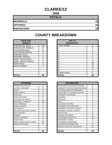# **CLARKE/12**

**2008**

| <b>TOTALS</b>       |    |
|---------------------|----|
| <b>REFERRALS</b>    | 62 |
| <b>OFFENSES</b>     | 62 |
| <b>DISPOSITIONS</b> | 62 |

| <b>RACE AND</b><br><b>GENDER</b> |    | <b>AGE AT</b><br><b>DISPOSITION</b> |
|----------------------------------|----|-------------------------------------|
| <b>AFRICAN AM. MALE</b>          | 25 | 7 AND UNDER                         |
| AFRICAN AM. FEMALE               | 17 | 8                                   |
| <b>CAUCASIAN MALE</b>            | 12 | 9                                   |
| <b>CAUCASIAN FEMALE</b>          | 8  | 10                                  |
| <b>HISPANIC MALE</b>             | 0  | 11                                  |
| <b>HISPANIC FEMALE</b>           | 0  | 12                                  |
| <b>AMER. INDIAN MALE</b>         | 0  | 13                                  |
| AMER. INDIAN FEMALE              | 0  | 14                                  |
| <b>ASIAN MALE</b>                | 0  | 15                                  |
| <b>ASIAN FEMALE</b>              | 0  | 16                                  |
|                                  |    | 17                                  |
|                                  |    | 18                                  |
|                                  |    | 19 AND OVER                         |
| <b>TOTAL</b>                     | 62 | TOTAL                               |

| <b>OFFENSES</b>             |                | <b>DISPOSITIONS</b>           |
|-----------------------------|----------------|-------------------------------|
| AGGRAVATED ASSAULT          | 0              | ADOLESCENT OFFENDER PR        |
| <b>ALCOHOL OFFENSES</b>     | 0              | <b>COMMUNITY SERVICE WORK</b> |
| ARSON                       | 0              | CERTIFIED/WAIVED/TRANSFE      |
| <b>BOMB THREATS</b>         | 0              | COMMITMENT TO TRAINING S      |
| <b>BURGLARY</b>             | 4              | COMMUNITY PROGRAMS            |
| <b>CHINS/ RUN AWAY</b>      | 0              | DISMISSED                     |
| <b>CONTEMPT OF COURT</b>    | 0              | <b>DETENTION</b>              |
| <b>DISORDERLY CONDUCT</b>   | 15             | <b>FINED</b>                  |
| DRUG OFFENSES               | 3              | <b>HELD OPEN / RETIRED</b>    |
| <b>GRAND LARCENY</b>        | 1              | PLACEMENT WITH INDIVIDUA      |
| <b>HARASSMENT</b>           | 0              | REFERRED TO PRIVATE AGEI      |
| MALICIOUS MISCHIEF/ VANDAL. | 5              | REFERRED TO PUBLIC AGEN       |
| <b>PETIT LARCENY</b>        | $\overline{2}$ | <b>RESTITUTION</b>            |
| <b>ROBBERY</b>              | 0              | RUNAWAY RETURNED              |
| <b>SEXUAL OFFENSES</b>      | 0              | SUPERVISED PROBATION          |
| <b>SHOPLIFTING</b>          | 1              | SUSPENDED LICENSE             |
| SIMPLE ASSAULT/DOM. VIOLEN  | 29             | SUSPENDED COMMITMENT          |
| <b>WEAPON OFFENSES</b>      | 2              | UNSUPERVISED PROBATION        |
|                             |                | WARNED ADJUSTED COUNSE        |
|                             |                |                               |
| <b>TOTAL</b>                | 62             | <b>TOTAL</b>                  |

| <b>RACE AND</b><br><b>GENDER</b> |          | <b>AGE AT</b><br><b>DISPOSITION</b> |          |
|----------------------------------|----------|-------------------------------------|----------|
| AFRICAN AM. MALE                 | 25       | 7 AND UNDER                         | 0        |
| AFRICAN AM. FEMALE               | 17       | Ο                                   | $\Omega$ |
| <b>CAUCASIAN MALE</b>            | 12       | 9                                   | 0        |
| <b>CAUCASIAN FEMALE</b>          | 8        | 10                                  | 0        |
| <b>HISPANIC MALE</b>             | 0        | 11                                  | 4        |
| <b>HISPANIC FEMALE</b>           | $\Omega$ | 12                                  | 5        |
| AMER. INDIAN MALE                | $\Omega$ | 13                                  | 5        |
| AMER. INDIAN FEMALE              | 0        | 14                                  | 12       |
| ASIAN MALE                       | 0        | 15                                  | 15       |
| ASIAN FEMALE                     | 0        | 16                                  | 12       |
|                                  |          | 17                                  | 9        |
|                                  |          | 18                                  | $\Omega$ |
|                                  |          | 19 AND OVER                         | $\Omega$ |
| TOTAL                            | 62       | TOTAL                               | 62       |

| <b>OFFENSES</b>             |          | <b>DISPOSITIONS</b>            |          |  |
|-----------------------------|----------|--------------------------------|----------|--|
| AGGRAVATED ASSAULT          | $\Omega$ | ADOLESCENT OFFENDER PROGRAM    | $\Omega$ |  |
| ALCOHOL OFFENSES            | 0        | COMMUNITY SERVICE WORK PROGRAM | 0        |  |
| ARSON                       | 0        | CERTIFIED/WAIVED/TRANSFERRED   | 0        |  |
| BOMB THREATS                | 0        | COMMITMENT TO TRAINING SCHOOL  | 0        |  |
| BURGLARY                    | 4        | <b>COMMUNITY PROGRAMS</b>      | 0        |  |
| CHINS/ RUN AWAY             | 0        | <b>DISMISSED</b>               | 1        |  |
| CONTEMPT OF COURT           | 0        | <b>DETENTION</b>               |          |  |
| DISORDERLY CONDUCT          | 15       | <b>FINED</b>                   | 2        |  |
| <b>DRUG OFFENSES</b>        | 3        | <b>HELD OPEN / RETIRED</b>     | 4        |  |
| <b>GRAND LARCENY</b>        | 1        | PLACEMENT WITH INDIVIDUAL      | 0        |  |
| HARASSMENT                  | 0        | REFERRED TO PRIVATE AGENCY     | 1        |  |
| MALICIOUS MISCHIEF/ VANDAL. | 5        | REFERRED TO PUBLIC AGENCY      | 0        |  |
| PETIT LARCENY               | 2        | <b>RESTITUTION</b>             | 0        |  |
| ROBBERY                     | 0        | RUNAWAY RETURNED               | $\Omega$ |  |
| <b>SEXUAL OFFENSES</b>      | 0        | SUPERVISED PROBATION           | 30       |  |
| SHOPLIFTING                 | 1        | <b>SUSPENDED LICENSE</b>       | 0        |  |
| SIMPLE ASSAULT/DOM. VIOLEN  | 29       | <b>SUSPENDED COMMITMENT</b>    | 0        |  |
| WEAPON OFFENSES             | 2        | UNSUPERVISED PROBATION         | $\Omega$ |  |
|                             |          | WARNED ADJUSTED COUNSELED      | 23       |  |
| TOTAL                       | 62       | <b>TOTAL</b>                   | 62       |  |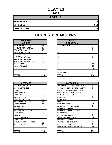# **CLAY/13**

**2008**

| <b>TOTALS</b>       |     |  |
|---------------------|-----|--|
| <b>REFERRALS</b>    | 114 |  |
| <b>OFFENSES</b>     | 114 |  |
| <b>DISPOSITIONS</b> | 114 |  |

| <b>RACE AND</b><br><b>GENDER</b> |     | <b>AGE AT</b><br><b>DISPOSITION</b> |
|----------------------------------|-----|-------------------------------------|
| <b>AFRICAN AM. MALE</b>          | 71  | <b>7 AND UNDER</b>                  |
| AFRICAN AM. FEMALE               | 17  | 8                                   |
| <b>CAUCASIAN MALE</b>            | 18  | 9                                   |
| <b>CAUCASIAN FEMALE</b>          | 8   | 10                                  |
| <b>HISPANIC MALE</b>             | 0   | 11                                  |
| <b>HISPANIC FEMALE</b>           | 0   | 12                                  |
| <b>AMER. INDIAN MALE</b>         | 0   | 13                                  |
| AMER. INDIAN FEMALE              | 0   | 14                                  |
| <b>ASIAN MALE</b>                | 0   | 15                                  |
| ASIAN FEMALE                     | 0   | 16                                  |
|                                  |     | 17                                  |
|                                  |     | 18                                  |
|                                  |     | 19 AND OVER                         |
| <b>TOTAL</b>                     | 114 | ΤΟΤΑL                               |

| <b>OFFENSES</b>             |                | <b>DISPOSITIONS</b>        |
|-----------------------------|----------------|----------------------------|
| AGGRAVATED ASSAULT          | 1              | ADOLESCENT OFFENDER PR     |
| <b>ALCOHOL OFFENSES</b>     | 4              | COMMUNITY SERVICE WORK     |
| ARSON                       | 0              | CERTIFIED/WAIVED/TRANSFE   |
| <b>BOMB THREATS</b>         | 0              | COMMITMENT TO TRAINING S   |
| <b>BURGLARY</b>             | 3              | COMMUNITY PROGRAMS         |
| CHINS / RUN AWAY            | $\overline{2}$ | <b>DISMISSED</b>           |
| <b>CONTEMPT OF COURT</b>    | 22             | <b>DETENTION</b>           |
| <b>DISORDERLY CONDUCT</b>   | 27             | <b>FINED</b>               |
| <b>DRUG OFFENSES</b>        | 11             | <b>HELD OPEN / RETIRED</b> |
| <b>GRAND LARCENY</b>        | 0              | PLACEMENT WITH INDIVIDUA   |
| <b>HARASSMENT</b>           | 0              | REFERRED TO PRIVATE AGEI   |
| MALICIOUS MISCHIEF/ VANDAL. | 2              | REFERRED TO PUBLIC AGEN    |
| PETIT LARCENY               | 3              | <b>RESTITUTION</b>         |
| <b>ROBBERY</b>              | $\overline{2}$ | RUNAWAY RETURNED           |
| SEXUAL OFFENSES             | $\overline{2}$ | SUPERVISED PROBATION       |
| <b>SHOPLIFTING</b>          | $\overline{2}$ | SUSPENDED LICENSE          |
| SIMPLE ASSAULT/DOM. VIOLEN  | 20             | SUSPENDED COMMITMENT       |
| <b>WEAPON OFFENSES</b>      | 13             | UNSUPERVISED PROBATION     |
|                             |                | WARNED ADJUSTED COUNSE     |
|                             |                |                            |
| <b>TOTAL</b>                | 114            | <b>TOTAL</b>               |

| <b>RACE AND</b><br><b>GENDER</b> |          | <b>AGE AT</b><br><b>DISPOSITION</b> |                |
|----------------------------------|----------|-------------------------------------|----------------|
| AFRICAN AM. MALE                 | 71       | 7 AND UNDER                         | $\overline{2}$ |
| AFRICAN AM. FEMALE               | 17       | o                                   | $\overline{2}$ |
| <b>CAUCASIAN MALE</b>            | 18       | 9                                   | 0              |
| <b>CAUCASIAN FEMALE</b>          | 8        | 10                                  |                |
| <b>HISPANIC MALE</b>             | 0        | 11                                  |                |
| <b>HISPANIC FEMALE</b>           | 0        | 12                                  | 5              |
| AMER. INDIAN MALE                | $\Omega$ | 13                                  | 5              |
| AMER. INDIAN FEMALE              | $\Omega$ | 14                                  | 21             |
| ASIAN MALE                       | $\Omega$ | 15                                  | 28             |
| <b>ASIAN FEMALE</b>              | 0        | 16                                  | 26             |
|                                  |          | 17                                  | 23             |
|                                  |          | 18                                  | 0              |
|                                  |          | 19 AND OVER                         | $\Omega$       |
| <b>TOTAL</b>                     | 114      | TOTAL                               | 114            |

| <b>OFFENSES</b>             |                | <b>DISPOSITIONS</b>            |          |
|-----------------------------|----------------|--------------------------------|----------|
| AGGRAVATED ASSAULT          |                | ADOLESCENT OFFENDER PROGRAM    | 21       |
| ALCOHOL OFFENSES            | 4              | COMMUNITY SERVICE WORK PROGRAM | 0        |
| ARSON                       | 0              | CERTIFIED/WAIVED/TRANSFERRED   | 1        |
| <b>BOMB THREATS</b>         | 0              | COMMITMENT TO TRAINING SCHOOL  | 11       |
| <b>BURGLARY</b>             | 3              | <b>COMMUNITY PROGRAMS</b>      | 0        |
| CHINS / RUN AWAY            | $\overline{2}$ | <b>DISMISSED</b>               | 7        |
| CONTEMPT OF COURT           | 22             | <b>DETENTION</b>               | 3        |
| DISORDERLY CONDUCT          | 27             | <b>FINED</b>                   | $\Omega$ |
| <b>DRUG OFFENSES</b>        | 11             | <b>HELD OPEN / RETIRED</b>     | 19       |
| GRAND LARCENY               | 0              | PLACEMENT WITH INDIVIDUAL      | 0        |
| HARASSMENT                  | 0              | REFERRED TO PRIVATE AGENCY     | 0        |
| MALICIOUS MISCHIEF/ VANDAL. | $\overline{2}$ | REFERRED TO PUBLIC AGENCY      | 1        |
| PETIT LARCENY               | 3              | <b>RESTITUTION</b>             | 0        |
| <b>ROBBERY</b>              | 2              | RUNAWAY RETURNED               | $\Omega$ |
| SEXUAL OFFENSES             | $\overline{2}$ | SUPERVISED PROBATION           | 10       |
| SHOPLIFTING                 | $\overline{2}$ | SUSPENDED LICENSE              | 0        |
| SIMPLE ASSAULT/DOM. VIOLEN  | 20             | SUSPENDED COMMITMENT           | 3        |
| WEAPON OFFENSES             | 13             | UNSUPERVISED PROBATION         | $\Omega$ |
|                             |                | WARNED ADJUSTED COUNSELED      | 38       |
|                             |                |                                |          |
| TOTAL                       | 114            | <b>TOTAL</b>                   | 114      |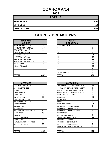# **COAHOMA/14**

**2008**

| <b>TOTALS</b>       |     |
|---------------------|-----|
| <b>REFERRALS</b>    | 452 |
| <b>OFFENSES</b>     | 452 |
| <b>DISPOSITIONS</b> | 452 |

| <b>RACE AND</b><br><b>GENDER</b> |          | <b>AGE AT</b><br><b>DISPOSITION</b> |
|----------------------------------|----------|-------------------------------------|
| AFRICAN AM. MALE                 | 293      | <b>7 AND UNDER</b>                  |
| AFRICAN AM. FEMALE               | 153      | 8                                   |
| <b>CAUCASIAN MALE</b>            | 4        | 9                                   |
| <b>CAUCASIAN FEMALE</b>          | 2        | 10                                  |
| <b>HISPANIC MALE</b>             | 0        | 11                                  |
| <b>HISPANIC FEMALE</b>           | 0        | 12                                  |
| <b>AMER. INDIAN MALE</b>         | 0        | 13                                  |
| AMER. INDIAN FEMALE              | 0        | 14                                  |
| <b>ASIAN MALE</b>                | 0        | 15                                  |
| <b>ASIAN FEMALE</b>              | $\Omega$ | 16                                  |
|                                  |          | 17                                  |
|                                  |          | 18                                  |
|                                  |          | <b>19 AND OVER</b>                  |
| <b>TOTAL</b>                     | 452      | TOTAL                               |

| <b>COUNTY BREAKDOWN</b> |  |  |  |
|-------------------------|--|--|--|
|-------------------------|--|--|--|

| <b>RACE AND</b>         |                | <b>AGE AT</b>      |          |
|-------------------------|----------------|--------------------|----------|
| <b>GENDER</b>           |                | <b>DISPOSITION</b> |          |
| AFRICAN AM. MALE        | 293            | 7 AND UNDER        |          |
| AFRICAN AM. FEMALE      | 153            | 8                  | 0        |
| <b>CAUCASIAN MALE</b>   | 4              | 9                  |          |
| <b>CAUCASIAN FEMALE</b> | $\overline{2}$ | 10                 | 4        |
| HISPANIC MALE           | $\Omega$       | 11                 | 12       |
| <b>HISPANIC FEMALE</b>  | 0              | 12                 | 28       |
| AMER. INDIAN MALE       | $\Omega$       | 13                 | 44       |
| AMER. INDIAN FEMALE     | 0              | 14                 | 105      |
| ASIAN MALE              | 0              | 15                 | 88       |
| ASIAN FEMALE            | $\Omega$       | 16                 | 88       |
|                         |                | 17                 | 81       |
|                         |                | 18                 | 0        |
|                         |                | 19 AND OVER        | $\Omega$ |
| <b>TOTAL</b>            | 452            | <b>TOTAL</b>       | 452      |

| <b>OFFENSES</b>                    | <b>DISPOSITIONS</b> |                                 |
|------------------------------------|---------------------|---------------------------------|
| AGGRAVATED ASSAULT                 | 1                   | <b>ADOLESCENT OFFENDER PR</b>   |
| <b>ALCOHOL OFFENSES</b>            | $\overline{2}$      | <b>COMMUNITY SERVICE WORK</b>   |
| ARSON                              | 0                   | CERTIFIED/WAIVED/TRANSFE        |
| <b>BOMB THREATS</b>                | 1                   | <b>COMMITMENT TO TRAINING S</b> |
| <b>BURGLARY</b>                    | 28                  | <b>COMMUNITY PROGRAMS</b>       |
| CHINS/RUN AWAY                     | 22                  | <b>DISMISSED</b>                |
| <b>CONTEMPT OF COURT</b>           | 1                   | <b>DETENTION</b>                |
| <b>DISORDERLY CONDUCT</b>          | 154                 | <b>FINED</b>                    |
| <b>DRUG OFFENSES</b>               | 5                   | <b>HELD OPEN / RETIRED</b>      |
| <b>GRAND LARCENY</b>               | 9                   | PLACEMENT WITH INDIVIDUA        |
| <b>HARASSMENT</b>                  | 1                   | <b>REFERRED TO PRIVATE AGEI</b> |
| <b>MALICIOUS MISCHIEF/ VANDAL.</b> | 39                  | REFERRED TO PUBLIC AGEN         |
| PETIT LARCENY                      | 15                  | <b>RESTITUTION</b>              |
| <b>ROBBERY</b>                     | 4                   | RUNAWAY RETURNED                |
| <b>SEXUAL OFFENSES</b>             | 0                   | <b>SUPERVISED PROBATION</b>     |
| <b>SHOPLIFTING</b>                 | 34                  | <b>SUSPENDED LICENSE</b>        |
| SIMPLE ASSAULT/DOM. VIOLEN         | 116                 | <b>SUSPENDED COMMITMENT</b>     |
| <b>WEAPON OFFENSES</b>             | 20                  | UNSUPERVISED PROBATION          |
|                                    |                     | <b>WARNED ADJUSTED COUNSE</b>   |
|                                    |                     |                                 |
| <b>TOTAL</b>                       | 452                 | <b>TOTAL</b>                    |

| <b>OFFENSES</b>             |     | <b>DISPOSITIONS</b>            |          |
|-----------------------------|-----|--------------------------------|----------|
| AGGRAVATED ASSAULT          |     | ADOLESCENT OFFENDER PROGRAM    | 22       |
| ALCOHOL OFFENSES            | 2   | COMMUNITY SERVICE WORK PROGRAM | 0        |
| ARSON                       | 0   | CERTIFIED/WAIVED/TRANSFERRED   | 3        |
| BOMB THREATS                |     | COMMITMENT TO TRAINING SCHOOL  | 21       |
| BURGLARY                    | 28  | COMMUNITY PROGRAMS             | $\Omega$ |
| CHINS/ RUN AWAY             | 22  | <b>DISMISSED</b>               | 43       |
| CONTEMPT OF COURT           |     | <b>DETENTION</b>               | 3        |
| DISORDERLY CONDUCT          | 154 | <b>FINED</b>                   | $\Omega$ |
| <b>DRUG OFFENSES</b>        | 5   | <b>HELD OPEN / RETIRED</b>     | 63       |
| <b>GRAND LARCENY</b>        | 9   | PLACEMENT WITH INDIVIDUAL      | 0        |
| HARASSMENT                  | 1   | REFERRED TO PRIVATE AGENCY     | 21       |
| MALICIOUS MISCHIEF/ VANDAL. | 39  | REFERRED TO PUBLIC AGENCY      | 27       |
| PETIT LARCENY               | 15  | <b>RESTITUTION</b>             | 1        |
| <b>ROBBERY</b>              | 4   | RUNAWAY RETURNED               | $\Omega$ |
| SEXUAL OFFENSES             | 0   | <b>SUPERVISED PROBATION</b>    | 38       |
| SHOPLIFTING                 | 34  | <b>SUSPENDED LICENSE</b>       | 0        |
| SIMPLE ASSAULT/DOM. VIOLEN  | 116 | <b>SUSPENDED COMMITMENT</b>    | 4        |
| WEAPON OFFENSES             | 20  | UNSUPERVISED PROBATION         | 5        |
|                             |     | WARNED ADJUSTED COUNSELED      | 201      |
|                             |     |                                |          |
| TOTAL                       | 452 | <b>TOTAL</b>                   | 452      |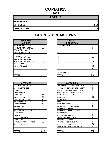#### **COPIAH/15**

**2008**

| <b>TOTALS</b>       |     |
|---------------------|-----|
| <b>REFERRALS</b>    | 212 |
| <b>OFFENSES</b>     | 212 |
| <b>DISPOSITIONS</b> | 212 |

**COUNTY BREAKDOWN**

#### **RACE AND GENDER DISPOSITION** AFRICAN AM. MALE | 139 AFRICAN AM. FEMALE | 52 CAUCASIAN MALE 8 CAUCASIAN FEMALE 9 HISPANIC MALE<br>HISPANIC FEMALE 2 **HISPANIC FEMALE** AMER. INDIAN MALE 0 AMER. INDIAN FEMALE | 0 ASIAN MALE 0 ASIAN FEMALE **16 46 16 461 16 461** 0

| <b>OFFENSES</b>                    |                | <b>DISPOSITIONS</b>            |
|------------------------------------|----------------|--------------------------------|
| AGGRAVATED ASSAULT                 | 0              | <b>ADOLESCENT OFFENDER PR</b>  |
| <b>ALCOHOL OFFENSES</b>            | 0              | COMMUNITY SERVICE WORK         |
| ARSON                              | 0              | CERTIFIED/WAIVED/TRANSFE       |
| <b>BOMB THREATS</b>                | 0              | COMMITMENT TO TRAINING S       |
| <b>BURGLARY</b>                    | 11             | COMMUNITY PROGRAMS             |
| CHINS/ RUN AWAY                    | 56             | <b>DISMISSED</b>               |
| CONTEMPT OF COURT                  | 45             | <b>DETENTION</b>               |
| <b>DISORDERLY CONDUCT</b>          | 30             | <b>FINED</b>                   |
| <b>DRUG OFFENSES</b>               | 18             | <b>HELD OPEN / RETIRED</b>     |
| <b>GRAND LARCENY</b>               | 3              | PLACEMENT WITH INDIVIDUA       |
| <b>HARASSMENT</b>                  | 0              | REFERRED TO PRIVATE AGEI       |
| <b>MALICIOUS MISCHIEF/ VANDAL.</b> | 3              | <b>REFERRED TO PUBLIC AGEN</b> |
| PETIT LARCENY                      | 4              | RESTITUTION                    |
| <b>ROBBERY</b>                     | 0              | RUNAWAY RETURNED               |
| <b>SEXUAL OFFENSES</b>             | 0              | SUPERVISED PROBATION           |
| <b>SHOPLIFTING</b>                 | $\overline{2}$ | <b>SUSPENDED LICENSE</b>       |
| SIMPLE ASSAULT/DOM. VIOLEN         | 36             | SUSPENDED COMMITMENT           |
| <b>WEAPON OFFENSES</b>             | 4              | UNSUPERVISED PROBATION         |
|                                    |                | WARNED ADJUSTED COUNSE         |
|                                    |                |                                |
| <b>TOTAL</b>                       | 212            | <b>TOTAL</b>                   |

| <b>RACE AND</b><br><b>GENDER</b> |          | <b>AGE AT</b><br><b>DISPOSITION</b> |          |
|----------------------------------|----------|-------------------------------------|----------|
| AFRICAN AM. MALE                 | 139      | 7 AND UNDER                         | 0        |
| AFRICAN AM. FEMALE               | 52       | 8                                   | $\Omega$ |
| <b>CAUCASIAN MALE</b>            | 8        | 9                                   |          |
| <b>CAUCASIAN FEMALE</b>          | 9        | 10                                  | 3        |
| <b>HISPANIC MALE</b>             | 2        | 11                                  | 3        |
| <b>HISPANIC FEMALE</b>           | 2        | 12                                  | 11       |
| AMER. INDIAN MALE                | $\Omega$ | 13                                  | 21       |
| AMER. INDIAN FEMALE              | $\Omega$ | 14                                  | 29       |
| ASIAN MALE                       | 0        | 15                                  | 61       |
| ASIAN FEMALE                     | 0        | 16                                  | 46       |
|                                  |          | 17                                  | 37       |
|                                  |          | 18                                  | 0        |
|                                  |          | 19 AND OVER                         | 0        |
| <b>TOTAL</b>                     | 212      | TOTAL                               | 212      |

| <b>OFFENSES</b>             |              | <b>DISPOSITIONS</b>            |  |
|-----------------------------|--------------|--------------------------------|--|
| AGGRAVATED ASSAULT          | 0            | ADOLESCENT OFFENDER PROGRAM    |  |
| ALCOHOL OFFENSES            | 0            | COMMUNITY SERVICE WORK PROGRAM |  |
| ARSON                       | 0            | CERTIFIED/WAIVED/TRANSFERRED   |  |
| <b>BOMB THREATS</b>         | 0            | COMMITMENT TO TRAINING SCHOOL  |  |
| <b>BURGLARY</b>             | 11           | COMMUNITY PROGRAMS             |  |
| CHINS/ RUN AWAY             | 56           | <b>DISMISSED</b>               |  |
| CONTEMPT OF COURT           | 45           | <b>DETENTION</b>               |  |
| DISORDERLY CONDUCT          | 30           | <b>FINFD</b>                   |  |
| <b>DRUG OFFENSES</b>        | 18           | <b>HELD OPEN / RETIRED</b>     |  |
| GRAND LARCENY               | 3            | PLACEMENT WITH INDIVIDUAL      |  |
| HARASSMENT                  | 0            | REFERRED TO PRIVATE AGENCY     |  |
| MALICIOUS MISCHIEF/ VANDAL. | 3            | REFERRED TO PUBLIC AGENCY      |  |
| PETIT LARCENY               | 4            | <b>RESTITUTION</b>             |  |
| <b>ROBBERY</b>              | 0            | RUNAWAY RETURNED               |  |
| SEXUAL OFFENSES             | 0            | SUPERVISED PROBATION           |  |
| SHOPLIFTING                 | $\mathbf{2}$ | <b>SUSPENDED LICENSE</b>       |  |
| SIMPLE ASSAULT/DOM. VIOLEN  | 36           | SUSPENDED COMMITMENT           |  |
| WEAPON OFFENSES             | 4            | UNSUPERVISED PROBATION         |  |
|                             |              | WARNED ADJUSTED COUNSELED      |  |
| TOTAL                       | 212          | TOTAL                          |  |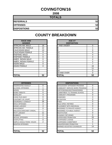# **COVINGTON/16**

**2008**

| <b>TOTALS</b>       |    |
|---------------------|----|
| <b>REFERRALS</b>    | 52 |
| <b>OFFENSES</b>     | 52 |
| <b>DISPOSITIONS</b> | 52 |

| <b>RACE AND</b>         |    | <b>AGE AT</b>      |  |
|-------------------------|----|--------------------|--|
| <b>GENDER</b>           |    | <b>DISPOSITION</b> |  |
| <b>AFRICAN AM. MALE</b> | 18 | <b>7 AND UNDER</b> |  |
| AFRICAN AM. FEMALE      | 12 | 8                  |  |
| <b>CAUCASIAN MALE</b>   | 13 | 9                  |  |
| <b>CAUCASIAN FEMALE</b> | 9  | 10                 |  |
| <b>HISPANIC MALE</b>    | 0  | 11                 |  |
| <b>HISPANIC FEMALE</b>  | 0  | 12                 |  |
| AMER. INDIAN MALE       | 0  | 13                 |  |
| AMER. INDIAN FEMALE     | 0  | 14                 |  |
| <b>ASIAN MALE</b>       | 0  | 15                 |  |
| ASIAN FEMALE            | 0  | 16                 |  |
|                         |    | 17                 |  |
|                         |    | 18                 |  |
|                         |    | 19 AND OVER        |  |
| ITOTAL                  | 52 | TOTAL              |  |

| <b>OFFENSES</b>             |    | <b>DISPOSITIONS</b>        |
|-----------------------------|----|----------------------------|
| AGGRAVATED ASSAULT          | 0  | ADOLESCENT OFFENDER PR     |
| <b>ALCOHOL OFFENSES</b>     | 1  | COMMUNITY SERVICE WORK     |
| ARSON                       | 0  | CERTIFIED/WAIVED/TRANSFE   |
| <b>BOMB THREATS</b>         | 0  | COMMITMENT TO TRAINING S   |
| <b>BURGLARY</b>             | 4  | COMMUNITY PROGRAMS         |
| <b>CHINS/ RUN AWAY</b>      | 0  | <b>DISMISSED</b>           |
| <b>CONTEMPT OF COURT</b>    | 0  | DETENTION                  |
| <b>DISORDERLY CONDUCT</b>   | 26 | <b>FINED</b>               |
| <b>DRUG OFFENSES</b>        | 2  | <b>HELD OPEN / RETIRED</b> |
| <b>GRAND LARCENY</b>        | 4  | PLACEMENT WITH INDIVIDUA   |
| <b>HARASSMENT</b>           | 0  | REFERRED TO PRIVATE AGEI   |
| MALICIOUS MISCHIEF/ VANDAL. | 1  | REFERRED TO PUBLIC AGEN    |
| PETIT LARCENY               | 11 | RESTITUTION                |
| <b>ROBBERY</b>              | 0  | RUNAWAY RETURNED           |
| SEXUAL OFFENSES             | 1  | SUPERVISED PROBATION       |
| <b>SHOPLIFTING</b>          | 0  | SUSPENDED LICENSE          |
| SIMPLE ASSAULT/DOM. VIOLEN  | 2  | SUSPENDED COMMITMENT       |
| <b>WEAPON OFFENSES</b>      |    | UNSUPERVISED PROBATION     |
|                             |    | WARNED ADJUSTED COUNSE     |
|                             |    |                            |
| <b>TOTAL</b>                | 52 | <b>TOTAL</b>               |

| <b>RACE AND</b><br><b>GENDER</b> |          | <b>AGE AT</b><br><b>DISPOSITION</b> |                |
|----------------------------------|----------|-------------------------------------|----------------|
| AFRICAN AM. MALE                 | 18       | 7 AND UNDER                         | $\Omega$       |
| AFRICAN AM. FEMALE               | 12       | ö                                   |                |
| <b>CAUCASIAN MALE</b>            | 13       | 9                                   | 0              |
| CAUCASIAN FEMALE                 | 9        | 10                                  | 0              |
| <b>HISPANIC MALE</b>             | 0        | 11                                  | 4              |
| <b>HISPANIC FEMALE</b>           | 0        | 12                                  | 4              |
| AMER. INDIAN MALE                | $\Omega$ | 13                                  | $\overline{4}$ |
| AMER. INDIAN FEMALE              | $\Omega$ | 14                                  | 5              |
| ASIAN MALE                       | $\Omega$ | 15                                  |                |
| <b>ASIAN FEMALE</b>              | $\Omega$ | 16                                  | 16             |
|                                  |          | 17                                  | 11             |
|                                  |          | 18                                  | $\Omega$       |
|                                  |          | 19 AND OVER                         | $\Omega$       |
| <b>TOTAL</b>                     | 52       | TOTAL                               | 52             |

| <b>OFFENSES</b>             |                | <b>DISPOSITIONS</b>            |          |
|-----------------------------|----------------|--------------------------------|----------|
| AGGRAVATED ASSAULT          | 0              | ADOLESCENT OFFENDER PROGRAM    | $\Omega$ |
| ALCOHOL OFFENSES            |                | COMMUNITY SERVICE WORK PROGRAM | 0        |
| ARSON                       | 0              | CERTIFIED/WAIVED/TRANSFERRED   | 0        |
| BOMB THREATS                | $\Omega$       | COMMITMENT TO TRAINING SCHOOL  | 0        |
| <b>BURGLARY</b>             | 4              | <b>COMMUNITY PROGRAMS</b>      | 0        |
| CHINS/ RUN AWAY             | 0              | <b>DISMISSED</b>               | 4        |
| CONTEMPT OF COURT           | 0              | <b>DETENTION</b>               | 0        |
| DISORDERLY CONDUCT          | 26             | <b>FINED</b>                   | 0        |
| <b>DRUG OFFENSES</b>        | $\overline{2}$ | <b>HELD OPEN / RETIRED</b>     | 0        |
| <b>GRAND LARCENY</b>        | 4              | PLACEMENT WITH INDIVIDUAL      | 0        |
| HARASSMENT                  | 0              | REFERRED TO PRIVATE AGENCY     | 0        |
| MALICIOUS MISCHIEF/ VANDAL. | 1              | REFERRED TO PUBLIC AGENCY      | 0        |
| PETIT LARCENY               | 11             | <b>RESTITUTION</b>             | 0        |
| <b>ROBBERY</b>              | 0              | RUNAWAY RETURNED               | $\Omega$ |
| <b>SEXUAL OFFENSES</b>      | 1              | SUPERVISED PROBATION           | 33       |
| SHOPLIFTING                 | $\Omega$       | SUSPENDED LICENSE              | $\Omega$ |
| SIMPLE ASSAULT/DOM. VIOLEN  | 2              | <b>SUSPENDED COMMITMENT</b>    | 0        |
| <b>WEAPON OFFENSES</b>      |                | UNSUPERVISED PROBATION         | 1        |
|                             |                | WARNED ADJUSTED COUNSELED      | 14       |
| TOTAL                       | 52             | <b>TOTAL</b>                   | 52       |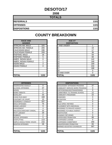# **DESOTO/17**

**2008**

| <b>TOTALS</b>       |      |
|---------------------|------|
| <b>REFERRALS</b>    | 1101 |
| <b>OFFENSES</b>     | 1101 |
| <b>DISPOSITIONS</b> | 1101 |

| <b>RACE AND</b><br><b>GENDER</b> |          | <b>AGE AT</b><br><b>DISPOSITION</b> |
|----------------------------------|----------|-------------------------------------|
| AFRICAN AM. MALE                 | 325      | <b>7 AND UNDER</b>                  |
| IAFRICAN AM. FEMALE              | 205      | 8                                   |
| <b>CAUCASIAN MALE</b>            | 336      | 9                                   |
| <b>CAUCASIAN FEMALE</b>          | 209      | 10                                  |
| <b>HISPANIC MALE</b>             | 18       | 11                                  |
| <b>HISPANIC FEMALE</b>           | 5        | 12                                  |
| AMER. INDIAN MALE                | $\Omega$ | 13                                  |
| AMER. INDIAN FEMALE              | 1        | 14                                  |
| <b>ASIAN MALE</b>                | 2        | 15                                  |
| ASIAN FEMALE                     | $\Omega$ | 16                                  |
|                                  |          | 17                                  |
|                                  |          | 18                                  |
|                                  |          | 19 AND OVER                         |
| <b>TOTAL</b>                     | 1101     | <b>TOTAL</b>                        |

| <b>OFFENSES</b>                    |                | <b>DISPOSITIONS</b>           |
|------------------------------------|----------------|-------------------------------|
| AGGRAVATED ASSAULT                 | 0              | <b>ADOLESCENT OFFENDER PR</b> |
| <b>ALCOHOL OFFENSES</b>            | 37             | COMMUNITY SERVICE WORK        |
| ARSON                              | 1              | CERTIFIED/WAIVED/TRANSFE      |
| <b>BOMB THREATS</b>                | 0              | COMMITMENT TO TRAINING S      |
| <b>BURGLARY</b>                    | 33             | COMMUNITY PROGRAMS            |
| CHINS/ RUN AWAY                    | 168            | DISMISSED                     |
| CONTEMPT OF COURT                  | 10             | <b>DETENTION</b>              |
| DISORDERLY CONDUCT                 | 337            | <b>FINED</b>                  |
| <b>DRUG OFFENSES</b>               | 76             | HELD OPEN / RETIRED           |
| <b>GRAND LARCENY</b>               | 9              | PLACEMENT WITH INDIVIDUA      |
| <b>HARASSMENT</b>                  | 4              | REFERRED TO PRIVATE AGEI      |
| <b>MALICIOUS MISCHIEF/ VANDAL.</b> | 33             | REFERRED TO PUBLIC AGEN       |
| <b>PETIT LARCENY</b>               | 29             | <b>RESTITUTION</b>            |
| <b>ROBBERY</b>                     | $\overline{2}$ | RUNAWAY RETURNED              |
| <b>SEXUAL OFFENSES</b>             | 5              | SUPERVISED PROBATION          |
| <b>SHOPLIFTING</b>                 | 113            | SUSPENDED LICENSE             |
| SIMPLE ASSAULT/DOM. VIOLEN         | 216            | SUSPENDED COMMITMENT          |
| <b>WEAPON OFFENSES</b>             | 28             | UNSUPERVISED PROBATION        |
|                                    |                | WARNED ADJUSTED COUNSE        |
|                                    |                |                               |
| <b>TOTAL</b>                       | 1101           | <b>TOTAL</b>                  |

| <b>RACE AND</b><br><b>GENDER</b> |      | <b>AGE AT</b><br><b>DISPOSITION</b> |          |
|----------------------------------|------|-------------------------------------|----------|
| AFRICAN AM. MALE                 | 325  | 7 AND UNDER                         | 1        |
| AFRICAN AM. FEMALE               | 205  | 8                                   | 19       |
| <b>CAUCASIAN MALE</b>            | 336  | 9                                   | 17       |
| CAUCASIAN FEMALE                 | 209  | 10                                  | 38       |
| <b>HISPANIC MALE</b>             | 18   | 11                                  | 59       |
| <b>HISPANIC FEMALE</b>           | 5    | 12                                  | 68       |
| AMER. INDIAN MALE                | 0    | 13                                  | 142      |
| AMER. INDIAN FEMALE              |      | 14                                  | 166      |
| ASIAN MALE                       | 2    | 15                                  | 169      |
| <b>ASIAN FEMALE</b>              | 0    | 16                                  | 234      |
|                                  |      | 17                                  | 188      |
|                                  |      | 18                                  | 0        |
|                                  |      | 19 AND OVER                         | $\Omega$ |
| <b>TOTAL</b>                     | 1101 | TOTAL                               | 1101     |

| <b>OFFENSES</b>             |                |
|-----------------------------|----------------|
| AGGRAVATED ASSAULT          | $\Omega$       |
| ALCOHOL OFFENSES            | 37             |
| ARSON                       |                |
| <b>BOMB THREATS</b>         | $\Omega$       |
| <b>BURGLARY</b>             | 33             |
| CHINS/ RUN AWAY             | 168            |
| CONTEMPT OF COURT           | 10             |
| DISORDERLY CONDUCT          | 337            |
| <b>DRUG OFFENSES</b>        | 76             |
| <b>GRAND LARCENY</b>        | 9              |
| HARASSMENT                  | 4              |
| MALICIOUS MISCHIEF/ VANDAL. | 33             |
| PETIT LARCENY               | 29             |
| <b>ROBBERY</b>              | $\overline{2}$ |
| SEXUAL OFFENSES             | 5              |
| SHOPLIFTING                 | 113            |
| SIMPLE ASSAULT/DOM. VIOLEN  | 216            |
| <b>WEAPON OFFENSES</b>      | 28             |
|                             |                |
| TOTAL                       | 1101           |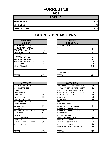### **FORREST/18**

**2008**

| <b>TOTALS</b>       |     |
|---------------------|-----|
| <b>REFERRALS</b>    | 471 |
| <b>OFFENSES</b>     | 471 |
| <b>DISPOSITIONS</b> | 471 |

# **COUNTY BREAKDOWN**

| <b>RACE AND</b><br><b>GENDER</b> |          | <b>AGE AT</b><br><b>DISPOSITION</b> |                |
|----------------------------------|----------|-------------------------------------|----------------|
| <b>AFRICAN AM. MALE</b>          | 228      | 7 AND UNDER                         | 0              |
| AFRICAN AM. FEMALE               | 107      | 8                                   | 0              |
| <b>CAUCASIAN MALE</b>            | 105      | 9                                   | 0              |
| <b>CAUCASIAN FEMALE</b>          | 31       | 10                                  | $\overline{2}$ |
| <b>HISPANIC MALE</b>             | 0        | 11                                  | $\overline{7}$ |
| <b>HISPANIC FEMALE</b>           | 0        | 12                                  | 7              |
| AMER. INDIAN MALE                | 0        | 13                                  | 31             |
| AMER. INDIAN FEMALE              | $\Omega$ | 14                                  | 26             |
| <b>ASIAN MALE</b>                | $\Omega$ | 15                                  | 62             |
| ASIAN FEMALE                     | 0        | 16                                  | 146            |
|                                  |          | 17                                  | 190            |
|                                  |          | 18                                  | 0              |
|                                  |          | 19 AND OVER                         | 0              |
| <b>TOTAL</b>                     | 471      | TOTAL                               | 471            |

| <b>GENDER</b>           |         | <b>DISPOSITION</b> |     |
|-------------------------|---------|--------------------|-----|
| AFRICAN AM. MALE        | 228     | 7 AND UNDER        |     |
| AFRICAN AM. FEMALE      | 107     |                    |     |
| CAUCASIAN MALE          | 105     |                    |     |
| <b>CAUCASIAN FEMALE</b> | 31      | 10                 | 2   |
| <b>HISPANIC MALE</b>    | 0       |                    |     |
| <b>HISPANIC FEMALE</b>  | 0       | 12                 |     |
| AMER. INDIAN MALE       | 0       | 13                 | 31  |
| AMER. INDIAN FEMALE     | O       | 14                 | 26  |
| <b>ASIAN MALE</b>       | 0       | 15                 | 62  |
| ASIAN FEMALE            | 0       | 16                 | 146 |
|                         |         | 17                 | 190 |
|                         |         | 18                 | O   |
|                         |         | 19 AND OVER        |     |
| TAT 1 I                 | $4 - 4$ | <b>TATAI</b>       | 474 |

 $\mathcal{L}$ 

| <b>OFFENSES</b>             |     | <b>DISPOSITIONS</b>        |
|-----------------------------|-----|----------------------------|
| AGGRAVATED ASSAULT          | 7   | ADOLESCENT OFFENDER PR     |
| ALCOHOL OFFENSES            | 4   | COMMUNITY SERVICE WORK     |
| ARSON                       | 0   | CERTIFIED/WAIVED/TRANSFE   |
| <b>BOMB THREATS</b>         | 0   | COMMITMENT TO TRAINING S   |
| <b>BURGLARY</b>             | 41  | COMMUNITY PROGRAMS         |
| CHINS/ RUN AWAY             | 80  | <b>DISMISSED</b>           |
| CONTEMPT OF COURT           | 0   | <b>DETENTION</b>           |
| <b>DISORDERLY CONDUCT</b>   | 107 | <b>FINED</b>               |
| <b>DRUG OFFENSES</b>        | 50  | <b>HELD OPEN / RETIRED</b> |
| <b>GRAND LARCENY</b>        | 34  | PLACEMENT WITH INDIVIDUA   |
| <b>HARASSMENT</b>           | 0   | REFERRED TO PRIVATE AGEI   |
| MALICIOUS MISCHIEF/ VANDAL. | 28  | REFERRED TO PUBLIC AGEN    |
| <b>PETIT LARCENY</b>        | 19  | <b>RESTITUTION</b>         |
| <b>ROBBERY</b>              | 0   | RUNAWAY RETURNED           |
| <b>SEXUAL OFFENSES</b>      | 4   | SUPERVISED PROBATION       |
| <b>SHOPLIFTING</b>          | 7   | <b>SUSPENDED LICENSE</b>   |
| SIMPLE ASSAULT/DOM, VIOLEN  | 81  | SUSPENDED COMMITMENT       |
| <b>WEAPON OFFENSES</b>      | 9   | UNSUPERVISED PROBATION     |
|                             |     | WARNED ADJUSTED COUNSE     |
|                             |     |                            |
| <b>TOTAL</b>                | 471 | <b>TOTAL</b>               |

| <b>OFFENSES</b>             |                | <b>DISPOSITIONS</b>              |     |
|-----------------------------|----------------|----------------------------------|-----|
| AGGRAVATED ASSAULT          | 7              | ADOLESCENT OFFENDER PROGRAM      | 20  |
| ALCOHOL OFFENSES            | 4              | COMMUNITY SERVICE WORK PROGRAM   | 21  |
| ARSON                       | 0              | CERTIFIED/WAIVED/TRANSFERRED     | 3   |
| <b>BOMB THREATS</b>         | 0              | COMMITMENT TO TRAINING SCHOOL    | 10  |
| <b>BURGLARY</b>             | 41             | COMMUNITY PROGRAMS               | 20  |
| CHINS/ RUN AWAY             | 80             | <b>DISMISSED</b>                 | 13  |
| CONTEMPT OF COURT           | 0              | <b>DETENTION</b>                 | 68  |
| DISORDERLY CONDUCT          | 107            | <b>FINFD</b>                     | 0   |
| <b>DRUG OFFENSES</b>        | 50             | <b>HELD OPEN / RETIRED</b>       | 0   |
| GRAND LARCENY               | 34             | PLACEMENT WITH INDIVIDUAL        | 0   |
| HARASSMENT                  | $\Omega$       | REFERRED TO PRIVATE AGENCY       | 0   |
| MALICIOUS MISCHIEF/ VANDAL. | 28             | <b>REFERRED TO PUBLIC AGENCY</b> | 26  |
| PETIT LARCENY               | 19             | <b>RESTITUTION</b>               | 41  |
| ROBBERY                     | $\Omega$       | RUNAWAY RETURNED                 | 4   |
| SEXUAL OFFENSES             | 4              | <b>SUPERVISED PROBATION</b>      | 68  |
| SHOPLIFTING                 | $\overline{7}$ | <b>SUSPENDED LICENSE</b>         | 3   |
| SIMPLE ASSAULT/DOM. VIOLEN  | 81             | <b>SUSPENDED COMMITMENT</b>      | 56  |
| WEAPON OFFENSES             | 9              | UNSUPERVISED PROBATION           | 50  |
|                             |                | WARNED ADJUSTED COUNSELED        | 68  |
|                             |                |                                  |     |
| TOTAL                       | 471            | TOTAL                            | 471 |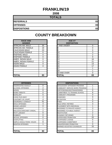# **FRANKLIN/19**

**2008**

| <b>TOTALS</b>       |    |
|---------------------|----|
| <b>REFERRALS</b>    | 83 |
| <b>OFFENSES</b>     | 83 |
| <b>DISPOSITIONS</b> | 83 |

| <b>RACE AND</b><br><b>GENDER</b> |    | <b>AGE AT</b><br><b>DISPOSITION</b> |
|----------------------------------|----|-------------------------------------|
| <b>AFRICAN AM. MALE</b>          | 35 | 7 AND UNDER                         |
| AFRICAN AM. FEMALE               | 19 | 8                                   |
| <b>CAUCASIAN MALE</b>            | 23 | 9                                   |
| <b>CAUCASIAN FEMALE</b>          | 6  | 10                                  |
| <b>HISPANIC MALE</b>             | 0  | 11                                  |
| <b>HISPANIC FEMALE</b>           | 0  | 12                                  |
| AMER. INDIAN MALE                | 0  | 13                                  |
| <b>AMER. INDIAN FEMALE</b>       | 0  | 14                                  |
| <b>ASIAN MALE</b>                | 0  | 15                                  |
| <b>ASIAN FEMALE</b>              | 0  | 16                                  |
|                                  |    | 17                                  |
|                                  |    | 18                                  |
|                                  |    | <b>19 AND OVER</b>                  |
| <b>TOTAL</b>                     | 83 | <b>TOTAL</b>                        |

| <b>OFFENSES</b>                    |                | <b>DISPOSITIONS</b>           |
|------------------------------------|----------------|-------------------------------|
| <b>AGGRAVATED ASSAULT</b>          | 0              | <b>ADOLESCENT OFFENDER PR</b> |
| <b>ALCOHOL OFFENSES</b>            | 2              | COMMUNITY SERVICE WORK        |
| ARSON                              | 0              | CERTIFIED/WAIVED/TRANSFE      |
| <b>BOMB THREATS</b>                | 0              | COMMITMENT TO TRAINING S      |
| <b>BURGLARY</b>                    | 5              | COMMUNITY PROGRAMS            |
| CHINS/ RUN AWAY                    | 4              | DISMISSED                     |
| <b>CONTEMPT OF COURT</b>           | 4              | DETENTION                     |
| DISORDERLY CONDUCT                 | 51             | <b>FINED</b>                  |
| <b>DRUG OFFENSES</b>               | 4              | <b>HELD OPEN / RETIRED</b>    |
| <b>GRAND LARCENY</b>               | 0              | PLACEMENT WITH INDIVIDUA      |
| <b>HARASSMENT</b>                  | 1              | REFERRED TO PRIVATE AGEI      |
| <b>MALICIOUS MISCHIEF/ VANDAL.</b> | $\overline{2}$ | REFERRED TO PUBLIC AGEN       |
| <b>PETIT LARCENY</b>               | 0              | RESTITUTION                   |
| <b>ROBBERY</b>                     | 0              | RUNAWAY RETURNED              |
| <b>SEXUAL OFFENSES</b>             | 0              | SUPERVISED PROBATION          |
| <b>SHOPLIFTING</b>                 | 1              | SUSPENDED LICENSE             |
| SIMPLE ASSAULT/DOM. VIOLEN         | 8              | SUSPENDED COMMITMENT          |
| <b>WEAPON OFFENSES</b>             | 1              | UNSUPERVISED PROBATION        |
|                                    |                | WARNED ADJUSTED COUNSE        |
|                                    |                |                               |
| <b>TOTAL</b>                       | 83             | <b>TOTAL</b>                  |

| <b>RACE AND</b><br><b>GENDER</b> |          | <b>AGE AT</b><br><b>DISPOSITION</b> |                |
|----------------------------------|----------|-------------------------------------|----------------|
| AFRICAN AM. MALE                 | 35       | <b>7 AND UNDER</b>                  | 0              |
| AFRICAN AM. FEMALE               | 19       | o                                   | 0              |
| <b>CAUCASIAN MALE</b>            | 23       | 9                                   | $\Omega$       |
| <b>CAUCASIAN FEMALE</b>          | 6        | 10                                  | 3              |
| <b>HISPANIC MALE</b>             | 0        | 11                                  | $\overline{2}$ |
| <b>HISPANIC FEMALE</b>           | $\Omega$ | 12                                  | 9              |
| AMER. INDIAN MALE                | $\Omega$ | 13                                  | 16             |
| AMER. INDIAN FEMALE              | $\Omega$ | 14                                  | 21             |
| ASIAN MALE                       | $\Omega$ | 15                                  | 13             |
| ASIAN FEMALE                     | 0        | 16                                  | 17             |
|                                  |          | 17                                  |                |
|                                  |          | 18                                  |                |
|                                  |          | 19 AND OVER                         | $\Omega$       |
| <b>TOTAL</b>                     | 83       | TOTAL                               | 83             |

| <b>OFFENSES</b>             |          | <b>DISPOSITIONS</b>            |                |
|-----------------------------|----------|--------------------------------|----------------|
| AGGRAVATED ASSAULT          | $\Omega$ | ADOLESCENT OFFENDER PROGRAM    |                |
| ALCOHOL OFFENSES            | 2        | COMMUNITY SERVICE WORK PROGRAM |                |
| ARSON                       | 0        | CERTIFIED/WAIVED/TRANSFERRED   | 0              |
| <b>BOMB THREATS</b>         | 0        | COMMITMENT TO TRAINING SCHOOL  | 8              |
| <b>BURGLARY</b>             | 5        | <b>COMMUNITY PROGRAMS</b>      | 0              |
| CHINS/ RUN AWAY             | 4        | <b>DISMISSED</b>               | 9              |
| CONTEMPT OF COURT           | 4        | <b>DETENTION</b>               | $\Omega$       |
| DISORDERLY CONDUCT          | 51       | <b>FINED</b>                   | 0              |
| DRUG OFFENSES               | 4        | <b>HELD OPEN / RETIRED</b>     | 3              |
| GRAND I ARCENY              | 0        | PLACEMENT WITH INDIVIDUAL      | 1              |
| HARASSMENT                  | 1        | REFERRED TO PRIVATE AGENCY     | 3              |
| MALICIOUS MISCHIEF/ VANDAL. | 2        | REFERRED TO PUBLIC AGENCY      | $\overline{2}$ |
| PETIT LARCENY               | 0        | <b>RESTITUTION</b>             | $\overline{2}$ |
| ROBBERY                     | 0        | RUNAWAY RETURNED               | $\Omega$       |
| <b>SEXUAL OFFENSES</b>      | 0        | SUPERVISED PROBATION           | 20             |
| SHOPLIFTING                 |          | <b>SUSPENDED LICENSE</b>       | 0              |
| SIMPLE ASSAULT/DOM. VIOLEN  | 8        | SUSPENDED COMMITMENT           | 0              |
| WEAPON OFFENSES             | 1        | UNSUPERVISED PROBATION         | 0              |
|                             |          | WARNED ADJUSTED COUNSELED      | 33             |
| TOTAL                       | 83       | <b>TOTAL</b>                   | 83             |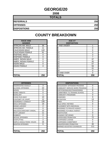# **GEORGE/20**

**2008**

| <b>TOTALS</b>       |     |
|---------------------|-----|
| <b>REFERRALS</b>    | 250 |
| <b>OFFENSES</b>     | 250 |
| <b>DISPOSITIONS</b> | 250 |

#### **COUNTY BREAKDOWN**

| <b>RACE AND</b><br><b>GENDER</b> |          | <b>AGE AT</b><br><b>DISPOSITION</b> |                |
|----------------------------------|----------|-------------------------------------|----------------|
| <b>AFRICAN AM. MALE</b>          | 36       | 7 AND UNDER                         |                |
| AFRICAN AM. FEMALE               | 11       | 8                                   | 0              |
| <b>CAUCASIAN MALE</b>            | 142      | 9                                   | 0              |
| <b>CAUCASIAN FEMALE</b>          | 61       | 10                                  | 3              |
| <b>HISPANIC MALE</b>             | $\Omega$ | 11                                  | 3              |
| <b>HISPANIC FEMALE</b>           | 0        | 12                                  | $\overline{7}$ |
| AMER. INDIAN MALE                | $\Omega$ | 13                                  | 37             |
| AMER. INDIAN FEMALE              | $\Omega$ | 14                                  | 45             |
| <b>ASIAN MALE</b>                | $\Omega$ | 15                                  | 57             |
| <b>ASIAN FEMALE</b>              | 0        | 16                                  | 56             |
|                                  |          | 17                                  | 41             |
|                                  |          | 18                                  | 0              |
|                                  |          | 19 AND OVER                         | $\Omega$       |
| <b>TOTAL</b>                     | 250      | TOTAL                               | 250            |

| <b>GENDER</b>          |            | <b>DISPOSITION</b> |            |
|------------------------|------------|--------------------|------------|
| AFRICAN AM. MALE       | 36         | 7 AND UNDER        |            |
| AFRICAN AM. FEMALE     | 11         |                    | ი          |
| <b>CAUCASIAN MALE</b>  | 142        |                    | 0          |
| CAUCASIAN FEMALE       | 61         | 10                 | 3          |
| <b>HISPANIC MALE</b>   | 0          |                    | 3          |
| <b>HISPANIC FEMALE</b> | 0          | 12                 |            |
| AMER. INDIAN MALE      | 0          | 13                 | 37         |
| AMER. INDIAN FEMALE    | 0          | 14                 | 45         |
| ASIAN MALE             | 0          | 15                 | 57         |
| ASIAN FEMALE           | $\Omega$   | 16                 | 56         |
|                        |            |                    | 41         |
|                        |            | 18                 | 0          |
|                        |            | 19 AND OVER        | 0          |
| TATAI                  | <b>OFO</b> | <b>TOTAL</b>       | <b>OFO</b> |

 $\mathcal{L}$ 

| <b>OFFENSES</b>             |     | <b>DISPOSITIONS</b>        |
|-----------------------------|-----|----------------------------|
| AGGRAVATED ASSAULT          | 3   | ADOLESCENT OFFENDER PR     |
| ALCOHOL OFFENSES            | 22  | COMMUNITY SERVICE WORK     |
| ARSON                       | 0   | CERTIFIED/WAIVED/TRANSFE   |
| <b>BOMB THREATS</b>         | 0   | COMMITMENT TO TRAINING S   |
| <b>BURGLARY</b>             | 1   | COMMUNITY PROGRAMS         |
| CHINS/ RUN AWAY             | 10  | <b>DISMISSED</b>           |
| CONTEMPT OF COURT           | 12  | <b>DETENTION</b>           |
| <b>DISORDERLY CONDUCT</b>   | 135 | <b>FINED</b>               |
| <b>DRUG OFFENSES</b>        | 19  | <b>HELD OPEN / RETIRED</b> |
| <b>GRAND LARCENY</b>        | 2   | PLACEMENT WITH INDIVIDUA   |
| <b>HARASSMENT</b>           | 0   | REFERRED TO PRIVATE AGEI   |
| MALICIOUS MISCHIEF/ VANDAL. | 10  | REFERRED TO PUBLIC AGEN    |
| <b>PETIT LARCENY</b>        | 11  | <b>RESTITUTION</b>         |
| <b>ROBBERY</b>              | 0   | RUNAWAY RETURNED           |
| <b>SEXUAL OFFENSES</b>      | 1   | SUPERVISED PROBATION       |
| <b>SHOPLIFTING</b>          | 2   | <b>SUSPENDED LICENSE</b>   |
| SIMPLE ASSAULT/DOM. VIOLEN  | 16  | SUSPENDED COMMITMENT       |
| <b>WEAPON OFFENSES</b>      | 6   | UNSUPERVISED PROBATION     |
|                             |     | WARNED ADJUSTED COUNSE     |
|                             |     |                            |
| <b>TOTAL</b>                | 250 | <b>TOTAL</b>               |

| <b>OFFENSES</b>             |                | <b>DISPOSITIONS</b>            |                |
|-----------------------------|----------------|--------------------------------|----------------|
| AGGRAVATED ASSAULT          | 3              | ADOLESCENT OFFENDER PROGRAM    | 0              |
| ALCOHOL OFFENSES            | 22             | COMMUNITY SERVICE WORK PROGRAM | 0              |
| ARSON                       | $\Omega$       | CERTIFIED/WAIVED/TRANSFERRED   | 8              |
| <b>BOMB THREATS</b>         | 0              | COMMITMENT TO TRAINING SCHOOL  | 3              |
| BURGLARY                    |                | COMMUNITY PROGRAMS             | 0              |
| CHINS/ RUN AWAY             | 10             | <b>DISMISSED</b>               | 9              |
| CONTEMPT OF COURT           | 12             | <b>DETENTION</b>               | 13             |
| DISORDERLY CONDUCT          | 135            | <b>FINFD</b>                   | 0              |
| <b>DRUG OFFENSES</b>        | 19             | <b>HELD OPEN / RETIRED</b>     | 0              |
| GRAND LARCENY               | 2              | PLACEMENT WITH INDIVIDUAL      | 1              |
| HARASSMENT                  | $\Omega$       | REFERRED TO PRIVATE AGENCY     | 1              |
| MALICIOUS MISCHIEF/ VANDAL. | 10             | REFERRED TO PUBLIC AGENCY      | $\overline{2}$ |
| PETIT LARCENY               | 11             | <b>RESTITUTION</b>             | 0              |
| <b>ROBBERY</b>              | 0              | <b>RUNAWAY RETURNED</b>        | $\Omega$       |
| SEXUAL OFFENSES             | 1              | <b>SUPERVISED PROBATION</b>    | 72             |
| SHOPLIFTING                 | $\overline{2}$ | <b>SUSPENDED LICENSE</b>       | 0              |
| SIMPLE ASSAULT/DOM. VIOLEN  | 16             | <b>SUSPENDED COMMITMENT</b>    | $\Omega$       |
| <b>WEAPON OFFENSES</b>      | 6              | UNSUPERVISED PROBATION         | 30             |
|                             |                | WARNED ADJUSTED COUNSELED      | 111            |
| TOTAL                       | 250            | <b>TOTAL</b>                   | 250            |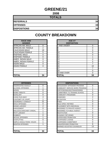# **GREENE/21**

**2008**

| <b>TOTALS</b>       |    |
|---------------------|----|
| <b>REFERRALS</b>    | 34 |
| <b>OFFENSES</b>     | 34 |
| <b>DISPOSITIONS</b> | 34 |

| <b>RACE AND</b><br><b>GENDER</b> |                | <b>AGE AT</b><br><b>DISPOSITION</b> |
|----------------------------------|----------------|-------------------------------------|
| <b>AFRICAN AM. MALE</b>          | 8              | 7 AND UNDER                         |
| AFRICAN AM. FEMALE               | $\overline{2}$ | 8                                   |
| <b>CAUCASIAN MALE</b>            | 19             | 9                                   |
| <b>CAUCASIAN FEMALE</b>          | 5              | 10                                  |
| <b>HISPANIC MALE</b>             | 0              | 11                                  |
| <b>HISPANIC FEMALE</b>           | 0              | 12                                  |
| <b>AMER. INDIAN MALE</b>         | 0              | 13                                  |
| AMER. INDIAN FEMALE              | 0              | 14                                  |
| <b>ASIAN MALE</b>                | 0              | 15                                  |
| <b>ASIAN FEMALE</b>              | 0              | 16                                  |
|                                  |                | 17                                  |
|                                  |                | 18                                  |
|                                  |                | 19 AND OVER                         |
| <b>TOTAL</b>                     | 34             | TOTAL                               |

| <b>OFFENSES</b>             |    | <b>DISPOSITIONS</b>        |
|-----------------------------|----|----------------------------|
| AGGRAVATED ASSAULT          | 0  | ADOLESCENT OFFENDER PR     |
| <b>ALCOHOL OFFENSES</b>     | 1  | COMMUNITY SERVICE WORK     |
| ARSON                       | 0  | CERTIFIED/WAIVED/TRANSFE   |
| <b>BOMB THREATS</b>         | 0  | COMMITMENT TO TRAINING S   |
| <b>BURGLARY</b>             | 0  | COMMUNITY PROGRAMS         |
| <b>CHINS/ RUN AWAY</b>      | 4  | <b>DISMISSED</b>           |
| <b>CONTEMPT OF COURT</b>    | 1  | <b>DETENTION</b>           |
| <b>DISORDERLY CONDUCT</b>   | 21 | <b>FINED</b>               |
| <b>DRUG OFFENSES</b>        | 0  | <b>HELD OPEN / RETIRED</b> |
| <b>GRAND LARCENY</b>        | 2  | PLACEMENT WITH INDIVIDUA   |
| <b>HARASSMENT</b>           | 0  | REFERRED TO PRIVATE AGEI   |
| MALICIOUS MISCHIEF/ VANDAL. | 1  | REFERRED TO PUBLIC AGEN    |
| PETIT LARCENY               | 1  | <b>RESTITUTION</b>         |
| <b>ROBBERY</b>              | 0  | RUNAWAY RETURNED           |
| SEXUAL OFFENSES             | 1  | SUPERVISED PROBATION       |
| <b>SHOPLIFTING</b>          | 0  | SUSPENDED LICENSE          |
| SIMPLE ASSAULT/DOM. VIOLEN  | 1  | SUSPENDED COMMITMENT       |
| <b>WEAPON OFFENSES</b>      | 1  | UNSUPERVISED PROBATION     |
|                             |    | WARNED ADJUSTED COUNSE     |
|                             |    |                            |
| <b>TOTAL</b>                | 34 | <b>TOTAL</b>               |

| <b>RACE AND</b><br><b>GENDER</b> |          | <b>AGE AT</b><br><b>DISPOSITION</b> |          |
|----------------------------------|----------|-------------------------------------|----------|
| AFRICAN AM. MALE                 | 8        | 7 AND UNDER                         | 0        |
| AFRICAN AM. FEMALE               | 2        | ö                                   | $\Omega$ |
| <b>CAUCASIAN MALE</b>            | 19       | 9                                   | 0        |
| CAUCASIAN FEMALE                 | 5        | 10                                  | 0        |
| <b>HISPANIC MALE</b>             | 0        | 11                                  | 0        |
| <b>HISPANIC FEMALE</b>           | $\Omega$ | 12                                  |          |
| AMER. INDIAN MALE                | $\Omega$ | 13                                  | 4        |
| AMER. INDIAN FEMALE              | $\Omega$ | 14                                  | 5        |
| ASIAN MALE                       | $\Omega$ | 15                                  |          |
| ASIAN FEMALE                     | $\Omega$ | 16                                  | 10       |
|                                  |          | 17                                  |          |
|                                  |          | 18                                  | 0        |
|                                  |          | 19 AND OVER                         | 0        |
| <b>TOTAL</b>                     | 34       | TOTAL                               | 34       |

| <b>OFFENSES</b>             |          | <b>DISPOSITIONS</b>            |
|-----------------------------|----------|--------------------------------|
| AGGRAVATED ASSAULT          | $\Omega$ | ADOLESCENT OFFENDER PROGRAM    |
| ALCOHOL OFFENSES            |          | COMMUNITY SERVICE WORK PROGRAM |
| ARSON                       | 0        | CERTIFIED/WAIVED/TRANSFERRED   |
| <b>BOMB THREATS</b>         | 0        | COMMITMENT TO TRAINING SCHOOL  |
| <b>BURGLARY</b>             | 0        | <b>COMMUNITY PROGRAMS</b>      |
| CHINS/ RUN AWAY             | 4        | <b>DISMISSED</b>               |
| CONTEMPT OF COURT           |          | <b>DETENTION</b>               |
| DISORDERLY CONDUCT          | 21       | <b>FINED</b>                   |
| <b>DRUG OFFENSES</b>        | 0        | <b>HELD OPEN / RETIRED</b>     |
| <b>GRAND LARCENY</b>        | 2        | PLACEMENT WITH INDIVIDUAL      |
| HARASSMENT                  | 0        | REFERRED TO PRIVATE AGENCY     |
| MALICIOUS MISCHIEF/ VANDAL. |          | REFERRED TO PUBLIC AGENCY      |
| PETIT LARCENY               |          | <b>RESTITUTION</b>             |
| ROBBERY                     | 0        | RUNAWAY RETURNED               |
| <b>SEXUAL OFFENSES</b>      | 1        | SUPERVISED PROBATION           |
| SHOPLIFTING                 | 0        | <b>SUSPENDED LICENSE</b>       |
| SIMPLE ASSAULT/DOM. VIOLEN  |          | SUSPENDED COMMITMENT           |
| WEAPON OFFENSES             |          | UNSUPERVISED PROBATION         |
|                             |          | WARNED ADJUSTED COUNSELED      |
| TOTAL                       | 34       | <b>TOTAL</b>                   |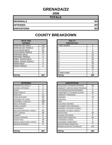# **GRENADA/22**

**2008**

| <b>TOTALS</b>       |     |
|---------------------|-----|
| <b>REFERRALS</b>    | 397 |
| <b>OFFENSES</b>     | 397 |
| <b>DISPOSITIONS</b> | 397 |

| <b>RACE AND</b>         |          | <b>AGE AT</b>      |
|-------------------------|----------|--------------------|
| <b>GENDER</b>           |          | <b>DISPOSITION</b> |
| <b>AFRICAN AM. MALE</b> | 176      | <b>7 AND UNDER</b> |
| IAFRICAN AM. FEMALE     | 137      | 8                  |
| <b>CAUCASIAN MALE</b>   | 55       | 9                  |
| <b>CAUCASIAN FEMALE</b> | 29       | 10                 |
| <b>HISPANIC MALE</b>    | 0        | 11                 |
| <b>HISPANIC FEMALE</b>  | 0        | 12                 |
| AMER. INDIAN MALE       | $\Omega$ | 13                 |
| AMER. INDIAN FEMALE     | 0        | 14                 |
| <b>ASIAN MALE</b>       | 0        | 15                 |
| <b>ASIAN FEMALE</b>     | $\Omega$ | 16                 |
|                         |          | 17                 |
|                         |          | 18                 |
|                         |          | 19 AND OVER        |
| <b>TOTAL</b>            | 397      | TOTAL              |

| <b>COUNTY BREAKDOWN</b> |  |  |  |
|-------------------------|--|--|--|
|-------------------------|--|--|--|

| <b>RACE AND</b>         |          | <b>AGE AT</b>      |          |
|-------------------------|----------|--------------------|----------|
| <b>GENDER</b>           |          | <b>DISPOSITION</b> |          |
| AFRICAN AM. MALE        | 176      | 7 AND UNDER        | $\Omega$ |
| AFRICAN AM. FEMALE      | 137      | 8                  |          |
| <b>CAUCASIAN MALE</b>   | 55       | 9                  | 6        |
| <b>CAUCASIAN FEMALE</b> | 29       | 10                 | 12       |
| <b>HISPANIC MALE</b>    | $\Omega$ | 11                 | 19       |
| <b>HISPANIC FEMALE</b>  | $\Omega$ | 12                 | 21       |
| AMER. INDIAN MALE       | 0        | 13                 | 40       |
| AMER. INDIAN FEMALE     | 0        | 14                 | 50       |
| ASIAN MALE              | 0        | 15                 | 79       |
| <b>ASIAN FEMALE</b>     | $\Omega$ | 16                 | 92       |
|                         |          | 17                 | 74       |
|                         |          | 18                 | 3        |
|                         |          | 19 AND OVER        | $\Omega$ |
| TOTAL                   | 397      | <b>TOTAL</b>       | 397      |

| <b>OFFENSES</b>                    |                | <b>DISPOSITIONS</b>             |
|------------------------------------|----------------|---------------------------------|
| AGGRAVATED ASSAULT                 | 0              | <b>ADOLESCENT OFFENDER PR</b>   |
| <b>ALCOHOL OFFENSES</b>            | 3              | COMMUNITY SERVICE WORK          |
| <b>ARSON</b>                       | $\overline{2}$ | CERTIFIED/WAIVED/TRANSFE        |
| <b>BOMB THREATS</b>                | 0              | <b>COMMITMENT TO TRAINING S</b> |
| <b>BURGLARY</b>                    | 11             | <b>COMMUNITY PROGRAMS</b>       |
| ICHINS/ RUN AWAY                   | 26             | <b>DISMISSED</b>                |
| <b>CONTEMPT OF COURT</b>           | 19             | <b>DETENTION</b>                |
| <b>DISORDERLY CONDUCT</b>          | 108            | FINED                           |
| <b>DRUG OFFENSES</b>               | 19             | <b>HELD OPEN / RETIRED</b>      |
| <b>GRAND LARCENY</b>               | 1              | PLACEMENT WITH INDIVIDUA        |
| <b>HARASSMENT</b>                  | 7              | <b>REFERRED TO PRIVATE AGEI</b> |
| <b>MALICIOUS MISCHIEF/ VANDAL.</b> | 45             | REFERRED TO PUBLIC AGEN         |
| PETIT LARCENY                      | 26             | <b>RESTITUTION</b>              |
| <b>ROBBERY</b>                     | 6              | RUNAWAY RETURNED                |
| <b>SEXUAL OFFENSES</b>             | 5              | SUPERVISED PROBATION            |
| <b>SHOPLIFTING</b>                 | 19             | <b>SUSPENDED LICENSE</b>        |
| SIMPLE ASSAULT/DOM. VIOLEN         | 94             | <b>SUSPENDED COMMITMENT</b>     |
| <b>WEAPON OFFENSES</b>             | 6              | UNSUPERVISED PROBATION          |
|                                    |                | <b>WARNED ADJUSTED COUNSE</b>   |
|                                    |                |                                 |
| <b>ITOTAL</b>                      | 397            | <b>TOTAL</b>                    |

| <b>OFFENSES</b>             |                | <b>DISPOSITIONS</b>              |                |
|-----------------------------|----------------|----------------------------------|----------------|
| AGGRAVATED ASSAULT          | 0              | ADOLESCENT OFFENDER PROGRAM      | 68             |
| ALCOHOL OFFENSES            | 3              | COMMUNITY SERVICE WORK PROGRAM   | 0              |
| ARSON                       | $\overline{2}$ | CERTIFIED/WAIVED/TRANSFERRED     | $\Omega$       |
| <b>BOMB THREATS</b>         | $\Omega$       | COMMITMENT TO TRAINING SCHOOL    | 54             |
| BURGLARY                    | 11             | COMMUNITY PROGRAMS               | 1              |
| CHINS/ RUN AWAY             | 26             | <b>DISMISSED</b>                 | 13             |
| CONTEMPT OF COURT           | 19             | <b>DETENTION</b>                 | 3              |
| DISORDERLY CONDUCT          | 108            | <b>FINFD</b>                     | $\Omega$       |
| <b>DRUG OFFENSES</b>        | 19             | <b>HELD OPEN / RETIRED</b>       | 5              |
| GRAND LARCENY               |                | PLACEMENT WITH INDIVIDUAL        | 0              |
| HARASSMENT                  | 7              | REFERRED TO PRIVATE AGENCY       | $\overline{2}$ |
| MALICIOUS MISCHIEF/ VANDAL. | 45             | REFERRED TO PUBLIC AGENCY        | $\Omega$       |
| PETIT LARCENY               | 26             | <b>RESTITUTION</b>               | 16             |
| <b>ROBBERY</b>              | 6              | <b>RUNAWAY RETURNED</b>          | $\overline{2}$ |
| SEXUAL OFFENSES             | 5              | <b>SUPERVISED PROBATION</b>      | 94             |
| SHOPLIFTING                 | 19             | SUSPENDED LICENSE                | 0              |
| SIMPLE ASSAULT/DOM. VIOLEN  | 94             | SUSPENDED COMMITMENT             | 11             |
| <b>WEAPON OFFENSES</b>      | 6              | UNSUPERVISED PROBATION           | 7              |
|                             |                | <b>WARNED ADJUSTED COUNSELED</b> | 121            |
|                             |                |                                  |                |
| TOTAL                       | 397            | <b>TOTAL</b>                     | 397            |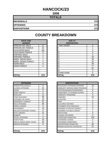# **HANCOCK/23**

**2008**

| <b>TOTALS</b>       |     |
|---------------------|-----|
| <b>REFERRALS</b>    | 272 |
| <b>OFFENSES</b>     | 272 |
| <b>DISPOSITIONS</b> | 272 |

| <b>RACE AND</b><br><b>GENDER</b> |     | <b>AGE AT</b><br><b>DISPOSITION</b> |
|----------------------------------|-----|-------------------------------------|
| <b>AFRICAN AM. MALE</b>          | 27  | 7 AND UNDER                         |
| AFRICAN AM. FEMALE               | 10  | 8                                   |
| <b>CAUCASIAN MALE</b>            | 161 | 9                                   |
| <b>CAUCASIAN FEMALE</b>          | 71  | 10                                  |
| <b>HISPANIC MALE</b>             |     | 11                                  |
| <b>HISPANIC FEMALE</b>           |     | 12                                  |
| <b>AMER. INDIAN MALE</b>         |     | 13                                  |
| AMER. INDIAN FEMALE              | 0   | 14                                  |
| <b>ASIAN MALE</b>                | 0   | 15                                  |
| <b>ASIAN FEMALE</b>              | 0   | 16                                  |
|                                  |     | 17                                  |
|                                  |     | 18                                  |
|                                  |     | 19 AND OVER                         |
| <b>TOTAL</b>                     | 272 | <b>TOTAL</b>                        |

| <b>OFFENSES</b>                    |          | <b>DISPOSITIONS</b>           |
|------------------------------------|----------|-------------------------------|
| AGGRAVATED ASSAULT                 | 0        | <b>ADOLESCENT OFFENDER PR</b> |
| <b>ALCOHOL OFFENSES</b>            | 21       | COMMUNITY SERVICE WORK        |
| <b>ARSON</b>                       | 0        | CERTIFIED/WAIVED/TRANSFE      |
| <b>BOMB THREATS</b>                | 0        | COMMITMENT TO TRAINING S      |
| <b>BURGLARY</b>                    | 11       | <b>COMMUNITY PROGRAMS</b>     |
| CHINS/ RUN AWAY                    | 38       | <b>DISMISSED</b>              |
| <b>CONTEMPT OF COURT</b>           | 19       | <b>DETENTION</b>              |
| <b>DISORDERLY CONDUCT</b>          | 51       | <b>FINED</b>                  |
| <b>DRUG OFFENSES</b>               | 36       | <b>HELD OPEN / RETIRED</b>    |
| <b>GRAND LARCENY</b>               | $\Omega$ | PLACEMENT WITH INDIVIDUA      |
| <b>HARASSMENT</b>                  | 10       | REFERRED TO PRIVATE AGEI      |
| <b>MALICIOUS MISCHIEF/ VANDAL.</b> | 17       | REFERRED TO PUBLIC AGEN       |
| PETIT LARCENY                      | 11       | <b>RESTITUTION</b>            |
| <b>ROBBERY</b>                     | 1        | RUNAWAY RETURNED              |
| <b>SEXUAL OFFENSES</b>             | 0        | SUPERVISED PROBATION          |
| <b>SHOPLIFTING</b>                 | 18       | <b>SUSPENDED LICENSE</b>      |
| SIMPLE ASSAULT/DOM. VIOLEN         | 30       | <b>SUSPENDED COMMITMENT</b>   |
| <b>WEAPON OFFENSES</b>             | 9        | UNSUPERVISED PROBATION        |
|                                    |          | WARNED ADJUSTED COUNSE        |
|                                    |          |                               |
| <b>TOTAL</b>                       | 272      | <b>TOTAL</b>                  |

| <b>RACE AND</b><br><b>GENDER</b> |          | <b>AGE AT</b><br><b>DISPOSITION</b> |                |
|----------------------------------|----------|-------------------------------------|----------------|
| AFRICAN AM. MALE                 | 27       | 7 AND UNDER                         | 0              |
| AFRICAN AM. FEMALE               | 10       | 8                                   |                |
| <b>CAUCASIAN MALE</b>            | 161      | 9                                   | 3              |
| <b>CAUCASIAN FEMALE</b>          | 71       | 10                                  | 5              |
| <b>HISPANIC MALE</b>             |          | 11                                  | 3              |
| <b>HISPANIC FEMALE</b>           |          | 12                                  | 16             |
| AMER. INDIAN MALE                |          | 13                                  | 26             |
| AMER. INDIAN FEMALE              | $\Omega$ | 14                                  | 32             |
| ASIAN MALE                       | $\Omega$ | 15                                  | 46             |
| <b>ASIAN FEMALE</b>              | 0        | 16                                  | 77             |
|                                  |          | 17                                  | 61             |
|                                  |          | 18                                  | $\overline{2}$ |
|                                  |          | 19 AND OVER                         | $\Omega$       |
| <b>TOTAL</b>                     | 272      | TOTAL                               | 272            |

| <b>OFFENSES</b>             |          | <b>DISPOSITIONS</b>            |                         |
|-----------------------------|----------|--------------------------------|-------------------------|
| AGGRAVATED ASSAULT          | $\Omega$ | ADOLESCENT OFFENDER PROGRAM    | 10                      |
| ALCOHOL OFFENSES            | 21       | COMMUNITY SERVICE WORK PROGRAM | 0                       |
| ARSON                       | 0        | CERTIFIED/WAIVED/TRANSFERRED   | 0                       |
| BOMB THREATS                | 0        | COMMITMENT TO TRAINING SCHOOL  | $\overline{\mathbf{4}}$ |
| <b>BURGLARY</b>             | 11       | <b>COMMUNITY PROGRAMS</b>      | $\Omega$                |
| CHINS/ RUN AWAY             | 38       | <b>DISMISSED</b>               | 10                      |
| CONTEMPT OF COURT           | 19       | <b>DETENTION</b>               | 7                       |
| DISORDERLY CONDUCT          | 51       | <b>FINED</b>                   | 0                       |
| <b>DRUG OFFENSES</b>        | 36       | <b>HELD OPEN / RETIRED</b>     | 0                       |
| <b>GRAND LARCENY</b>        | 0        | PLACEMENT WITH INDIVIDUAL      | 0                       |
| HARASSMENT                  | 10       | REFERRED TO PRIVATE AGENCY     | 3                       |
| MALICIOUS MISCHIEF/ VANDAL. | 17       | REFERRED TO PUBLIC AGENCY      | 1                       |
| PETIT LARCENY               | 11       | <b>RESTITUTION</b>             | 0                       |
| <b>ROBBERY</b>              |          | RUNAWAY RETURNED               | $\Omega$                |
| <b>SEXUAL OFFENSES</b>      | 0        | SUPERVISED PROBATION           | 100                     |
| SHOPLIFTING                 | 18       | SUSPENDED LICENSE              | 0                       |
| SIMPLE ASSAULT/DOM. VIOLEN  | 30       | <b>SUSPENDED COMMITMENT</b>    | $\Omega$                |
| <b>WEAPON OFFENSES</b>      | 9        | UNSUPERVISED PROBATION         | 46                      |
|                             |          | WARNED ADJUSTED COUNSELED      | 91                      |
| TOTAL                       | 272      | <b>TOTAL</b>                   | 272                     |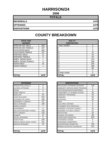# **HARRISON/24**

**2008**

| <b>TOTALS</b>       |      |
|---------------------|------|
| <b>REFERRALS</b>    | 1479 |
| <b>OFFENSES</b>     | 1479 |
| <b>DISPOSITIONS</b> | 1479 |

| <b>RACE AND</b><br><b>GENDER</b> |      | <b>AGE AT</b><br><b>DISPOSITION</b> |
|----------------------------------|------|-------------------------------------|
| <b>AFRICAN AM. MALE</b>          | 563  | 7 AND UNDER                         |
| AFRICAN AM. FEMALE               | 237  | 8                                   |
| <b>CAUCASIAN MALE</b>            | 464  | 9                                   |
| <b>CAUCASIAN FEMALE</b>          | 187  | 10                                  |
| <b>HISPANIC MALE</b>             | 11   | 11                                  |
| <b>HISPANIC FEMALE</b>           | 0    | 12                                  |
| <b>AMER. INDIAN MALE</b>         | 1    | 13                                  |
| AMER. INDIAN FEMALE              | 0    | 14                                  |
| <b>ASIAN MALE</b>                | 15   | 15                                  |
| <b>ASIAN FEMALE</b>              | 1    | 16                                  |
|                                  |      | 17                                  |
|                                  |      | 18                                  |
|                                  |      | 19 AND OVER                         |
| <b>TOTAL</b>                     | 1479 | TOTAL                               |

| <b>COUNTY BREAKDOWN</b> |  |  |  |
|-------------------------|--|--|--|
|-------------------------|--|--|--|

| <b>RACE AND</b>        |          | <b>AGE AT</b>      |                |
|------------------------|----------|--------------------|----------------|
| <b>GENDER</b>          |          | <b>DISPOSITION</b> |                |
| AFRICAN AM. MALE       | 563      | 7 AND UNDER        | 0              |
| AFRICAN AM. FEMALE     | 237      | 8                  | $\overline{2}$ |
| <b>CAUCASIAN MALE</b>  | 464      | 9                  | 3              |
| CAUCASIAN FEMALE       | 187      | 10                 | 15             |
| <b>HISPANIC MALE</b>   | 11       | 11                 | 45             |
| <b>HISPANIC FEMALE</b> | 0        | 12                 | 63             |
| AMER. INDIAN MALE      |          | 13                 | 214            |
| AMER. INDIAN FEMALE    | $\Omega$ | 14                 | 306            |
| ASIAN MALE             | 15       | 15                 | 345            |
| <b>ASIAN FEMALE</b>    |          | 16                 | 396            |
|                        |          | 17                 | 88             |
|                        |          | 18                 | $\overline{2}$ |
|                        |          | 19 AND OVER        | 0              |
| TOTAL                  | 1479     | TOTAL              | 1479           |

| <b>OFFENSES</b>                    |      | <b>DISPOSITIONS</b>        |
|------------------------------------|------|----------------------------|
| AGGRAVATED ASSAULT                 | 0    | ADOLESCENT OFFENDER PR     |
| <b>ALCOHOL OFFENSES</b>            | 0    | COMMUNITY SERVICE WORK     |
| <b>ARSON</b>                       | 2    | CERTIFIED/WAIVED/TRANSFE   |
| <b>BOMB THREATS</b>                | 1    | COMMITMENT TO TRAINING S   |
| <b>BURGLARY</b>                    | 25   | COMMUNITY PROGRAMS         |
| CHINS/ RUN AWAY                    | 224  | DISMISSED                  |
| CONTEMPT OF COURT                  | 106  | <b>DETENTION</b>           |
| <b>DISORDERLY CONDUCT</b>          | 51   | <b>FINED</b>               |
| <b>DRUG OFFENSES</b>               | 140  | <b>HELD OPEN / RETIRED</b> |
| <b>GRAND LARCENY</b>               | 7    | PLACEMENT WITH INDIVIDUA   |
| <b>HARASSMENT</b>                  | 0    | REFERRED TO PRIVATE AGEI   |
| <b>MALICIOUS MISCHIEF/ VANDAL.</b> | 195  | REFERRED TO PUBLIC AGEN    |
| PETIT LARCENY                      | 132  | <b>RESTITUTION</b>         |
| <b>ROBBERY</b>                     | 12   | RUNAWAY RETURNED           |
| <b>SEXUAL OFFENSES</b>             | 5    | SUPERVISED PROBATION       |
| <b>SHOPLIFTING</b>                 | 329  | <b>SUSPENDED LICENSE</b>   |
| SIMPLE ASSAULT/DOM. VIOLEN         | 231  | SUSPENDED COMMITMENT       |
| <b>WEAPON OFFENSES</b>             | 19   | UNSUPERVISED PROBATION     |
|                                    |      | WARNED ADJUSTED COUNSE     |
|                                    |      |                            |
| <b>TOTAL</b>                       | 1479 | <b>TOTAL</b>               |

| <b>OFFENSES</b>             |                | <b>DISPOSITIONS</b>            |          |
|-----------------------------|----------------|--------------------------------|----------|
| AGGRAVATED ASSAULT          | $\Omega$       | ADOLESCENT OFFENDER PROGRAM    | 119      |
| ALCOHOL OFFENSES            | 0              | COMMUNITY SERVICE WORK PROGRAM | 0        |
| ARSON                       | $\overline{2}$ | CERTIFIED/WAIVED/TRANSFERRED   | 3        |
| BOMB THREATS                |                | COMMITMENT TO TRAINING SCHOOL  | 59       |
| BURGLARY                    | 25             | COMMUNITY PROGRAMS             | 24       |
| CHINS/ RUN AWAY             | 224            | <b>DISMISSED</b>               | 64       |
| CONTEMPT OF COURT           | 106            | <b>DETENTION</b>               | 26       |
| DISORDERLY CONDUCT          | 51             | <b>FINED</b>                   | 6        |
| <b>DRUG OFFENSES</b>        | 140            | <b>HELD OPEN / RETIRED</b>     | 6        |
| <b>GRAND LARCENY</b>        | 7              | PLACEMENT WITH INDIVIDUAL      | 5        |
| HARASSMENT                  | 0              | REFERRED TO PRIVATE AGENCY     | 16       |
| MALICIOUS MISCHIEF/ VANDAL. | 195            | REFERRED TO PUBLIC AGENCY      | 31       |
| PETIT LARCENY               | 132            | <b>RESTITUTION</b>             | 24       |
| <b>ROBBERY</b>              | 12             | RUNAWAY RETURNED               | 98       |
| SEXUAL OFFENSES             | 5              | <b>SUPERVISED PROBATION</b>    | 623      |
| SHOPLIFTING                 | 329            | <b>SUSPENDED LICENSE</b>       | 0        |
| SIMPLE ASSAULT/DOM. VIOLEN  | 231            | <b>SUSPENDED COMMITMENT</b>    | $\Omega$ |
| WEAPON OFFENSES             | 19             | UNSUPERVISED PROBATION         | 134      |
|                             |                | WARNED ADJUSTED COUNSELED      | 241      |
| TOTAL                       | 1479           | <b>TOTAL</b>                   | 1479     |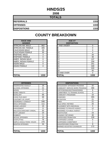# **HINDS/25**

**2008**

| <b>TOTALS</b>       |      |
|---------------------|------|
| <b>REFERRALS</b>    | 1333 |
| <b>OFFENSES</b>     | 1333 |
| <b>DISPOSITIONS</b> | 1333 |

#### **RACE AND GENDER DISPOSITION** AFRICAN AM. MALE 862 AFRICAN AM. FEMALE | 405 CAUCASIAN MALE 33 CAUCASIAN FEMALE | 30 HISPANIC MALE 3 11 26 HISPANIC FEMALE AMER. INDIAN MALE 0 AMER. INDIAN FEMALE | 0 ASIAN MALE 20 ASIAN FEMALE 20

| <b>OFFENSES</b>                    |      | <b>DISPOSITIONS</b>           |
|------------------------------------|------|-------------------------------|
| AGGRAVATED ASSAULT                 | 16   | <b>ADOLESCENT OFFENDER PR</b> |
| <b>ALCOHOL OFFENSES</b>            | 21   | COMMUNITY SERVICE WORK        |
| ARSON                              | 0    | CERTIFIED/WAIVED/TRANSFE      |
| <b>BOMB THREATS</b>                | 1    | COMMITMENT TO TRAINING S      |
| <b>BURGLARY</b>                    | 66   | COMMUNITY PROGRAMS            |
| CHINS/ RUN AWAY                    | 68   | DISMISSED                     |
| CONTEMPT OF COURT                  | 2    | <b>DETENTION</b>              |
| DISORDERLY CONDUCT                 | 548  | <b>FINED</b>                  |
| <b>DRUG OFFENSES</b>               | 111  | <b>HELD OPEN / RETIRED</b>    |
| <b>GRAND LARCENY</b>               | 15   | PLACEMENT WITH INDIVIDUA      |
| <b>HARASSMENT</b>                  | 8    | REFERRED TO PRIVATE AGEI      |
| <b>MALICIOUS MISCHIEF/ VANDAL.</b> | 50   | REFERRED TO PUBLIC AGEN       |
| PETIT LARCENY                      | 24   | RESTITUTION                   |
| <b>ROBBERY</b>                     | 5    | RUNAWAY RETURNED              |
| <b>SEXUAL OFFENSES</b>             | 10   | SUPERVISED PROBATION          |
| <b>SHOPLIFTING</b>                 | 76   | SUSPENDED LICENSE             |
| ISIMPLE ASSAULT/DOM. VIOLEN        | 278  | SUSPENDED COMMITMENT          |
| <b>WEAPON OFFENSES</b>             | 34   | UNSUPERVISED PROBATION        |
|                                    |      | WARNED ADJUSTED COUNSE        |
|                                    |      |                               |
| <b>TOTAL</b>                       | 1333 | <b>TOTAL</b>                  |

| <b>RACE AND</b><br><b>GENDER</b> |             | <b>AGE AT</b><br><b>DISPOSITION</b> |             |
|----------------------------------|-------------|-------------------------------------|-------------|
| AFRICAN AM. MALE                 | 862         | <b>7 AND UNDER</b>                  | 0           |
| AFRICAN AM. FEMALE               | 405         | o                                   | $\Omega$    |
| <b>CAUCASIAN MALE</b>            | 33          | 9                                   | $\mathbf 0$ |
| <b>CAUCASIAN FEMALE</b>          | 30          | 10                                  | 4           |
| <b>HISPANIC MALE</b>             | 3           | 11                                  | 26          |
| <b>HISPANIC FEMALE</b>           | $\mathbf 0$ | 12                                  | 48          |
| AMER. INDIAN MALE                | 0           | 13                                  | 137         |
| AMER. INDIAN FEMALE              | 0           | 14                                  | 258         |
| ASIAN MALE                       | 0           | 15                                  | 251         |
| ASIAN FEMALE                     | 0           | 16                                  | 349         |
|                                  |             | 17                                  | 220         |
|                                  |             | 18                                  | 40          |
|                                  |             | 19 AND OVER                         | 0           |
| <b>TOTAL</b>                     | 1333        | TOTAL                               | 1333        |

| <b>OFFENSES</b>             |      | <b>DISPOSITIONS</b>            |
|-----------------------------|------|--------------------------------|
| AGGRAVATED ASSAULT          | 16   | ADOLESCENT OFFENDER PROGRAM    |
| ALCOHOL OFFENSES            | 21   | COMMUNITY SERVICE WORK PROGRAM |
| ARSON                       | 0    | CERTIFIED/WAIVED/TRANSFERRED   |
| <b>BOMB THREATS</b>         |      | COMMITMENT TO TRAINING SCHOOL  |
| <b>BURGLARY</b>             | 66   | <b>COMMUNITY PROGRAMS</b>      |
| CHINS/ RUN AWAY             | 68   | <b>DISMISSED</b>               |
| CONTEMPT OF COURT           | 2    | <b>DETENTION</b>               |
| DISORDERLY CONDUCT          | 548  | <b>FINED</b>                   |
| <b>DRUG OFFENSES</b>        | 111  | <b>HELD OPEN / RETIRED</b>     |
| <b>GRAND LARCENY</b>        | 15   | PLACEMENT WITH INDIVIDUAL      |
| HARASSMENT                  | 8    | REFERRED TO PRIVATE AGENCY     |
| MALICIOUS MISCHIEF/ VANDAL. | 50   | REFERRED TO PUBLIC AGENCY      |
| PETIT LARCENY               | 24   | <b>RESTITUTION</b>             |
| <b>ROBBERY</b>              | 5    | RUNAWAY RETURNED               |
| <b>SEXUAL OFFENSES</b>      | 10   | SUPERVISED PROBATION           |
| SHOPLIFTING                 | 76   | <b>SUSPENDED LICENSE</b>       |
| SIMPLE ASSAULT/DOM. VIOLEN  | 278  | SUSPENDED COMMITMENT           |
| WEAPON OFFENSES             | 34   | UNSUPERVISED PROBATION         |
|                             |      | WARNED ADJUSTED COUNSELED      |
| TOTAL                       | 1333 | <b>TOTAL</b>                   |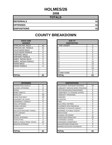# **HOLMES/26**

**2008**

| <b>TOTALS</b>       |     |
|---------------------|-----|
| <b>REFERRALS</b>    | 61  |
| <b>OFFENSES</b>     | -61 |
| <b>DISPOSITIONS</b> | 61  |

| <b>RACE AND</b><br><b>GENDER</b> |    | <b>AGE AT</b><br><b>DISPOSITION</b> |
|----------------------------------|----|-------------------------------------|
| <b>AFRICAN AM. MALE</b>          | 40 | 7 AND UNDER                         |
| AFRICAN AM. FEMALE               | 21 | 8                                   |
| <b>CAUCASIAN MALE</b>            | 0  | 9                                   |
| <b>CAUCASIAN FEMALE</b>          | 0  | 10                                  |
| <b>HISPANIC MALE</b>             | 0  | 11                                  |
| <b>HISPANIC FEMALE</b>           | 0  | 12                                  |
| <b>AMER. INDIAN MALE</b>         | 0  | 13                                  |
| AMER. INDIAN FEMALE              | 0  | 14                                  |
| <b>ASIAN MALE</b>                | 0  | 15                                  |
| <b>ASIAN FEMALE</b>              | 0  | 16                                  |
|                                  |    | 17                                  |
|                                  |    | 18                                  |
|                                  |    | 19 AND OVER                         |
| <b>TOTAL</b>                     | 61 | <b>TOTAL</b>                        |

| <b>OFFENSES</b>             |                | <b>DISPOSITIONS</b>           |
|-----------------------------|----------------|-------------------------------|
| AGGRAVATED ASSAULT          | 0              | <b>ADOLESCENT OFFENDER PR</b> |
| ALCOHOL OFFENSES            | 0              | COMMUNITY SERVICE WORK        |
| ARSON                       | 0              | CERTIFIED/WAIVED/TRANSFE      |
| <b>BOMB THREATS</b>         | 1              | COMMITMENT TO TRAINING S      |
| <b>BURGLARY</b>             | 18             | COMMUNITY PROGRAMS            |
| CHINS/ RUN AWAY             | 13             | <b>DISMISSED</b>              |
| <b>CONTEMPT OF COURT</b>    | 0              | <b>DETENTION</b>              |
| DISORDERLY CONDUCT          | 6              | FINED                         |
| <b>DRUG OFFENSES</b>        | 1              | HELD OPEN / RETIRED           |
| GRAND LARCENY               | 1              | PLACEMENT WITH INDIVIDUA      |
| <b>HARASSMENT</b>           | 0              | REFERRED TO PRIVATE AGEI      |
| MALICIOUS MISCHIEF/ VANDAL. | 0              | REFERRED TO PUBLIC AGEN       |
| PETIT LARCENY               | 3              | <b>RESTITUTION</b>            |
| <b>ROBBERY</b>              | 0              | RUNAWAY RETURNED              |
| <b>SEXUAL OFFENSES</b>      | 1              | <b>SUPERVISED PROBATION</b>   |
| <b>SHOPLIFTING</b>          | $\overline{2}$ | <b>SUSPENDED LICENSE</b>      |
| SIMPLE ASSAULT/DOM. VIOLEN  | 14             | SUSPENDED COMMITMENT          |
| <b>WEAPON OFFENSES</b>      | 1              | UNSUPERVISED PROBATION        |
|                             |                | WARNED ADJUSTED COUNSE        |
|                             |                |                               |
| <b>TOTAL</b>                | 61             | <b>TOTAL</b>                  |

| <b>RACE AND</b><br><b>GENDER</b> |          | <b>AGE AT</b><br><b>DISPOSITION</b> |                |
|----------------------------------|----------|-------------------------------------|----------------|
| AFRICAN AM. MALE                 | 40       | 7 AND UNDER                         | 0              |
| AFRICAN AM. FEMALE               | 21       | 8                                   | 0              |
| <b>CAUCASIAN MALE</b>            | 0        | 9                                   | $\mathbf 0$    |
| CAUCASIAN FEMALE                 | $\Omega$ | 10                                  | $\Omega$       |
| <b>HISPANIC MALE</b>             | $\Omega$ | 11                                  | 0              |
| <b>HISPANIC FEMALE</b>           | $\Omega$ | 12                                  | 0              |
| AMER. INDIAN MALE                | $\Omega$ | 13                                  | $\overline{4}$ |
| AMER. INDIAN FEMALE              | $\Omega$ | 14                                  | 12             |
| ASIAN MALE                       | 0        | 15                                  | 12             |
| ASIAN FEMALE                     | 0        | 16                                  | 17             |
|                                  |          | 17                                  | 13             |
|                                  |          | 18                                  | 3              |
|                                  |          | 19 AND OVER                         | $\Omega$       |
| TOTAL                            | 61       | TOTAL                               | 61             |

| <b>OFFENSES</b>             |                |
|-----------------------------|----------------|
| AGGRAVATED ASSAULT          | 0              |
| ALCOHOL OFFENSES            | 0              |
| ARSON                       | 0              |
| <b>BOMB THREATS</b>         |                |
| <b>BURGLARY</b>             | 18             |
| CHINS/ RUN AWAY             | 13             |
| CONTEMPT OF COURT           | 0              |
| DISORDERLY CONDUCT          | 6              |
| <b>DRUG OFFENSES</b>        |                |
| <b>GRAND LARCENY</b>        | 1              |
| HARASSMENT                  | 0              |
| MALICIOUS MISCHIEF/ VANDAL. | 0              |
| PETIT LARCENY               | 3              |
| ROBBERY                     | 0              |
| <b>SEXUAL OFFENSES</b>      | 1              |
| SHOPLIFTING                 | $\overline{2}$ |
| SIMPLE ASSAULT/DOM. VIOLEN  | 14             |
| WEAPON OFFENSES             | 1              |
|                             |                |
|                             |                |
| TOTAL                       | 61             |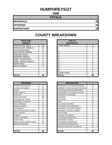# **HUMPHREYS/27**

**2008**

| <b>TOTALS</b>       |    |
|---------------------|----|
| <b>REFERRALS</b>    | 36 |
| <b>OFFENSES</b>     | 36 |
| <b>DISPOSITIONS</b> | 36 |

| <b>RACE AND</b><br><b>GENDER</b> |    |    | <b>AGE AT</b><br><b>DISPOSITION</b> |
|----------------------------------|----|----|-------------------------------------|
| <b>AFRICAN AM. MALE</b>          | 22 |    | 7 AND UNDER                         |
| AFRICAN AM. FEMALE               | 10 | 8  |                                     |
| <b>CAUCASIAN MALE</b>            | 4  | 9  |                                     |
| <b>CAUCASIAN FEMALE</b>          | 0  | 10 |                                     |
| <b>HISPANIC MALE</b>             | 0  | 11 |                                     |
| <b>HISPANIC FEMALE</b>           | 0  | 12 |                                     |
| AMER. INDIAN MALE                | 0  | 13 |                                     |
| AMER. INDIAN FEMALE              | 0  | 14 |                                     |
| <b>ASIAN MALE</b>                | 0  | 15 |                                     |
| <b>ASIAN FEMALE</b>              | 0  | 16 |                                     |
|                                  |    | 17 |                                     |
|                                  |    | 18 |                                     |
|                                  |    |    | 19 AND OVER                         |
| <b>TOTAL</b>                     | 36 |    | TOTAL                               |

| <b>OFFENSES</b>                    |                | <b>DISPOSITIONS</b>        |
|------------------------------------|----------------|----------------------------|
| <b>AGGRAVATED ASSAULT</b>          | 0              | ADOLESCENT OFFENDER PR     |
| <b>ALCOHOL OFFENSES</b>            | 0              | COMMUNITY SERVICE WORK     |
| <b>ARSON</b>                       | 0              | CERTIFIED/WAIVED/TRANSFE   |
| <b>BOMB THREATS</b>                | 0              | COMMITMENT TO TRAINING S   |
| <b>BURGLARY</b>                    | $\overline{2}$ | COMMUNITY PROGRAMS         |
| CHINS/RUN AWAY                     | 10             | <b>DISMISSED</b>           |
| CONTEMPT OF COURT                  | 0              | <b>DETENTION</b>           |
| <b>DISORDERLY CONDUCT</b>          | 1              | <b>FINED</b>               |
| <b>DRUG OFFENSES</b>               | 0              | <b>HELD OPEN / RETIRED</b> |
| <b>GRAND LARCENY</b>               | 0              | PLACEMENT WITH INDIVIDUA   |
| <b>HARASSMENT</b>                  | 0              | REFERRED TO PRIVATE AGEI   |
| <b>MALICIOUS MISCHIEF/ VANDAL.</b> | 2              | REFERRED TO PUBLIC AGEN    |
| <b>PETIT LARCENY</b>               | 5              | <b>RESTITUTION</b>         |
| <b>ROBBERY</b>                     | 0              | RUNAWAY RETURNED           |
| <b>SEXUAL OFFENSES</b>             | 3              | SUPERVISED PROBATION       |
| <b>SHOPLIFTING</b>                 | 1              | SUSPENDED LICENSE          |
| SIMPLE ASSAULT/DOM. VIOLEN         | 11             | SUSPENDED COMMITMENT       |
| <b>WEAPON OFFENSES</b>             | 1              | UNSUPERVISED PROBATION     |
|                                    |                | WARNED ADJUSTED COUNSE     |
|                                    |                |                            |
| <b>TOTAL</b>                       | 36             | <b>TOTAL</b>               |

| <b>RACE AND</b><br><b>GENDER</b> |          | <b>AGE AT</b><br><b>DISPOSITION</b> |          |
|----------------------------------|----------|-------------------------------------|----------|
| AFRICAN AM. MALE                 | 22       | 7 AND UNDER                         | $\Omega$ |
| AFRICAN AM. FEMALE               | 10       |                                     | 0        |
| <b>CAUCASIAN MALE</b>            | 4        | 9                                   |          |
| CAUCASIAN FEMALE                 | $\Omega$ | 10                                  |          |
| <b>HISPANIC MALE</b>             | 0        | 11                                  | 4        |
| <b>HISPANIC FEMALE</b>           | $\Omega$ | 12                                  | 2        |
| AMER. INDIAN MALE                | $\Omega$ | 13                                  |          |
| AMER. INDIAN FEMALE              | 0        | 14                                  | 9        |
| ASIAN MALE                       | 0        | 15                                  | 8        |
| ASIAN FEMALE                     | 0        | 16                                  | 7        |
|                                  |          | 17                                  | 6        |
|                                  |          | 18                                  | 0        |
|                                  |          | 19 AND OVER                         | $\Omega$ |
| <b>TOTAL</b>                     | 36       | TOTAL                               | 36       |

| <b>OFFENSES</b>             |                |
|-----------------------------|----------------|
| AGGRAVATED ASSAULT          | 0              |
| ALCOHOL OFFENSES            | 0              |
| ARSON                       | 0              |
| <b>BOMB THREATS</b>         | 0              |
| <b>BURGLARY</b>             | $\overline{2}$ |
| CHINS/ RUN AWAY             | 10             |
| CONTEMPT OF COURT           | 0              |
| DISORDERLY CONDUCT          |                |
| <b>DRUG OFFENSES</b>        | 0              |
| <b>GRAND LARCENY</b>        | 0              |
| HARASSMENT                  | 0              |
| MALICIOUS MISCHIEF/ VANDAL. | 2              |
| PETIT LARCENY               | 5              |
| ROBBERY                     | $\Omega$       |
| <b>SEXUAL OFFENSES</b>      | 3              |
| SHOPLIFTING                 |                |
| SIMPLE ASSAULT/DOM. VIOLEN  | 11             |
| <b>WEAPON OFFENSES</b>      |                |
|                             |                |
|                             |                |
| TOTAL                       | 36             |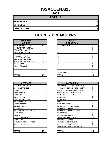# **ISSAQUENA/28**

**2008**

| <b>TOTALS</b>       |    |
|---------------------|----|
| <b>REFERRALS</b>    | 15 |
| <b>OFFENSES</b>     | 15 |
| <b>DISPOSITIONS</b> | 15 |

| <b>RACE AND</b><br><b>GENDER</b> |    | <b>AGE AT</b><br><b>DISPOSITION</b> |
|----------------------------------|----|-------------------------------------|
| AFRICAN AM. MALE                 | 12 | <b>7 AND UNDER</b>                  |
| AFRICAN AM. FEMALE               | 3  | 8                                   |
| <b>CAUCASIAN MALE</b>            | 0  | 9                                   |
| <b>CAUCASIAN FEMALE</b>          | 0  | 10                                  |
| <b>HISPANIC MALE</b>             | 0  | 11                                  |
| <b>HISPANIC FEMALE</b>           | 0  | 12                                  |
| <b>AMER. INDIAN MALE</b>         | 0  | 13                                  |
| AMER. INDIAN FEMALE              | 0  | 14                                  |
| <b>ASIAN MALE</b>                | 0  | 15                                  |
| ASIAN FEMALE                     | 0  | 16                                  |
|                                  |    | 17                                  |
|                                  |    | 18                                  |
|                                  |    | 19 AND OVER                         |
| <b>TOTAL</b>                     | 15 | TOTAL                               |

| <b>OFFENSES</b>                    |    | <b>DISPOSITIONS</b>      |
|------------------------------------|----|--------------------------|
| AGGRAVATED ASSAULT                 | 0  | ADOLESCENT OFFENDER PR   |
| ALCOHOL OFFENSES                   | 0  | COMMUNITY SERVICE WORK   |
| <b>ARSON</b>                       | 0  | CERTIFIED/WAIVED/TRANSFE |
| <b>BOMB THREATS</b>                | 0  | COMMITMENT TO TRAINING S |
| <b>BURGLARY</b>                    | 0  | COMMUNITY PROGRAMS       |
| CHINS/ RUN AWAY                    | 7  | <b>DISMISSED</b>         |
| CONTEMPT OF COURT                  | 0  | <b>DETENTION</b>         |
| DISORDERLY CONDUCT                 | 4  | <b>FINED</b>             |
| <b>DRUG OFFENSES</b>               | 0  | HELD OPEN / RETIRED      |
| <b>GRAND LARCENY</b>               | 0  | PLACEMENT WITH INDIVIDUA |
| <b>HARASSMENT</b>                  | 0  | REFERRED TO PRIVATE AGEI |
| <b>MALICIOUS MISCHIEF/ VANDAL.</b> | 1  | REFERRED TO PUBLIC AGEN  |
| <b>PETIT LARCENY</b>               | 0  | RESTITUTION              |
| <b>ROBBERY</b>                     | 0  | RUNAWAY RETURNED         |
| <b>SEXUAL OFFENSES</b>             | 0  | SUPERVISED PROBATION     |
| <b>SHOPLIFTING</b>                 | 0  | SUSPENDED LICENSE        |
| SIMPLE ASSAULT/DOM. VIOLEN         | 3  | SUSPENDED COMMITMENT     |
| <b>WEAPON OFFENSES</b>             | 0  | UNSUPERVISED PROBATION   |
|                                    |    | WARNED ADJUSTED COUNSE   |
|                                    |    |                          |
| <b>TOTAL</b>                       | 15 | TOTAL                    |

| <b>RACE AND</b><br><b>GENDER</b> |          | <b>AGE AT</b><br><b>DISPOSITION</b> |          |
|----------------------------------|----------|-------------------------------------|----------|
| AFRICAN AM. MALE                 | 12       | <b>7 AND UNDER</b>                  | 0        |
| AFRICAN AM. FEMALE               | 3        | o                                   | $\Omega$ |
| <b>CAUCASIAN MALE</b>            | 0        | 9                                   | 0        |
| <b>CAUCASIAN FEMALE</b>          | $\Omega$ | 10                                  | 0        |
| <b>HISPANIC MALE</b>             | $\Omega$ | 11                                  | 0        |
| <b>HISPANIC FEMALE</b>           | $\Omega$ | 12                                  | $\Omega$ |
| AMER. INDIAN MALE                | $\Omega$ | 13                                  | $\Omega$ |
| AMER. INDIAN FEMALE              | $\Omega$ | 14                                  |          |
| ASIAN MALE                       | 0        | 15                                  | 5        |
| ASIAN FEMALE                     | 0        | 16                                  | 9        |
|                                  |          | 17                                  | 0        |
|                                  |          | 18                                  | $\Omega$ |
|                                  |          | 19 AND OVER                         | $\Omega$ |
| TOTAL                            | 15       | TOTAL                               | 15       |

| <b>OFFENSES</b>             |          |
|-----------------------------|----------|
| AGGRAVATED ASSAULT          | $\Omega$ |
| ALCOHOL OFFENSES            | 0        |
| ARSON                       | 0        |
| <b>BOMB THREATS</b>         | 0        |
| <b>BURGLARY</b>             | 0        |
| CHINS/ RUN AWAY             | 7        |
| CONTEMPT OF COURT           | 0        |
| DISORDERLY CONDUCT          | 4        |
| <b>DRUG OFFENSES</b>        | 0        |
| <b>GRAND LARCENY</b>        | $\Omega$ |
| HARASSMENT                  | 0        |
| MALICIOUS MISCHIEF/ VANDAL. | 1        |
| PETIT LARCENY               | 0        |
| <b>ROBBERY</b>              | 0        |
| <b>SEXUAL OFFENSES</b>      | 0        |
| SHOPLIFTING                 | 0        |
| SIMPLE ASSAULT/DOM. VIOLEN  | 3        |
| WEAPON OFFENSES             | $\Omega$ |
|                             |          |
|                             |          |
| <b>TOTAL</b>                | 15       |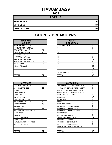# **ITAWAMBA/29**

**2008**

| <b>TOTALS</b>       |    |
|---------------------|----|
| <b>REFERRALS</b>    | 97 |
| <b>OFFENSES</b>     | 97 |
| <b>DISPOSITIONS</b> | 97 |

| <b>RACE AND</b><br><b>GENDER</b> |    | <b>AGE AT</b><br><b>DISPOSITION</b> |
|----------------------------------|----|-------------------------------------|
| AFRICAN AM. MALE                 | 8  | <b>7 AND UNDER</b>                  |
| AFRICAN AM. FEMALE               | 3  | 8                                   |
| <b>CAUCASIAN MALE</b>            | 57 | 9                                   |
| <b>CAUCASIAN FEMALE</b>          | 28 | 10                                  |
| <b>HISPANIC MALE</b>             |    | 11                                  |
| <b>HISPANIC FEMALE</b>           | 0  | 12                                  |
| <b>AMER. INDIAN MALE</b>         | 0  | 13                                  |
| AMER. INDIAN FEMALE              | 0  | 14                                  |
| <b>ASIAN MALE</b>                | 0  | 15                                  |
| ASIAN FEMALE                     | 0  | 16                                  |
|                                  |    | 17                                  |
|                                  |    | 18                                  |
|                                  |    | 19 AND OVER                         |
| <b>TOTAL</b>                     | 97 | TOTAL                               |

| <b>OFFENSES</b>             |                | <b>DISPOSITIONS</b>            |          |  |  |  |
|-----------------------------|----------------|--------------------------------|----------|--|--|--|
| AGGRAVATED ASSAULT          | 0              | ADOLESCENT OFFENDER PROGRAM    | 27       |  |  |  |
| ALCOHOL OFFENSES            | 11             | COMMUNITY SERVICE WORK PROGRAM | ∩        |  |  |  |
| ARSON                       | 0              | CERTIFIED/WAIVED/TRANSFERRED   | 1        |  |  |  |
| <b>BOMB THREATS</b>         | 0              | COMMITMENT TO TRAINING SCHOOL  | 1        |  |  |  |
| BURGLARY                    | 4              | <b>COMMUNITY PROGRAMS</b>      | $\Omega$ |  |  |  |
| CHINS/ RUN AWAY             | 4              | <b>DISMISSED</b>               | 17       |  |  |  |
| CONTEMPT OF COURT           | 0              | <b>DETENTION</b>               | 0        |  |  |  |
| DISORDERLY CONDUCT          | 26             | <b>FINFD</b>                   | $\Omega$ |  |  |  |
| <b>DRUG OFFENSES</b>        | 15             | <b>HELD OPEN / RETIRED</b>     | 5        |  |  |  |
| GRAND LARCENY               | 3              | PLACEMENT WITH INDIVIDUAL      | $\Omega$ |  |  |  |
| HARASSMENT                  | 11             | REFERRED TO PRIVATE AGENCY     | 0        |  |  |  |
| MALICIOUS MISCHIEF/ VANDAL. | 7              | REFERRED TO PUBLIC AGENCY      | 0        |  |  |  |
| PETIT LARCENY               | 1              | <b>RESTITUTION</b>             | 1        |  |  |  |
| <b>ROBBERY</b>              | $\Omega$       | <b>RUNAWAY RETURNED</b>        | $\Omega$ |  |  |  |
| <b>SEXUAL OFFENSES</b>      | $\overline{2}$ | SUPERVISED PROBATION           | 25       |  |  |  |
| SHOPLIFTING                 | 3              | <b>SUSPENDED LICENSE</b>       | 0        |  |  |  |
| SIMPLE ASSAULT/DOM. VIOLEN  | 9              | <b>SUSPENDED COMMITMENT</b>    | $\Omega$ |  |  |  |
| WEAPON OFFENSES             | 1              | UNSUPERVISED PROBATION         | 3        |  |  |  |
|                             |                | WARNED ADJUSTED COUNSELED      | 17       |  |  |  |
| ΤΟΤΑΙ                       | 97             | ΙΤΟΤΑΙ                         | 97       |  |  |  |

| <b>RACE AND</b><br><b>GENDER</b> |          | <b>AGE AT</b><br><b>DISPOSITION</b> |          |
|----------------------------------|----------|-------------------------------------|----------|
| AFRICAN AM. MALE                 | 8        | <b>7 AND UNDER</b>                  | 0        |
| AFRICAN AM. FEMALE               | 3        | o                                   | $\Omega$ |
| <b>CAUCASIAN MALE</b>            | 57       | 9                                   |          |
| <b>CAUCASIAN FEMALE</b>          | 28       | 10                                  |          |
| <b>HISPANIC MALE</b>             |          | 11                                  | 3        |
| <b>HISPANIC FEMALE</b>           | $\Omega$ | 12                                  | 3        |
| AMER. INDIAN MALE                | $\Omega$ | 13                                  | 13       |
| AMER. INDIAN FEMALE              | $\Omega$ | 14                                  | 8        |
| ASIAN MALE                       | $\Omega$ | 15                                  | 15       |
| ASIAN FEMALE                     | 0        | 16                                  | 28       |
|                                  |          | 17                                  | 25       |
|                                  |          | 18                                  | 0        |
|                                  |          | 19 AND OVER                         | 0        |
| <b>TOTAL</b>                     | 97       | TOTAL                               | 97       |

| <b>OFFENSES</b>             |                | <b>DISPOSITIONS</b>            |          |
|-----------------------------|----------------|--------------------------------|----------|
| AGGRAVATED ASSAULT          | 0              | ADOLESCENT OFFENDER PROGRAM    | 27       |
| ALCOHOL OFFENSES            | 11             | COMMUNITY SERVICE WORK PROGRAM | 0        |
| ARSON                       | 0              | CERTIFIED/WAIVED/TRANSFERRED   | 1        |
| <b>BOMB THREATS</b>         | 0              | COMMITMENT TO TRAINING SCHOOL  | 1        |
| <b>BURGLARY</b>             | 4              | <b>COMMUNITY PROGRAMS</b>      | $\Omega$ |
| CHINS/ RUN AWAY             | 4              | <b>DISMISSED</b>               | 17       |
| CONTEMPT OF COURT           | 0              | <b>DETENTION</b>               | 0        |
| DISORDERLY CONDUCT          | 26             | <b>FINED</b>                   | 0        |
| <b>DRUG OFFENSES</b>        | 15             | <b>HELD OPEN / RETIRED</b>     | 5        |
| GRAND LARCENY               | 3              | PLACEMENT WITH INDIVIDUAL      | 0        |
| HARASSMENT                  | 11             | REFERRED TO PRIVATE AGENCY     | 0        |
| MALICIOUS MISCHIEF/ VANDAL. |                | REFERRED TO PUBLIC AGENCY      | 0        |
| PETIT LARCENY               | 1              | <b>RESTITUTION</b>             | 1        |
| <b>ROBBERY</b>              | 0              | RUNAWAY RETURNED               | $\Omega$ |
| <b>SEXUAL OFFENSES</b>      | $\overline{2}$ | <b>SUPERVISED PROBATION</b>    | 25       |
| SHOPLIFTING                 | 3              | SUSPENDED LICENSE              | 0        |
| SIMPLE ASSAULT/DOM. VIOLEN  | 9              | SUSPENDED COMMITMENT           | $\Omega$ |
| WEAPON OFFENSES             | 1              | UNSUPERVISED PROBATION         | 3        |
|                             |                | WARNED ADJUSTED COUNSELED      | 17       |
| TOTAL                       | 97             | <b>TOTAL</b>                   | 97       |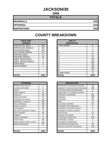# **JACKSON/30**

**2008**

| <b>TOTALS</b>       |      |
|---------------------|------|
| <b>REFERRALS</b>    | 1032 |
| <b>OFFENSES</b>     | 1032 |
| <b>DISPOSITIONS</b> | 1032 |

| <b>RACE AND</b><br><b>GENDER</b> |                | <b>AGE AT</b><br><b>DISPOSITION</b> |
|----------------------------------|----------------|-------------------------------------|
| AFRICAN AM. MALE                 | 405            | <b>7 AND UNDER</b>                  |
| AFRICAN AM. FEMALE               | 155            | 8                                   |
| <b>CAUCASIAN MALE</b>            | 321            | 9                                   |
| <b>CAUCASIAN FEMALE</b>          | 117            | 10                                  |
| <b>HISPANIC MALE</b>             | 14             | 11                                  |
| <b>HISPANIC FEMALE</b>           | 10             | 12                                  |
| AMER. INDIAN MALE                | $\overline{2}$ | 13                                  |
| AMER. INDIAN FEMALE              |                | 14                                  |
| <b>ASIAN MALE</b>                | 6              | 15                                  |
| IASIAN FEMALE                    | 1              | 16                                  |
|                                  |                | 17                                  |
|                                  |                | 18                                  |
|                                  |                | 19 AND OVER                         |
| <b>TOTAL</b>                     | 1032           | <b>TOTAL</b>                        |

| שיות שטחיו<br><b>GENDER</b> |                | <b>AVL AI</b><br><b>DISPOSITION</b> |          |
|-----------------------------|----------------|-------------------------------------|----------|
| AFRICAN AM. MALE            | 405            | 7 AND UNDER                         | $\Omega$ |
| AFRICAN AM. FEMALE          | 155            |                                     |          |
| <b>CAUCASIAN MALE</b>       | 321            | 9                                   | 0        |
| CAUCASIAN FEMALE            | 117            | 10                                  | 17       |
| <b>HISPANIC MALE</b>        | 14             | 11                                  | 37       |
| <b>HISPANIC FEMALE</b>      | 10             | 12                                  | 71       |
| AMER. INDIAN MALE           | $\overline{2}$ | 13                                  | 123      |
| AMER. INDIAN FEMALE         |                | 14                                  | 190      |
| ASIAN MALE                  | 6              | 15                                  | 211      |
| ASIAN FEMALE                |                | 16                                  | 208      |
|                             |                | 17                                  | 162      |
|                             |                | 18                                  | 12       |
|                             |                | 19 AND OVER                         | 0        |
| TOTAL                       | 1032           | <b>TOTAL</b>                        | 1032     |

| <b>OFFENSES</b>                    |      | <b>DISPOSITIONS</b>             |
|------------------------------------|------|---------------------------------|
| AGGRAVATED ASSAULT                 | 1    | <b>ADOLESCENT OFFENDER PR</b>   |
| <b>ALCOHOL OFFENSES</b>            | 7    | <b>COMMUNITY SERVICE WORK</b>   |
| <b>ARSON</b>                       | 0    | CERTIFIED/WAIVED/TRANSFE        |
| <b>BOMB THREATS</b>                | 11   | <b>COMMITMENT TO TRAINING S</b> |
| <b>BURGLARY</b>                    | 46   | <b>COMMUNITY PROGRAMS</b>       |
| CHINS/RUN AWAY                     | 74   | <b>DISMISSED</b>                |
| ICONTEMPT OF COURT                 | 33   | <b>DETENTION</b>                |
| <b>DISORDERLY CONDUCT</b>          | 411  | <b>FINED</b>                    |
| <b>DRUG OFFENSES</b>               | 103  | <b>HELD OPEN / RETIRED</b>      |
| <b>GRAND LARCENY</b>               | 29   | PLACEMENT WITH INDIVIDUA        |
| <b>HARASSMENT</b>                  | 16   | <b>REFERRED TO PRIVATE AGEI</b> |
| <b>MALICIOUS MISCHIEF/ VANDAL.</b> | 72   | <b>REFERRED TO PUBLIC AGEN</b>  |
| PETIT LARCENY                      | 33   | <b>RESTITUTION</b>              |
| <b>ROBBERY</b>                     | 1    | <b>RUNAWAY RETURNED</b>         |
| <b>SEXUAL OFFENSES</b>             | 5    | SUPERVISED PROBATION            |
| <b>SHOPLIFTING</b>                 | 39   | <b>SUSPENDED LICENSE</b>        |
| SIMPLE ASSAULT/DOM. VIOLEN         | 131  | <b>SUSPENDED COMMITMENT</b>     |
| <b>WEAPON OFFENSES</b>             | 20   | UNSUPERVISED PROBATION          |
|                                    |      | <b>WARNED ADJUSTED COUNSE</b>   |
|                                    |      |                                 |
| <b>TOTAL</b>                       | 1032 | <b>TOTAL</b>                    |

| <b>OFFENSES</b>             |      | <b>DISPOSITIONS</b>            |          |
|-----------------------------|------|--------------------------------|----------|
| AGGRAVATED ASSAULT          |      | ADOLESCENT OFFENDER PROGRAM    | 49       |
| ALCOHOL OFFENSES            | 7    | COMMUNITY SERVICE WORK PROGRAM | 108      |
| ARSON                       | 0    | CERTIFIED/WAIVED/TRANSFERRED   | 0        |
| <b>BOMB THREATS</b>         | 11   | COMMITMENT TO TRAINING SCHOOL  | 7        |
| BURGLARY                    | 46   | COMMUNITY PROGRAMS             | 201      |
| CHINS/ RUN AWAY             | 74   | <b>DISMISSED</b>               | 132      |
| CONTEMPT OF COURT           | 33   | <b>DETENTION</b>               | 50       |
| DISORDERLY CONDUCT          | 411  | <b>FINED</b>                   | 8        |
| <b>DRUG OFFENSES</b>        | 103  | HELD OPEN / RETIRED            | 67       |
| <b>GRAND LARCENY</b>        | 29   | PLACEMENT WITH INDIVIDUAL      | 5        |
| HARASSMENT                  | 16   | REFERRED TO PRIVATE AGENCY     | 6        |
| MALICIOUS MISCHIEF/ VANDAL. | 72   | REFERRED TO PUBLIC AGENCY      | 4        |
| PETIT LARCENY               | 33   | <b>RESTITUTION</b>             | 11       |
| <b>ROBBERY</b>              |      | RUNAWAY RETURNED               | 2        |
| <b>SEXUAL OFFENSES</b>      | 5    | <b>SUPERVISED PROBATION</b>    | 219      |
| SHOPLIFTING                 | 39   | <b>SUSPENDED LICENSE</b>       | 0        |
| SIMPLE ASSAULT/DOM. VIOLEN  | 131  | SUSPENDED COMMITMENT           | $\Omega$ |
| <b>WEAPON OFFENSES</b>      | 20   | UNSUPERVISED PROBATION         | 24       |
|                             |      | WARNED ADJUSTED COUNSELED      | 139      |
|                             |      |                                |          |
| TOTAL                       | 1032 | <b>TOTAL</b>                   | 1032     |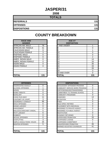# **JASPER/31**

**2008**

| <b>TOTALS</b>       |     |
|---------------------|-----|
| <b>REFERRALS</b>    | 131 |
| <b>OFFENSES</b>     | 131 |
| <b>DISPOSITIONS</b> | 131 |

| <b>RACE AND</b><br><b>GENDER</b> |     | <b>AGE AT</b><br><b>DISPOSITION</b> |
|----------------------------------|-----|-------------------------------------|
| <b>AFRICAN AM. MALE</b>          | 78  | <b>7 AND UNDER</b>                  |
| AFRICAN AM. FEMALE               | 41  | 8                                   |
| <b>CAUCASIAN MALE</b>            | 9   | 9                                   |
| <b>CAUCASIAN FEMALE</b>          | 3   | 10                                  |
| <b>HISPANIC MALE</b>             | 0   | 11                                  |
| <b>HISPANIC FEMALE</b>           | 0   | 12                                  |
| <b>AMER. INDIAN MALE</b>         | 0   | 13                                  |
| AMER. INDIAN FEMALE              | 0   | 14                                  |
| <b>ASIAN MALE</b>                | 0   | 15                                  |
| ASIAN FEMALE                     | 0   | 16                                  |
|                                  |     | 17                                  |
|                                  |     | 18                                  |
|                                  |     | 19 AND OVER                         |
| <b>TOTAL</b>                     | 131 | ΤΟΤΑL                               |

| <b>RACE AND</b><br><b>GENDER</b> |          | <b>AGE AT</b><br><b>DISPOSITION</b> |                |
|----------------------------------|----------|-------------------------------------|----------------|
| AFRICAN AM. MALE                 | 78       | 7 AND UNDER                         |                |
| AFRICAN AM. FEMALE               | 41       | 8                                   | $\Omega$       |
| <b>CAUCASIAN MALE</b>            | 9        | 9                                   |                |
| <b>CAUCASIAN FEMALE</b>          | 3        | 10                                  | 0              |
| HISPANIC MALE                    | $\Omega$ | 11                                  | $\Omega$       |
| <b>HISPANIC FEMALE</b>           | $\Omega$ | 12                                  | $\overline{2}$ |
| AMER. INDIAN MALE                | $\Omega$ | 13                                  | 14             |
| AMER. INDIAN FEMALE              | 0        | 14                                  | 16             |
| ASIAN MALE                       | 0        | 15                                  | 35             |
| ASIAN FEMALE                     | 0        | 16                                  | 33             |
|                                  |          | 17                                  | 26             |
|                                  |          | 18                                  | 3              |
|                                  |          | 19 AND OVER                         | $\Omega$       |
| <b>TOTAL</b>                     | 131      | <b>TOTAL</b>                        | 131            |

| <b>OFFENSES</b>                    |     | <b>DISPOSITIONS</b>           |
|------------------------------------|-----|-------------------------------|
| <b>AGGRAVATED ASSAULT</b>          | 0   | <b>ADOLESCENT OFFENDER PR</b> |
| <b>ALCOHOL OFFENSES</b>            | 1   | COMMUNITY SERVICE WORK        |
| <b>ARSON</b>                       | 0   | CERTIFIED/WAIVED/TRANSFE      |
| <b>BOMB THREATS</b>                | 0   | COMMITMENT TO TRAINING S      |
| <b>BURGLARY</b>                    | 0   | COMMUNITY PROGRAMS            |
| CHINS/ RUN AWAY                    | 11  | <b>DISMISSED</b>              |
| <b>CONTEMPT OF COURT</b>           | 3   | <b>DETENTION</b>              |
| <b>DISORDERLY CONDUCT</b>          | 66  | <b>FINED</b>                  |
| <b>DRUG OFFENSES</b>               | 6   | <b>HELD OPEN / RETIRED</b>    |
| <b>GRAND LARCENY</b>               | 0   | PLACEMENT WITH INDIVIDUA      |
| <b>HARASSMENT</b>                  | 0   | REFERRED TO PRIVATE AGEI      |
| <b>MALICIOUS MISCHIEF/ VANDAL.</b> | 5   | REFERRED TO PUBLIC AGEN       |
| <b>PETIT LARCENY</b>               | 6   | <b>RESTITUTION</b>            |
| <b>ROBBERY</b>                     | 0   | RUNAWAY RETURNED              |
| <b>SEXUAL OFFENSES</b>             | 0   | SUPERVISED PROBATION          |
| <b>SHOPLIFTING</b>                 | 3   | SUSPENDED LICENSE             |
| SIMPLE ASSAULT/DOM. VIOLEN         | 25  | SUSPENDED COMMITMENT          |
| <b>WEAPON OFFENSES</b>             | 5   | UNSUPERVISED PROBATION        |
|                                    |     | <b>WARNED ADJUSTED COUNSE</b> |
|                                    |     |                               |
| <b>TOTAL</b>                       | 131 | <b>TOTAL</b>                  |

| <b>OFFENSES</b>             |          | <b>DISPOSITIONS</b>            |          |
|-----------------------------|----------|--------------------------------|----------|
| AGGRAVATED ASSAULT          | $\Omega$ | ADOLESCENT OFFENDER PROGRAM    | $\Omega$ |
| ALCOHOL OFFENSES            |          | COMMUNITY SERVICE WORK PROGRAM | 0        |
| ARSON                       | 0        | CERTIFIED/WAIVED/TRANSFERRED   | 1        |
| <b>BOMB THREATS</b>         | 0        | COMMITMENT TO TRAINING SCHOOL  | 5        |
| <b>BURGLARY</b>             | 0        | COMMUNITY PROGRAMS             | 0        |
| CHINS/ RUN AWAY             | 11       | <b>DISMISSED</b>               | 14       |
| CONTEMPT OF COURT           | 3        | <b>DETENTION</b>               | 0        |
| DISORDERLY CONDUCT          | 66       | <b>FINED</b>                   | 0        |
| DRUG OFFENSES               | 6        | HELD OPEN / RETIRED            | 0        |
| GRAND LARCENY               | 0        | PLACEMENT WITH INDIVIDUAL      | 0        |
| HARASSMENT                  | 0        | REFERRED TO PRIVATE AGENCY     | 0        |
| MALICIOUS MISCHIEF/ VANDAL. | 5        | REFERRED TO PUBLIC AGENCY      | 1        |
| PETIT LARCENY               | 6        | <b>RESTITUTION</b>             | 0        |
| <b>ROBBERY</b>              | 0        | RUNAWAY RETURNED               | $\Omega$ |
| <b>SEXUAL OFFENSES</b>      | 0        | SUPERVISED PROBATION           | 33       |
| SHOPLIFTING                 | 3        | <b>SUSPENDED LICENSE</b>       | 0        |
| SIMPLE ASSAULT/DOM. VIOLEN  | 25       | SUSPENDED COMMITMENT           |          |
| WEAPON OFFENSES             | 5        | UNSUPERVISED PROBATION         | 35       |
|                             |          | WARNED ADJUSTED COUNSELED      | 41       |
| TOTAL                       | 131      | <b>TOTAL</b>                   | 131      |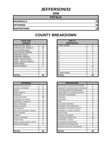# **JEFFERSON/32**

**2008**

| <b>TOTALS</b>       |    |
|---------------------|----|
| <b>REFERRALS</b>    | 32 |
| <b>OFFENSES</b>     | 32 |
| <b>DISPOSITIONS</b> | 32 |

| <b>RACE AND</b><br><b>GENDER</b> |    | <b>AGE AT</b><br><b>DISPOSITION</b> |
|----------------------------------|----|-------------------------------------|
| <b>AFRICAN AM. MALE</b>          | 17 | <b>7 AND UNDER</b>                  |
| AFRICAN AM. FEMALE               | 15 | 8                                   |
| <b>CAUCASIAN MALE</b>            | 0  | 9                                   |
| <b>CAUCASIAN FEMALE</b>          | 0  | 10                                  |
| <b>HISPANIC MALE</b>             | 0  | 11                                  |
| <b>HISPANIC FEMALE</b>           | 0  | 12                                  |
| AMER. INDIAN MALE                | 0  | 13                                  |
| AMER. INDIAN FEMALE              | 0  | 14                                  |
| <b>ASIAN MALE</b>                | 0  | 15                                  |
| ASIAN FEMALE                     | 0  | 16                                  |
|                                  |    | 17                                  |
|                                  |    | 18                                  |
|                                  |    | 19 AND OVER                         |
| <b>TOTAL</b>                     | 32 | TOTAL                               |

| <b>OFFENSES</b>             |                | <b>DISPOSITIONS</b>      |
|-----------------------------|----------------|--------------------------|
| <b>AGGRAVATED ASSAULT</b>   | 0              | ADOLESCENT OFFENDER PR   |
| <b>ALCOHOL OFFENSES</b>     | 0              | COMMUNITY SERVICE WORK   |
| ARSON                       | 0              | CERTIFIED/WAIVED/TRANSFE |
| <b>BOMB THREATS</b>         | 0              | COMMITMENT TO TRAINING S |
| <b>BURGLARY</b>             | 1              | COMMUNITY PROGRAMS       |
| CHINS/ RUN AWAY             | 19             | <b>DISMISSED</b>         |
| <b>CONTEMPT OF COURT</b>    | 0              | <b>DETENTION</b>         |
| <b>DISORDERLY CONDUCT</b>   | 8              | <b>FINED</b>             |
| <b>DRUG OFFENSES</b>        | 0              | HELD OPEN / RETIRED      |
| <b>GRAND LARCENY</b>        | 0              | PLACEMENT WITH INDIVIDUA |
| <b>HARASSMENT</b>           | 0              | REFERRED TO PRIVATE AGEI |
| MALICIOUS MISCHIEF/ VANDAL. | 0              | REFERRED TO PUBLIC AGEN  |
| PETIT LARCENY               | 0              | RESTITUTION              |
| <b>ROBBERY</b>              | 0              | RUNAWAY RETURNED         |
| SEXUAL OFFENSES             | 0              | SUPERVISED PROBATION     |
| <b>SHOPLIFTING</b>          | 0              | SUSPENDED LICENSE        |
| SIMPLE ASSAULT/DOM. VIOLEN  | $\overline{2}$ | SUSPENDED COMMITMENT     |
| <b>WEAPON OFFENSES</b>      | $\overline{2}$ | UNSUPERVISED PROBATION   |
|                             |                | WARNED ADJUSTED COUNSE   |
|                             |                |                          |
| <b>TOTAL</b>                | 32             | TOTAL                    |

| <b>RACE AND</b><br><b>GENDER</b> |          | <b>AGE AT</b><br><b>DISPOSITION</b> |          |
|----------------------------------|----------|-------------------------------------|----------|
| AFRICAN AM. MALE                 | 17       | 7 AND UNDER                         | 0        |
| AFRICAN AM. FEMALE               | 15       | ö                                   | 0        |
| <b>CAUCASIAN MALE</b>            | $\Omega$ | 9                                   | 0        |
| <b>CAUCASIAN FEMALE</b>          | $\Omega$ | 10                                  | 0        |
| <b>HISPANIC MALE</b>             | $\Omega$ | 11                                  |          |
| <b>HISPANIC FEMALE</b>           | $\Omega$ | 12                                  |          |
| AMER. INDIAN MALE                | $\Omega$ | 13                                  |          |
| AMER. INDIAN FEMALE              | $\Omega$ | 14                                  | 8        |
| ASIAN MALE                       | $\Omega$ | 15                                  | 7        |
| <b>ASIAN FEMALE</b>              | $\Omega$ | 16                                  | 10       |
|                                  |          | 17                                  | 4        |
|                                  |          | 18                                  | $\Omega$ |
|                                  |          | 19 AND OVER                         | $\Omega$ |
| <b>TOTAL</b>                     | 32       | TOTAL                               | 32       |

| <b>OFFENSES</b>             |                |
|-----------------------------|----------------|
| AGGRAVATED ASSAULT          | 0              |
| ALCOHOL OFFENSES            | 0              |
| ARSON                       | 0              |
| <b>BOMB THREATS</b>         | 0              |
| <b>BURGLARY</b>             | 1              |
| CHINS/ RUN AWAY             | 19             |
| CONTEMPT OF COURT           | $\Omega$       |
| DISORDERLY CONDUCT          | 8              |
| DRUG OFFENSES               | 0              |
| <b>GRAND LARCENY</b>        | 0              |
| HARASSMENT                  | 0              |
| MALICIOUS MISCHIEF/ VANDAL. | $\Omega$       |
| PETIT LARCENY               | 0              |
| <b>ROBBERY</b>              | 0              |
| <b>SEXUAL OFFENSES</b>      | 0              |
| SHOPLIFTING                 | $\Omega$       |
| SIMPLE ASSAULT/DOM. VIOLEN  | $\overline{2}$ |
| <b>WEAPON OFFENSES</b>      | 2              |
|                             |                |
| TOTAL                       | 32             |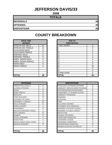# **JEFFERSON DAVIS/33**

**2008**

| <b>TOTALS</b>       |    |
|---------------------|----|
| <b>REFERRALS</b>    | 40 |
| <b>OFFENSES</b>     | 40 |
| <b>DISPOSITIONS</b> | 40 |

| <b>RACE AND</b><br><b>GENDER</b> |    | <b>AGE AT</b><br><b>DISPOSITION</b> |
|----------------------------------|----|-------------------------------------|
| <b>AFRICAN AM. MALE</b>          | 21 | 7 AND UNDER                         |
| AFRICAN AM. FEMALE               | 11 | 8                                   |
| <b>CAUCASIAN MALE</b>            | 8  | 9                                   |
| <b>CAUCASIAN FEMALE</b>          | 0  | 10                                  |
| <b>HISPANIC MALE</b>             | 0  | 11                                  |
| <b>HISPANIC FEMALE</b>           | 0  | 12                                  |
| AMER. INDIAN MALE                | 0  | 13                                  |
| AMER. INDIAN FEMALE              | 0  | 14                                  |
| <b>ASIAN MALE</b>                | 0  | 15                                  |
| <b>ASIAN FEMALE</b>              | 0  | 16                                  |
|                                  |    | 17                                  |
|                                  |    | 18                                  |
|                                  |    | <b>19 AND OVER</b>                  |
| <b>TOTAL</b>                     | 40 | <b>TOTAL</b>                        |

|                             |              | I O                               | U.          |
|-----------------------------|--------------|-----------------------------------|-------------|
|                             |              | 19 AND OVER                       | $\Omega$    |
| <b>TOTAL</b>                | 40           | <b>TOTAL</b>                      | 40          |
|                             |              |                                   |             |
|                             |              |                                   |             |
| <b>OFFENSES</b>             |              | <b>DISPOSITIONS</b>               |             |
| AGGRAVATED ASSAULT          | 0            | ADOLESCENT OFFENDER PROGRAM       | 0           |
| ALCOHOL OFFENSES            | 1            | COMMUNITY SERVICE WORK PROGRAM    | $\Omega$    |
| ARSON                       | 0            | CERTIFIED/WAIVED/TRANSFERRED      | 0           |
| <b>BOMB THREATS</b>         | $\Omega$     | COMMITMENT TO TRAINING SCHOOL     | 1           |
| BURGLARY                    | 6            | <b>COMMUNITY PROGRAMS</b>         | 0           |
| CHINS/ RUN AWAY             | 0            | <b>DISMISSED</b>                  | 1           |
| CONTEMPT OF COURT           | 1            | <b>DETENTION</b>                  | $\Omega$    |
| DISORDERLY CONDUCT          | 27           | FINED                             | $\Omega$    |
| DRUG OFFENSES               | $\Omega$     | <b>HELD OPEN / RETIRED</b>        | 0           |
| <b>GRAND LARCENY</b>        | 1            | PLACEMENT WITH INDIVIDUAL         | 0           |
| <b>HARASSMENT</b>           | $\Omega$     | <b>REFERRED TO PRIVATE AGENCY</b> | $\Omega$    |
| MALICIOUS MISCHIEF/ VANDAL. | 1            | REFERRED TO PUBLIC AGENCY         | 0           |
| PETIT LARCENY               | 0            | <b>RESTITUTION</b>                | 0           |
| ROBBERY                     | $\mathbf{0}$ | <b>RUNAWAY RETURNED</b>           | $\mathbf 0$ |
| <b>SEXUAL OFFENSES</b>      | 1            | SUPERVISED PROBATION              | 37          |
| SHOPLIFTING                 | 1            | <b>SUSPENDED LICENSE</b>          | $\Omega$    |
| SIMPLE ASSAULT/DOM. VIOLEN  | 1            | SUSPENDED COMMITMENT              | 0           |
| WEAPON OFFENSES             | $\Omega$     | UNSUPERVISED PROBATION            | 0           |
|                             |              | WARNED ADJUSTED COUNSELED         | 1           |
|                             |              |                                   |             |
| TATAI                       | 10           | וגדרז                             | 10          |

| <b>RACE AND</b><br><b>GENDER</b> |          | <b>AGE AT</b><br><b>DISPOSITION</b> |                |
|----------------------------------|----------|-------------------------------------|----------------|
| AFRICAN AM. MALE                 | 21       | 7 AND UNDER                         | $\Omega$       |
| AFRICAN AM. FEMALE               | 11       | 8                                   | $\Omega$       |
| <b>CAUCASIAN MALE</b>            | 8        | 9                                   | 0              |
| <b>CAUCASIAN FEMALE</b>          | 0        | 10                                  | 0              |
| <b>HISPANIC MALE</b>             | 0        | 11                                  | $\overline{2}$ |
| <b>HISPANIC FEMALE</b>           | 0        | 12                                  | 3              |
| AMER. INDIAN MALE                | 0        | 13                                  | 6              |
| AMER. INDIAN FEMALE              | $\Omega$ | 14                                  | $\overline{4}$ |
| <b>ASIAN MALE</b>                | $\Omega$ | 15                                  | 9              |
| ASIAN FEMALE                     | $\Omega$ | 16                                  | 10             |
|                                  |          | 17                                  | 6              |
|                                  |          | 18                                  | $\Omega$       |
|                                  |          | 19 AND OVER                         | 0              |
| <b>TOTAL</b>                     | 40       | <b>TOTAL</b>                        | 40             |

| <b>OFFENSES</b>             |          |
|-----------------------------|----------|
| AGGRAVATED ASSAULT          | 0        |
| ALCOHOL OFFENSES            |          |
| ARSON                       | 0        |
| <b>BOMB THREATS</b>         | 0        |
| BURGLARY                    | 6        |
| CHINS/ RUN AWAY             | 0        |
| CONTEMPT OF COURT           |          |
| DISORDERLY CONDUCT          | 27       |
| DRUG OFFENSES               | 0        |
| GRAND I ARCENY              |          |
| HARASSMENT                  | 0        |
| MALICIOUS MISCHIEF/ VANDAL. |          |
| PETIT LARCENY               | 0        |
| ROBBERY                     | 0        |
| SEXUAL OFFENSES             |          |
| SHOPLIFTING                 |          |
| SIMPLE ASSAULT/DOM. VIOLEN  |          |
| WEAPON OFFENSES             | $\Omega$ |
|                             |          |
|                             |          |
| TOTAL                       | 40       |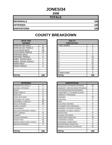#### **JONES/34**

**2008**

| <b>TOTALS</b>       |     |
|---------------------|-----|
| <b>REFERRALS</b>    | 180 |
| <b>OFFENSES</b>     | 180 |
| <b>DISPOSITIONS</b> | 180 |

# **RACE AND AGE AT**

| <b>RACE AND</b><br><b>GENDER</b> |          | AGE AT<br><b>DISPOSITION</b> |                 |
|----------------------------------|----------|------------------------------|-----------------|
| AFRICAN AM. MALE                 | 71       | <b>7 AND UNDER</b>           | 0               |
| AFRICAN AM. FEMALE               | 55       | 8                            | 0               |
| <b>CAUCASIAN MALE</b>            | 38       | 9                            | 0               |
| <b>CAUCASIAN FEMALE</b>          | 15       | 10                           |                 |
| <b>HISPANIC MALE</b>             |          | 11                           | 0               |
| <b>HISPANIC FEMALE</b>           | 0        | 12                           | 10 <sup>1</sup> |
| AMER. INDIAN MALE                | 0        | 13                           | 22              |
| AMER. INDIAN FEMALE              | $\Omega$ | 14                           | 32              |
| <b>ASIAN MALE</b>                | $\Omega$ | 15                           | 41              |
| <b>ASIAN FEMALE</b>              | $\Omega$ | 16                           | 43              |
|                                  |          | 17                           | 31              |
|                                  |          | 18                           | 0               |
|                                  |          | 19 AND OVER                  | $\Omega$        |
| <b>TOTAL</b>                     | 180      | TOTAL                        | 180             |

| <b>OFFENSES</b>                    |     | <b>DISPOSITIONS</b>           |
|------------------------------------|-----|-------------------------------|
| AGGRAVATED ASSAULT                 | 0   | <b>ADOLESCENT OFFENDER PR</b> |
| ALCOHOL OFFENSES                   | 1   | COMMUNITY SERVICE WORK        |
| <b>ARSON</b>                       | 0   | CERTIFIED/WAIVED/TRANSFE      |
| <b>BOMB THREATS</b>                | 0   | COMMITMENT TO TRAINING S      |
| <b>BURGLARY</b>                    | 0   | COMMUNITY PROGRAMS            |
| CHINS/ RUN AWAY                    | 9   | DISMISSED                     |
| <b>CONTEMPT OF COURT</b>           | 14  | <b>DETENTION</b>              |
| <b>DISORDERLY CONDUCT</b>          | 52  | FINED                         |
| <b>DRUG OFFENSES</b>               | 24  | <b>HELD OPEN / RETIRED</b>    |
| <b>GRAND LARCENY</b>               | 1   | PLACEMENT WITH INDIVIDUA      |
| <b>HARASSMENT</b>                  | 1   | REFERRED TO PRIVATE AGEI      |
| <b>MALICIOUS MISCHIEF/ VANDAL.</b> | 7   | REFERRED TO PUBLIC AGEN       |
| <b>PETIT LARCENY</b>               | 8   | <b>RESTITUTION</b>            |
| <b>ROBBERY</b>                     | 3   | RUNAWAY RETURNED              |
| <b>SEXUAL OFFENSES</b>             | 0   | SUPERVISED PROBATION          |
| <b>SHOPLIFTING</b>                 | 15  | SUSPENDED LICENSE             |
| SIMPLE ASSAULT/DOM. VIOLEN         | 42  | SUSPENDED COMMITMENT          |
| <b>WEAPON OFFENSES</b>             | 3   | UNSUPERVISED PROBATION        |
|                                    |     | WARNED ADJUSTED COUNSE        |
|                                    |     |                               |
| <b>TOTAL</b>                       | 180 | <b>TOTAL</b>                  |

| <b>OFFENSES</b>             |     | <b>DISPOSITIONS</b>            |                |
|-----------------------------|-----|--------------------------------|----------------|
| AGGRAVATED ASSAULT          | 0   | ADOLESCENT OFFENDER PROGRAM    | 31             |
| ALCOHOL OFFENSES            |     | COMMUNITY SERVICE WORK PROGRAM | $\Omega$       |
| ARSON                       | 0   | CERTIFIED/WAIVED/TRANSFERRED   | 3              |
| <b>BOMB THREATS</b>         | 0   | COMMITMENT TO TRAINING SCHOOL  | $\overline{2}$ |
| <b>BURGLARY</b>             | 0   | <b>COMMUNITY PROGRAMS</b>      |                |
| CHINS/ RUN AWAY             | 9   | <b>DISMISSED</b>               | 21             |
| CONTEMPT OF COURT           | 14  | <b>DETENTION</b>               | 0              |
| DISORDERLY CONDUCT          | 52  | <b>FINED</b>                   | 7              |
| DRUG OFFENSES               | 24  | <b>HELD OPEN / RETIRED</b>     | 0              |
| <b>GRAND LARCENY</b>        |     | PLACEMENT WITH INDIVIDUAL      | 0              |
| HARASSMENT                  | 1   | REFERRED TO PRIVATE AGENCY     | 0              |
| MALICIOUS MISCHIEF/ VANDAL. |     | REFERRED TO PUBLIC AGENCY      | $\overline{2}$ |
| PETIT LARCENY               | 8   | <b>RESTITUTION</b>             | 0              |
| <b>ROBBERY</b>              | 3   | RUNAWAY RETURNED               | $\Omega$       |
| SEXUAL OFFENSES             | 0   | <b>SUPERVISED PROBATION</b>    | 76             |
| SHOPLIFTING                 | 15  | <b>SUSPENDED LICENSE</b>       | 0              |
| SIMPLE ASSAULT/DOM. VIOLEN  | 42  | SUSPENDED COMMITMENT           | 0              |
| WEAPON OFFENSES             | 3   | UNSUPERVISED PROBATION         | 6              |
|                             |     | WARNED ADJUSTED COUNSELED      | 31             |
| TOTAL                       | 180 | <b>TOTAL</b>                   | 180            |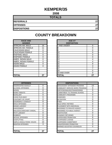# **KEMPER/35**

**2008**

| <b>TOTALS</b>       |    |
|---------------------|----|
| <b>REFERRALS</b>    | 27 |
| <b>OFFENSES</b>     | 27 |
| <b>DISPOSITIONS</b> | 27 |

| <b>RACE AND</b>         |    | <b>AGE AT</b>      |
|-------------------------|----|--------------------|
| <b>GENDER</b>           |    | <b>DISPOSITION</b> |
| <b>AFRICAN AM. MALE</b> | 16 | <b>7 AND UNDER</b> |
| AFRICAN AM. FEMALE      | 11 | 8                  |
| <b>CAUCASIAN MALE</b>   | 0  | 9                  |
| <b>CAUCASIAN FEMALE</b> | 0  | 10                 |
| <b>HISPANIC MALE</b>    | 0  | 11                 |
| <b>HISPANIC FEMALE</b>  | 0  | 12                 |
| AMER. INDIAN MALE       | 0  | 13                 |
| AMER. INDIAN FEMALE     | 0  | 14                 |
| <b>ASIAN MALE</b>       | 0  | 15                 |
| ASIAN FEMALE            | 0  | 16                 |
|                         |    | 17                 |
|                         |    | 18                 |
|                         |    | 19 AND OVER        |
| <b>TOTAL</b>            | 27 | TOTAL              |

| <b>OFFENSES</b>                    |    | <b>DISPOSITIONS</b>           |
|------------------------------------|----|-------------------------------|
| <b>AGGRAVATED ASSAULT</b>          | 0  | <b>ADOLESCENT OFFENDER PR</b> |
| <b>ALCOHOL OFFENSES</b>            | 0  | COMMUNITY SERVICE WORK        |
| ARSON                              | 0  | CERTIFIED/WAIVED/TRANSFE      |
| <b>BOMB THREATS</b>                | 0  | COMMITMENT TO TRAINING S      |
| <b>BURGLARY</b>                    | 0  | COMMUNITY PROGRAMS            |
| <b>CHINS/ RUN AWAY</b>             | 0  | DISMISSED                     |
| <b>CONTEMPT OF COURT</b>           | 0  | <b>DETENTION</b>              |
| DISORDERLY CONDUCT                 | 8  | <b>FINED</b>                  |
| <b>DRUG OFFENSES</b>               | 3  | <b>HELD OPEN / RETIRED</b>    |
| <b>GRAND LARCENY</b>               | 0  | PLACEMENT WITH INDIVIDUA      |
| <b>HARASSMENT</b>                  | 0  | REFERRED TO PRIVATE AGEI      |
| <b>MALICIOUS MISCHIEF/ VANDAL.</b> | 0  | REFERRED TO PUBLIC AGEN       |
| <b>PETIT LARCENY</b>               | 0  | RESTITUTION                   |
| <b>ROBBERY</b>                     | 0  | RUNAWAY RETURNED              |
| <b>SEXUAL OFFENSES</b>             | 0  | SUPERVISED PROBATION          |
| <b>SHOPLIFTING</b>                 | 0  | SUSPENDED LICENSE             |
| SIMPLE ASSAULT/DOM. VIOLEN         | 13 | SUSPENDED COMMITMENT          |
| <b>WEAPON OFFENSES</b>             | 3  | UNSUPERVISED PROBATION        |
|                                    |    | WARNED ADJUSTED COUNSE        |
|                                    |    |                               |
| <b>TOTAL</b>                       | 27 | <b>TOTAL</b>                  |

| <b>RACE AND</b><br><b>GENDER</b> |             | <b>AGE AT</b><br><b>DISPOSITION</b> |                |
|----------------------------------|-------------|-------------------------------------|----------------|
| AFRICAN AM. MALE                 | 16          | 7 AND UNDER                         | $\Omega$       |
| AFRICAN AM. FEMALE               | 11          | Ο                                   | 0              |
| <b>CAUCASIAN MALE</b>            | $\Omega$    | 9                                   | 0              |
| <b>CAUCASIAN FEMALE</b>          | $\Omega$    | 10                                  | 0              |
| <b>HISPANIC MALE</b>             | 0           | 11                                  | 0              |
| <b>HISPANIC FEMALE</b>           | $\mathbf 0$ | 12                                  | 0              |
| AMER. INDIAN MALE                | $\Omega$    | 13                                  | $\overline{4}$ |
| AMER. INDIAN FEMALE              | 0           | 14                                  | $\overline{4}$ |
| ASIAN MALE                       | 0           | 15                                  | 9              |
| ASIAN FEMALE                     | 0           | 16                                  | 3              |
|                                  |             | 17                                  |                |
|                                  |             | 18                                  | $\Omega$       |
|                                  |             | 19 AND OVER                         | $\Omega$       |
| <b>TOTAL</b>                     | 27          | TOTAL                               | 27             |

| <b>OFFENSES</b>             |          |
|-----------------------------|----------|
| AGGRAVATED ASSAULT          | 0        |
| ALCOHOL OFFENSES            | 0        |
| ARSON                       | 0        |
| <b>BOMB THREATS</b>         | $\Omega$ |
| <b>BURGLARY</b>             | $\Omega$ |
| CHINS/ RUN AWAY             | 0        |
| CONTEMPT OF COURT           | 0        |
| DISORDERLY CONDUCT          | 8        |
| DRUG OFFENSES               | 3        |
| <b>GRAND LARCENY</b>        | 0        |
| HARASSMENT                  | 0        |
| MALICIOUS MISCHIEF/ VANDAL. | 0        |
| PETIT LARCENY               | 0        |
| <b>ROBBERY</b>              | 0        |
| <b>SEXUAL OFFENSES</b>      | 0        |
| SHOPLIFTING                 | $\Omega$ |
| SIMPLE ASSAULT/DOM. VIOLEN  | 13       |
| <b>WEAPON OFFENSES</b>      | 3        |
|                             |          |
|                             |          |
| TOTAL                       | 27       |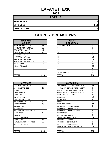# **LAFAYETTE/36**

**2008**

| <b>TOTALS</b>       |     |  |  |
|---------------------|-----|--|--|
| <b>REFERRALS</b>    | 210 |  |  |
| <b>OFFENSES</b>     | 210 |  |  |
| <b>DISPOSITIONS</b> | 210 |  |  |

#### **RACE AND GENDER DISPOSITION** AFRICAN AM. MALE 186 AFRICAN AM. FEMALE | 53 CAUCASIAN MALE 47 CAUCASIAN FEMALE | 23 HISPANIC MALE 0 HISPANIC FEMALE 1 AMER. INDIAN MALE 0 AMER. INDIAN FEMALE | 0 ASIAN MALE 20 ASIAN FEMALE **16 63** 0

| <b>OFFENSES</b>                    |     | <b>DISPOSITIONS</b>        |
|------------------------------------|-----|----------------------------|
| AGGRAVATED ASSAULT                 | 0   | ADOLESCENT OFFENDER PR     |
| <b>ALCOHOL OFFENSES</b>            | 17  | COMMUNITY SERVICE WORK     |
| ARSON                              | 1   | CERTIFIED/WAIVED/TRANSFE   |
| <b>BOMB THREATS</b>                | 0   | COMMITMENT TO TRAINING S   |
| <b>BURGLARY</b>                    | 5   | COMMUNITY PROGRAMS         |
| CHINS/ RUN AWAY                    | 9   | DISMISSED                  |
| CONTEMPT OF COURT                  | 3   | <b>DETENTION</b>           |
| <b>DISORDERLY CONDUCT</b>          | 94  | <b>FINED</b>               |
| <b>DRUG OFFENSES</b>               | 15  | <b>HELD OPEN / RETIRED</b> |
| <b>GRAND LARCENY</b>               | 8   | PLACEMENT WITH INDIVIDUA   |
| <b>HARASSMENT</b>                  | 0   | REFERRED TO PRIVATE AGEI   |
| <b>MALICIOUS MISCHIEF/ VANDAL.</b> | 0   | REFERRED TO PUBLIC AGEN    |
| PETIT LARCENY                      | 12  | RESTITUTION                |
| <b>ROBBERY</b>                     | 0   | RUNAWAY RETURNED           |
| <b>SEXUAL OFFENSES</b>             | 1   | SUPERVISED PROBATION       |
| <b>SHOPLIFTING</b>                 | 18  | SUSPENDED LICENSE          |
| ISIMPLE ASSAULT/DOM. VIOLEN        | 22  | SUSPENDED COMMITMENT       |
| <b>WEAPON OFFENSES</b>             | 5   | UNSUPERVISED PROBATION     |
|                                    |     | WARNED ADJUSTED COUNSE     |
|                                    |     |                            |
| <b>TOTAL</b>                       | 210 | TOTAL                      |

| <b>RACE AND</b><br><b>GENDER</b> |          | <b>AGE AT</b><br><b>DISPOSITION</b> |          |
|----------------------------------|----------|-------------------------------------|----------|
| AFRICAN AM. MALE                 | 86       | 7 AND UNDER                         | 0        |
| AFRICAN AM. FEMALE               | 53       | ö                                   | $\Omega$ |
| <b>CAUCASIAN MALE</b>            | 47       | 9                                   |          |
| <b>CAUCASIAN FEMALE</b>          | 23       | 10                                  | 0        |
| <b>HISPANIC MALE</b>             | 0        | 11                                  | 0        |
| <b>HISPANIC FEMALE</b>           |          | 12                                  | 12       |
| AMER. INDIAN MALE                | $\Omega$ | 13                                  | 18       |
| AMER. INDIAN FEMALE              | $\Omega$ | 14                                  | 41       |
| ASIAN MALE                       | 0        | 15                                  | 34       |
| ASIAN FEMALE                     | 0        | 16                                  | 63       |
|                                  |          | 17                                  | 41       |
|                                  |          | 18                                  | $\Omega$ |
|                                  |          | 19 AND OVER                         | $\Omega$ |
| <b>TOTAL</b>                     | 210      | TOTAL                               | 210      |

| <b>OFFENSES</b>             |          | <b>DISPOSITIONS</b>            |
|-----------------------------|----------|--------------------------------|
| AGGRAVATED ASSAULT          | 0        | ADOLESCENT OFFENDER PROGRAM    |
| ALCOHOL OFFENSES            | 17       | COMMUNITY SERVICE WORK PROGRAM |
| ARSON                       |          | CERTIFIED/WAIVED/TRANSFERRED   |
| <b>BOMB THREATS</b>         | 0        | COMMITMENT TO TRAINING SCHOOL  |
| <b>BURGLARY</b>             | 5        | <b>COMMUNITY PROGRAMS</b>      |
| CHINS/ RUN AWAY             | 9        | <b>DISMISSED</b>               |
| CONTEMPT OF COURT           | 3        | <b>DETENTION</b>               |
| DISORDERLY CONDUCT          | 94       | <b>FINED</b>                   |
| <b>DRUG OFFENSES</b>        | 15       | <b>HELD OPEN / RETIRED</b>     |
| <b>GRAND LARCENY</b>        | 8        | PLACEMENT WITH INDIVIDUAL      |
| HARASSMENT                  | $\Omega$ | REFERRED TO PRIVATE AGENCY     |
| MALICIOUS MISCHIEF/ VANDAL. | 0        | REFERRED TO PUBLIC AGENCY      |
| PETIT LARCENY               | 12       | <b>RESTITUTION</b>             |
| <b>ROBBERY</b>              | 0        | RUNAWAY RETURNED               |
| <b>SEXUAL OFFENSES</b>      | 1        | SUPERVISED PROBATION           |
| SHOPLIFTING                 | 18       | <b>SUSPENDED LICENSE</b>       |
| SIMPLE ASSAULT/DOM. VIOLEN  | 22       | SUSPENDED COMMITMENT           |
| <b>WEAPON OFFENSES</b>      | 5        | UNSUPERVISED PROBATION         |
|                             |          | WARNED ADJUSTED COUNSELED      |
| TOTAL                       | 210      | <b>TOTAL</b>                   |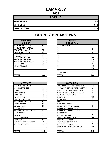# **LAMAR/37**

**2008**

| <b>TOTALS</b>       |     |
|---------------------|-----|
| <b>REFERRALS</b>    | 146 |
| <b>OFFENSES</b>     | 146 |
| <b>DISPOSITIONS</b> | 146 |

| <b>RACE AND</b><br><b>GENDER</b> |     | <b>AGE AT</b><br><b>DISPOSITION</b> |
|----------------------------------|-----|-------------------------------------|
| <b>AFRICAN AM. MALE</b>          | 54  | 7 AND UNDER                         |
| AFRICAN AM. FEMALE               | 9   |                                     |
| <b>CAUCASIAN MALE</b>            | 61  | 9                                   |
| <b>CAUCASIAN FEMALE</b>          | 20  | 10                                  |
| <b>HISPANIC MALE</b>             | 2   | 11                                  |
| <b>HISPANIC FEMALE</b>           | 0   | 12                                  |
| AMER. INDIAN MALE                | 0   | 13                                  |
| AMER. INDIAN FEMALE              | 0   | 14                                  |
| <b>ASIAN MALE</b>                | 0   | 15                                  |
| <b>ASIAN FEMALE</b>              | 0   | 16                                  |
|                                  |     | 17                                  |
|                                  |     | 18                                  |
|                                  |     | 19 AND OVER                         |
| <b>TOTAL</b>                     | 146 | <b>TOTAL</b>                        |

| <b>RACE AND</b>        |          | <b>AGE AT</b>      |                |
|------------------------|----------|--------------------|----------------|
| <b>GENDER</b>          |          | <b>DISPOSITION</b> |                |
| AFRICAN AM. MALE       | 54       | 7 AND UNDER        | $\Omega$       |
| AFRICAN AM. FEMALE     | 9        | ö                  | 0              |
| <b>CAUCASIAN MALE</b>  | 61       | 9                  | $\mathbf 0$    |
| CAUCASIAN FEMALE       | 20       | 10                 | $\overline{2}$ |
| <b>HISPANIC MALE</b>   | 2        | 11                 | $\overline{2}$ |
| <b>HISPANIC FEMALE</b> | $\Omega$ | 12                 | 11             |
| AMER. INDIAN MALE      | 0        | 13                 | 10             |
| AMER. INDIAN FEMALE    | $\Omega$ | 14                 | 24             |
| ASIAN MALE             | 0        | 15                 | 31             |
| ASIAN FEMALE           | 0        | 16                 | 42             |
|                        |          | 17                 | 24             |
|                        |          | 18                 | 0              |
|                        |          | 19 AND OVER        | 0              |
| TOTAL                  | 146      | TOTAL              | 146            |

| <b>OFFENSES</b>                    |                | <b>DISPOSITIONS</b>        |
|------------------------------------|----------------|----------------------------|
| AGGRAVATED ASSAULT                 | 1              | ADOLESCENT OFFENDER PR     |
| <b>ALCOHOL OFFENSES</b>            | 4              | COMMUNITY SERVICE WORK     |
| <b>ARSON</b>                       | $\overline{2}$ | CERTIFIED/WAIVED/TRANSFE   |
| <b>BOMB THREATS</b>                | 0              | COMMITMENT TO TRAINING S   |
| <b>BURGLARY</b>                    | 25             | COMMUNITY PROGRAMS         |
| CHINS/ RUN AWAY                    | 5              | <b>DISMISSED</b>           |
| CONTEMPT OF COURT                  | $\overline{2}$ | <b>DETENTION</b>           |
| DISORDERLY CONDUCT                 | 10             | <b>FINED</b>               |
| <b>DRUG OFFENSES</b>               | 17             | <b>HELD OPEN / RETIRED</b> |
| <b>GRAND LARCENY</b>               | 10             | PLACEMENT WITH INDIVIDUA   |
| <b>HARASSMENT</b>                  | 1              | REFERRED TO PRIVATE AGEI   |
| <b>MALICIOUS MISCHIEF/ VANDAL.</b> | 24             | REFERRED TO PUBLIC AGEN    |
| PETIT LARCENY                      | 6              | <b>RESTITUTION</b>         |
| <b>ROBBERY</b>                     | 0              | RUNAWAY RETURNED           |
| <b>SEXUAL OFFENSES</b>             | 1              | SUPERVISED PROBATION       |
| <b>SHOPLIFTING</b>                 | 12             | <b>SUSPENDED LICENSE</b>   |
| SIMPLE ASSAULT/DOM. VIOLEN         | 21             | SUSPENDED COMMITMENT       |
| <b>WEAPON OFFENSES</b>             | 5              | UNSUPERVISED PROBATION     |
|                                    |                | WARNED ADJUSTED COUNSE     |
|                                    |                |                            |
| <b>TOTAL</b>                       | 146            | <b>TOTAL</b>               |

| <b>OFFENSES</b>             |                | <b>DISPOSITIONS</b>            |                |
|-----------------------------|----------------|--------------------------------|----------------|
| AGGRAVATED ASSAULT          |                | ADOLESCENT OFFENDER PROGRAM    | 14             |
| ALCOHOL OFFENSES            | 4              | COMMUNITY SERVICE WORK PROGRAM | 0              |
| ARSON                       | $\overline{2}$ | CERTIFIED/WAIVED/TRANSFERRED   | $\overline{2}$ |
| <b>BOMB THREATS</b>         | $\Omega$       | COMMITMENT TO TRAINING SCHOOL  | 3              |
| BURGLARY                    | 25             | <b>COMMUNITY PROGRAMS</b>      | $\Omega$       |
| CHINS/ RUN AWAY             | 5              | <b>DISMISSED</b>               | 22             |
| CONTEMPT OF COURT           | $\overline{2}$ | <b>DETENTION</b>               | 0              |
| DISORDERLY CONDUCT          | 10             | <b>FINED</b>                   | $\Omega$       |
| <b>DRUG OFFENSES</b>        | 17             | <b>HELD OPEN / RETIRED</b>     | $\Omega$       |
| GRAND LARCENY               | 10             | PLACEMENT WITH INDIVIDUAL      | 0              |
| HARASSMENT                  |                | REFERRED TO PRIVATE AGENCY     | $\Omega$       |
| MALICIOUS MISCHIEF/ VANDAL. | 24             | REFERRED TO PUBLIC AGENCY      | 0              |
| PETIT LARCENY               | 6              | <b>RESTITUTION</b>             | 3              |
| <b>ROBBERY</b>              | $\Omega$       | RUNAWAY RETURNED               | $\Omega$       |
| <b>SEXUAL OFFENSES</b>      | 1              | SUPERVISED PROBATION           | 58             |
| SHOPLIFTING                 | 12             | <b>SUSPENDED LICENSE</b>       | 0              |
| SIMPLE ASSAULT/DOM. VIOLEN  | 21             | <b>SUSPENDED COMMITMENT</b>    | 9              |
| WEAPON OFFENSES             | 5              | UNSUPERVISED PROBATION         | $\Omega$       |
|                             |                | WARNED ADJUSTED COUNSELED      | 35             |
| TOTAL                       | 146            | <b>TOTAL</b>                   | 146            |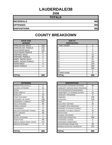# **LAUDERDALE/38**

**2008**

| <b>TOTALS</b>       |     |
|---------------------|-----|
| <b>REFERRALS</b>    | 985 |
| <b>OFFENSES</b>     | 985 |
| <b>DISPOSITIONS</b> | 985 |

| <b>RACE AND</b><br><b>GENDER</b> |                | <b>AGE AT</b><br><b>DISPOSITION</b> |
|----------------------------------|----------------|-------------------------------------|
| IAFRICAN AM. MALE                | 558            | <b>7 AND UNDER</b>                  |
| AFRICAN AM. FEMALE               | 232            | 8                                   |
| <b>CAUCASIAN MALE</b>            | 125            | 9                                   |
| <b>CAUCASIAN FEMALE</b>          | 67             | 10                                  |
| <b>HISPANIC MALE</b>             | 0              | 11                                  |
| <b>HISPANIC FEMALE</b>           | $\overline{2}$ | 12                                  |
| AMER. INDIAN MALE                | 1              | 13                                  |
| AMER. INDIAN FEMALE              | 0              | 14                                  |
| <b>ASIAN MALE</b>                | 0              | 15                                  |
| IASIAN FEMALE                    | 0              | 16                                  |
|                                  |                | 17                                  |
|                                  |                | 18                                  |
|                                  |                | 19 AND OVER                         |
| <b>TOTAL</b>                     | 985            | <b>TOTAL</b>                        |

| <b>RACE AND</b>        |          | <b>AGE AT</b>      |                |
|------------------------|----------|--------------------|----------------|
| <b>GENDER</b>          |          | <b>DISPOSITION</b> |                |
| AFRICAN AM. MALE       | 558      | 7 AND UNDER        | $\Omega$       |
| AFRICAN AM. FEMALE     | 232      | 8                  |                |
| <b>CAUCASIAN MALE</b>  | 125      | 9                  | 3              |
| CAUCASIAN FEMALE       | 67       | 10                 | $\overline{2}$ |
| <b>HISPANIC MALE</b>   | $\Omega$ | 11                 | 10             |
| <b>HISPANIC FEMALE</b> | 2        | 12                 | 46             |
| AMER. INDIAN MALE      |          | 13                 | 81             |
| AMER. INDIAN FEMALE    | $\Omega$ | 14                 | 140            |
| <b>ASIAN MALE</b>      | 0        | 15                 | 220            |
| ASIAN FEMALE           | 0        | 16                 | 290            |
|                        |          | 17                 | 192            |
|                        |          | 18                 | 0              |
|                        |          | 19 AND OVER        | $\Omega$       |
| TOTAL                  | 985      | TOTAL              | 985            |

| <b>OFFENSES</b>                    |     | <b>DISPOSITIONS</b>             |
|------------------------------------|-----|---------------------------------|
| AGGRAVATED ASSAULT                 | 0   | <b>ADOLESCENT OFFENDER PR</b>   |
| <b>ALCOHOL OFFENSES</b>            | 41  | <b>COMMUNITY SERVICE WORK</b>   |
| <b>ARSON</b>                       | 1   | CERTIFIED/WAIVED/TRANSFE        |
| <b>BOMB THREATS</b>                | 0   | <b>COMMITMENT TO TRAINING S</b> |
| <b>BURGLARY</b>                    | 23  | <b>COMMUNITY PROGRAMS</b>       |
| CHINS/RUN AWAY                     | 81  | <b>DISMISSED</b>                |
| CONTEMPT OF COURT                  | 248 | <b>DETENTION</b>                |
| DISORDERLY CONDUCT                 | 197 | <b>FINED</b>                    |
| <b>DRUG OFFENSES</b>               | 64  | <b>HELD OPEN / RETIRED</b>      |
| <b>GRAND LARCENY</b>               | 4   | PLACEMENT WITH INDIVIDUA        |
| <b>HARASSMENT</b>                  | 0   | <b>REFERRED TO PRIVATE AGEI</b> |
| <b>MALICIOUS MISCHIEF/ VANDAL.</b> | 58  | REFERRED TO PUBLIC AGEN         |
| PETIT LARCENY                      | 26  | <b>RESTITUTION</b>              |
| <b>ROBBERY</b>                     | 1   | <b>RUNAWAY RETURNED</b>         |
| <b>SEXUAL OFFENSES</b>             | 4   | SUPERVISED PROBATION            |
| <b>SHOPLIFTING</b>                 | 58  | <b>SUSPENDED LICENSE</b>        |
| SIMPLE ASSAULT/DOM. VIOLEN         | 171 | <b>SUSPENDED COMMITMENT</b>     |
| <b>WEAPON OFFENSES</b>             | 8   | UNSUPERVISED PROBATION          |
|                                    |     | WARNED ADJUSTED COUNSE          |
|                                    |     |                                 |
| <b>TOTAL</b>                       | 985 | <b>TOTAL</b>                    |

| <b>OFFENSES</b>             |             | <b>DISPOSITIONS</b>            |          |
|-----------------------------|-------------|--------------------------------|----------|
| AGGRAVATED ASSAULT          | $\Omega$    | ADOLESCENT OFFENDER PROGRAM    | 36       |
| ALCOHOL OFFENSES            | 41          | COMMUNITY SERVICE WORK PROGRAM | 0        |
| ARSON                       |             | CERTIFIED/WAIVED/TRANSFERRED   | 1        |
| <b>BOMB THREATS</b>         | $\mathbf 0$ | COMMITMENT TO TRAINING SCHOOL  | 12       |
| <b>BURGLARY</b>             | 23          | COMMUNITY PROGRAMS             | $\Omega$ |
| CHINS/ RUN AWAY             | 81          | <b>DISMISSED</b>               | 145      |
| CONTEMPT OF COURT           | 248         | <b>DETENTION</b>               | 116      |
| DISORDERLY CONDUCT          | 197         | <b>FINED</b>                   | $\Omega$ |
| DRUG OFFENSES               | 64          | HELD OPEN / RETIRED            | 25       |
| GRAND LARCENY               | 4           | PLACEMENT WITH INDIVIDUAL      | 0        |
| HARASSMENT                  | $\Omega$    | REFERRED TO PRIVATE AGENCY     | 4        |
| MALICIOUS MISCHIEF/ VANDAL. | 58          | REFERRED TO PUBLIC AGENCY      | 20       |
| PETIT LARCENY               | 26          | <b>RESTITUTION</b>             | 0        |
| <b>ROBBERY</b>              |             | RUNAWAY RETURNED               | 4        |
| <b>SEXUAL OFFENSES</b>      | 4           | SUPERVISED PROBATION           | 265      |
| SHOPLIFTING                 | 58          | <b>SUSPENDED LICENSE</b>       | 0        |
| SIMPLE ASSAULT/DOM. VIOLEN  | 171         | SUSPENDED COMMITMENT           | 3        |
| WEAPON OFFENSES             | 8           | UNSUPERVISED PROBATION         | 39       |
|                             |             | WARNED ADJUSTED COUNSELED      | 315      |
|                             |             |                                |          |
| TOTAL                       | 985         | <b>TOTAL</b>                   | 985      |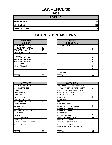# **LAWRENCE/39**

**2008**

| <b>TOTALS</b>       |    |
|---------------------|----|
| <b>REFERRALS</b>    | 39 |
| <b>OFFENSES</b>     | 39 |
| <b>DISPOSITIONS</b> | 39 |

| <b>RACE AND</b><br><b>GENDER</b> |    | <b>AGE AT</b><br><b>DISPOSITION</b> |
|----------------------------------|----|-------------------------------------|
| <b>AFRICAN AM. MALE</b>          | 8  | 7 AND UNDER                         |
| AFRICAN AM. FEMALE               | 12 | 8                                   |
| <b>CAUCASIAN MALE</b>            | 13 | 9                                   |
| <b>CAUCASIAN FEMALE</b>          | 5  | 10                                  |
| <b>HISPANIC MALE</b>             | 0  | 11                                  |
| <b>HISPANIC FEMALE</b>           | 0  | 12                                  |
| AMER. INDIAN MALE                | 0  | 13                                  |
| <b>AMER. INDIAN FEMALE</b>       | 1  | 14                                  |
| <b>ASIAN MALE</b>                | 0  | 15                                  |
| <b>ASIAN FEMALE</b>              | 0  | 16                                  |
|                                  |    | 17                                  |
|                                  |    | 18                                  |
|                                  |    | 19 AND OVER                         |
| <b>TOTAL</b>                     | 39 | TOTAL                               |

| <b>OFFENSES</b>                    |                | <b>DISPOSITIONS</b>           |
|------------------------------------|----------------|-------------------------------|
| <b>AGGRAVATED ASSAULT</b>          | 0              | <b>ADOLESCENT OFFENDER PR</b> |
| <b>ALCOHOL OFFENSES</b>            | 0              | COMMUNITY SERVICE WORK        |
| ARSON                              | 0              | CERTIFIED/WAIVED/TRANSFE      |
| <b>BOMB THREATS</b>                | 0              | COMMITMENT TO TRAINING S      |
| <b>BURGLARY</b>                    | 0              | COMMUNITY PROGRAMS            |
| CHINS/ RUN AWAY                    | 1              | DISMISSED                     |
| <b>CONTEMPT OF COURT</b>           | 0              | <b>DETENTION</b>              |
| DISORDERLY CONDUCT                 | 20             | <b>FINED</b>                  |
| <b>DRUG OFFENSES</b>               | 7              | <b>HELD OPEN / RETIRED</b>    |
| <b>GRAND LARCENY</b>               | 1              | PLACEMENT WITH INDIVIDUA      |
| <b>HARASSMENT</b>                  | 1              | REFERRED TO PRIVATE AGEI      |
| <b>MALICIOUS MISCHIEF/ VANDAL.</b> | 3              | REFERRED TO PUBLIC AGEN       |
| <b>PETIT LARCENY</b>               | 0              | RESTITUTION                   |
| <b>ROBBERY</b>                     | 0              | RUNAWAY RETURNED              |
| <b>SEXUAL OFFENSES</b>             | 0              | SUPERVISED PROBATION          |
| <b>SHOPLIFTING</b>                 | 1              | SUSPENDED LICENSE             |
| SIMPLE ASSAULT/DOM. VIOLEN         | 3              | SUSPENDED COMMITMENT          |
| <b>WEAPON OFFENSES</b>             | $\overline{2}$ | UNSUPERVISED PROBATION        |
|                                    |                | WARNED ADJUSTED COUNSE        |
|                                    |                |                               |
| <b>TOTAL</b>                       | 39             | <b>TOTAL</b>                  |

| <b>RACE AND</b><br><b>GENDER</b> |             | <b>AGE AT</b><br><b>DISPOSITION</b> |                |
|----------------------------------|-------------|-------------------------------------|----------------|
| AFRICAN AM. MALE                 | 8           | <b>7 AND UNDER</b>                  | $\Omega$       |
| AFRICAN AM. FEMALE               | 12          | Ο                                   | 0              |
| <b>CAUCASIAN MALE</b>            | 13          | 9                                   | 0              |
| <b>CAUCASIAN FEMALE</b>          | 5           | 10                                  | $\Omega$       |
| <b>HISPANIC MALE</b>             | 0           | 11                                  |                |
| <b>HISPANIC FEMALE</b>           | $\mathbf 0$ | 12                                  | 2              |
| AMER. INDIAN MALE                | $\Omega$    | 13                                  | 2              |
| AMER. INDIAN FEMALE              |             | 14                                  | 9              |
| ASIAN MALE                       | $\Omega$    | 15                                  | 14             |
| ASIAN FEMALE                     | 0           | 16                                  | 7              |
|                                  |             | 17                                  | $\overline{4}$ |
|                                  |             | 18                                  | $\Omega$       |
|                                  |             | 19 AND OVER                         | $\Omega$       |
| TOTAL                            | 39          | TOTAL                               | 39             |

| <b>OFFENSES</b>             |          |
|-----------------------------|----------|
| AGGRAVATED ASSAULT          | 0        |
| ALCOHOL OFFENSES            | 0        |
| ARSON                       | 0        |
| <b>BOMB THREATS</b>         | $\Omega$ |
| <b>BURGLARY</b>             | 0        |
| CHINS/ RUN AWAY             | 1        |
| CONTEMPT OF COURT           | 0        |
| DISORDERLY CONDUCT          | 20       |
| DRUG OFFENSES               |          |
| <b>GRAND LARCENY</b>        |          |
| HARASSMENT                  |          |
| MALICIOUS MISCHIEF/ VANDAL. | 3        |
| PETIT LARCENY               | 0        |
| <b>ROBBERY</b>              | 0        |
| <b>SEXUAL OFFENSES</b>      | 0        |
| SHOPLIFTING                 | 1        |
| SIMPLE ASSAULT/DOM. VIOLEN  | 3        |
| <b>WEAPON OFFENSES</b>      | 2        |
|                             |          |
|                             |          |
| TOTAL                       | 39       |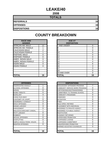# **LEAKE/40**

**2008**

| <b>TOTALS</b>       |    |
|---------------------|----|
| <b>REFERRALS</b>    | 16 |
| <b>OFFENSES</b>     | 16 |
| <b>DISPOSITIONS</b> | 16 |

| <b>RACE AND</b><br><b>GENDER</b> |    | <b>AGE AT</b><br><b>DISPOSITION</b> |
|----------------------------------|----|-------------------------------------|
| <b>AFRICAN AM. MALE</b>          | 12 | 7 AND UNDER                         |
| AFRICAN AM. FEMALE               |    | 8                                   |
| <b>CAUCASIAN MALE</b>            | 2  | 9                                   |
| <b>CAUCASIAN FEMALE</b>          | 1  | 10                                  |
| <b>HISPANIC MALE</b>             | 0  | 11                                  |
| <b>HISPANIC FEMALE</b>           | 0  | 12                                  |
| AMER. INDIAN MALE                | 0  | 13                                  |
| AMER. INDIAN FEMALE              | 0  | 14                                  |
| <b>ASIAN MALE</b>                | 0  | 15                                  |
| <b>ASIAN FEMALE</b>              | 0  | 16                                  |
|                                  |    | 17                                  |
|                                  |    | 18                                  |
|                                  |    | 19 AND OVER                         |
| <b>TOTAL</b>                     | 16 | <b>TOTAL</b>                        |

| <b>TOTAL</b>                  |
|-------------------------------|
|                               |
| WARNED ADJUSTED COUNSE        |
| UNSUPERVISED PROBATION        |
| SUSPENDED COMMITMENT          |
| <b>SUSPENDED LICENSE</b>      |
| SUPERVISED PROBATION          |
| RUNAWAY RETURNED              |
| <b>RESTITUTION</b>            |
| REFERRED TO PUBLIC AGEN       |
| REFERRED TO PRIVATE AGEI      |
| PLACEMENT WITH INDIVIDUA      |
| <b>HELD OPEN / RETIRED</b>    |
| FINED                         |
| <b>DETENTION</b>              |
| <b>DISMISSED</b>              |
| <b>COMMUNITY PROGRAMS</b>     |
| COMMITMENT TO TRAINING S      |
| CERTIFIED/WAIVED/TRANSFE      |
| <b>COMMUNITY SERVICE WORK</b> |
| ADOLESCENT OFFENDER PR        |
| <b>DISPOSITIONS</b>           |
|                               |

| <b>RACE AND</b><br><b>GENDER</b> |          | <b>AGE AT</b><br><b>DISPOSITION</b> |          |
|----------------------------------|----------|-------------------------------------|----------|
| AFRICAN AM. MALE                 | 12       | 7 AND UNDER                         | $\Omega$ |
| AFRICAN AM. FEMALE               |          | ö                                   | $\Omega$ |
| <b>CAUCASIAN MALE</b>            | 2        | 9                                   | $\Omega$ |
| <b>CAUCASIAN FEMALE</b>          |          | 10                                  | $\Omega$ |
| <b>HISPANIC MALE</b>             | $\Omega$ | 11                                  | 0        |
| <b>HISPANIC FEMALE</b>           | $\Omega$ | 12                                  | $\Omega$ |
| AMER. INDIAN MALE                | $\Omega$ | 13                                  | 0        |
| AMER. INDIAN FEMALE              | 0        | 14                                  | 4        |
| ASIAN MALE                       | $\Omega$ | 15                                  | 6        |
| ASIAN FEMALE                     | $\Omega$ | 16                                  | 3        |
|                                  |          | 17                                  | 3        |
|                                  |          | 18                                  | $\Omega$ |
|                                  |          | 19 AND OVER                         | $\Omega$ |
| <b>TOTAL</b>                     | 16       | <b>TOTAL</b>                        | 16       |

| <b>OFFENSES</b>             |          |
|-----------------------------|----------|
| AGGRAVATED ASSAULT          | 1        |
| ALCOHOL OFFENSES            | 0        |
| ARSON                       | 0        |
| <b>BOMB THREATS</b>         | 0        |
| <b>BURGLARY</b>             | 4        |
| CHINS/ RUN AWAY             |          |
| CONTEMPT OF COURT           | 0        |
| DISORDERLY CONDUCT          | 3        |
| <b>DRUG OFFENSES</b>        | 0        |
| <b>GRAND LARCENY</b>        | 3        |
| HARASSMENT                  | 0        |
| MALICIOUS MISCHIEF/ VANDAL. |          |
| PETIT LARCENY               | $\Omega$ |
| <b>ROBBERY</b>              | 0        |
| <b>SEXUAL OFFENSES</b>      | 0        |
| SHOPLIFTING                 | $\Omega$ |
| SIMPLE ASSAULT/DOM. VIOLEN  | 3        |
| WEAPON OFFENSES             | 0        |
|                             |          |
|                             |          |
| TOTAL                       | 16       |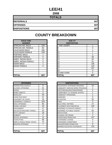# **LEE/41**

**2008**

| <b>TOTALS</b>       |     |
|---------------------|-----|
| <b>REFERRALS</b>    | 607 |
| <b>OFFENSES</b>     | 607 |
| <b>DISPOSITIONS</b> | 607 |

| <b>RACE AND</b><br><b>GENDER</b> |     | <b>AGE AT</b><br><b>DISPOSITION</b> |
|----------------------------------|-----|-------------------------------------|
| <b>AFRICAN AM. MALE</b>          | 229 | 7 AND UNDER                         |
| AFRICAN AM. FEMALE               | 82  | 8                                   |
| <b>CAUCASIAN MALE</b>            | 185 | 9                                   |
| <b>CAUCASIAN FEMALE</b>          | 109 | 10                                  |
| <b>HISPANIC MALE</b>             |     | 11                                  |
| <b>HISPANIC FEMALE</b>           | 0   | 12                                  |
| AMER. INDIAN MALE                | 0   | 13                                  |
| AMER. INDIAN FEMALE              | 0   | 14                                  |
| <b>ASIAN MALE</b>                |     | 15                                  |
| <b>ASIAN FEMALE</b>              | 0   | 16                                  |
|                                  |     | 17                                  |
|                                  |     | 18                                  |
|                                  |     | 19 AND OVER                         |
| <b>TOTAL</b>                     | 607 | TOTAL                               |

| TOTAL                       | 607            | <b>TOTAL</b>                      | 60             |
|-----------------------------|----------------|-----------------------------------|----------------|
|                             |                |                                   |                |
|                             |                |                                   |                |
| <b>OFFENSES</b>             |                | <b>DISPOSITIONS</b>               |                |
| AGGRAVATED ASSAULT          | 9              | ADOLESCENT OFFENDER PROGRAM       | 23             |
| ALCOHOL OFFENSES            | 41             | COMMUNITY SERVICE WORK PROGRAM    | $\overline{2}$ |
| ARSON                       | 0              | CERTIFIED/WAIVED/TRANSFERRED      | $\overline{2}$ |
| <b>BOMB THREATS</b>         | $\Omega$       | COMMITMENT TO TRAINING SCHOOL     | $\overline{7}$ |
| <b>BURGLARY</b>             | 49             | COMMUNITY PROGRAMS                | $\overline{2}$ |
| CHINS/ RUN AWAY             | 21             | <b>DISMISSED</b>                  | 6              |
| CONTEMPT OF COURT           | 15             | <b>DETENTION</b>                  | 52             |
| DISORDERLY CONDUCT          | 153            | <b>FINED</b>                      | 3              |
| <b>DRUG OFFENSES</b>        | 83             | <b>HELD OPEN / RETIRED</b>        | 17             |
| <b>GRAND LARCENY</b>        | 18             | PLACEMENT WITH INDIVIDUAL         | 125            |
| HARASSMENT                  | 17             | <b>REFERRED TO PRIVATE AGENCY</b> | $\overline{7}$ |
| MALICIOUS MISCHIEF/ VANDAL. | 20             | REFERRED TO PUBLIC AGENCY         | 63             |
| PETIT LARCENY               | 18             | <b>RESTITUTION</b>                | 3              |
| <b>ROBBERY</b>              | $\overline{2}$ | RUNAWAY RETURNED                  | $\overline{2}$ |
| SEXUAL OFFENSES             | 14             | SUPERVISED PROBATION              | 147            |
| SHOPLIFTING                 | 66             | <b>SUSPENDED LICENSE</b>          | 0              |
| SIMPLE ASSAULT/DOM. VIOLEN  | 74             | <b>SUSPENDED COMMITMENT</b>       | 5              |
| <b>WEAPON OFFENSES</b>      | $\overline{7}$ | UNSUPERVISED PROBATION            | 8              |
|                             |                | WARNED ADJUSTED COUNSELED         | 133            |
|                             |                |                                   |                |
| TATAI                       | <b>COZ</b>     | ו ג דרו                           | cn.            |

| <b>RACE AND</b><br><b>GENDER</b> |          | <b>AGE AT</b><br><b>DISPOSITION</b> |                |
|----------------------------------|----------|-------------------------------------|----------------|
| AFRICAN AM. MALE                 | 229      | 7 AND UNDER                         | 1              |
| AFRICAN AM. FEMALE               | 82       | 8                                   | $\Omega$       |
| <b>CAUCASIAN MALE</b>            | 185      | 9                                   | $\overline{2}$ |
| <b>CAUCASIAN FEMALE</b>          | 109      | 10                                  |                |
| <b>HISPANIC MALE</b>             |          | 11                                  | 3              |
| <b>HISPANIC FEMALE</b>           | $\Omega$ | 12                                  | 36             |
| AMER. INDIAN MALE                | $\Omega$ | 13                                  | 55             |
| AMER. INDIAN FEMALE              | $\Omega$ | 14                                  | 81             |
| ASIAN MALE                       |          | 15                                  | 136            |
| <b>ASIAN FEMALE</b>              | 0        | 16                                  | 120            |
|                                  |          | 17                                  | 157            |
|                                  |          | 18                                  | 9              |
|                                  |          | 19 AND OVER                         | $\Omega$       |
| <b>TOTAL</b>                     | 607      | TOTAL                               | 607            |

| <b>OFFENSES</b>             |          | <b>DISPOSITIONS</b>            |                |
|-----------------------------|----------|--------------------------------|----------------|
| AGGRAVATED ASSAULT          | 9        | ADOLESCENT OFFENDER PROGRAM    | 23             |
| ALCOHOL OFFENSES            | 41       | COMMUNITY SERVICE WORK PROGRAM | 2              |
| ARSON                       | 0        | CERTIFIED/WAIVED/TRANSFERRED   | 2              |
| <b>BOMB THREATS</b>         | $\Omega$ | COMMITMENT TO TRAINING SCHOOL  | 7              |
| BURGLARY                    | 49       | <b>COMMUNITY PROGRAMS</b>      | $\overline{2}$ |
| CHINS/ RUN AWAY             | 21       | <b>DISMISSED</b>               | 6              |
| CONTEMPT OF COURT           | 15       | <b>DETENTION</b>               | 52             |
| DISORDERLY CONDUCT          | 153      | <b>FINED</b>                   | 3              |
| <b>DRUG OFFENSES</b>        | 83       | <b>HELD OPEN / RETIRED</b>     | 17             |
| GRAND LARCENY               | 18       | PLACEMENT WITH INDIVIDUAL      | 125            |
| HARASSMENT                  | 17       | REFERRED TO PRIVATE AGENCY     | 7              |
| MALICIOUS MISCHIEF/ VANDAL. | 20       | REFERRED TO PUBLIC AGENCY      | 63             |
| PETIT LARCENY               | 18       | <b>RESTITUTION</b>             | 3              |
| ROBBERY                     | 2        | RUNAWAY RETURNED               | $\overline{2}$ |
| <b>SEXUAL OFFENSES</b>      | 14       | <b>SUPERVISED PROBATION</b>    | 147            |
| SHOPLIFTING                 | 66       | <b>SUSPENDED LICENSE</b>       | 0              |
| SIMPLE ASSAULT/DOM. VIOLEN  | 74       | <b>SUSPENDED COMMITMENT</b>    | 5              |
| WEAPON OFFENSES             | 7        | UNSUPERVISED PROBATION         | 8              |
|                             |          | WARNED ADJUSTED COUNSELED      | 133            |
|                             |          |                                |                |
| TOTAL                       | 607      | <b>TOTAL</b>                   | 607            |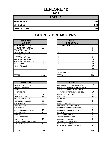#### **LEFLORE/42**

**2008**

| <b>TOTALS</b>       |     |
|---------------------|-----|
| <b>REFERRALS</b>    | 206 |
| <b>OFFENSES</b>     | 206 |
| <b>DISPOSITIONS</b> | 206 |

#### **RACE AND GENDER DISPOSITION** AFRICAN AM. MALE 162 AFRICAN AM. FEMALE | 39 CAUCASIAN MALE 3 CAUCASIAN FEMALE | 2 HISPANIC MALE 0 HISPANIC FEMALE 1 0 AMER. INDIAN MALE 0 AMER. INDIAN FEMALE | 0 ASIAN MALE 20 ASIAN FEMALE **16 67** 0

| <b>OFFENSES</b>                    |                | <b>DISPOSITIONS</b>             |
|------------------------------------|----------------|---------------------------------|
| AGGRAVATED ASSAULT                 | 0              | ADOLESCENT OFFENDER PR          |
| <b>ALCOHOL OFFENSES</b>            | 0              | <b>COMMUNITY SERVICE WORK</b>   |
| <b>ARSON</b>                       | 1              | CERTIFIED/WAIVED/TRANSFE        |
| <b>BOMB THREATS</b>                | 0              | COMMITMENT TO TRAINING S        |
| <b>BURGLARY</b>                    | 34             | <b>COMMUNITY PROGRAMS</b>       |
| CHINS/ RUN AWAY                    | 12             | DISMISSED                       |
| <b>CONTEMPT OF COURT</b>           | 7              | <b>DETENTION</b>                |
| <b>DISORDERLY CONDUCT</b>          | 33             | FINED                           |
| <b>DRUG OFFENSES</b>               | 4              | <b>HELD OPEN / RETIRED</b>      |
| <b>GRAND LARCENY</b>               | 8              | PLACEMENT WITH INDIVIDUA        |
| <b>HARASSMENT</b>                  | $\overline{2}$ | <b>REFERRED TO PRIVATE AGEI</b> |
| <b>MALICIOUS MISCHIEF/ VANDAL.</b> | 16             | REFERRED TO PUBLIC AGEN         |
| <b>PETIT LARCENY</b>               | 10             | <b>RESTITUTION</b>              |
| <b>ROBBERY</b>                     | 3              | RUNAWAY RETURNED                |
| <b>SEXUAL OFFENSES</b>             | 3              | SUPERVISED PROBATION            |
| <b>SHOPLIFTING</b>                 | 13             | <b>SUSPENDED LICENSE</b>        |
| SIMPLE ASSAULT/DOM. VIOLEN         | 50             | SUSPENDED COMMITMENT            |
| <b>WEAPON OFFENSES</b>             | 10             | UNSUPERVISED PROBATION          |
|                                    |                | WARNED ADJUSTED COUNSE          |
|                                    |                |                                 |
| <b>TOTAL</b>                       | 206            | <b>TOTAL</b>                    |

| <b>RACE AND</b><br><b>GENDER</b> |                | <b>AGE AT</b><br><b>DISPOSITION</b> |                |
|----------------------------------|----------------|-------------------------------------|----------------|
| AFRICAN AM. MALE                 | 162            | 7 AND UNDER                         | $\overline{2}$ |
| AFRICAN AM. FEMALE               | 39             | 8                                   | 0              |
| <b>CAUCASIAN MALE</b>            | 3              | 9                                   | $\overline{2}$ |
| <b>CAUCASIAN FEMALE</b>          | $\overline{2}$ | 10                                  | 3              |
| <b>HISPANIC MALE</b>             | $\Omega$       | 11                                  | 3              |
| <b>HISPANIC FEMALE</b>           | $\Omega$       | 12                                  | 9              |
| AMER. INDIAN MALE                | $\Omega$       | 13                                  | 23             |
| AMER. INDIAN FEMALE              | $\Omega$       | 14                                  | 33             |
| ASIAN MALE                       | $\Omega$       | 15                                  | 40             |
| ASIAN FEMALE                     | 0              | 16                                  | 57             |
|                                  |                | 17                                  | 34             |
|                                  |                | 18                                  | 0              |
|                                  |                | 19 AND OVER                         | 0              |
| <b>TOTAL</b>                     | 206            | TOTAL                               | 206            |

| <b>OFFENSES</b>             |          | <b>DISPOSITIONS</b>            |
|-----------------------------|----------|--------------------------------|
| AGGRAVATED ASSAULT          | 0        | ADOLESCENT OFFENDER PROGRAM    |
| ALCOHOL OFFENSES            | 0        | COMMUNITY SERVICE WORK PROGRAM |
| ARSON                       |          | CERTIFIED/WAIVED/TRANSFERRED   |
| <b>BOMB THREATS</b>         | $\Omega$ | COMMITMENT TO TRAINING SCHOOL  |
| <b>BURGLARY</b>             | 34       | COMMUNITY PROGRAMS             |
| CHINS/ RUN AWAY             | 12       | DISMISSED                      |
| CONTEMPT OF COURT           | 7        | <b>DETENTION</b>               |
| DISORDERLY CONDUCT          | 33       | <b>FINED</b>                   |
| <b>DRUG OFFENSES</b>        | 4        | <b>HELD OPEN / RETIRED</b>     |
| <b>GRAND LARCENY</b>        | 8        | PLACEMENT WITH INDIVIDUAL      |
| HARASSMENT                  | 2        | REFERRED TO PRIVATE AGENCY     |
| MALICIOUS MISCHIEF/ VANDAL. | 16       | REFERRED TO PUBLIC AGENCY      |
| PETIT LARCENY               | 10       | <b>RESTITUTION</b>             |
| <b>ROBBERY</b>              | 3        | RUNAWAY RETURNED               |
| <b>SEXUAL OFFENSES</b>      | 3        | SUPERVISED PROBATION           |
| SHOPI IFTING                | 13       | SUSPENDED LICENSE              |
| SIMPLE ASSAULT/DOM. VIOLEN  | 50       | SUSPENDED COMMITMENT           |
| WEAPON OFFENSES             | 10       | UNSUPERVISED PROBATION         |
|                             |          | WARNED ADJUSTED COUNSELED      |
| TOTAL                       | 206      | TOTAL                          |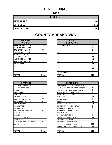# **LINCOLN/43**

**2008**

| <b>TOTALS</b>       |     |
|---------------------|-----|
| <b>REFERRALS</b>    | 361 |
| <b>OFFENSES</b>     | 361 |
| <b>DISPOSITIONS</b> | 361 |

| <b>RACE AND</b><br><b>GENDER</b> |     | <b>AGE AT</b><br><b>DISPOSITION</b> |  |
|----------------------------------|-----|-------------------------------------|--|
| <b>AFRICAN AM. MALE</b>          | 140 | 7 AND UNDER                         |  |
| AFRICAN AM. FEMALE               | 83  | 8                                   |  |
| <b>CAUCASIAN MALE</b>            | 68  | 9                                   |  |
| <b>CAUCASIAN FEMALE</b>          | 68  | 10                                  |  |
| <b>HISPANIC MALE</b>             | 1   | 11                                  |  |
| <b>HISPANIC FEMALE</b>           | 0   | 12                                  |  |
| AMER. INDIAN MALE                | 0   | 13                                  |  |
| AMER. INDIAN FEMALE              | 0   | 14                                  |  |
| <b>ASIAN MALE</b>                | 1   | 15                                  |  |
| <b>ASIAN FEMALE</b>              | 0   | 16                                  |  |
|                                  |     | 17                                  |  |
|                                  |     | 18                                  |  |
|                                  |     | 19 AND OVER                         |  |
| ITOTAL                           | 361 | TOTAL                               |  |

| <b>RACE AND</b><br><b>GENDER</b> |          | <b>AGE AT</b><br><b>DISPOSITION</b> |          |
|----------------------------------|----------|-------------------------------------|----------|
| AFRICAN AM. MALE                 | 140      | 7 AND UNDER                         | 24       |
| AFRICAN AM. FEMALE               | 83       |                                     | 4        |
| <b>CAUCASIAN MALE</b>            | 68       | 9                                   | 6        |
| CAUCASIAN FEMALE                 | 68       | 10                                  | 3        |
| <b>HISPANIC MALE</b>             |          | 11                                  | 22       |
| <b>HISPANIC FEMALE</b>           | 0        | 12                                  | 20       |
| AMER. INDIAN MALE                | 0        | 13                                  | 18       |
| AMER. INDIAN FEMALE              | $\Omega$ | 14                                  | 51       |
| ASIAN MALE                       |          | 15                                  | 69       |
| <b>ASIAN FEMALE</b>              | 0        | 16                                  | 111      |
|                                  |          | 17                                  | 33       |
|                                  |          | 18                                  | 0        |
|                                  |          | 19 AND OVER                         | $\Omega$ |
| <b>TOTAL</b>                     | 361      | <b>TOTAL</b>                        | 361      |

| <b>OFFENSES</b>                    |                | <b>DISPOSITIONS</b>             |
|------------------------------------|----------------|---------------------------------|
| AGGRAVATED ASSAULT                 | 0              | ADOLESCENT OFFENDER PR          |
| <b>ALCOHOL OFFENSES</b>            | $\overline{2}$ | <b>COMMUNITY SERVICE WORK</b>   |
| <b>ARSON</b>                       | 0              | CERTIFIED/WAIVED/TRANSFE        |
| <b>BOMB THREATS</b>                | 0              | <b>COMMITMENT TO TRAINING S</b> |
| <b>BURGLARY</b>                    | 9              | <b>COMMUNITY PROGRAMS</b>       |
| CHINS/RUN AWAY                     | 253            | <b>DISMISSED</b>                |
| CONTEMPT OF COURT                  | 20             | <b>DETENTION</b>                |
| <b>DISORDERLY CONDUCT</b>          | 28             | <b>FINED</b>                    |
| <b>DRUG OFFENSES</b>               | 7              | <b>HELD OPEN / RETIRED</b>      |
| <b>GRAND LARCENY</b>               | 2              | PLACEMENT WITH INDIVIDUA        |
| <b>HARASSMENT</b>                  | 0              | <b>REFERRED TO PRIVATE AGEI</b> |
| <b>MALICIOUS MISCHIEF/ VANDAL.</b> | 15             | <b>REFERRED TO PUBLIC AGEN</b>  |
| PETIT LARCENY                      | 2              | <b>RESTITUTION</b>              |
| <b>ROBBERY</b>                     | 2              | <b>RUNAWAY RETURNED</b>         |
| <b>SEXUAL OFFENSES</b>             | 0              | SUPERVISED PROBATION            |
| <b>SHOPLIFTING</b>                 | 0              | SUSPENDED LICENSE               |
| SIMPLE ASSAULT/DOM. VIOLEN         | 19             | <b>SUSPENDED COMMITMENT</b>     |
| <b>WEAPON OFFENSES</b>             | 2              | UNSUPERVISED PROBATION          |
|                                    |                | WARNED ADJUSTED COUNSE          |
|                                    |                |                                 |
| <b>TOTAL</b>                       | 361            | <b>TOTAL</b>                    |

| <b>OFFENSES</b>             |                | <b>DISPOSITIONS</b>            |                |
|-----------------------------|----------------|--------------------------------|----------------|
| AGGRAVATED ASSAULT          | 0              | ADOLESCENT OFFENDER PROGRAM    | 12             |
| ALCOHOL OFFENSES            | $\overline{2}$ | COMMUNITY SERVICE WORK PROGRAM | 24             |
| ARSON                       | 0              | CERTIFIED/WAIVED/TRANSFERRED   | 0              |
| BOMB THREATS                | 0              | COMMITMENT TO TRAINING SCHOOL  | 4              |
| <b>BURGLARY</b>             | 9              | COMMUNITY PROGRAMS             | $\Omega$       |
| CHINS/ RUN AWAY             | 253            | <b>DISMISSED</b>               | 42             |
| CONTEMPT OF COURT           | 20             | <b>DETENTION</b>               | 0              |
| DISORDERLY CONDUCT          | 28             | <b>FINED</b>                   | 35             |
| <b>DRUG OFFENSES</b>        | 7              | <b>HELD OPEN / RETIRED</b>     | 19             |
| <b>GRAND LARCENY</b>        | 2              | PLACEMENT WITH INDIVIDUAL      | 1              |
| HARASSMENT                  | 0              | REFERRED TO PRIVATE AGENCY     | 3              |
| MALICIOUS MISCHIEF/ VANDAL. | 15             | REFERRED TO PUBLIC AGENCY      | 3              |
| PETIT LARCENY               | $\overline{2}$ | <b>RESTITUTION</b>             | 0              |
| ROBBERY                     | $\overline{2}$ | RUNAWAY RETURNED               | 0              |
| <b>SEXUAL OFFENSES</b>      | 0              | <b>SUPERVISED PROBATION</b>    | 30             |
| SHOPLIFTING                 | $\Omega$       | <b>SUSPENDED LICENSE</b>       | 0              |
| SIMPLE ASSAULT/DOM. VIOLEN  | 19             | SUSPENDED COMMITMENT           | $\overline{2}$ |
| <b>WEAPON OFFENSES</b>      | 2              | UNSUPERVISED PROBATION         | 126            |
|                             |                | WARNED ADJUSTED COUNSELED      | 60             |
|                             |                |                                |                |
| TOTAL                       | 361            | <b>TOTAL</b>                   | 361            |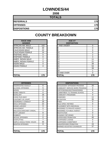#### **LOWNDES/44**

**2008**

| <b>TOTALS</b>       |     |
|---------------------|-----|
| <b>REFERRALS</b>    | 170 |
| <b>OFFENSES</b>     | 170 |
| <b>DISPOSITIONS</b> | 170 |

#### **RACE AND GENDER DISPOSITION** AFRICAN AM. MALE 102 AFRICAN AM. FEMALE | 30 CAUCASIAN MALE 22 CAUCASIAN FEMALE | 14 HISPANIC MALE 0 HISPANIC FEMALE 1 0 AMER. INDIAN MALE 2 AMER. INDIAN FEMALE | 0 ASIAN MALE 20 ASIAN FEMALE **16 64** 0

| <b>OFFENSES</b>             |                | <b>DISPOSITIONS</b>        |
|-----------------------------|----------------|----------------------------|
| <b>AGGRAVATED ASSAULT</b>   | 6              | ADOLESCENT OFFENDER PR     |
| <b>ALCOHOL OFFENSES</b>     | 5              | COMMUNITY SERVICE WORK     |
| ARSON                       | 4              | CERTIFIED/WAIVED/TRANSFE   |
| <b>BOMB THREATS</b>         | 0              | COMMITMENT TO TRAINING S   |
| <b>BURGLARY</b>             | 16             | COMMUNITY PROGRAMS         |
| CHINS/ RUN AWAY             | 8              | <b>DISMISSED</b>           |
| <b>CONTEMPT OF COURT</b>    | 8              | <b>DETENTION</b>           |
| <b>DISORDERLY CONDUCT</b>   | 16             | <b>FINED</b>               |
| <b>DRUG OFFENSES</b>        | 22             | <b>HELD OPEN / RETIRED</b> |
| <b>GRAND LARCENY</b>        | 9              | PLACEMENT WITH INDIVIDUA   |
| <b>HARASSMENT</b>           | 0              | REFERRED TO PRIVATE AGEI   |
| MALICIOUS MISCHIEF/ VANDAL. | 7              | REFERRED TO PUBLIC AGEN    |
| PETIT LARCENY               | 8              | RESTITUTION                |
| <b>ROBBERY</b>              | $\overline{2}$ | RUNAWAY RETURNED           |
| SEXUAL OFFENSES             | 0              | SUPERVISED PROBATION       |
| <b>SHOPLIFTING</b>          | 7              | SUSPENDED LICENSE          |
| SIMPLE ASSAULT/DOM. VIOLEN  | 44             | SUSPENDED COMMITMENT       |
| <b>WEAPON OFFENSES</b>      | 8              | UNSUPERVISED PROBATION     |
|                             |                | WARNED ADJUSTED COUNSE     |
|                             |                |                            |
| <b>TOTAL</b>                | 170            | TOTAL                      |

| <b>RACE AND</b><br><b>GENDER</b> |          | <b>AGE AT</b><br><b>DISPOSITION</b> |                |
|----------------------------------|----------|-------------------------------------|----------------|
| AFRICAN AM. MALE                 | 102      | 7 AND UNDER                         | 0              |
| AFRICAN AM. FEMALE               | 30       | ö                                   | $\Omega$       |
| <b>CAUCASIAN MALE</b>            | 22       | 9                                   | $\Omega$       |
| <b>CAUCASIAN FEMALE</b>          | 14       | 10                                  | 0              |
| <b>HISPANIC MALE</b>             | $\Omega$ | 11                                  | $\overline{2}$ |
| HISPANIC FEMALE                  | $\Omega$ | 12                                  | 3              |
| AMER. INDIAN MALE                | 2        | 13                                  | 11             |
| AMER. INDIAN FEMALE              | $\Omega$ | 14                                  | 21             |
| ASIAN MALE                       | $\Omega$ | 15                                  | 39             |
| ASIAN FEMALE                     | 0        | 16                                  | 54             |
|                                  |          | 17                                  | 39             |
|                                  |          | 18                                  |                |
|                                  |          | 19 AND OVER                         | $\Omega$       |
| <b>TOTAL</b>                     | 170      | TOTAL                               | 170            |

|                | <b>DISPOSITIONS</b>            |
|----------------|--------------------------------|
| 6              | ADOLESCENT OFFENDER PROGRAM    |
| 5              | COMMUNITY SERVICE WORK PROGRAM |
| 4              | CERTIFIED/WAIVED/TRANSFERRED   |
| 0              | COMMITMENT TO TRAINING SCHOOL  |
| 16             | <b>COMMUNITY PROGRAMS</b>      |
| 8              | <b>DISMISSED</b>               |
| 8              | <b>DETENTION</b>               |
| 16             | <b>FINED</b>                   |
| 22             | <b>HELD OPEN / RETIRED</b>     |
| 9              | PLACEMENT WITH INDIVIDUAL      |
| 0              | REFERRED TO PRIVATE AGENCY     |
| 7              | REFERRED TO PUBLIC AGENCY      |
| 8              | <b>RESTITUTION</b>             |
| $\overline{2}$ | RUNAWAY RETURNED               |
| 0              | <b>SUPERVISED PROBATION</b>    |
| 7              | <b>SUSPENDED LICENSE</b>       |
| 44             | SUSPENDED COMMITMENT           |
| 8              | UNSUPERVISED PROBATION         |
|                | WARNED ADJUSTED COUNSELED      |
|                |                                |
| 170            | <b>TOTAL</b>                   |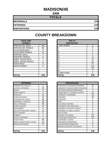# **MADISON/45**

**2008**

| <b>TOTALS</b>       |     |
|---------------------|-----|
| <b>REFERRALS</b>    | 378 |
| <b>OFFENSES</b>     | 378 |
| <b>DISPOSITIONS</b> | 378 |

# **COUNTY BREAKDOWN**

| <b>RACE AND</b><br><b>GENDER</b> |     |
|----------------------------------|-----|
| AFRICAN AM. MALE                 | 191 |
| AFRICAN AM. FEMALE               | 65  |
| <b>CAUCASIAN MALE</b>            | 77  |
| <b>CAUCASIAN FEMALE</b>          | 42  |
| <b>HISPANIC MALE</b>             | 2   |
| <b>HISPANIC FEMALE</b>           | 0   |
| AMER. INDIAN MALE                | 1   |
| AMER. INDIAN FEMALE              | ŋ   |
| ASIAN MALE                       | ი   |
| <b>ASIAN FEMALE</b>              | U   |
|                                  |     |
|                                  |     |
|                                  |     |
| TOTAL                            | 378 |

| <b>GENDER</b>          |                | <b>DISPOSITION</b> |          |
|------------------------|----------------|--------------------|----------|
| AFRICAN AM. MALE       | 191            | 7 AND UNDER        | $\Omega$ |
| AFRICAN AM. FEMALE     | 65             |                    | 0        |
| <b>CAUCASIAN MALE</b>  | 77             |                    | 0        |
| CAUCASIAN FEMALE       | 42             | 10                 |          |
| <b>HISPANIC MALE</b>   | $\mathfrak{p}$ | 11                 | 5        |
| <b>HISPANIC FEMALE</b> | 0              | 12                 | 9        |
| AMER. INDIAN MALE      |                | 13                 | 26       |
| AMER. INDIAN FEMALE    | 0              | 14                 | 54       |
| ASIAN MALE             | 0              | 15                 | 87       |
| ASIAN FEMALE           | 0              | 16                 | 110      |
|                        |                | 17                 | 84       |
|                        |                | 18                 | 0        |
|                        |                | 19 AND OVER        | 2        |
| <b>TOTAL</b>           | 378            | <b>TOTAL</b>       | 378      |

**RACE AND AGE AT**

| <b>OFFENSES</b>             |                | <b>DISPOSITIONS</b>        |
|-----------------------------|----------------|----------------------------|
| AGGRAVATED ASSAULT          | 1              | ADOLESCENT OFFENDER PR     |
| ALCOHOL OFFENSES            | 20             | COMMUNITY SERVICE WORK     |
| ARSON                       | 0              | CERTIFIED/WAIVED/TRANSFE   |
| <b>BOMB THREATS</b>         | 0              | COMMITMENT TO TRAINING S   |
| <b>BURGLARY</b>             | 14             | COMMUNITY PROGRAMS         |
| CHINS/ RUN AWAY             | 34             | <b>DISMISSED</b>           |
| CONTEMPT OF COURT           | 38             | <b>DETENTION</b>           |
| <b>DISORDERLY CONDUCT</b>   | 39             | <b>FINED</b>               |
| <b>DRUG OFFENSES</b>        | 50             | <b>HELD OPEN / RETIRED</b> |
| <b>GRAND LARCENY</b>        | 12             | PLACEMENT WITH INDIVIDUA   |
| <b>HARASSMENT</b>           | 0              | REFERRED TO PRIVATE AGEI   |
| MALICIOUS MISCHIEF/ VANDAL. | 18             | REFERRED TO PUBLIC AGEN    |
| <b>PETIT LARCENY</b>        | 5              | <b>RESTITUTION</b>         |
| <b>ROBBERY</b>              | 1              | RUNAWAY RETURNED           |
| <b>SEXUAL OFFENSES</b>      | $\overline{2}$ | SUPERVISED PROBATION       |
| <b>SHOPLIFTING</b>          | 68             | <b>SUSPENDED LICENSE</b>   |
| SIMPLE ASSAULT/DOM, VIOLEN  | 63             | SUSPENDED COMMITMENT       |
| <b>WEAPON OFFENSES</b>      | 13             | UNSUPERVISED PROBATION     |
|                             |                | WARNED ADJUSTED COUNSE     |
|                             |                |                            |
| <b>TOTAL</b>                | 378            | <b>TOTAL</b>               |

| <b>OFFENSES</b>             |          | <b>DISPOSITIONS</b>            |                |
|-----------------------------|----------|--------------------------------|----------------|
| AGGRAVATED ASSAULT          | 1        | ADOLESCENT OFFENDER PROGRAM    | 15             |
| ALCOHOL OFFENSES            | 20       | COMMUNITY SERVICE WORK PROGRAM | 0              |
| ARSON                       | $\Omega$ | CERTIFIED/WAIVED/TRANSFERRED   | 1              |
| <b>BOMB THREATS</b>         | $\Omega$ | COMMITMENT TO TRAINING SCHOOL  | 19             |
| BURGLARY                    | 14       | COMMUNITY PROGRAMS             | 26             |
| CHINS/ RUN AWAY             | 34       | <b>DISMISSED</b>               | 35             |
| CONTEMPT OF COURT           | 38       | <b>DETENTION</b>               | 5              |
| DISORDERLY CONDUCT          | 39       | <b>FINED</b>                   | 0              |
| <b>DRUG OFFENSES</b>        | 50       | HELD OPEN / RETIRED            | 6              |
| <b>GRAND LARCENY</b>        | 12       | PLACEMENT WITH INDIVIDUAL      | 0              |
| HARASSMENT                  | $\Omega$ | REFERRED TO PRIVATE AGENCY     | 0              |
| MALICIOUS MISCHIEF/ VANDAL. | 18       | REFERRED TO PUBLIC AGENCY      | 0              |
| PETIT LARCENY               | 5        | <b>RESTITUTION</b>             | $\overline{2}$ |
| <b>ROBBERY</b>              |          | RUNAWAY RETURNED               | 26             |
| SEXUAL OFFENSES             | 2        | <b>SUPERVISED PROBATION</b>    | 213            |
| SHOPLIFTING                 | 68       | <b>SUSPENDED LICENSE</b>       | 1              |
| SIMPLE ASSAULT/DOM. VIOLEN  | 63       | SUSPENDED COMMITMENT           | 17             |
| <b>WEAPON OFFENSES</b>      | 13       | UNSUPERVISED PROBATION         | 9              |
|                             |          | WARNED ADJUSTED COUNSELED      | 3              |
| TOTAL                       | 378      | <b>TOTAL</b>                   | 378            |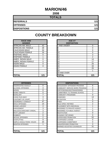#### **MARION/46**

**2008**

| <b>TOTALS</b>       |     |
|---------------------|-----|
| <b>REFERRALS</b>    | 121 |
| <b>OFFENSES</b>     | 121 |
| <b>DISPOSITIONS</b> | 121 |

## **COUNTY BREAKDOWN**

| <b>RACE AND</b><br><b>GENDER</b> |     | <b>AGE AT</b><br><b>DISPOSITION</b> |  |
|----------------------------------|-----|-------------------------------------|--|
| <b>AFRICAN AM. MALE</b>          | 42  | 7 AND UNDER                         |  |
| AFRICAN AM. FEMALE               | 28  | 8                                   |  |
| <b>CAUCASIAN MALE</b>            | 34  | 9                                   |  |
| <b>CAUCASIAN FEMALE</b>          | 16  | 10                                  |  |
| <b>HISPANIC MALE</b>             | 0   | 11                                  |  |
| <b>HISPANIC FEMALE</b>           |     | 12                                  |  |
| AMER. INDIAN MALE                | 0   | 13                                  |  |
| AMER. INDIAN FEMALE              | 0   | 14                                  |  |
| <b>ASIAN MALE</b>                | 0   | 15                                  |  |
| <b>ASIAN FEMALE</b>              | 0   | 16                                  |  |
|                                  |     | 17                                  |  |
|                                  |     | 18                                  |  |
|                                  |     | 19 AND OVER                         |  |
| <b>TOTAL</b>                     | 121 | TOTAL                               |  |

|                                    |                | 17                             | 25             |
|------------------------------------|----------------|--------------------------------|----------------|
|                                    |                | 18                             | 1              |
|                                    |                | 19 AND OVER                    |                |
| <b>TOTAL</b>                       | 121            | <b>TOTAL</b>                   | 121            |
|                                    |                |                                |                |
|                                    |                |                                |                |
| <b>OFFENSES</b>                    |                | <b>DISPOSITIONS</b>            |                |
| AGGRAVATED ASSAULT                 | 0              | ADOLESCENT OFFENDER PROGRAM    | 6              |
| <b>ALCOHOL OFFENSES</b>            | 4              | COMMUNITY SERVICE WORK PROGRAM | $\Omega$       |
| ARSON                              | $\Omega$       | CERTIFIED/WAIVED/TRANSFERRED   | 3              |
| <b>BOMB THREATS</b>                | 0              | COMMITMENT TO TRAINING SCHOOL  | $\overline{7}$ |
| <b>BURGLARY</b>                    | $\overline{7}$ | <b>COMMUNITY PROGRAMS</b>      | $\Omega$       |
| CHINS/ RUN AWAY                    | 3              | <b>DISMISSED</b>               | 14             |
| <b>CONTEMPT OF COURT</b>           | $\overline{2}$ | <b>DETENTION</b>               | 0              |
| <b>DISORDERLY CONDUCT</b>          | 47             | <b>FINED</b>                   | $\Omega$       |
| <b>DRUG OFFENSES</b>               | 14             | <b>HELD OPEN / RETIRED</b>     | $\overline{2}$ |
| <b>GRAND LARCENY</b>               | 4              | PLACEMENT WITH INDIVIDUAL      | 1              |
| <b>HARASSMENT</b>                  | 3              | REFERRED TO PRIVATE AGENCY     | 1              |
| <b>MALICIOUS MISCHIEF/ VANDAL.</b> | 3              | REFERRED TO PUBLIC AGENCY      | 0              |
| PETIT LARCENY                      | $\overline{2}$ | <b>RESTITUTION</b>             | $\overline{0}$ |
| <b>ROBBERY</b>                     | $\Omega$       | RUNAWAY RETURNED               | $\Omega$       |
| <b>SEXUAL OFFENSES</b>             | $\overline{2}$ | SUPERVISED PROBATION           | 52             |
| <b>SHOPLIFTING</b>                 | 9              | SUSPENDED LICENSE              | $\Omega$       |
| SIMPLE ASSAULT/DOM. VIOLEN         | 20             | SUSPENDED COMMITMENT           | $\Omega$       |
| <b>WEAPON OFFENSES</b>             | 1              | UNSUPERVISED PROBATION         | 4              |
|                                    |                | WARNED ADJUSTED COUNSELED      | 31             |
|                                    |                |                                |                |
| <b>TATAI</b>                       | 4 O.A          | <b>TATAL</b>                   | 4 A 4          |

| <b>RACE AND</b><br><b>GENDER</b> |          | <b>AGE AT</b><br><b>DISPOSITION</b> |     |
|----------------------------------|----------|-------------------------------------|-----|
| AFRICAN AM. MALE                 | 42       | 7 AND UNDER                         | 0   |
| AFRICAN AM. FEMALE               | 28       | 8                                   | 0   |
| CAUCASIAN MALE                   | 34       | 9                                   | 0   |
| CAUCASIAN FEMALE                 | 16       | 10                                  | 0   |
| <b>HISPANIC MALE</b>             | $\Omega$ | 11                                  | 3   |
| <b>HISPANIC FEMALE</b>           |          | 12                                  | 2   |
| AMER. INDIAN MALE                | $\Omega$ | 13                                  | 14  |
| AMER. INDIAN FEMALE              | 0        | 14                                  | 17  |
| ASIAN MALE                       | $\Omega$ | 15                                  | 25  |
| ASIAN FEMALE                     | $\Omega$ | 16                                  | 34  |
|                                  |          | 17                                  | 25  |
|                                  |          | 18                                  |     |
|                                  |          | 19 AND OVER                         |     |
| <b>TOTAL</b>                     | 121      | TOTAL                               | 121 |

| <b>OFFENSES</b>             |     | <b>DISPOSITIONS</b>            |          |
|-----------------------------|-----|--------------------------------|----------|
| AGGRAVATED ASSAULT          | 0   | ADOLESCENT OFFENDER PROGRAM    | 6        |
| ALCOHOL OFFENSES            | 4   | COMMUNITY SERVICE WORK PROGRAM | 0        |
| ARSON                       | 0   | CERTIFIED/WAIVED/TRANSFERRED   | 3        |
| BOMB THRFATS                | 0   | COMMITMENT TO TRAINING SCHOOL  | 7        |
| BURGI ARY                   | 7   | COMMUNITY PROGRAMS             | $\Omega$ |
| CHINS/ RUN AWAY             | 3   | <b>DISMISSED</b>               | 14       |
| CONTEMPT OF COURT           | 2   | <b>DETENTION</b>               | 0        |
| DISORDERLY CONDUCT          | 47  | <b>FINED</b>                   | 0        |
| DRUG OFFENSES               | 14  | <b>HELD OPEN / RETIRED</b>     | 2        |
| <b>GRAND LARCENY</b>        | 4   | PLACEMENT WITH INDIVIDUAL      |          |
| HARASSMENT                  | 3   | REFERRED TO PRIVATE AGENCY     |          |
| MALICIOUS MISCHIEF/ VANDAL. | 3   | REFERRED TO PUBLIC AGENCY      | 0        |
| PETIT LARCENY               | 2   | <b>RESTITUTION</b>             | 0        |
| ROBBERY                     | 0   | RUNAWAY RETURNED               | $\Omega$ |
| SEXUAL OFFENSES             | 2   | SUPERVISED PROBATION           | 52       |
| SHOPLIFTING                 | 9   | <b>SUSPENDED LICENSE</b>       | 0        |
| SIMPLE ASSAULT/DOM. VIOLEN  | 20  | SUSPENDED COMMITMENT           | $\Omega$ |
| WEAPON OFFENSES             |     | UNSUPERVISED PROBATION         | 4        |
|                             |     | WARNED ADJUSTED COUNSELED      | 31       |
| TOTAL                       | 121 | <b>TOTAL</b>                   | 121      |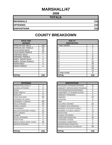#### **MARSHALL/47**

**2008**

| <b>TOTALS</b>       |     |
|---------------------|-----|
| <b>REFERRALS</b>    | 216 |
| <b>OFFENSES</b>     | 216 |
| <b>DISPOSITIONS</b> | 216 |

| <b>RACE AND</b><br><b>GENDER</b> |          | <b>AGE AT</b><br><b>DISPOSITION</b> |
|----------------------------------|----------|-------------------------------------|
| <b>AFRICAN AM. MALE</b>          | 106      | 7 AND UNDER                         |
| <b>AFRICAN AM. FEMALE</b>        | 46       | 8                                   |
| <b>CAUCASIAN MALE</b>            | 35       | 9                                   |
| <b>CAUCASIAN FEMALE</b>          | 21       | 10                                  |
| <b>HISPANIC MALE</b>             | 7        | 11                                  |
| <b>HISPANIC FEMALE</b>           |          | 12                                  |
| AMER. INDIAN MALE                | 0        | 13                                  |
| AMER. INDIAN FEMALE              | 0        | 14                                  |
| <b>ASIAN MALE</b>                | 0        | 15                                  |
| ASIAN FEMALE                     | $\Omega$ | 16                                  |
|                                  |          | 17                                  |
|                                  |          | 18                                  |
|                                  |          | 19 AND OVER                         |
| <b>TOTAL</b>                     | 216      | TOTAL                               |

|                             |          | 18                                | 13             |
|-----------------------------|----------|-----------------------------------|----------------|
|                             |          | 19 AND OVER                       | $\Omega$       |
| TOTAL                       | 216      | <b>TOTAL</b>                      | 216            |
|                             |          |                                   |                |
| <b>OFFENSES</b>             |          | <b>DISPOSITIONS</b>               |                |
| AGGRAVATED ASSAULT          | 3        | ADOLESCENT OFFENDER PROGRAM       | 31             |
| ALCOHOL OFFENSES            | 0        | COMMUNITY SERVICE WORK PROGRAM    | $\Omega$       |
| ARSON                       |          | CERTIFIED/WAIVED/TRANSFERRED      | 0              |
| <b>BOMB THREATS</b>         | $\Omega$ | COMMITMENT TO TRAINING SCHOOL     | 0              |
| BURGLARY                    | 9        | <b>COMMUNITY PROGRAMS</b>         | 3              |
| CHINS/ RUN AWAY             | 25       | <b>DISMISSED</b>                  | 22             |
| CONTEMPT OF COURT           | 7        | <b>DETENTION</b>                  | 0              |
| DISORDERLY CONDUCT          | 66       | <b>FINED</b>                      | $\overline{7}$ |
| <b>DRUG OFFENSES</b>        | 14       | <b>HELD OPEN / RETIRED</b>        | 31             |
| GRAND LARCENY               | 9        | PLACEMENT WITH INDIVIDUAL         | $\Omega$       |
| HARASSMENT                  | 3        | <b>REFERRED TO PRIVATE AGENCY</b> | 5              |
| MALICIOUS MISCHIEF/ VANDAL. | 18       | <b>REFERRED TO PUBLIC AGENCY</b>  | 13             |
| PETIT LARCENY               | 8        | <b>RESTITUTION</b>                | $\overline{2}$ |
| <b>ROBBERY</b>              | $\Omega$ | RUNAWAY RETURNED                  | $\Omega$       |
| <b>SEXUAL OFFENSES</b>      | 1        | SUPERVISED PROBATION              | 34             |
| SHOPLIFTING                 | 3        | <b>SUSPENDED LICENSE</b>          | $\Omega$       |
| SIMPLE ASSAULT/DOM. VIOLEN  | 48       | SUSPENDED COMMITMENT              | $\Omega$       |
| <b>WEAPON OFFENSES</b>      | 1        | UNSUPERVISED PROBATION            | $\Omega$       |
|                             |          | WARNED ADJUSTED COUNSELED         | 68             |
| -----                       |          | -----                             |                |
|                             |          |                                   |                |

| <b>RACE AND</b><br><b>GENDER</b> |          | <b>AGE AT</b><br><b>DISPOSITION</b> |          |
|----------------------------------|----------|-------------------------------------|----------|
| AFRICAN AM. MALE                 | 106      | 7 AND UNDER                         | $\Omega$ |
| AFRICAN AM. FEMALE               | 46       | 8                                   | 0        |
| <b>CAUCASIAN MALE</b>            | 35       | 9                                   |          |
| <b>CAUCASIAN FEMALE</b>          | 21       | 10                                  |          |
| <b>HISPANIC MALE</b>             |          | 11                                  | 8        |
| <b>HISPANIC FEMALE</b>           |          | 12                                  | 8        |
| AMER. INDIAN MALE                | 0        | 13                                  | 27       |
| AMER. INDIAN FEMALE              | $\Omega$ | 14                                  | 25       |
| ASIAN MALE                       | $\Omega$ | 15                                  | 39       |
| <b>ASIAN FEMALE</b>              | $\Omega$ | 16                                  | 44       |
|                                  |          | 17                                  | 50       |
|                                  |          | 18                                  | 13       |
|                                  |          | 19 AND OVER                         | $\Omega$ |
| TOTAL                            | 216      | TOTAL                               | 216      |

| <b>OFFENSES</b>             |     |
|-----------------------------|-----|
| AGGRAVATED ASSAULT          | 3   |
| ALCOHOL OFFENSES            | 0   |
| ARSON                       |     |
| BOMB THREATS                | 0   |
| BURGLARY                    | 9   |
| CHINS/ RUN AWAY             | 25  |
| CONTEMPT OF COURT           | 7   |
| DISORDERLY CONDUCT          | 66  |
| DRUG OFFENSES               | 14  |
| <b>GRAND LARCENY</b>        | 9   |
| HARASSMENT                  | 3   |
| MALICIOUS MISCHIEF/ VANDAL. | 18  |
| PETIT LARCENY               | 8   |
| ROBBERY                     | 0   |
| SEXUAL OFFENSES             | 1   |
| SHOPLIFTING                 | 3   |
| SIMPLE ASSAULT/DOM. VIOLEN  | 48  |
| <b>WEAPON OFFENSES</b>      |     |
|                             |     |
|                             |     |
| TOTAL                       | 216 |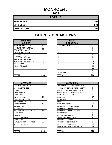## **MONROE/48**

| <b>TOTALS</b>       |     |
|---------------------|-----|
| <b>REFERRALS</b>    | 200 |
| <b>OFFENSES</b>     | 200 |
| <b>DISPOSITIONS</b> | 200 |

| <b>RACE AND</b><br><b>GENDER</b> |          | <b>AGE AT</b><br><b>DISPOSITION</b> |
|----------------------------------|----------|-------------------------------------|
| <b>AFRICAN AM. MALE</b>          | 84       | <b>7 AND UNDER</b>                  |
| AFRICAN AM. FEMALE               | 38       |                                     |
| <b>CAUCASIAN MALE</b>            | 66       | 9                                   |
| <b>CAUCASIAN FEMALE</b>          | 8        | 10                                  |
| <b>HISPANIC MALE</b>             | 3        | 11                                  |
| <b>HISPANIC FEMALE</b>           | 1        | 12                                  |
| <b>AMER. INDIAN MALE</b>         | 0        | 13                                  |
| AMER. INDIAN FEMALE              | 0        | 14                                  |
| <b>ASIAN MALE</b>                | 0        | 15                                  |
| ASIAN FEMALE                     | $\Omega$ | 16                                  |
|                                  |          | 17                                  |
|                                  |          | 18                                  |
|                                  |          | 19 AND OVER                         |
| <b>TOTAL</b>                     | 200      | TOTAL                               |

| <b>RACE AND</b>         |          | <b>AGE AT</b>      |          |
|-------------------------|----------|--------------------|----------|
| <b>GENDER</b>           |          | <b>DISPOSITION</b> |          |
| AFRICAN AM. MALE        | 84       | 7 AND UNDER        | 0        |
| AFRICAN AM. FEMALE      | 38       |                    | 0        |
| <b>CAUCASIAN MALE</b>   | 66       | 9                  | 0        |
| <b>CAUCASIAN FEMALE</b> | 8        | 10                 |          |
| <b>HISPANIC MALE</b>    | 3        | 11                 | 5        |
| <b>HISPANIC FEMALE</b>  |          | 12                 | 5        |
| AMER. INDIAN MALE       | $\Omega$ | 13                 | 8        |
| AMER. INDIAN FEMALE     | 0        | 14                 | 25       |
| ASIAN MALE              | 0        | 15                 | 52       |
| <b>ASIAN FEMALE</b>     | $\Omega$ | 16                 | 55       |
|                         |          | 17                 | 45       |
|                         |          | 18                 | 4        |
|                         |          | 19 AND OVER        | $\Omega$ |
| TOTAL                   | 200      | TOTAL              | 200      |

| <b>OFFENSES</b>                    |     | <b>DISPOSITIONS</b>        |
|------------------------------------|-----|----------------------------|
| AGGRAVATED ASSAULT                 | 1   | ADOLESCENT OFFENDER PR     |
| <b>ALCOHOL OFFENSES</b>            | 5   | COMMUNITY SERVICE WORK     |
| <b>ARSON</b>                       | 0   | CERTIFIED/WAIVED/TRANSFE   |
| <b>BOMB THREATS</b>                | 1   | COMMITMENT TO TRAINING S   |
| <b>BURGLARY</b>                    | 4   | COMMUNITY PROGRAMS         |
| CHINS/ RUN AWAY                    | 16  | <b>DISMISSED</b>           |
| CONTEMPT OF COURT                  | 3   | <b>DETENTION</b>           |
| <b>DISORDERLY CONDUCT</b>          | 60  | FINED                      |
| <b>DRUG OFFENSES</b>               | 16  | <b>HELD OPEN / RETIRED</b> |
| <b>GRAND LARCENY</b>               | 9   | PLACEMENT WITH INDIVIDUA   |
| <b>HARASSMENT</b>                  | 1   | REFERRED TO PRIVATE AGEI   |
| <b>MALICIOUS MISCHIEF/ VANDAL.</b> | 35  | REFERRED TO PUBLIC AGEN    |
| <b>PETIT LARCENY</b>               | 20  | <b>RESTITUTION</b>         |
| <b>ROBBERY</b>                     | 2   | RUNAWAY RETURNED           |
| <b>SEXUAL OFFENSES</b>             | 1   | SUPERVISED PROBATION       |
| <b>SHOPLIFTING</b>                 | 4   | SUSPENDED LICENSE          |
| SIMPLE ASSAULT/DOM. VIOLEN         | 22  | SUSPENDED COMMITMENT       |
| <b>WEAPON OFFENSES</b>             | 0   | UNSUPERVISED PROBATION     |
|                                    |     | WARNED ADJUSTED COUNSE     |
|                                    |     |                            |
| <b>TOTAL</b>                       | 200 | <b>TOTAL</b>               |

| <b>OFFENSES</b>             |     | <b>DISPOSITIONS</b>            |                |
|-----------------------------|-----|--------------------------------|----------------|
| AGGRAVATED ASSAULT          |     | ADOLESCENT OFFENDER PROGRAM    | 1              |
| ALCOHOL OFFENSES            | 5   | COMMUNITY SERVICE WORK PROGRAM | 0              |
| ARSON                       | 0   | CERTIFIED/WAIVED/TRANSFERRED   | 3              |
| BOMB THREATS                |     | COMMITMENT TO TRAINING SCHOOL  |                |
| BURGLARY                    | 4   | COMMUNITY PROGRAMS             | 0              |
| CHINS/ RUN AWAY             | 16  | <b>DISMISSED</b>               | 37             |
| CONTEMPT OF COURT           | 3   | <b>DETENTION</b>               | 8              |
| DISORDERLY CONDUCT          | 60  | <b>FINED</b>                   | $\overline{2}$ |
| <b>DRUG OFFENSES</b>        | 16  | <b>HELD OPEN / RETIRED</b>     | 17             |
| <b>GRAND LARCENY</b>        | 9   | PLACEMENT WITH INDIVIDUAL      | 0              |
| HARASSMENT                  | 1   | REFERRED TO PRIVATE AGENCY     | 1              |
| MALICIOUS MISCHIEF/ VANDAL. | 35  | REFERRED TO PUBLIC AGENCY      | 3              |
| PETIT LARCENY               | 20  | <b>RESTITUTION</b>             | 5              |
| <b>ROBBERY</b>              | 2   | RUNAWAY RETURNED               | $\Omega$       |
| SEXUAL OFFENSES             | 1   | <b>SUPERVISED PROBATION</b>    | 62             |
| SHOPLIFTING                 | 4   | <b>SUSPENDED LICENSE</b>       | 0              |
| SIMPLE ASSAULT/DOM. VIOLEN  | 22  | <b>SUSPENDED COMMITMENT</b>    | $\Omega$       |
| WEAPON OFFENSES             | 0   | UNSUPERVISED PROBATION         | 12             |
|                             |     | WARNED ADJUSTED COUNSELED      | 48             |
|                             |     |                                |                |
| TOTAL                       | 200 | <b>TOTAL</b>                   | 200            |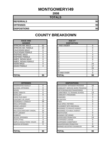## **MONTGOMERY/49**

**2008**

| <b>TOTALS</b>       |    |
|---------------------|----|
| <b>REFERRALS</b>    | 90 |
| <b>OFFENSES</b>     | 90 |
| <b>DISPOSITIONS</b> | 90 |

#### **COUNTY BREAKDOWN**

| <b>RACE AND</b><br><b>GENDER</b> |    | <b>AGE AT</b><br><b>DISPOSITION</b> |
|----------------------------------|----|-------------------------------------|
| <b>AFRICAN AM. MALE</b>          | 52 | 7 AND UNDER                         |
| AFRICAN AM. FEMALE               | 25 | 8                                   |
| <b>CAUCASIAN MALE</b>            | 8  | 9                                   |
| <b>CAUCASIAN FEMALE</b>          | 5  | 10                                  |
| <b>HISPANIC MALE</b>             | 0  | 11                                  |
| <b>HISPANIC FEMALE</b>           | 0  | 12                                  |
| AMER. INDIAN MALE                | 0  | 13                                  |
| AMER. INDIAN FEMALE              | 0  | 14                                  |
| <b>ASIAN MALE</b>                | 0  | 15                                  |
| <b>ASIAN FEMALE</b>              | 0  | 16                                  |
|                                  |    | 17                                  |
|                                  |    | 18                                  |
|                                  |    | 19 AND OVER                         |
| <b>TOTAL</b>                     | 90 | TOTAL                               |

| <b>GENDER</b>           |          | <b>DISPOSITION</b> |    |
|-------------------------|----------|--------------------|----|
| AFRICAN AM. MALE        | 52       | <b>7 AND UNDER</b> | 0  |
| AFRICAN AM. FEMALE      | 25       |                    | 0  |
| <b>CAUCASIAN MALE</b>   | 8        |                    | 2  |
| <b>CAUCASIAN FEMALE</b> | 5        | 10                 |    |
| <b>HISPANIC MALE</b>    | 0        | 11                 | 4  |
| <b>HISPANIC FEMALE</b>  | 0        | 12 <sub>2</sub>    | 0  |
| AMER. INDIAN MALE       | 0        | 13                 | 9  |
| AMER. INDIAN FEMALE     | 0        | 14                 |    |
| ASIAN MALE              | $\Omega$ | 15                 | 24 |
| ASIAN FEMALE            | 0        | 16                 | 17 |
|                         |          | 17                 | 25 |
|                         |          | 18                 |    |
|                         |          | 19 AND OVER        |    |
| <b>TOTAL</b>            | 90       | <b>TOTAL</b>       | 90 |

| <b>OFFENSES</b>                    |                | <b>DISPOSITIONS</b>             |
|------------------------------------|----------------|---------------------------------|
| AGGRAVATED ASSAULT                 | 0              | <b>ADOLESCENT OFFENDER PR</b>   |
| <b>ALCOHOL OFFENSES</b>            | 0              | <b>COMMUNITY SERVICE WORK</b>   |
| <b>ARSON</b>                       | 0              | CERTIFIED/WAIVED/TRANSFE        |
| <b>BOMB THREATS</b>                | 0              | <b>COMMITMENT TO TRAINING S</b> |
| <b>BURGLARY</b>                    | 8              | <b>COMMUNITY PROGRAMS</b>       |
| CHINS/RUN AWAY                     | 1              | <b>DISMISSED</b>                |
| CONTEMPT OF COURT                  | 4              | <b>DETENTION</b>                |
| <b>DISORDERLY CONDUCT</b>          | 26             | <b>FINED</b>                    |
| <b>DRUG OFFENSES</b>               | 1              | <b>HELD OPEN / RETIRED</b>      |
| <b>GRAND LARCENY</b>               | 0              | PLACEMENT WITH INDIVIDUA        |
| <b>HARASSMENT</b>                  | 0              | <b>REFERRED TO PRIVATE AGEI</b> |
| <b>MALICIOUS MISCHIEF/ VANDAL.</b> | 14             | REFERRED TO PUBLIC AGEN         |
| PETIT LARCENY                      | 9              | <b>RESTITUTION</b>              |
| <b>ROBBERY</b>                     | $\overline{2}$ | RUNAWAY RETURNED                |
| <b>SEXUAL OFFENSES</b>             | 0              | <b>SUPERVISED PROBATION</b>     |
| <b>SHOPLIFTING</b>                 | 3              | <b>SUSPENDED LICENSE</b>        |
| SIMPLE ASSAULT/DOM, VIOLEN         | 22             | SUSPENDED COMMITMENT            |
| <b>WEAPON OFFENSES</b>             | 0              | UNSUPERVISED PROBATION          |
|                                    |                | WARNED ADJUSTED COUNSE          |
|                                    |                |                                 |
| <b>ITOTAL</b>                      | 90             | <b>TOTAL</b>                    |

| <b>OFFENSES</b>             |                | <b>DISPOSITIONS</b>            |                |
|-----------------------------|----------------|--------------------------------|----------------|
| AGGRAVATED ASSAULT          | 0              | ADOLESCENT OFFENDER PROGRAM    | 16             |
| ALCOHOL OFFENSES            | 0              | COMMUNITY SERVICE WORK PROGRAM | 0              |
| ARSON                       | 0              | CERTIFIED/WAIVED/TRANSFERRED   | 0              |
| <b>BOMB THREATS</b>         | 0              | COMMITMENT TO TRAINING SCHOOL  | 13             |
| BURGLARY                    | 8              | <b>COMMUNITY PROGRAMS</b>      | 0              |
| CHINS/ RUN AWAY             |                | <b>DISMISSED</b>               | 3              |
| CONTEMPT OF COURT           | 4              | <b>DETENTION</b>               | 1              |
| DISORDERLY CONDUCT          | 26             | <b>FINED</b>                   | 0              |
| <b>DRUG OFFENSES</b>        |                | <b>HELD OPEN / RETIRED</b>     | 3              |
| GRAND LARCENY               | $\Omega$       | PLACEMENT WITH INDIVIDUAL      |                |
| HARASSMENT                  | 0              | REFERRED TO PRIVATE AGENCY     | 1              |
| MALICIOUS MISCHIEF/ VANDAL. | 14             | REFERRED TO PUBLIC AGENCY      | $\overline{2}$ |
| PETIT LARCENY               | 9              | <b>RESTITUTION</b>             | 0              |
| <b>ROBBERY</b>              | $\overline{2}$ | RUNAWAY RETURNED               | $\Omega$       |
| <b>SEXUAL OFFENSES</b>      | 0              | <b>SUPERVISED PROBATION</b>    | 14             |
| SHOPLIFTING                 | 3              | SUSPENDED LICENSE              | 0              |
| SIMPLE ASSAULT/DOM. VIOLEN  | 22             | <b>SUSPENDED COMMITMENT</b>    | 0              |
| WEAPON OFFENSES             | $\Omega$       | UNSUPERVISED PROBATION         | $\Omega$       |
|                             |                | WARNED ADJUSTED COUNSELED      | 36             |
| TOTAL                       | 90             | <b>TOTAL</b>                   | 90             |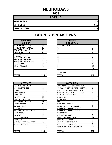#### **NESHOBA/50**

**2008**

| <b>TOTALS</b>       |     |
|---------------------|-----|
| <b>REFERRALS</b>    | 115 |
| <b>OFFENSES</b>     | 115 |
| <b>DISPOSITIONS</b> | 115 |

| <b>RACE AND</b><br><b>GENDER</b> |          | <b>AGE AT</b><br><b>DISPOSITION</b> |                |
|----------------------------------|----------|-------------------------------------|----------------|
| <b>AFRICAN AM. MALE</b>          | 47       | 7 AND UNDER                         | 0              |
| AFRICAN AM. FEMALE               | 15       | 8                                   | 0              |
| <b>CAUCASIAN MALE</b>            | 34       | 9                                   | 0              |
| <b>CAUCASIAN FEMALE</b>          | 13       | 10                                  | $\overline{2}$ |
| <b>HISPANIC MALE</b>             |          | 11                                  | $\overline{2}$ |
| <b>HISPANIC FEMALE</b>           | $\Omega$ | 12                                  | 2              |
| AMER. INDIAN MALE                | 3        | 13                                  | 12             |
| AMER. INDIAN FEMALE              |          | 14                                  | 21             |
| <b>ASIAN MALE</b>                | 0        | 15                                  | 26             |
| ASIAN FEMALE                     |          | 16                                  | 22             |
|                                  |          | 17                                  | 28             |
|                                  |          | 18                                  | $\pmb{0}$      |
|                                  |          | 19 AND OVER                         | 0              |
| <b>TOTAL</b>                     | 115      | TOTAL                               | 115            |

| <b>INAVL AIND</b><br><b>GENDER</b> |     | AVL AI<br><b>DISPOSITION</b> |          |
|------------------------------------|-----|------------------------------|----------|
| AFRICAN AM. MALE                   | 47  | <b>7 AND UNDER</b>           | $\Omega$ |
| AFRICAN AM. FEMALE                 | 15  |                              | 0        |
| CAUCASIAN MALE                     | 34  |                              | 0        |
| CAUCASIAN FEMALE                   | 13  | 10                           | 2        |
| HISPANIC MALE                      |     |                              | 2        |
| <b>HISPANIC FEMALE</b>             | 0   | 12                           | 2        |
| AMER. INDIAN MALE                  | 3   | 13                           | 12       |
| AMER. INDIAN FEMALE                |     | 14                           | 21       |
| ASIAN MALE                         | O   | 15                           | 26       |
| ASIAN FEMALE                       |     | 16                           | 22       |
|                                    |     | 17                           | 28       |
|                                    |     | 18                           | O        |
|                                    |     | 19 AND OVER                  |          |
| ΤΩΤΑΙ                              | 115 | ΙΤΟΤΑΙ                       | 115      |

| <b>OFFENSES</b>             |     | <b>DISPOSITIONS</b>        |
|-----------------------------|-----|----------------------------|
| AGGRAVATED ASSAULT          | 0   | ADOLESCENT OFFENDER PR     |
| <b>ALCOHOL OFFENSES</b>     | 4   | COMMUNITY SERVICE WORK     |
| <b>ARSON</b>                | 0   | CERTIFIED/WAIVED/TRANSFE   |
| <b>BOMB THREATS</b>         | 0   | COMMITMENT TO TRAINING S   |
| <b>BURGLARY</b>             | 6   | COMMUNITY PROGRAMS         |
| CHINS/ RUN AWAY             | 20  | DISMISSED                  |
| <b>CONTEMPT OF COURT</b>    | 0   | <b>DETENTION</b>           |
| <b>DISORDERLY CONDUCT</b>   | 23  | <b>FINED</b>               |
| <b>DRUG OFFENSES</b>        | 12  | <b>HELD OPEN / RETIRED</b> |
| <b>GRAND LARCENY</b>        | 3   | PLACEMENT WITH INDIVIDUA   |
| <b>HARASSMENT</b>           | 5   | REFERRED TO PRIVATE AGEI   |
| MALICIOUS MISCHIEF/ VANDAL. | 6   | REFERRED TO PUBLIC AGEN    |
| <b>PETIT LARCENY</b>        | 5   | <b>RESTITUTION</b>         |
| <b>ROBBERY</b>              | 0   | RUNAWAY RETURNED           |
| <b>SEXUAL OFFENSES</b>      | 0   | SUPERVISED PROBATION       |
| <b>SHOPLIFTING</b>          | 7   | <b>SUSPENDED LICENSE</b>   |
| SIMPLE ASSAULT/DOM. VIOLEN  | 23  | SUSPENDED COMMITMENT       |
| <b>WEAPON OFFENSES</b>      | 1   | UNSUPERVISED PROBATION     |
|                             |     | WARNED ADJUSTED COUNSE     |
|                             |     |                            |
| <b>TOTAL</b>                | 115 | <b>TOTAL</b>               |

| <b>OFFENSES</b>             |          | <b>DISPOSITIONS</b>            |                |
|-----------------------------|----------|--------------------------------|----------------|
| AGGRAVATED ASSAULT          | 0        | ADOLESCENT OFFENDER PROGRAM    | $\overline{7}$ |
| ALCOHOL OFFENSES            | 4        | COMMUNITY SERVICE WORK PROGRAM | 0              |
| ARSON                       | $\Omega$ | CERTIFIED/WAIVED/TRANSFERRED   | 0              |
| <b>BOMB THREATS</b>         | 0        | COMMITMENT TO TRAINING SCHOOL  | 9              |
| BURGLARY                    | 6        | COMMUNITY PROGRAMS             | 0              |
| CHINS/ RUN AWAY             | 20       | <b>DISMISSED</b>               | 4              |
| CONTEMPT OF COURT           | 0        | <b>DETENTION</b>               | 0              |
| DISORDERLY CONDUCT          | 23       | <b>FINFD</b>                   | 0              |
| <b>DRUG OFFENSES</b>        | 12       | HELD OPEN / RETIRED            | $\overline{2}$ |
| <b>GRAND LARCENY</b>        | 3        | PLACEMENT WITH INDIVIDUAL      | 0              |
| HARASSMENT                  | 5        | REFERRED TO PRIVATE AGENCY     | 0              |
| MALICIOUS MISCHIEF/ VANDAL. | 6        | REFERRED TO PUBLIC AGENCY      | 0              |
| PETIT LARCENY               | 5        | <b>RESTITUTION</b>             | 0              |
| <b>ROBBERY</b>              | 0        | RUNAWAY RETURNED               | $\Omega$       |
| SEXUAL OFFENSES             | 0        | <b>SUPERVISED PROBATION</b>    | 49             |
| SHOPLIFTING                 | 7        | <b>SUSPENDED LICENSE</b>       | 0              |
| SIMPLE ASSAULT/DOM. VIOLEN  | 23       | SUSPENDED COMMITMENT           | 0              |
| <b>WEAPON OFFENSES</b>      |          | UNSUPERVISED PROBATION         | $\Omega$       |
|                             |          | WARNED ADJUSTED COUNSELED      | 44             |
|                             |          |                                |                |
| TOTAL                       | 115      | <b>TOTAL</b>                   | 115            |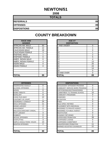## **NEWTON/51**

**2008**

| <b>TOTALS</b>       |    |
|---------------------|----|
| <b>REFERRALS</b>    | 89 |
| <b>OFFENSES</b>     | 89 |
| <b>DISPOSITIONS</b> | 89 |

| <b>RACE AND</b><br><b>GENDER</b> |    | <b>AGE AT</b><br><b>DISPOSITION</b> |
|----------------------------------|----|-------------------------------------|
| <b>AFRICAN AM. MALE</b>          | 50 | 7 AND UNDER                         |
| AFRICAN AM. FEMALE               | 12 | 8                                   |
| <b>CAUCASIAN MALE</b>            | 19 | 9                                   |
| <b>CAUCASIAN FEMALE</b>          | 3  | 10                                  |
| <b>HISPANIC MALE</b>             | 1  | 11                                  |
| <b>HISPANIC FEMALE</b>           | 0  | 12                                  |
| AMER. INDIAN MALE                | 0  | 13                                  |
| <b>AMER. INDIAN FEMALE</b>       | 4  | 14                                  |
| <b>ASIAN MALE</b>                | 0  | 15                                  |
| <b>ASIAN FEMALE</b>              | 0  | 16                                  |
|                                  |    | 17                                  |
|                                  |    | 18                                  |
|                                  |    | 19 AND OVER                         |
| <b>TOTAL</b>                     | 89 | TOTAL                               |

| <b>OFFENSES</b>                    |                | <b>DISPOSITIONS</b>        |
|------------------------------------|----------------|----------------------------|
| AGGRAVATED ASSAULT                 | 0              | ADOLESCENT OFFENDER PR     |
| ALCOHOL OFFENSES                   | 1              | COMMUNITY SERVICE WORK     |
| <b>ARSON</b>                       | 0              | CERTIFIED/WAIVED/TRANSFE   |
| <b>BOMB THREATS</b>                | 0              | COMMITMENT TO TRAINING S   |
| <b>BURGLARY</b>                    | 8              | COMMUNITY PROGRAMS         |
| CHINS/ RUN AWAY                    | 12             | DISMISSED                  |
| CONTEMPT OF COURT                  | 1              | <b>DETENTION</b>           |
| <b>DISORDERLY CONDUCT</b>          | 24             | <b>FINED</b>               |
| <b>DRUG OFFENSES</b>               | 11             | <b>HELD OPEN / RETIRED</b> |
| <b>GRAND LARCENY</b>               | 4              | PLACEMENT WITH INDIVIDUA   |
| <b>HARASSMENT</b>                  | 0              | REFERRED TO PRIVATE AGEI   |
| <b>MALICIOUS MISCHIEF/ VANDAL.</b> | 7              | REFERRED TO PUBLIC AGEN    |
| <b>PETIT LARCENY</b>               | 3              | RESTITUTION                |
| ROBBERY                            | 0              | RUNAWAY RETURNED           |
| <b>SEXUAL OFFENSES</b>             | 0              | SUPERVISED PROBATION       |
| <b>SHOPLIFTING</b>                 | 3              | SUSPENDED LICENSE          |
| ISIMPLE ASSAULT/DOM. VIOLEN        | 13             | SUSPENDED COMMITMENT       |
| <b>WEAPON OFFENSES</b>             | $\overline{2}$ | UNSUPERVISED PROBATION     |
|                                    |                | WARNED ADJUSTED COUNSE     |
|                                    |                |                            |
| <b>TOTAL</b>                       | 89             | <b>TOTAL</b>               |

| <b>RACE AND</b><br><b>GENDER</b> |          | <b>AGE AT</b><br><b>DISPOSITION</b> |          |
|----------------------------------|----------|-------------------------------------|----------|
| AFRICAN AM. MALE                 | 50       | <b>7 AND UNDER</b>                  | 0        |
| AFRICAN AM. FEMALE               | 12       | Ο                                   |          |
| <b>CAUCASIAN MALE</b>            | 19       | 9                                   | 0        |
| <b>CAUCASIAN FEMALE</b>          | 3        | 10                                  |          |
| <b>HISPANIC MALE</b>             |          | 11                                  | 2        |
| <b>HISPANIC FEMALE</b>           | $\Omega$ | 12                                  | 5        |
| AMER. INDIAN MALE                | $\Omega$ | 13                                  | 4        |
| AMER. INDIAN FEMALE              | 4        | 14                                  | 13       |
| ASIAN MALE                       | 0        | 15                                  | 25       |
| ASIAN FEMALE                     | 0        | 16                                  | 24       |
|                                  |          | 17                                  | 14       |
|                                  |          | 18                                  | $\Omega$ |
|                                  |          | 19 AND OVER                         | $\Omega$ |
| <b>TOTAL</b>                     | 89       | TOTAL                               | 89       |

| <b>OFFENSES</b>             |          |
|-----------------------------|----------|
| AGGRAVATED ASSAULT          | 0        |
| ALCOHOL OFFENSES            |          |
| ARSON                       | 0        |
| <b>BOMB THREATS</b>         | 0        |
| <b>BURGLARY</b>             | 8        |
| CHINS/ RUN AWAY             | 12       |
| CONTEMPT OF COURT           |          |
| DISORDERLY CONDUCT          | 24       |
| <b>DRUG OFFENSES</b>        | 11       |
| <b>GRAND LARCENY</b>        | 4        |
| HARASSMENT                  | $\Omega$ |
| MALICIOUS MISCHIEF/ VANDAL. | 7        |
| PETIT LARCENY               | 3        |
| ROBBERY                     | $\Omega$ |
| <b>SEXUAL OFFENSES</b>      | 0        |
| SHOPLIFTING                 | 3        |
| SIMPLE ASSAULT/DOM. VIOLEN  | 13       |
| <b>WEAPON OFFENSES</b>      | 2        |
|                             |          |
|                             |          |
| TOTAL                       | 89       |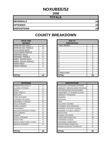## **NOXUBEE/52**

**2008**

| <b>TOTALS</b>       |    |
|---------------------|----|
| <b>REFERRALS</b>    | 24 |
| <b>OFFENSES</b>     | 24 |
| <b>DISPOSITIONS</b> | 24 |

| <b>RACE AND</b><br><b>GENDER</b> |    | <b>AGE AT</b><br><b>DISPOSITION</b> |
|----------------------------------|----|-------------------------------------|
| <b>AFRICAN AM. MALE</b>          | 12 | 7 AND UNDER                         |
| AFRICAN AM. FEMALE               | 11 | 8                                   |
| <b>CAUCASIAN MALE</b>            |    | 9                                   |
| <b>CAUCASIAN FEMALE</b>          | 0  | 10                                  |
| <b>HISPANIC MALE</b>             | 0  | 11                                  |
| <b>HISPANIC FEMALE</b>           | 0  | 12                                  |
| <b>AMER. INDIAN MALE</b>         | 0  | 13                                  |
| AMER. INDIAN FEMALE              | 0  | 14                                  |
| <b>ASIAN MALE</b>                | 0  | 15                                  |
| <b>ASIAN FEMALE</b>              | 0  | 16                                  |
|                                  |    | 17                                  |
|                                  |    | 18                                  |
|                                  |    | 19 AND OVER                         |
| <b>TOTAL</b>                     | 24 | <b>TOTAL</b>                        |

| <b>OFFENSES</b>             |                | <b>DISPOSITIONS</b>               |                |
|-----------------------------|----------------|-----------------------------------|----------------|
| AGGRAVATED ASSAULT          | 0              | ADOLESCENT OFFENDER PROGRAM       | 0              |
| ALCOHOL OFFENSES            | 1              | COMMUNITY SERVICE WORK PROGRAM    | $\Omega$       |
| ARSON                       | 0              | CERTIFIED/WAIVED/TRANSFERRED      | 0              |
| <b>BOMB THREATS</b>         | 0              | COMMITMENT TO TRAINING SCHOOL     | $\mathbf 0$    |
| <b>BURGLARY</b>             | 4              | COMMUNITY PROGRAMS                | $\Omega$       |
| CHINS/ RUN AWAY             | 0              | <b>DISMISSED</b>                  | $\mathbf 0$    |
| CONTEMPT OF COURT           | 0              | <b>DETENTION</b>                  | 0              |
| DISORDERLY CONDUCT          | 8              | <b>FINED</b>                      | 0              |
| DRUG OFFENSES               | $\overline{2}$ | <b>HELD OPEN / RETIRED</b>        | 5              |
| GRAND LARCENY               | 0              | PLACEMENT WITH INDIVIDUAL         | $\mathbf 0$    |
| HARASSMENT                  | 0              | <b>REFERRED TO PRIVATE AGENCY</b> | $\mathbf 0$    |
| MALICIOUS MISCHIEF/ VANDAL. | 0              | <b>REFERRED TO PUBLIC AGENCY</b>  | 0              |
| PETIT LARCENY               | $\Omega$       | <b>RESTITUTION</b>                | $\Omega$       |
| <b>ROBBERY</b>              | 0              | RUNAWAY RETURNED                  | 0              |
| SEXUAL OFFENSES             | 0              | SUPERVISED PROBATION              | 10             |
| SHOPLIFTING                 | $\Omega$       | SUSPENDED LICENSE                 | 0              |
| SIMPLE ASSAULT/DOM. VIOLEN  | 9              | SUSPENDED COMMITMENT              | $\mathbf 0$    |
| <b>WEAPON OFFENSES</b>      | 0              | UNSUPERVISED PROBATION            | 1              |
|                             |                | WARNED ADJUSTED COUNSELED         | 8              |
| ΤΟΤΑΙ                       | 24             | <b>TOTAL</b>                      | 2 <sub>4</sub> |

| <b>RACE AND</b><br><b>GENDER</b> |          | <b>AGE AT</b><br><b>DISPOSITION</b> |             |
|----------------------------------|----------|-------------------------------------|-------------|
| AFRICAN AM. MALE                 | 12       | 7 AND UNDER                         | $\Omega$    |
| AFRICAN AM. FEMALE               | 11       | 8                                   | $\Omega$    |
| <b>CAUCASIAN MALE</b>            |          | 9                                   | $\Omega$    |
| <b>CAUCASIAN FEMALE</b>          | 0        | 10                                  | $\Omega$    |
| <b>HISPANIC MALE</b>             | 0        | 11                                  | $\Omega$    |
| <b>HISPANIC FEMALE</b>           | 0        | 12                                  | $\Omega$    |
| AMER. INDIAN MALE                | $\Omega$ | 13                                  | $\mathbf 0$ |
| AMER. INDIAN FEMALE              | $\Omega$ | 14                                  | 5           |
| ASIAN MALE                       | 0        | 15                                  | 3           |
| <b>ASIAN FEMALE</b>              | $\Omega$ | 16                                  | 8           |
|                                  |          | 17                                  | 8           |
|                                  |          | 18                                  | $\Omega$    |
|                                  |          | 19 AND OVER                         | $\Omega$    |
| TOTAL                            | 24       | TOTAL                               | 24          |

| <b>OFFENSES</b>             |          | <b>DISPOSITIONS</b>            |          |
|-----------------------------|----------|--------------------------------|----------|
| AGGRAVATED ASSAULT          | 0        | ADOLESCENT OFFENDER PROGRAM    | $\Omega$ |
| ALCOHOL OFFENSES            |          | COMMUNITY SERVICE WORK PROGRAM | 0        |
| ARSON                       | $\Omega$ | CERTIFIED/WAIVED/TRANSFERRED   | 0        |
| BOMB THREATS                | $\Omega$ | COMMITMENT TO TRAINING SCHOOL  | 0        |
| <b>BURGLARY</b>             | 4        | COMMUNITY PROGRAMS             | 0        |
| CHINS/ RUN AWAY             | 0        | <b>DISMISSED</b>               | 0        |
| CONTEMPT OF COURT           | $\Omega$ | <b>DETENTION</b>               | 0        |
| DISORDERLY CONDUCT          | 8        | <b>FINED</b>                   | 0        |
| <b>DRUG OFFENSES</b>        | 2        | <b>HELD OPEN / RETIRED</b>     | 5        |
| <b>GRAND LARCENY</b>        | 0        | PLACEMENT WITH INDIVIDUAL      | 0        |
| HARASSMENT                  | 0        | REFERRED TO PRIVATE AGENCY     | $\Omega$ |
| MALICIOUS MISCHIEF/ VANDAL. | $\Omega$ | REFERRED TO PUBLIC AGENCY      | 0        |
| PETIT LARCENY               | 0        | <b>RESTITUTION</b>             | 0        |
| <b>ROBBERY</b>              | 0        | RUNAWAY RETURNED               | $\Omega$ |
| <b>SEXUAL OFFENSES</b>      | 0        | SUPERVISED PROBATION           | 10       |
| SHOPLIFTING                 | $\Omega$ | SUSPENDED LICENSE              | 0        |
| SIMPLE ASSAULT/DOM. VIOLEN  | 9        | SUSPENDED COMMITMENT           | 0        |
| <b>WEAPON OFFENSES</b>      | $\Omega$ | UNSUPERVISED PROBATION         | 1        |
|                             |          | WARNED ADJUSTED COUNSELED      | 8        |
| TOTAL                       | 24       | <b>TOTAL</b>                   | 24       |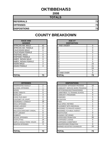## **OKTIBBEHA/53**

**2008**

| <b>TOTALS</b>       |    |
|---------------------|----|
| <b>REFERRALS</b>    | 73 |
| <b>OFFENSES</b>     | 73 |
| <b>DISPOSITIONS</b> | 73 |

| <b>RACE AND</b><br><b>GENDER</b> |                | <b>AGE AT</b><br><b>DISPOSITION</b> |
|----------------------------------|----------------|-------------------------------------|
| <b>AFRICAN AM. MALE</b>          | 42             | <b>7 AND UNDER</b>                  |
| AFRICAN AM. FEMALE               | 22             | 8                                   |
| <b>CAUCASIAN MALE</b>            | 6              | 9                                   |
| <b>CAUCASIAN FEMALE</b>          | 1              | 10                                  |
| <b>HISPANIC MALE</b>             | 0              | 11                                  |
| <b>HISPANIC FEMALE</b>           | 0              | 12                                  |
| AMER. INDIAN MALE                | 0              | 13                                  |
| AMER. INDIAN FEMALE              | 0              | 14                                  |
| <b>ASIAN MALE</b>                | $\overline{2}$ | 15                                  |
| ASIAN FEMALE                     | 0              | 16                                  |
|                                  |                | 17                                  |
|                                  |                | 18                                  |
|                                  |                | 19 AND OVER                         |
| ITOTAL                           | 73             | TOTAL                               |

| <b>OFFENSES</b>             |                | <b>DISPOSITIONS</b>           |
|-----------------------------|----------------|-------------------------------|
| AGGRAVATED ASSAULT          | 2              | <b>ADOLESCENT OFFENDER PR</b> |
| ALCOHOL OFFENSES            | 1              | COMMUNITY SERVICE WORK        |
| ARSON                       | 0              | CERTIFIED/WAIVED/TRANSFE      |
| <b>BOMB THREATS</b>         | 0              | COMMITMENT TO TRAINING S      |
| <b>BURGLARY</b>             | 3              | COMMUNITY PROGRAMS            |
| CHINS/RUN AWAY              | 0              | DISMISSED                     |
| ICONTEMPT OF COURT          | $\overline{2}$ | <b>DETENTION</b>              |
| DISORDERLY CONDUCT          | 18             | <b>FINED</b>                  |
| <b>DRUG OFFENSES</b>        | 7              | <b>HELD OPEN / RETIRED</b>    |
| <b>GRAND LARCENY</b>        | 3              | PLACEMENT WITH INDIVIDUA      |
| <b>HARASSMENT</b>           | 0              | REFERRED TO PRIVATE AGEI      |
| MALICIOUS MISCHIEF/ VANDAL. | 6              | REFERRED TO PUBLIC AGEN       |
| <b>PETIT LARCENY</b>        | 0              | <b>RESTITUTION</b>            |
| <b>ROBBERY</b>              | 0              | RUNAWAY RETURNED              |
| <b>SEXUAL OFFENSES</b>      | 0              | SUPERVISED PROBATION          |
| <b>SHOPLIFTING</b>          | 14             | SUSPENDED LICENSE             |
| SIMPLE ASSAULT/DOM, VIOLEN  | 14             | SUSPENDED COMMITMENT          |
| <b>WEAPON OFFENSES</b>      | 3              | UNSUPERVISED PROBATION        |
|                             |                | WARNED ADJUSTED COUNSE        |
|                             |                |                               |
| <b>TOTAL</b>                | 73             | <b>TOTAL</b>                  |

| <b>RACE AND</b><br><b>GENDER</b> |          | <b>AGE AT</b><br><b>DISPOSITION</b> |                |
|----------------------------------|----------|-------------------------------------|----------------|
| AFRICAN AM. MALE                 | 42       | 7 AND UNDER                         | 0              |
| AFRICAN AM. FEMALE               | 22       | 8                                   | 0              |
| CAUCASIAN MALE                   | 6        | 9                                   | $\Omega$       |
| <b>CAUCASIAN FEMALE</b>          |          | 10                                  | $\Omega$       |
| <b>HISPANIC MALE</b>             | $\Omega$ | 11                                  |                |
| <b>HISPANIC FEMALE</b>           | $\Omega$ | 12                                  | $\overline{2}$ |
| AMER. INDIAN MALE                | $\Omega$ | 13                                  | 5              |
| AMER. INDIAN FEMALE              | $\Omega$ | 14                                  | 5              |
| ASIAN MALE                       | 2        | 15                                  | 15             |
| <b>ASIAN FEMALE</b>              | $\Omega$ | 16                                  | 21             |
|                                  |          | 17                                  | 24             |
|                                  |          | 18                                  | 0              |
|                                  |          | 19 AND OVER                         | $\Omega$       |
| <b>TOTAL</b>                     | 73       | TOTAL                               | 73             |

| <b>OFFENSES</b>             |                | <b>DISPOSITIONS</b>            |          |
|-----------------------------|----------------|--------------------------------|----------|
| AGGRAVATED ASSAULT          | 2              | ADOLESCENT OFFENDER PROGRAM    | 10       |
| ALCOHOL OFFENSES            |                | COMMUNITY SERVICE WORK PROGRAM | 0        |
| ARSON                       | 0              | CERTIFIED/WAIVED/TRANSFERRED   | 0        |
| BOMB THREATS                | 0              | COMMITMENT TO TRAINING SCHOOL  | 6        |
| <b>BURGLARY</b>             | 3              | <b>COMMUNITY PROGRAMS</b>      | 0        |
| CHINS/ RUN AWAY             | 0              | <b>DISMISSED</b>               | 5        |
| CONTEMPT OF COURT           | $\overline{2}$ | <b>DETENTION</b>               | 0        |
| DISORDERLY CONDUCT          | 18             | <b>FINED</b>                   | 0        |
| <b>DRUG OFFENSES</b>        | 7              | <b>HELD OPEN / RETIRED</b>     | 1        |
| <b>GRAND LARCENY</b>        | 3              | PLACEMENT WITH INDIVIDUAL      | 0        |
| HARASSMENT                  | 0              | REFERRED TO PRIVATE AGENCY     | 0        |
| MALICIOUS MISCHIEF/ VANDAL. | 6              | REFERRED TO PUBLIC AGENCY      | 1        |
| PETIT LARCENY               | 0              | <b>RESTITUTION</b>             | 0        |
| <b>ROBBERY</b>              | 0              | RUNAWAY RETURNED               | $\Omega$ |
| <b>SEXUAL OFFENSES</b>      | 0              | SUPERVISED PROBATION           | 30       |
| SHOPLIFTING                 | 14             | SUSPENDED LICENSE              | $\Omega$ |
| SIMPLE ASSAULT/DOM. VIOLEN  | 14             | <b>SUSPENDED COMMITMENT</b>    | 0        |
| <b>WEAPON OFFENSES</b>      | 3              | UNSUPERVISED PROBATION         | $\Omega$ |
|                             |                | WARNED ADJUSTED COUNSELED      | 20       |
|                             |                |                                |          |
| TOTAL                       | 73             | <b>TOTAL</b>                   | 73       |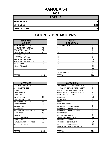#### **PANOLA/54**

**2008**

| <b>TOTALS</b>       |     |
|---------------------|-----|
| <b>REFERRALS</b>    | 224 |
| <b>OFFENSES</b>     | 224 |
| <b>DISPOSITIONS</b> | 224 |

**COUNTY BREAKDOWN**

#### **RACE AND GENDER DISPOSITION** AFRICAN AM. MALE 134 AFRICAN AM. FEMALE | 41 CAUCASIAN MALE 31 CAUCASIAN FEMALE | 18 HISPANIC MALE 0 HISPANIC FEMALE 1 0 AMER. INDIAN MALE 0 AMER. INDIAN FEMALE | 0 ASIAN MALE 20 ASIAN FEMALE **16 6461** 0

| <b>OFFENSES</b>                    |                | <b>DISPOSITIONS</b>        |
|------------------------------------|----------------|----------------------------|
| AGGRAVATED ASSAULT                 | 1              | ADOLESCENT OFFENDER PR     |
| <b>ALCOHOL OFFENSES</b>            | 2              | COMMUNITY SERVICE WORK     |
| <b>ARSON</b>                       | $\overline{2}$ | CERTIFIED/WAIVED/TRANSFE   |
| <b>BOMB THREATS</b>                | 5              | COMMITMENT TO TRAINING S   |
| <b>BURGLARY</b>                    | 1              | COMMUNITY PROGRAMS         |
| CHINS/ RUN AWAY                    | 10             | DISMISSED                  |
| ICONTEMPT OF COURT                 | 0              | DETENTION                  |
| <b>DISORDERLY CONDUCT</b>          | 88             | <b>FINED</b>               |
| <b>DRUG OFFENSES</b>               | 26             | <b>HELD OPEN / RETIRED</b> |
| <b>GRAND LARCENY</b>               | $\overline{2}$ | PLACEMENT WITH INDIVIDUA   |
| <b>HARASSMENT</b>                  | 0              | REFERRED TO PRIVATE AGEI   |
| <b>MALICIOUS MISCHIEF/ VANDAL.</b> | 18             | REFERRED TO PUBLIC AGEN    |
| <b>PETIT LARCENY</b>               | 15             | RESTITUTION                |
| <b>ROBBERY</b>                     | 1              | RUNAWAY RETURNED           |
| <b>SEXUAL OFFENSES</b>             | 4              | SUPERVISED PROBATION       |
| <b>SHOPLIFTING</b>                 | 23             | SUSPENDED LICENSE          |
| SIMPLE ASSAULT/DOM. VIOLEN         | 20             | SUSPENDED COMMITMENT       |
| <b>WEAPON OFFENSES</b>             | 6              | UNSUPERVISED PROBATION     |
|                                    |                | WARNED ADJUSTED COUNSE     |
|                                    |                |                            |
| <b>TOTAL</b>                       | 224            | <b>TOTAL</b>               |

| <b>RACE AND</b><br><b>GENDER</b> |          | <b>AGE AT</b><br><b>DISPOSITION</b> |                |
|----------------------------------|----------|-------------------------------------|----------------|
| AFRICAN AM. MALE                 | 134      | 7 AND UNDER                         | $\Omega$       |
| AFRICAN AM. FEMALE               | 41       | o                                   |                |
| <b>CAUCASIAN MALE</b>            | 31       | 9                                   | 0              |
| CAUCASIAN FEMALE                 | 18       | 10                                  | $\overline{2}$ |
| <b>HISPANIC MALE</b>             | 0        | 11                                  | 3              |
| <b>HISPANIC FEMALE</b>           | $\Omega$ | 12                                  | 2              |
| AMER. INDIAN MALE                | $\Omega$ | 13                                  | 13             |
| AMER. INDIAN FEMALE              | 0        | 14                                  | 43             |
| ASIAN MALE                       | 0        | 15                                  | 51             |
| <b>ASIAN FEMALE</b>              | 0        | 16                                  | 64             |
|                                  |          | 17                                  | 45             |
|                                  |          | 18                                  | 0              |
|                                  |          | 19 AND OVER                         | $\Omega$       |
| <b>TOTAL</b>                     | 224      | TOTAL                               | 224            |

| <b>OFFENSES</b>             |                | <b>DISPOSITIONS</b>            |          |
|-----------------------------|----------------|--------------------------------|----------|
| AGGRAVATED ASSAULT          |                | ADOLESCENT OFFENDER PROGRAM    | $\Omega$ |
| ALCOHOL OFFENSES            | $\overline{2}$ | COMMUNITY SERVICE WORK PROGRAM | 0        |
| ARSON                       | $\overline{2}$ | CERTIFIED/WAIVED/TRANSFERRED   | 1        |
| <b>BOMB THREATS</b>         | 5              | COMMITMENT TO TRAINING SCHOOL  | 8        |
| <b>BURGLARY</b>             |                | <b>COMMUNITY PROGRAMS</b>      | 0        |
| CHINS/ RUN AWAY             | 10             | <b>DISMISSED</b>               | 16       |
| CONTEMPT OF COURT           | $\Omega$       | <b>DETENTION</b>               | 0        |
| DISORDERLY CONDUCT          | 88             | <b>FINED</b>                   | 0        |
| DRUG OFFENSES               | 26             | <b>HELD OPEN / RETIRED</b>     | 7        |
| <b>GRAND LARCENY</b>        | 2              | PLACEMENT WITH INDIVIDUAL      | 0        |
| HARASSMENT                  | $\Omega$       | REFERRED TO PRIVATE AGENCY     | 0        |
| MALICIOUS MISCHIEF/ VANDAL. | 18             | REFERRED TO PUBLIC AGENCY      | 0        |
| PETIT LARCENY               | 15             | <b>RESTITUTION</b>             | 3        |
| <b>ROBBERY</b>              |                | RUNAWAY RETURNED               | $\Omega$ |
| <b>SEXUAL OFFENSES</b>      | 4              | <b>SUPERVISED PROBATION</b>    | 66       |
| SHOPLIFTING                 | 23             | <b>SUSPENDED LICENSE</b>       | 0        |
| SIMPLE ASSAULT/DOM. VIOLEN  | 20             | SUSPENDED COMMITMENT           | 19       |
| WEAPON OFFENSES             | 6              | UNSUPERVISED PROBATION         | 32       |
|                             |                | WARNED ADJUSTED COUNSELED      | 72       |
|                             |                |                                |          |
| TOTAL                       | 224            | TOTAL                          | 224      |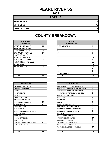## **PEARL RIVER/55**

**2008**

#### **TOTALS**

**REFERRALS 75**

**OFFENSES 75**

**DISPOSITIONS 75**

| <b>RACE AND</b><br><b>GENDER</b> |    | <b>AGE AT</b><br><b>DISPOSITION</b> |
|----------------------------------|----|-------------------------------------|
| <b>AFRICAN AM. MALE</b>          | 11 | <b>7 AND UNDER</b>                  |
| AFRICAN AM. FEMALE               | 7  | 8                                   |
| <b>CAUCASIAN MALE</b>            | 43 | 9                                   |
| <b>CAUCASIAN FEMALE</b>          | 14 | 10                                  |
| <b>HISPANIC MALE</b>             | 0  | 11                                  |
| <b>HISPANIC FEMALE</b>           | 0  | $\overline{12}$                     |
| AMER. INDIAN MALE                | 0  | 13                                  |
| AMER. INDIAN FEMALE              | 0  | 14                                  |
| <b>ASIAN MALE</b>                | 0  | 15                                  |
| ASIAN FEMALE                     | 0  | 16                                  |
|                                  |    | 17                                  |
|                                  |    | 18                                  |
|                                  |    | 19 AND OVER                         |
| <b>TOTAL</b>                     | 75 | ΤΟΤΑL                               |

| <b>COUNTY BREAKDOWN</b> |  |  |  |
|-------------------------|--|--|--|
|-------------------------|--|--|--|

| <b>RACE AND</b><br><b>GENDER</b> |          | <b>AGE AT</b><br><b>DISPOSITION</b> |          |
|----------------------------------|----------|-------------------------------------|----------|
| AFRICAN AM. MALE                 | 11       | 7 AND UNDER                         | 0        |
| AFRICAN AM. FEMALE               |          | 8                                   | $\Omega$ |
| <b>CAUCASIAN MALE</b>            | 43       | 9                                   | $\Omega$ |
| <b>CAUCASIAN FEMALE</b>          | 14       | 10                                  | $\Omega$ |
| <b>HISPANIC MALE</b>             | $\Omega$ | 11                                  | 1        |
| <b>HISPANIC FEMALE</b>           | $\Omega$ | 12                                  | 10       |
| AMER. INDIAN MALE                | 0        | 13                                  | 4        |
| AMER. INDIAN FEMALE              | $\Omega$ | 14                                  | 11       |
| ASIAN MALE                       | $\Omega$ | 15                                  | 15       |
| ASIAN FEMALE                     | 0        | 16                                  | 13       |
|                                  |          | 17                                  | 21       |
|                                  |          | 18                                  | $\Omega$ |
|                                  |          | 19 AND OVER                         | $\Omega$ |
| <b>TOTAL</b>                     | 75       | TOTAL                               | 75       |

| <b>OFFENSES</b>             |                | <b>DISPOSITIONS</b>             |
|-----------------------------|----------------|---------------------------------|
| AGGRAVATED ASSAULT          | 0              | <b>ADOLESCENT OFFENDER PR</b>   |
| <b>ALCOHOL OFFENSES</b>     | 7              | <b>COMMUNITY SERVICE WORK</b>   |
| ARSON                       | $\overline{2}$ | CERTIFIED/WAIVED/TRANSFE        |
| <b>BOMB THREATS</b>         | 0              | <b>COMMITMENT TO TRAINING S</b> |
| <b>BURGLARY</b>             | 3              | <b>COMMUNITY PROGRAMS</b>       |
| CHINS/RUN AWAY              | 4              | <b>DISMISSED</b>                |
| ICONTEMPT OF COURT          | 0              | <b>DETENTION</b>                |
| DISORDERLY CONDUCT          | 10             | <b>FINED</b>                    |
| <b>DRUG OFFENSES</b>        | 13             | <b>HELD OPEN / RETIRED</b>      |
| GRAND LARCENY               | 6              | PLACEMENT WITH INDIVIDUA        |
| <b>HARASSMENT</b>           | 0              | REFERRED TO PRIVATE AGEI        |
| MALICIOUS MISCHIEF/ VANDAL. | 6              | <b>REFERRED TO PUBLIC AGEN</b>  |
| <b>PETIT LARCENY</b>        | 1              | <b>RESTITUTION</b>              |
| <b>ROBBERY</b>              | 0              | RUNAWAY RETURNED                |
| <b>SEXUAL OFFENSES</b>      | 0              | <b>SUPERVISED PROBATION</b>     |
| <b>SHOPLIFTING</b>          | 5              | <b>SUSPENDED LICENSE</b>        |
| SIMPLE ASSAULT/DOM. VIOLEN  | 15             | <b>SUSPENDED COMMITMENT</b>     |
| <b>WEAPON OFFENSES</b>      | 3              | UNSUPERVISED PROBATION          |
|                             |                | WARNED ADJUSTED COUNSE          |
|                             |                |                                 |
| <b>TOTAL</b>                | 75             | <b>TOTAL</b>                    |

| <b>OFFENSES</b>             |                | <b>DISPOSITIONS</b>              |                |
|-----------------------------|----------------|----------------------------------|----------------|
| AGGRAVATED ASSAULT          | 0              | ADOLESCENT OFFENDER PROGRAM      | 3              |
| ALCOHOL OFFENSES            | 7              | COMMUNITY SERVICE WORK PROGRAM   | 4              |
| ARSON                       | $\overline{2}$ | CERTIFIED/WAIVED/TRANSFERRED     | $\Omega$       |
| <b>BOMB THREATS</b>         | $\Omega$       | COMMITMENT TO TRAINING SCHOOL    | 2              |
| BURGLARY                    | 3              | <b>COMMUNITY PROGRAMS</b>        |                |
| CHINS/ RUN AWAY             | 4              | <b>DISMISSED</b>                 | 4              |
| CONTEMPT OF COURT           | $\Omega$       | <b>DETENTION</b>                 | $\Omega$       |
| DISORDERLY CONDUCT          | 10             | <b>FINFD</b>                     | $\overline{2}$ |
| <b>DRUG OFFENSES</b>        | 13             | <b>HELD OPEN / RETIRED</b>       | 0              |
| GRAND LARCENY               | 6              | PLACEMENT WITH INDIVIDUAL        | 0              |
| HARASSMENT                  | $\Omega$       | REFERRED TO PRIVATE AGENCY       | 0              |
| MALICIOUS MISCHIEF/ VANDAL. | 6              | REFERRED TO PUBLIC AGENCY        | $\Omega$       |
| PETIT LARCENY               |                | <b>RESTITUTION</b>               | 0              |
| <b>ROBBERY</b>              | $\Omega$       | RUNAWAY RETURNED                 | 0              |
| <b>SEXUAL OFFENSES</b>      | 0              | <b>SUPERVISED PROBATION</b>      | 29             |
| SHOPLIFTING                 | 5              | <b>SUSPENDED LICENSE</b>         | 0              |
| SIMPLE ASSAULT/DOM. VIOLEN  | 15             | SUSPENDED COMMITMENT             | 0              |
| <b>WEAPON OFFENSES</b>      | 3              | UNSUPERVISED PROBATION           | 1              |
|                             |                | <b>WARNED ADJUSTED COUNSELED</b> | 29             |
|                             |                |                                  |                |
| TOTAL                       | 75             | <b>TOTAL</b>                     | 75             |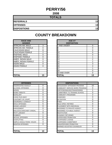#### **PERRY/56 2008**

| <b>TOTALS</b>       |                 |
|---------------------|-----------------|
| <b>REFERRALS</b>    | 13 <sub>l</sub> |
| <b>OFFENSES</b>     | 13              |
| <b>DISPOSITIONS</b> | 13 <sub>l</sub> |

| <b>RACE AND</b><br><b>GENDER</b> |                | <b>AGE AT</b><br><b>DISPOSITION</b> |
|----------------------------------|----------------|-------------------------------------|
| <b>AFRICAN AM. MALE</b>          | 3              | 7 AND UNDER                         |
| AFRICAN AM. FEMALE               | 0              | 8                                   |
| <b>CAUCASIAN MALE</b>            | 8              | 9                                   |
| <b>CAUCASIAN FEMALE</b>          | $\overline{2}$ | 10                                  |
| <b>HISPANIC MALE</b>             | 0              | 11                                  |
| <b>HISPANIC FEMALE</b>           | 0              | 12                                  |
| <b>AMER. INDIAN MALE</b>         | 0              | 13                                  |
| AMER. INDIAN FEMALE              | 0              | 14                                  |
| <b>ASIAN MALE</b>                | 0              | 15                                  |
| <b>ASIAN FEMALE</b>              | 0              | 16                                  |
|                                  |                | 17                                  |
|                                  |                | 18                                  |
|                                  |                | 19 AND OVER                         |
| <b>TOTAL</b>                     | 13             | <b>TOTAL</b>                        |

| <b>TOTAL</b>                | 13       | <b>TOTAL</b>                      | 13             |
|-----------------------------|----------|-----------------------------------|----------------|
|                             |          |                                   |                |
| <b>OFFENSES</b>             |          | <b>DISPOSITIONS</b>               |                |
| AGGRAVATED ASSAULT          | 0        | ADOLESCENT OFFENDER PROGRAM       | 10             |
| ALCOHOL OFFENSES            | $\Omega$ | COMMUNITY SERVICE WORK PROGRAM    | 0              |
| ARSON                       | $\Omega$ | CERTIFIED/WAIVED/TRANSFERRED      | 1              |
| <b>BOMB THREATS</b>         | 0        | COMMITMENT TO TRAINING SCHOOL     | 0              |
| BURGLARY                    | $\Omega$ | <b>COMMUNITY PROGRAMS</b>         | $\overline{2}$ |
| CHINS/ RUN AWAY             | 0        | <b>DISMISSED</b>                  | 0              |
| CONTEMPT OF COURT           | $\Omega$ | <b>DETENTION</b>                  | $\Omega$       |
| DISORDERLY CONDUCT          | 0        | <b>FINED</b>                      | $\Omega$       |
| <b>DRUG OFFENSES</b>        | 5        | <b>HELD OPEN / RETIRED</b>        | $\Omega$       |
| <b>GRAND LARCENY</b>        | $\Omega$ | PLACEMENT WITH INDIVIDUAL         | $\Omega$       |
| HARASSMENT                  | $\Omega$ | <b>REFERRED TO PRIVATE AGENCY</b> | $\Omega$       |
| MALICIOUS MISCHIEF/ VANDAL. | 3        | <b>REFERRED TO PUBLIC AGENCY</b>  | 0              |
| PETIT LARCENY               | 0        | <b>RESTITUTION</b>                | $\Omega$       |
| <b>ROBBERY</b>              | 1        | RUNAWAY RETURNED                  | $\Omega$       |
| <b>SEXUAL OFFENSES</b>      | $\Omega$ | SUPERVISED PROBATION              | $\Omega$       |
| SHOPLIFTING                 | 0        | <b>SUSPENDED LICENSE</b>          | $\Omega$       |
| SIMPLE ASSAULT/DOM. VIOLEN  | 4        | <b>SUSPENDED COMMITMENT</b>       | $\Omega$       |
| <b>WEAPON OFFENSES</b>      | 0        | UNSUPERVISED PROBATION            | 0              |
|                             |          | WARNED ADJUSTED COUNSELED         | 0              |
| ΤΛΤΔΙ                       | 13       | ΙΤΛΤΔΙ                            | 13             |

| <b>RACE AND</b><br><b>GENDER</b> |          | <b>AGE AT</b><br><b>DISPOSITION</b> |                |
|----------------------------------|----------|-------------------------------------|----------------|
| AFRICAN AM. MALE                 | 3        | 7 AND UNDER                         | 0              |
| AFRICAN AM. FEMALE               | $\Omega$ | ö                                   | $\Omega$       |
| <b>CAUCASIAN MALE</b>            | 8        | 9                                   | $\Omega$       |
| <b>CAUCASIAN FEMALE</b>          | 2        | 10                                  | $\Omega$       |
| <b>HISPANIC MALE</b>             | $\Omega$ | 11                                  | $\mathbf 0$    |
| <b>HISPANIC FEMALE</b>           | $\Omega$ | 12                                  |                |
| AMER. INDIAN MALE                | $\Omega$ | 13                                  | $\overline{2}$ |
| AMER. INDIAN FEMALE              | $\Omega$ | 14                                  | $\overline{2}$ |
| ASIAN MALE                       | 0        | 15                                  | 3              |
| <b>ASIAN FEMALE</b>              | 0        | 16                                  | $\overline{4}$ |
|                                  |          | 17                                  |                |
|                                  |          | 18                                  | $\mathbf 0$    |
|                                  |          | 19 AND OVER                         | 0              |
| TOTAL                            | 13       | TOTAL                               | 13             |

| <b>OFFENSES</b>             |    |
|-----------------------------|----|
| AGGRAVATED ASSAULT          | 0  |
| ALCOHOL OFFENSES            | 0  |
| ARSON                       | 0  |
| BOMB THREATS                | 0  |
| BURGLARY                    | 0  |
| CHINS/ RUN AWAY             | 0  |
| CONTEMPT OF COURT           | 0  |
| DISORDERLY CONDUCT          | 0  |
| DRUG OFFENSES               | 5  |
| GRAND I ARCENY              | 0  |
| HARASSMENT                  | 0  |
| MALICIOUS MISCHIEF/ VANDAL. | 3  |
| PETIT LARCENY               | 0  |
| ROBBERY                     |    |
| <b>SEXUAL OFFENSES</b>      | 0  |
| SHOPLIFTING                 | 0  |
| SIMPLE ASSAULT/DOM. VIOLEN  | 4  |
| <b>WEAPON OFFENSES</b>      | 0  |
|                             |    |
|                             |    |
| TOTAL                       | 13 |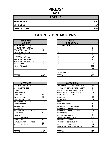# **PIKE/57**

| <b>TOTALS</b>       |     |
|---------------------|-----|
| <b>REFERRALS</b>    | 457 |
| <b>OFFENSES</b>     | 457 |
| <b>DISPOSITIONS</b> | 457 |

| <b>RACE AND</b><br><b>GENDER</b> |     | <b>AGE AT</b><br><b>DISPOSITION</b> |
|----------------------------------|-----|-------------------------------------|
| <b>AFRICAN AM. MALE</b>          | 267 | <b>7 AND UNDER</b>                  |
| AFRICAN AM. FEMALE               | 103 | 8                                   |
| <b>CAUCASIAN MALE</b>            | 47  | 9                                   |
| <b>CAUCASIAN FEMALE</b>          | 38  | 10                                  |
| <b>HISPANIC MALE</b>             | 1   | 11                                  |
| <b>HISPANIC FEMALE</b>           | 0   | 12                                  |
| AMER. INDIAN MALE                | 1   | 13                                  |
| AMER. INDIAN FEMALE              | 0   | 14                                  |
| <b>ASIAN MALE</b>                | 0   | 15                                  |
| <b>ASIAN FEMALE</b>              | 0   | 16                                  |
|                                  |     | 17                                  |
|                                  |     | 18                                  |
|                                  |     | 19 AND OVER                         |
| TOTAL                            | 457 | <b>TOTAL</b>                        |

| <b>RACE AND</b>         |          | <b>AGE AT</b>      |          |
|-------------------------|----------|--------------------|----------|
| <b>GENDER</b>           |          | <b>DISPOSITION</b> |          |
| AFRICAN AM. MALE        | 267      | 7 AND UNDER        | $\Omega$ |
| AFRICAN AM. FEMALE      | 103      | 8                  |          |
| <b>CAUCASIAN MALE</b>   | 47       | 9                  | 0        |
| <b>CAUCASIAN FEMALE</b> | 38       | 10                 | 4        |
| <b>HISPANIC MALE</b>    |          | 11                 | 5        |
| <b>HISPANIC FEMALE</b>  | 0        | 12                 | 17       |
| AMER. INDIAN MALE       |          | 13                 | 31       |
| AMER. INDIAN FEMALE     | $\Omega$ | 14                 | 77       |
| ASIAN MALE              | 0        | 15                 | 115      |
| ASIAN FEMALE            | 0        | 16                 | 110      |
|                         |          | 17                 | 90       |
|                         |          | 18                 | 7        |
|                         |          | 19 AND OVER        | $\Omega$ |
| TOTAL                   | 457      | TOTAL              | 457      |

| <b>OFFENSES</b>                    |     | <b>DISPOSITIONS</b>             |
|------------------------------------|-----|---------------------------------|
| AGGRAVATED ASSAULT                 | 3   | <b>ADOLESCENT OFFENDER PR</b>   |
| <b>ALCOHOL OFFENSES</b>            | 7   | <b>COMMUNITY SERVICE WORK</b>   |
| <b>ARSON</b>                       | 0   | CERTIFIED/WAIVED/TRANSFE        |
| <b>BOMB THREATS</b>                | 1   | <b>COMMITMENT TO TRAINING S</b> |
| <b>BURGLARY</b>                    | 16  | <b>COMMUNITY PROGRAMS</b>       |
| CHINS/RUN AWAY                     | 37  | <b>DISMISSED</b>                |
| ICONTEMPT OF COURT                 | 60  | <b>DETENTION</b>                |
| DISORDERLY CONDUCT                 | 119 | <b>FINED</b>                    |
| <b>DRUG OFFENSES</b>               | 35  | <b>HELD OPEN / RETIRED</b>      |
| <b>GRAND LARCENY</b>               | 6   | PLACEMENT WITH INDIVIDUA        |
| <b>HARASSMENT</b>                  | 3   | <b>REFERRED TO PRIVATE AGEI</b> |
| <b>MALICIOUS MISCHIEF/ VANDAL.</b> | 22  | <b>REFERRED TO PUBLIC AGEN</b>  |
| PETIT LARCENY                      | 12  | <b>RESTITUTION</b>              |
| <b>ROBBERY</b>                     | 0   | <b>RUNAWAY RETURNED</b>         |
| <b>SEXUAL OFFENSES</b>             | 7   | SUPERVISED PROBATION            |
| <b>SHOPLIFTING</b>                 | 64  | <b>SUSPENDED LICENSE</b>        |
| SIMPLE ASSAULT/DOM. VIOLEN         | 55  | <b>SUSPENDED COMMITMENT</b>     |
| <b>WEAPON OFFENSES</b>             | 10  | UNSUPERVISED PROBATION          |
|                                    |     | WARNED ADJUSTED COUNSE          |
|                                    |     |                                 |
| <b>TOTAL</b>                       | 457 | <b>TOTAL</b>                    |

| <b>OFFENSES</b>             |     | <b>DISPOSITIONS</b>              |                |
|-----------------------------|-----|----------------------------------|----------------|
| AGGRAVATED ASSAULT          | 3   | ADOLESCENT OFFENDER PROGRAM      | 28             |
| ALCOHOL OFFENSES            | 7   | COMMUNITY SERVICE WORK PROGRAM   | 8              |
| ARSON                       | 0   | CERTIFIED/WAIVED/TRANSFERRED     | 9              |
| <b>BOMB THREATS</b>         | 1   | COMMITMENT TO TRAINING SCHOOL    | 20             |
| BURGLARY                    | 16  | <b>COMMUNITY PROGRAMS</b>        | 2              |
| CHINS/ RUN AWAY             | 37  | <b>DISMISSED</b>                 | 62             |
| CONTEMPT OF COURT           | 60  | <b>DETENTION</b>                 | 15             |
| DISORDERLY CONDUCT          | 119 | <b>FINFD</b>                     | 2              |
| <b>DRUG OFFENSES</b>        | 35  | <b>HELD OPEN / RETIRED</b>       | 21             |
| <b>GRAND LARCENY</b>        | 6   | PLACEMENT WITH INDIVIDUAL        | 0              |
| HARASSMENT                  | 3   | REFERRED TO PRIVATE AGENCY       | $\overline{2}$ |
| MALICIOUS MISCHIEF/ VANDAL. | 22  | <b>REFERRED TO PUBLIC AGENCY</b> | 10             |
| PETIT LARCENY               | 12  | <b>RESTITUTION</b>               | 0              |
| <b>ROBBERY</b>              | 0   | <b>RUNAWAY RETURNED</b>          | 0              |
| <b>SEXUAL OFFENSES</b>      | 7   | <b>SUPERVISED PROBATION</b>      | 212            |
| SHOPLIFTING                 | 64  | <b>SUSPENDED LICENSE</b>         | 0              |
| SIMPLE ASSAULT/DOM. VIOLEN  | 55  | SUSPENDED COMMITMENT             | 0              |
| WEAPON OFFENSES             | 10  | UNSUPERVISED PROBATION           | 13             |
|                             |     | WARNED ADJUSTED COUNSELED        | 53             |
|                             |     |                                  |                |
| TOTAL                       | 457 | <b>TOTAL</b>                     | 457            |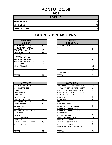## **PONTOTOC/58**

**2008**

| <b>TOTALS</b>       |    |
|---------------------|----|
| <b>REFERRALS</b>    | 71 |
| <b>OFFENSES</b>     | 71 |
| <b>DISPOSITIONS</b> | 71 |

| <b>RACE AND</b><br><b>GENDER</b> |    | <b>AGE AT</b><br><b>DISPOSITION</b> |
|----------------------------------|----|-------------------------------------|
| AFRICAN AM. MALE                 | 10 | <b>7 AND UNDER</b>                  |
| AFRICAN AM. FEMALE               | 5  | 8                                   |
| <b>CAUCASIAN MALE</b>            | 45 | 9                                   |
| <b>CAUCASIAN FEMALE</b>          | 11 | 10                                  |
| <b>HISPANIC MALE</b>             | 0  | 11                                  |
| <b>HISPANIC FEMALE</b>           | 0  | 12                                  |
| <b>AMER. INDIAN MALE</b>         | 0  | 13                                  |
| AMER. INDIAN FEMALE              | 0  | 14                                  |
| <b>ASIAN MALE</b>                | 0  | 15                                  |
| ASIAN FEMALE                     | 0  | 16                                  |
|                                  |    | 17                                  |
|                                  |    | 18                                  |
|                                  |    | 19 AND OVER                         |
| <b>TOTAL</b>                     | 71 | TOTAL                               |

| <b>OFFENSES</b>                    |    | <b>DISPOSITIONS</b>      |
|------------------------------------|----|--------------------------|
| AGGRAVATED ASSAULT                 | 1  | ADOLESCENT OFFENDER PR   |
| ALCOHOL OFFENSES                   | 8  | COMMUNITY SERVICE WORK   |
| <b>ARSON</b>                       | 1  | CERTIFIED/WAIVED/TRANSFE |
| <b>BOMB THREATS</b>                | 0  | COMMITMENT TO TRAINING S |
| <b>BURGLARY</b>                    | 8  | COMMUNITY PROGRAMS       |
| CHINS/ RUN AWAY                    | 2  | <b>DISMISSED</b>         |
| CONTEMPT OF COURT                  | 11 | DETENTION                |
| DISORDERLY CONDUCT                 | 2  | <b>FINED</b>             |
| <b>DRUG OFFENSES</b>               | 15 | HELD OPEN / RETIRED      |
| <b>GRAND LARCENY</b>               | 0  | PLACEMENT WITH INDIVIDUA |
| <b>HARASSMENT</b>                  | 0  | REFERRED TO PRIVATE AGEI |
| <b>MALICIOUS MISCHIEF/ VANDAL.</b> | 1  | REFERRED TO PUBLIC AGEN  |
| PETIT LARCENY                      | 5  | RESTITUTION              |
| <b>ROBBERY</b>                     | 1  | RUNAWAY RETURNED         |
| <b>SEXUAL OFFENSES</b>             | 0  | SUPERVISED PROBATION     |
| <b>SHOPLIFTING</b>                 | 3  | SUSPENDED LICENSE        |
| SIMPLE ASSAULT/DOM. VIOLEN         | 10 | SUSPENDED COMMITMENT     |
| <b>WEAPON OFFENSES</b>             | 3  | UNSUPERVISED PROBATION   |
|                                    |    | WARNED ADJUSTED COUNSE   |
|                                    |    |                          |
| <b>TOTAL</b>                       | 71 | <b>TOTAL</b>             |

| <b>RACE AND</b><br><b>GENDER</b> |             | <b>AGE AT</b><br><b>DISPOSITION</b> |                |
|----------------------------------|-------------|-------------------------------------|----------------|
| AFRICAN AM. MALE                 | 10          | 7 AND UNDER                         | 0              |
| AFRICAN AM. FEMALE               | 5           | Ο                                   | 0              |
| <b>CAUCASIAN MALE</b>            | 45          | 9                                   | $\Omega$       |
| <b>CAUCASIAN FEMALE</b>          | 11          | 10                                  |                |
| <b>HISPANIC MALE</b>             | 0           | 11                                  |                |
| <b>HISPANIC FEMALE</b>           | $\mathbf 0$ | 12                                  | $\overline{4}$ |
| AMER. INDIAN MALE                | $\Omega$    | 13                                  | $\overline{4}$ |
| AMER. INDIAN FEMALE              | 0           | 14                                  | 11             |
| ASIAN MALE                       | 0           | 15                                  | 9              |
| <b>ASIAN FEMALE</b>              | 0           | 16                                  | 13             |
|                                  |             | 17                                  | 19             |
|                                  |             | 18                                  | 9              |
|                                  |             | 19 AND OVER                         | $\Omega$       |
| <b>TOTAL</b>                     | 71          | TOTAL                               | 71             |

| <b>OFFENSES</b>             |                |
|-----------------------------|----------------|
| AGGRAVATED ASSAULT          |                |
| ALCOHOL OFFENSES            | 8              |
| ARSON                       |                |
| <b>BOMB THREATS</b>         | 0              |
| <b>BURGLARY</b>             | 8              |
| CHINS/ RUN AWAY             | $\overline{2}$ |
| CONTEMPT OF COURT           | 11             |
| DISORDERLY CONDUCT          | 2              |
| <b>DRUG OFFENSES</b>        | 15             |
| <b>GRAND LARCENY</b>        | 0              |
| HARASSMENT                  | 0              |
| MALICIOUS MISCHIEF/ VANDAL. | 1              |
| PETIT LARCENY               | 5              |
| ROBBERY                     |                |
| <b>SEXUAL OFFENSES</b>      | 0              |
| SHOPLIFTING                 | 3              |
| SIMPLE ASSAULT/DOM. VIOLEN  | 10             |
| <b>WEAPON OFFENSES</b>      | 3              |
|                             |                |
|                             |                |
| TOTAL                       | 71             |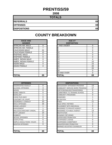## **PRENTISS/59**

**2008**

| <b>TOTALS</b>       |    |
|---------------------|----|
| <b>REFERRALS</b>    | 69 |
| <b>OFFENSES</b>     | 69 |
| <b>DISPOSITIONS</b> | 69 |

| <b>RACE AND</b>         |    | <b>AGE AT</b>      |
|-------------------------|----|--------------------|
| <b>GENDER</b>           |    | <b>DISPOSITION</b> |
| <b>AFRICAN AM. MALE</b> | 9  | <b>7 AND UNDER</b> |
| AFRICAN AM. FEMALE      | 7  | 8                  |
| <b>CAUCASIAN MALE</b>   | 41 | 9                  |
| <b>CAUCASIAN FEMALE</b> | 12 | 10                 |
| <b>HISPANIC MALE</b>    | 0  | 11                 |
| <b>HISPANIC FEMALE</b>  | 0  | 12                 |
| AMER. INDIAN MALE       | 0  | 13                 |
| AMER. INDIAN FEMALE     | 0  | 14                 |
| <b>ASIAN MALE</b>       | 0  | 15                 |
| ASIAN FEMALE            | 0  | 16                 |
|                         |    | 17                 |
|                         |    | 18                 |
|                         |    | 19 AND OVER        |
| <b>TOTAL</b>            | 69 | TOTAL              |

| <b>OFFENSES</b>                    |    | <b>DISPOSITIONS</b>           |
|------------------------------------|----|-------------------------------|
| <b>AGGRAVATED ASSAULT</b>          | 0  | <b>ADOLESCENT OFFENDER PR</b> |
| <b>ALCOHOL OFFENSES</b>            | 3  | COMMUNITY SERVICE WORK        |
| ARSON                              | 0  | CERTIFIED/WAIVED/TRANSFE      |
| <b>BOMB THREATS</b>                | 0  | COMMITMENT TO TRAINING S      |
| <b>BURGLARY</b>                    | 1  | COMMUNITY PROGRAMS            |
| CHINS/ RUN AWAY                    | 0  | DISMISSED                     |
| <b>CONTEMPT OF COURT</b>           | 0  | DETENTION                     |
| DISORDERLY CONDUCT                 | 10 | <b>FINED</b>                  |
| <b>DRUG OFFENSES</b>               | 16 | <b>HELD OPEN / RETIRED</b>    |
| <b>GRAND LARCENY</b>               | 1  | PLACEMENT WITH INDIVIDUA      |
| <b>HARASSMENT</b>                  | 1  | REFERRED TO PRIVATE AGEI      |
| <b>MALICIOUS MISCHIEF/ VANDAL.</b> | 12 | REFERRED TO PUBLIC AGEN       |
| <b>PETIT LARCENY</b>               | 14 | RESTITUTION                   |
| <b>ROBBERY</b>                     | 0  | RUNAWAY RETURNED              |
| <b>SEXUAL OFFENSES</b>             | 0  | SUPERVISED PROBATION          |
| <b>SHOPLIFTING</b>                 | 5  | SUSPENDED LICENSE             |
| SIMPLE ASSAULT/DOM. VIOLEN         | 6  | SUSPENDED COMMITMENT          |
| <b>WEAPON OFFENSES</b>             | 0  | UNSUPERVISED PROBATION        |
|                                    |    | WARNED ADJUSTED COUNSE        |
|                                    |    |                               |
| <b>TOTAL</b>                       | 69 | <b>TOTAL</b>                  |

| <b>RACE AND</b><br><b>GENDER</b> |             | <b>AGE AT</b><br><b>DISPOSITION</b> |          |
|----------------------------------|-------------|-------------------------------------|----------|
| AFRICAN AM. MALE                 | 9           | 7 AND UNDER                         | 0        |
| AFRICAN AM. FEMALE               |             | o                                   | $\Omega$ |
| <b>CAUCASIAN MALE</b>            | 41          | 9                                   | 0        |
| <b>CAUCASIAN FEMALE</b>          | 12          | 10                                  | $\Omega$ |
| <b>HISPANIC MALE</b>             | 0           | 11                                  | 0        |
| <b>HISPANIC FEMALE</b>           | 0           | 12                                  | 0        |
| AMER. INDIAN MALE                | $\Omega$    | 13                                  | 4        |
| AMER. INDIAN FEMALE              | $\Omega$    | 14                                  | 10       |
| ASIAN MALE                       | 0           | 15                                  | 15       |
| ASIAN FEMALE                     | $\mathbf 0$ | 16                                  | 20       |
|                                  |             | 17                                  | 20       |
|                                  |             | 18                                  | 0        |
|                                  |             | 19 AND OVER                         | $\Omega$ |
| <b>TOTAL</b>                     | 69          | TOTAL                               | 69       |

| <b>OFFENSES</b>             |          | <b>DISPOSITIONS</b>            |
|-----------------------------|----------|--------------------------------|
| AGGRAVATED ASSAULT          | $\Omega$ | ADOLESCENT OFFENDER PROGRAM    |
| ALCOHOL OFFENSES            | 3        | COMMUNITY SERVICE WORK PROGRAM |
| ARSON                       | 0        | CERTIFIED/WAIVED/TRANSFERRED   |
| <b>BOMB THREATS</b>         | 0        | COMMITMENT TO TRAINING SCHOOL  |
| <b>BURGLARY</b>             |          | <b>COMMUNITY PROGRAMS</b>      |
| CHINS/ RUN AWAY             | 0        | <b>DISMISSED</b>               |
| CONTEMPT OF COURT           | 0        | <b>DETENTION</b>               |
| DISORDERLY CONDUCT          | 10       | <b>FINED</b>                   |
| <b>DRUG OFFENSES</b>        | 16       | <b>HELD OPEN / RETIRED</b>     |
| GRAND LARCENY               |          | PLACEMENT WITH INDIVIDUAL      |
| HARASSMENT                  |          | REFERRED TO PRIVATE AGENCY     |
| MALICIOUS MISCHIEF/ VANDAL. | 12       | REFERRED TO PUBLIC AGENCY      |
| PETIT LARCENY               | 14       | <b>RESTITUTION</b>             |
| ROBBERY                     | $\Omega$ | RUNAWAY RETURNED               |
| <b>SEXUAL OFFENSES</b>      | 0        | <b>SUPERVISED PROBATION</b>    |
| SHOPLIFTING                 | 5        | <b>SUSPENDED LICENSE</b>       |
| SIMPLE ASSAULT/DOM. VIOLEN  | 6        | SUSPENDED COMMITMENT           |
| WEAPON OFFENSES             | $\Omega$ | UNSUPERVISED PROBATION         |
|                             |          | WARNED ADJUSTED COUNSELED      |
| TOTAL                       | 69       | <b>TOTAL</b>                   |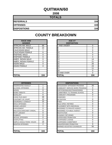## **QUITMAN/60**

| <b>TOTALS</b>       |     |
|---------------------|-----|
| <b>REFERRALS</b>    | 104 |
| <b>OFFENSES</b>     | 104 |
| <b>DISPOSITIONS</b> | 104 |

| <b>RACE AND</b><br><b>GENDER</b> |          | <b>AGE AT</b><br><b>DISPOSITION</b> |
|----------------------------------|----------|-------------------------------------|
| AFRICAN AM. MALE                 | 68       | <b>7 AND UNDER</b>                  |
| AFRICAN AM. FEMALE               | 23       | 8                                   |
| <b>CAUCASIAN MALE</b>            | 7        | 9                                   |
| <b>CAUCASIAN FEMALE</b>          | 6        | 10                                  |
| <b>HISPANIC MALE</b>             | 0        | 11                                  |
| <b>HISPANIC FEMALE</b>           | 0        | 12                                  |
| AMER. INDIAN MALE                | 0        | 13                                  |
| AMER. INDIAN FEMALE              | 0        | 14                                  |
| <b>ASIAN MALE</b>                | 0        | 15                                  |
| <b>ASIAN FEMALE</b>              | $\Omega$ | 16                                  |
|                                  |          | 17                                  |
|                                  |          | 18                                  |
|                                  |          | <b>19 AND OVER</b>                  |
| <b>TOTAL</b>                     | 104      | TOTAL                               |

| <b>RACE AND</b>         |          | <b>AGE AT</b>      |             |
|-------------------------|----------|--------------------|-------------|
| <b>GENDER</b>           |          | <b>DISPOSITION</b> |             |
| AFRICAN AM. MALE        | 68       | 7 AND UNDER        | $\Omega$    |
| AFRICAN AM. FEMALE      | 23       | 8                  | 0           |
| <b>CAUCASIAN MALE</b>   | 7        | 9                  | $\mathbf 0$ |
| <b>CAUCASIAN FEMALE</b> | 6        | 10                 | 5           |
| <b>HISPANIC MALE</b>    | 0        | 11                 | 0           |
| <b>HISPANIC FEMALE</b>  | $\Omega$ | 12                 | 4           |
| AMER. INDIAN MALE       | 0        | 13                 | 14          |
| AMER. INDIAN FEMALE     | $\Omega$ | 14                 | 21          |
| ASIAN MALE              | 0        | 15                 | 26          |
| ASIAN FEMALE            | $\Omega$ | 16                 | 23          |
|                         |          | 17                 | 11          |
|                         |          | 18                 | $\Omega$    |
|                         |          | 19 AND OVER        | $\Omega$    |
| TOTAL                   | 104      | <b>TOTAL</b>       | 104         |

| <b>OFFENSES</b>                    |     | <b>DISPOSITIONS</b>             |
|------------------------------------|-----|---------------------------------|
| AGGRAVATED ASSAULT                 | 1   | <b>ADOLESCENT OFFENDER PR</b>   |
| <b>ALCOHOL OFFENSES</b>            | 0   | COMMUNITY SERVICE WORK          |
| <b>ARSON</b>                       | 0   | CERTIFIED/WAIVED/TRANSFE        |
| <b>BOMB THREATS</b>                | 0   | <b>COMMITMENT TO TRAINING S</b> |
| <b>BURGLARY</b>                    | 6   | <b>COMMUNITY PROGRAMS</b>       |
| CHINS/ RUN AWAY                    | 39  | <b>DISMISSED</b>                |
| <b>CONTEMPT OF COURT</b>           | 10  | <b>DETENTION</b>                |
| <b>DISORDERLY CONDUCT</b>          | 15  | FINED                           |
| <b>DRUG OFFENSES</b>               | 3   | <b>HELD OPEN / RETIRED</b>      |
| <b>GRAND LARCENY</b>               | 0   | PLACEMENT WITH INDIVIDUA        |
| <b>HARASSMENT</b>                  | 0   | <b>REFERRED TO PRIVATE AGEI</b> |
| <b>MALICIOUS MISCHIEF/ VANDAL.</b> | 8   | REFERRED TO PUBLIC AGEN         |
| PETIT LARCENY                      | 0   | <b>RESTITUTION</b>              |
| <b>ROBBERY</b>                     | 0   | RUNAWAY RETURNED                |
| <b>SEXUAL OFFENSES</b>             | 0   | SUPERVISED PROBATION            |
| <b>SHOPLIFTING</b>                 | 1   | <b>SUSPENDED LICENSE</b>        |
| SIMPLE ASSAULT/DOM. VIOLEN         | 19  | <b>SUSPENDED COMMITMENT</b>     |
| <b>WEAPON OFFENSES</b>             | 2   | UNSUPERVISED PROBATION          |
|                                    |     | WARNED ADJUSTED COUNSE          |
|                                    |     |                                 |
| <b>ITOTAL</b>                      | 104 | <b>TOTAL</b>                    |

| <b>OFFENSES</b>             |          | <b>DISPOSITIONS</b>            |          |
|-----------------------------|----------|--------------------------------|----------|
| AGGRAVATED ASSAULT          |          | ADOLESCENT OFFENDER PROGRAM    | 26       |
| ALCOHOL OFFENSES            | 0        | COMMUNITY SERVICE WORK PROGRAM | 0        |
| ARSON                       | 0        | CERTIFIED/WAIVED/TRANSFERRED   | 0        |
| <b>BOMB THREATS</b>         | 0        | COMMITMENT TO TRAINING SCHOOL  | 6        |
| <b>BURGLARY</b>             | 6        | COMMUNITY PROGRAMS             | 0        |
| CHINS/ RUN AWAY             | 39       | <b>DISMISSED</b>               |          |
| CONTEMPT OF COURT           | 10       | <b>DETENTION</b>               | 0        |
| DISORDERLY CONDUCT          | 15       | <b>FINED</b>                   | 0        |
| <b>DRUG OFFENSES</b>        | 3        | <b>HELD OPEN / RETIRED</b>     | 0        |
| <b>GRAND LARCENY</b>        | $\Omega$ | PLACEMENT WITH INDIVIDUAL      | $\Omega$ |
| HARASSMENT                  | 0        | REFERRED TO PRIVATE AGENCY     | 0        |
| MALICIOUS MISCHIEF/ VANDAL. | 8        | REFERRED TO PUBLIC AGENCY      | 0        |
| PETIT LARCENY               | 0        | <b>RESTITUTION</b>             | 0        |
| ROBBERY                     | 0        | RUNAWAY RETURNED               | 0        |
| <b>SEXUAL OFFENSES</b>      | 0        | <b>SUPERVISED PROBATION</b>    | 0        |
| SHOPLIFTING                 | 1        | SUSPENDED LICENSE              | 0        |
| SIMPLE ASSAULT/DOM. VIOLEN  | 19       | SUSPENDED COMMITMENT           | $\Omega$ |
| WEAPON OFFENSES             | 2        | UNSUPERVISED PROBATION         | 9        |
|                             |          | WARNED ADJUSTED COUNSELED      | 56       |
| TOTAL                       | 104      | <b>TOTAL</b>                   | 104      |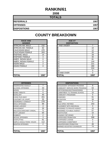## **RANKIN/61**

| <b>TOTALS</b>       |      |
|---------------------|------|
| <b>REFERRALS</b>    | 1067 |
| <b>OFFENSES</b>     | 1067 |
| <b>DISPOSITIONS</b> | 1067 |

| <b>RACE AND</b><br><b>GENDER</b> |      | <b>AGE AT</b><br><b>DISPOSITION</b> |
|----------------------------------|------|-------------------------------------|
| <b>AFRICAN AM. MALE</b>          | 232  | 7 AND UNDER                         |
| AFRICAN AM. FEMALE               | 82   | 8                                   |
| <b>CAUCASIAN MALE</b>            | 470  | 9                                   |
| <b>CAUCASIAN FEMALE</b>          | 263  | 10                                  |
| <b>HISPANIC MALE</b>             | 14   | 11                                  |
| <b>HISPANIC FEMALE</b>           | 4    | 12                                  |
| AMER. INDIAN MALE                | 0    | 13                                  |
| AMER. INDIAN FEMALE              | 0    | 14                                  |
| <b>ASIAN MALE</b>                | 2    | 15                                  |
| <b>ASIAN FEMALE</b>              | 0    | 16                                  |
|                                  |      | 17                                  |
|                                  |      | 18                                  |
|                                  |      | 19 AND OVER                         |
| ITOTAL                           | 1067 | TOTAL                               |

| <b>RACE AND</b>         |          | <b>AGE AT</b>      |          |
|-------------------------|----------|--------------------|----------|
| <b>GENDER</b>           |          | <b>DISPOSITION</b> |          |
| AFRICAN AM. MALE        | 232      | 7 AND UNDER        | 7        |
| AFRICAN AM. FEMALE      | 82       | 8                  | 10       |
| CAUCASIAN MALE          | 470      | 9                  | 12       |
| <b>CAUCASIAN FEMALE</b> | 263      | 10                 | 20       |
| HISPANIC MALE           | 14       | 11                 | 28       |
| <b>HISPANIC FEMALE</b>  | 4        | 12                 | 40       |
| AMER. INDIAN MALE       | $\Omega$ | 13                 | 81       |
| AMER. INDIAN FEMALE     | 0        | 14                 | 144      |
| ASIAN MALE              | 2        | 15                 | 221      |
| ASIAN FEMALE            | 0        | 16                 | 280      |
|                         |          | 17                 | 224      |
|                         |          | 18                 | 0        |
|                         |          | 19 AND OVER        | $\Omega$ |
| <b>TOTAL</b>            | 1067     | TOTAL              | 1067     |

| <b>OFFENSES</b>                    |                | <b>DISPOSITIONS</b>             |
|------------------------------------|----------------|---------------------------------|
| AGGRAVATED ASSAULT                 | 7              | <b>ADOLESCENT OFFENDER PR</b>   |
| <b>ALCOHOL OFFENSES</b>            | 43             | <b>COMMUNITY SERVICE WORK</b>   |
| ARSON                              | 0              | CERTIFIED/WAIVED/TRANSFE        |
| <b>BOMB THREATS</b>                | 0              | <b>COMMITMENT TO TRAINING S</b> |
| <b>BURGLARY</b>                    | 40             | <b>COMMUNITY PROGRAMS</b>       |
| CHINS/ RUN AWAY                    | 201            | <b>DISMISSED</b>                |
| <b>CONTEMPT OF COURT</b>           | 55             | <b>DETENTION</b>                |
| <b>DISORDERLY CONDUCT</b>          | 278            | <b>FINED</b>                    |
| <b>DRUG OFFENSES</b>               | 89             | <b>HELD OPEN / RETIRED</b>      |
| <b>GRAND LARCENY</b>               | 4              | PLACEMENT WITH INDIVIDUA        |
| <b>HARASSMENT</b>                  | 35             | <b>REFERRED TO PRIVATE AGEI</b> |
| <b>MALICIOUS MISCHIEF/ VANDAL.</b> | 71             | REFERRED TO PUBLIC AGEN         |
| PETIT LARCENY                      | 64             | <b>RESTITUTION</b>              |
| <b>ROBBERY</b>                     | $\overline{2}$ | <b>RUNAWAY RETURNED</b>         |
| <b>SEXUAL OFFENSES</b>             | 3              | <b>SUPERVISED PROBATION</b>     |
| <b>SHOPLIFTING</b>                 | 61             | <b>SUSPENDED LICENSE</b>        |
| SIMPLE ASSAULT/DOM, VIOLEN         | 112            | SUSPENDED COMMITMENT            |
| <b>WEAPON OFFENSES</b>             | $\overline{2}$ | UNSUPERVISED PROBATION          |
|                                    |                | WARNED ADJUSTED COUNSE          |
|                                    |                |                                 |
| <b>TOTAL</b>                       | 1067           | <b>TOTAL</b>                    |

|                | <b>DISPOSITIONS</b>            |              |
|----------------|--------------------------------|--------------|
| $\overline{7}$ | ADOLESCENT OFFENDER PROGRAM    | 8            |
| 43             | COMMUNITY SERVICE WORK PROGRAM | 63           |
| $\Omega$       | CERTIFIED/WAIVED/TRANSFERRED   | 0            |
| $\Omega$       | COMMITMENT TO TRAINING SCHOOL  | 15           |
| 40             | COMMUNITY PROGRAMS             | 5            |
| 201            | <b>DISMISSED</b>               | 91           |
| 55             | <b>DETENTION</b>               | 34           |
| 278            | <b>FINED</b>                   | 0            |
| 89             | <b>HELD OPEN / RETIRED</b>     | 343          |
| 4              | PLACEMENT WITH INDIVIDUAL      | 0            |
| 35             | REFERRED TO PRIVATE AGENCY     | 10           |
| 71             | REFERRED TO PUBLIC AGENCY      | 57           |
| 64             | <b>RESTITUTION</b>             | 10           |
| $\overline{2}$ | RUNAWAY RETURNED               | $\Omega$     |
| 3              | <b>SUPERVISED PROBATION</b>    | 308          |
| 61             | SUSPENDED LICENSE              | 0            |
| 112            | SUSPENDED COMMITMENT           | 3            |
| 2              | UNSUPERVISED PROBATION         | 46           |
|                | WARNED ADJUSTED COUNSELED      | 74           |
|                |                                | 1067         |
|                | 1067                           | <b>TOTAL</b> |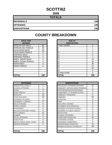## **SCOTT/62**

| <b>TOTALS</b>       |     |
|---------------------|-----|
| <b>REFERRALS</b>    | 190 |
| <b>OFFENSES</b>     | 190 |
| <b>DISPOSITIONS</b> | 190 |

| <b>RACE AND</b><br><b>GENDER</b> |          | <b>AGE AT</b><br><b>DISPOSITION</b> |
|----------------------------------|----------|-------------------------------------|
| <b>AFRICAN AM. MALE</b>          | 88       | 7 AND UNDER                         |
| AFRICAN AM. FEMALE               | 46       | 8                                   |
| <b>CAUCASIAN MALE</b>            | 33       | 9                                   |
| <b>CAUCASIAN FEMALE</b>          | 17       | 10                                  |
| <b>HISPANIC MALE</b>             | 4        | 11                                  |
| <b>HISPANIC FEMALE</b>           | 2        | 12                                  |
| <b>AMER. INDIAN MALE</b>         | $\Omega$ | 13                                  |
| AMER. INDIAN FEMALE              | 0        | 14                                  |
| <b>ASIAN MALE</b>                | 0        | 15                                  |
| <b>ASIAN FEMALE</b>              | $\Omega$ | 16                                  |
|                                  |          | 17                                  |
|                                  |          | 18                                  |
|                                  |          | 19 AND OVER                         |
| <b>TOTAL</b>                     | 190      | TOTAL                               |

| <b>RACE AND</b>         |          | <b>AGE AT</b>      |          |
|-------------------------|----------|--------------------|----------|
| <b>GENDER</b>           |          | <b>DISPOSITION</b> |          |
| AFRICAN AM. MALE        | 88       | <b>7 AND UNDER</b> | $\Omega$ |
| AFRICAN AM. FEMALE      | 46       | 8                  |          |
| CAUCASIAN MALE          | 33       | 9                  |          |
| <b>CAUCASIAN FEMALE</b> | 17       | 10                 |          |
| <b>HISPANIC MALE</b>    | 4        | 11                 | 0        |
| <b>HISPANIC FEMALE</b>  | 2        | 12                 |          |
| AMER. INDIAN MALE       | 0        | 13                 | 13       |
| AMER. INDIAN FEMALE     | 0        | 14                 | 40       |
| ASIAN MALE              | 0        | 15                 | 46       |
| ASIAN FEMALE            | $\Omega$ | 16                 | 57       |
|                         |          | 17                 | 30       |
|                         |          | 18                 | 0        |
|                         |          | 19 AND OVER        | $\Omega$ |
| <b>TOTAL</b>            | 190      | TOTAL              | 190      |

| <b>OFFENSES</b>                    |     | <b>DISPOSITIONS</b>             |
|------------------------------------|-----|---------------------------------|
| AGGRAVATED ASSAULT                 | 1   | <b>ADOLESCENT OFFENDER PR</b>   |
| <b>ALCOHOL OFFENSES</b>            | 1   | COMMUNITY SERVICE WORK          |
| <b>ARSON</b>                       | 0   | CERTIFIED/WAIVED/TRANSFE        |
| <b>BOMB THREATS</b>                | 0   | <b>COMMITMENT TO TRAINING S</b> |
| <b>BURGLARY</b>                    | 18  | <b>COMMUNITY PROGRAMS</b>       |
| CHINS/ RUN AWAY                    | 20  | <b>DISMISSED</b>                |
| <b>CONTEMPT OF COURT</b>           | 1   | <b>DETENTION</b>                |
| <b>DISORDERLY CONDUCT</b>          | 77  | FINED                           |
| <b>DRUG OFFENSES</b>               | 5   | <b>HELD OPEN / RETIRED</b>      |
| <b>GRAND LARCENY</b>               | 3   | PLACEMENT WITH INDIVIDUA        |
| <b>HARASSMENT</b>                  | 0   | <b>REFERRED TO PRIVATE AGEI</b> |
| <b>MALICIOUS MISCHIEF/ VANDAL.</b> | 9   | REFERRED TO PUBLIC AGEN         |
| PETIT LARCENY                      | 12  | <b>RESTITUTION</b>              |
| <b>ROBBERY</b>                     | 0   | RUNAWAY RETURNED                |
| <b>SEXUAL OFFENSES</b>             | 2   | SUPERVISED PROBATION            |
| <b>SHOPLIFTING</b>                 | 6   | <b>SUSPENDED LICENSE</b>        |
| SIMPLE ASSAULT/DOM. VIOLEN         | 31  | <b>SUSPENDED COMMITMENT</b>     |
| <b>WEAPON OFFENSES</b>             | 4   | UNSUPERVISED PROBATION          |
|                                    |     | <b>WARNED ADJUSTED COUNSE</b>   |
|                                    |     |                                 |
| <b>TOTAL</b>                       | 190 | <b>TOTAL</b>                    |

| <b>OFFENSES</b>             |          | <b>DISPOSITIONS</b>            |          |
|-----------------------------|----------|--------------------------------|----------|
| AGGRAVATED ASSAULT          |          | ADOLESCENT OFFENDER PROGRAM    | 27       |
| ALCOHOL OFFENSES            |          | COMMUNITY SERVICE WORK PROGRAM | 0        |
| ARSON                       | $\Omega$ | CERTIFIED/WAIVED/TRANSFERRED   | $\Omega$ |
| BOMB THREATS                | $\Omega$ | COMMITMENT TO TRAINING SCHOOL  | 7        |
| <b>BURGLARY</b>             | 18       | COMMUNITY PROGRAMS             | 0        |
| CHINS/ RUN AWAY             | 20       | <b>DISMISSED</b>               | 56       |
| CONTEMPT OF COURT           |          | <b>DETENTION</b>               | 0        |
| DISORDERLY CONDUCT          | 77       | <b>FINED</b>                   | 0        |
| <b>DRUG OFFENSES</b>        | 5        | <b>HELD OPEN / RETIRED</b>     | 0        |
| <b>GRAND LARCENY</b>        | 3        | PLACEMENT WITH INDIVIDUAL      | 0        |
| HARASSMENT                  | 0        | REFERRED TO PRIVATE AGENCY     | 0        |
| MALICIOUS MISCHIEF/ VANDAL. | 9        | REFERRED TO PUBLIC AGENCY      | 0        |
| PETIT LARCENY               | 12       | <b>RESTITUTION</b>             | 0        |
| ROBBERY                     | $\Omega$ | RUNAWAY RETURNED               | $\Omega$ |
| <b>SEXUAL OFFENSES</b>      | 2        | <b>SUPERVISED PROBATION</b>    | 40       |
| SHOPLIFTING                 | 6        | SUSPENDED LICENSE              | 0        |
| SIMPLE ASSAULT/DOM. VIOLEN  | 31       | SUSPENDED COMMITMENT           | $\Omega$ |
| <b>WEAPON OFFENSES</b>      | 4        | UNSUPERVISED PROBATION         | 12       |
|                             |          | WARNED ADJUSTED COUNSELED      | 48       |
| TOTAL                       | 190      | <b>TOTAL</b>                   | 190      |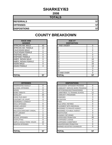## **SHARKEY/63**

**2008**

| <b>TOTALS</b>       |    |
|---------------------|----|
| <b>REFERRALS</b>    | 57 |
| <b>OFFENSES</b>     | 57 |
| <b>DISPOSITIONS</b> | 57 |

| <b>RACE AND</b><br><b>GENDER</b> |    | <b>AGE AT</b><br><b>DISPOSITION</b> |
|----------------------------------|----|-------------------------------------|
| <b>AFRICAN AM. MALE</b>          | 43 | <b>7 AND UNDER</b>                  |
| AFRICAN AM. FEMALE               | 13 | 8                                   |
| <b>CAUCASIAN MALE</b>            | 1  | 9                                   |
| <b>CAUCASIAN FEMALE</b>          | 0  | 10                                  |
| <b>HISPANIC MALE</b>             | 0  | 11                                  |
| <b>HISPANIC FEMALE</b>           | 0  | 12                                  |
| <b>AMER. INDIAN MALE</b>         | 0  | 13                                  |
| AMER. INDIAN FEMALE              | 0  | 14                                  |
| <b>ASIAN MALE</b>                | 0  | 15                                  |
| ASIAN FEMALE                     | 0  | 16                                  |
|                                  |    | 17                                  |
|                                  |    | 18                                  |
|                                  |    | 19 AND OVER                         |
| <b>TOTAL</b>                     | 57 | ΤΟΤΑL                               |

| <b>OFFENSES</b>                    |                | <b>DISPOSITIONS</b>        |
|------------------------------------|----------------|----------------------------|
| AGGRAVATED ASSAULT                 | 0              | ADOLESCENT OFFENDER PR     |
| ALCOHOL OFFENSES                   | 0              | COMMUNITY SERVICE WORK     |
| <b>ARSON</b>                       | 0              | CERTIFIED/WAIVED/TRANSFE   |
| <b>BOMB THREATS</b>                | 0              | COMMITMENT TO TRAINING S   |
| <b>BURGLARY</b>                    | 22             | COMMUNITY PROGRAMS         |
| CHINS/ RUN AWAY                    | 9              | <b>DISMISSED</b>           |
| <b>CONTEMPT OF COURT</b>           | 4              | <b>DETENTION</b>           |
| <b>DISORDERLY CONDUCT</b>          | 7              | <b>FINED</b>               |
| <b>DRUG OFFENSES</b>               | 0              | <b>HELD OPEN / RETIRED</b> |
| <b>GRAND LARCENY</b>               | 0              | PLACEMENT WITH INDIVIDUA   |
| <b>HARASSMENT</b>                  | 0              | REFERRED TO PRIVATE AGEI   |
| <b>MALICIOUS MISCHIEF/ VANDAL.</b> | $\overline{2}$ | REFERRED TO PUBLIC AGEN    |
| <b>PETIT LARCENY</b>               | 1              | <b>RESTITUTION</b>         |
| <b>ROBBERY</b>                     | 0              | RUNAWAY RETURNED           |
| <b>SEXUAL OFFENSES</b>             | 0              | SUPERVISED PROBATION       |
| <b>SHOPLIFTING</b>                 | 0              | SUSPENDED LICENSE          |
| SIMPLE ASSAULT/DOM. VIOLEN         | 12             | SUSPENDED COMMITMENT       |
| <b>WEAPON OFFENSES</b>             | 0              | UNSUPERVISED PROBATION     |
|                                    |                | WARNED ADJUSTED COUNSE     |
|                                    |                |                            |
| <b>TOTAL</b>                       | 57             | <b>TOTAL</b>               |

| <b>RACE AND</b><br><b>GENDER</b> |          | <b>AGE AT</b><br><b>DISPOSITION</b> |          |
|----------------------------------|----------|-------------------------------------|----------|
| AFRICAN AM. MALE                 | 43       | 7 AND UNDER                         | 0        |
| AFRICAN AM. FEMALE               | 13       | 8                                   |          |
| <b>CAUCASIAN MALE</b>            |          | 9                                   | 0        |
| <b>CAUCASIAN FEMALE</b>          | $\Omega$ | 10                                  |          |
| <b>HISPANIC MALE</b>             | $\Omega$ | 11                                  | 0        |
| <b>HISPANIC FEMALE</b>           | $\Omega$ | 12                                  | 3        |
| AMER. INDIAN MALE                | $\Omega$ | 13                                  | 10       |
| AMER. INDIAN FEMALE              | $\Omega$ | 14                                  | 10       |
| ASIAN MALE                       | 0        | 15                                  | 16       |
| ASIAN FEMALE                     | 0        | 16                                  | 13       |
|                                  |          | 17                                  | 3        |
|                                  |          | 18                                  | 0        |
|                                  |          | 19 AND OVER                         | $\Omega$ |
| <b>TOTAL</b>                     | 57       | TOTAL                               | 57       |

| <b>OFFENSES</b>             |          | <b>DISPOSITIONS</b>            |          |
|-----------------------------|----------|--------------------------------|----------|
| AGGRAVATED ASSAULT          | $\Omega$ | ADOLESCENT OFFENDER PROGRAM    | $\Omega$ |
| ALCOHOL OFFENSES            | 0        | COMMUNITY SERVICE WORK PROGRAM | 0        |
| ARSON                       | 0        | CERTIFIED/WAIVED/TRANSFERRED   | $\Omega$ |
| BOMB THREATS                | 0        | COMMITMENT TO TRAINING SCHOOL  | 11       |
| BURGLARY                    | 22       | <b>COMMUNITY PROGRAMS</b>      | 0        |
| CHINS/ RUN AWAY             | 9        | <b>DISMISSED</b>               | 3        |
| CONTEMPT OF COURT           | 4        | <b>DETENTION</b>               | 0        |
| DISORDERLY CONDUCT          | 7        | <b>FINED</b>                   | 0        |
| <b>DRUG OFFENSES</b>        | 0        | <b>HELD OPEN / RETIRED</b>     | 0        |
| <b>GRAND LARCENY</b>        | $\Omega$ | PLACEMENT WITH INDIVIDUAL      | 0        |
| HARASSMENT                  | 0        | REFERRED TO PRIVATE AGENCY     | $\Omega$ |
| MALICIOUS MISCHIEF/ VANDAL. | 2        | REFERRED TO PUBLIC AGENCY      | 0        |
| PETIT LARCENY               |          | <b>RESTITUTION</b>             | 3        |
| ROBBERY                     | 0        | RUNAWAY RETURNED               | $\Omega$ |
| <b>SEXUAL OFFENSES</b>      | 0        | <b>SUPERVISED PROBATION</b>    | 40       |
| SHOPLIFTING                 | $\Omega$ | <b>SUSPENDED LICENSE</b>       | 0        |
| SIMPLE ASSAULT/DOM. VIOLEN  | 12       | <b>SUSPENDED COMMITMENT</b>    | 0        |
| WEAPON OFFENSES             | $\Omega$ | UNSUPERVISED PROBATION         | $\Omega$ |
|                             |          | WARNED ADJUSTED COUNSELED      | $\Omega$ |
|                             |          |                                |          |
| TOTAL                       | 57       | <b>TOTAL</b>                   | 57       |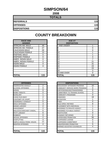#### **SIMPSON/64**

**2008**

| <b>TOTALS</b>       |     |
|---------------------|-----|
| <b>REFERRALS</b>    | 115 |
| <b>OFFENSES</b>     | 115 |
| <b>DISPOSITIONS</b> | 115 |

| <b>RACE AND</b>            |     | <b>AGE AT</b>      |
|----------------------------|-----|--------------------|
| <b>GENDER</b>              |     | <b>DISPOSITION</b> |
| <b>AFRICAN AM. MALE</b>    | 49  | 7 AND UNDER        |
| AFRICAN AM. FEMALE         | 27  | 8                  |
| <b>CAUCASIAN MALE</b>      | 26  | 9                  |
| <b>CAUCASIAN FEMALE</b>    | 13  | 10                 |
| <b>HISPANIC MALE</b>       | 0   | 11                 |
| <b>HISPANIC FEMALE</b>     | 0   | 12                 |
| AMER. INDIAN MALE          | 0   | 13                 |
| <b>AMER. INDIAN FEMALE</b> | 0   | 14                 |
| <b>ASIAN MALE</b>          | 0   | 15                 |
| <b>ASIAN FEMALE</b>        | 0   | 16                 |
|                            |     | 17                 |
|                            |     | 18                 |
|                            |     | <b>19 AND OVER</b> |
| <b>TOTAL</b>               | 115 | <b>TOTAL</b>       |

|                             |                     | . .                               | --       |
|-----------------------------|---------------------|-----------------------------------|----------|
|                             |                     | 18                                | 3        |
|                             |                     | 19 AND OVER                       | $\Omega$ |
| <b>TOTAL</b>                | 115                 | <b>TOTAL</b>                      | 115      |
|                             |                     |                                   |          |
|                             |                     |                                   |          |
| <b>OFFENSES</b>             |                     | <b>DISPOSITIONS</b>               |          |
| AGGRAVATED ASSAULT          | 2                   | ADOLESCENT OFFENDER PROGRAM       | 10       |
| ALCOHOL OFFENSES            | 0                   | COMMUNITY SERVICE WORK PROGRAM    | $\Omega$ |
| ARSON                       | $\Omega$            | CERTIFIED/WAIVED/TRANSFERRED      | 0        |
| <b>BOMB THREATS</b>         | $\Omega$            | COMMITMENT TO TRAINING SCHOOL     | 3        |
| BURGLARY                    |                     | COMMUNITY PROGRAMS                | $\Omega$ |
| CHINS/ RUN AWAY             | $\overline{2}$      | <b>DISMISSED</b>                  | 18       |
| CONTEMPT OF COURT           | 1                   | <b>DETENTION</b>                  | 1        |
| DISORDERLY CONDUCT          | 5                   | <b>FINED</b>                      | $\Omega$ |
| <b>DRUG OFFENSES</b>        | 3                   | <b>HELD OPEN / RETIRED</b>        | 8        |
| <b>GRAND LARCENY</b>        | $\overline{2}$      | PLACEMENT WITH INDIVIDUAL         |          |
| HARASSMENT                  | $\overline{2}$      | <b>REFERRED TO PRIVATE AGENCY</b> |          |
| MALICIOUS MISCHIEF/ VANDAL. | 6                   | <b>REFERRED TO PUBLIC AGENCY</b>  | 5        |
| PETIT LARCENY               | 6                   | <b>RESTITUTION</b>                | $\Omega$ |
| <b>ROBBERY</b>              | $\Omega$            | RUNAWAY RETURNED                  | $\Omega$ |
| <b>SEXUAL OFFENSES</b>      | $\overline{2}$      | <b>SUPERVISED PROBATION</b>       | 56       |
| SHOPLIFTING                 | 4                   | SUSPENDED LICENSE                 | $\Omega$ |
| SIMPLE ASSAULT/DOM. VIOLEN  | 77                  | SUSPENDED COMMITMENT              | 3        |
| <b>WEAPON OFFENSES</b>      | $\mathcal{P}$       | UNSUPERVISED PROBATION            | 5        |
|                             |                     | WARNED ADJUSTED COUNSELED         | 4        |
|                             |                     |                                   |          |
| TAT 1 I                     | <i><b>A A C</b></i> | <b>TATAI</b>                      | 4 4 C    |

| <b>RACE AND</b><br><b>GENDER</b> |          | <b>AGE AT</b><br><b>DISPOSITION</b> |          |
|----------------------------------|----------|-------------------------------------|----------|
| AFRICAN AM. MALE                 | 49       | 7 AND UNDER                         |          |
| AFRICAN AM. FEMALE               | 27       | 8                                   | 0        |
| <b>CAUCASIAN MALE</b>            | 26       | 9                                   | $\Omega$ |
| CAUCASIAN FEMALE                 | 13       | 10                                  |          |
| <b>HISPANIC MALE</b>             | $\Omega$ | 11                                  |          |
| <b>HISPANIC FEMALE</b>           | $\Omega$ | 12                                  | 4        |
| AMER. INDIAN MALE                | 0        | 13                                  | 7        |
| AMER. INDIAN FEMALE              | $\Omega$ | 14                                  | 21       |
| <b>ASIAN MALE</b>                | 0        | 15                                  | 31       |
| ASIAN FEMALE                     | $\Omega$ | 16                                  | 23       |
|                                  |          | 17                                  | 23       |
|                                  |          | 18                                  | 3        |
|                                  |          | 19 AND OVER                         | 0        |
| <b>TOTAL</b>                     | 115      | <b>TOTAL</b>                        | 115      |

| <b>OFFENSES</b>             |                | <b>DISPOSITIONS</b>            |
|-----------------------------|----------------|--------------------------------|
| AGGRAVATED ASSAULT          | $\overline{2}$ | ADOLESCENT OFFENDER PROGRAM    |
| ALCOHOL OFFENSES            | 0              | COMMUNITY SERVICE WORK PROGRAM |
| ARSON                       | 0              | CERTIFIED/WAIVED/TRANSFERRED   |
| <b>BOMB THREATS</b>         | 0              | COMMITMENT TO TRAINING SCHOOL  |
| BURGLARY                    |                | <b>COMMUNITY PROGRAMS</b>      |
| CHINS/ RUN AWAY             | 2              | <b>DISMISSED</b>               |
| CONTEMPT OF COURT           |                | <b>DETENTION</b>               |
| DISORDERLY CONDUCT          | 5              | <b>FINED</b>                   |
| DRUG OFFENSES               | 3              | <b>HELD OPEN / RETIRED</b>     |
| <b>GRAND LARCENY</b>        | $\overline{2}$ | PLACEMENT WITH INDIVIDUAL      |
| HARASSMENT                  | $\overline{2}$ | REFERRED TO PRIVATE AGENCY     |
| MALICIOUS MISCHIEF/ VANDAL. | 6              | REFERRED TO PUBLIC AGENCY      |
| PETIT LARCENY               | 6              | <b>RESTITUTION</b>             |
| ROBBERY                     | 0              | RUNAWAY RETURNED               |
| <b>SEXUAL OFFENSES</b>      | $\overline{2}$ | SUPERVISED PROBATION           |
| SHOPLIFTING                 | 4              | <b>SUSPENDED LICENSE</b>       |
| SIMPLE ASSAULT/DOM. VIOLEN  | 77             | SUSPENDED COMMITMENT           |
| WEAPON OFFENSES             | 2              | UNSUPERVISED PROBATION         |
|                             |                | WARNED ADJUSTED COUNSELED      |
| TOTAL                       | 115            | <b>TOTAL</b>                   |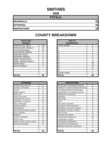## **SMITH/65**

**2008**

| <b>TOTALS</b>       |    |
|---------------------|----|
| <b>REFERRALS</b>    | 56 |
| <b>OFFENSES</b>     | 56 |
| <b>DISPOSITIONS</b> | 56 |

| <b>RACE AND</b><br><b>GENDER</b> |                | <b>AGE AT</b><br><b>DISPOSITION</b> |
|----------------------------------|----------------|-------------------------------------|
| <b>AFRICAN AM. MALE</b>          | 15             | <b>7 AND UNDER</b>                  |
| AFRICAN AM. FEMALE               | 13             | 8                                   |
| <b>CAUCASIAN MALE</b>            | 26             | 9                                   |
| <b>CAUCASIAN FEMALE</b>          | $\overline{2}$ | 10                                  |
| <b>HISPANIC MALE</b>             | 0              | 11                                  |
| <b>HISPANIC FEMALE</b>           | 0              | 12                                  |
| <b>AMER. INDIAN MALE</b>         | 0              | 13                                  |
| AMER. INDIAN FEMALE              | 0              | 14                                  |
| <b>ASIAN MALE</b>                | 0              | 15                                  |
| ASIAN FEMALE                     | 0              | 16                                  |
|                                  |                | 17                                  |
|                                  |                | 18                                  |
|                                  |                | 19 AND OVER                         |
| <b>TOTAL</b>                     | 56             | <b>TOTAL</b>                        |

| <b>OFFENSES</b>                    |                | <b>DISPOSITIONS</b>         |
|------------------------------------|----------------|-----------------------------|
| AGGRAVATED ASSAULT                 | 0              | ADOLESCENT OFFENDER PR      |
| <b>ALCOHOL OFFENSES</b>            | 4              | COMMUNITY SERVICE WORK      |
| ARSON                              | 0              | CERTIFIED/WAIVED/TRANSFE    |
| <b>BOMB THREATS</b>                | 0              | COMMITMENT TO TRAINING S    |
| <b>BURGLARY</b>                    | 0              | COMMUNITY PROGRAMS          |
| CHINS/ RUN AWAY                    | 0              | <b>DISMISSED</b>            |
| CONTEMPT OF COURT                  | 0              | <b>DETENTION</b>            |
| <b>DISORDERLY CONDUCT</b>          | 21             | <b>FINED</b>                |
| <b>DRUG OFFENSES</b>               | 4              | <b>HELD OPEN / RETIRED</b>  |
| <b>GRAND LARCENY</b>               | 4              | PLACEMENT WITH INDIVIDUA    |
| <b>HARASSMENT</b>                  | 0              | REFERRED TO PRIVATE AGEI    |
| <b>MALICIOUS MISCHIEF/ VANDAL.</b> | 5              | REFERRED TO PUBLIC AGEN     |
| PETIT LARCENY                      | $\overline{2}$ | <b>RESTITUTION</b>          |
| <b>ROBBERY</b>                     | 0              | RUNAWAY RETURNED            |
| <b>SEXUAL OFFENSES</b>             | 0              | <b>SUPERVISED PROBATION</b> |
| <b>SHOPLIFTING</b>                 | 0              | SUSPENDED LICENSE           |
| SIMPLE ASSAULT/DOM. VIOLEN         | 16             | SUSPENDED COMMITMENT        |
| <b>WEAPON OFFENSES</b>             | 0              | UNSUPERVISED PROBATION      |
|                                    |                | WARNED ADJUSTED COUNSE      |
|                                    |                |                             |
| <b>TOTAL</b>                       | 56             | <b>TOTAL</b>                |

| <b>RACE AND</b><br><b>GENDER</b> |                | <b>AGE AT</b><br><b>DISPOSITION</b> |          |
|----------------------------------|----------------|-------------------------------------|----------|
| AFRICAN AM. MALE                 | 15             | 7 AND UNDER                         | 0        |
| AFRICAN AM. FEMALE               | 13             | ö                                   | 0        |
| <b>CAUCASIAN MALE</b>            | 26             | 9                                   | 0        |
| <b>CAUCASIAN FEMALE</b>          | $\overline{2}$ | 10                                  |          |
| <b>HISPANIC MALE</b>             | $\Omega$       | 11                                  | 3        |
| <b>HISPANIC FEMALE</b>           | $\Omega$       | 12                                  | 3        |
| AMER. INDIAN MALE                | $\Omega$       | 13                                  |          |
| AMER. INDIAN FEMALE              | $\Omega$       | 14                                  | 10       |
| ASIAN MALE                       | 0              | 15                                  | 10       |
| ASIAN FEMALE                     | $\Omega$       | 16                                  | 10       |
|                                  |                | 17                                  | 11       |
|                                  |                | 18                                  |          |
|                                  |                | 19 AND OVER                         | $\Omega$ |
| <b>TOTAL</b>                     | 56             | <b>TOTAL</b>                        | 56       |

| <b>OFFENSES</b>             |          | <b>DISPOSITIONS</b>            |
|-----------------------------|----------|--------------------------------|
| AGGRAVATED ASSAULT          | $\Omega$ | ADOLESCENT OFFENDER PROGRAM    |
| ALCOHOL OFFENSES            | 4        | COMMUNITY SERVICE WORK PROGRAM |
| ARSON                       | 0        | CERTIFIED/WAIVED/TRANSFERRED   |
| <b>BOMB THREATS</b>         | 0        | COMMITMENT TO TRAINING SCHOOL  |
| <b>BURGLARY</b>             | 0        | <b>COMMUNITY PROGRAMS</b>      |
| CHINS/ RUN AWAY             | 0        | DISMISSED                      |
| CONTEMPT OF COURT           | $\Omega$ | <b>DETENTION</b>               |
| DISORDERLY CONDUCT          | 21       | <b>FINED</b>                   |
| <b>DRUG OFFENSES</b>        | 4        | <b>HELD OPEN / RETIRED</b>     |
| GRAND LARCENY               | 4        | PLACEMENT WITH INDIVIDUAL      |
| HARASSMENT                  | 0        | REFERRED TO PRIVATE AGENCY     |
| MALICIOUS MISCHIEF/ VANDAL. | 5        | REFERRED TO PUBLIC AGENCY      |
| PETIT LARCENY               | 2        | <b>RESTITUTION</b>             |
| ROBBERY                     | 0        | RUNAWAY RETURNED               |
| SEXUAL OFFENSES             | 0        | <b>SUPERVISED PROBATION</b>    |
| SHOPLIFTING                 | 0        | <b>SUSPENDED LICENSE</b>       |
| SIMPLE ASSAULT/DOM. VIOLEN  | 16       | SUSPENDED COMMITMENT           |
| <b>WEAPON OFFENSES</b>      | $\Omega$ | UNSUPERVISED PROBATION         |
|                             |          | WARNED ADJUSTED COUNSELED      |
| TOTAL                       | 56       | TOTAL                          |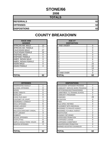## **STONE/66**

**2008**

| <b>TOTALS</b>       |    |
|---------------------|----|
| <b>REFERRALS</b>    | 62 |
| <b>OFFENSES</b>     | 62 |
| <b>DISPOSITIONS</b> | 62 |

| <b>RACE AND</b><br><b>GENDER</b> |    | <b>AGE AT</b><br><b>DISPOSITION</b> |
|----------------------------------|----|-------------------------------------|
| AFRICAN AM. MALE                 | 13 | <b>7 AND UNDER</b>                  |
| AFRICAN AM. FEMALE               | 7  | 8                                   |
| <b>CAUCASIAN MALE</b>            | 27 | 9                                   |
| <b>CAUCASIAN FEMALE</b>          | 15 | 10                                  |
| <b>HISPANIC MALE</b>             | 0  | 11                                  |
| <b>HISPANIC FEMALE</b>           | 0  | 12                                  |
| AMER. INDIAN MALE                | 0  | 13                                  |
| AMER. INDIAN FEMALE              | 0  | 14                                  |
| <b>ASIAN MALE</b>                | 0  | 15                                  |
| <b>ASIAN FEMALE</b>              | 0  | 16                                  |
|                                  |    | 17                                  |
|                                  |    | 18                                  |
|                                  |    | 19 AND OVER                         |
| <b>TOTAL</b>                     | 62 | ΤΟΤΑL                               |

| <b>OFFENSES</b>                    |    | <b>DISPOSITIONS</b>        |
|------------------------------------|----|----------------------------|
| AGGRAVATED ASSAULT                 | 1  | ADOLESCENT OFFENDER PR     |
| ALCOHOL OFFENSES                   | 0  | COMMUNITY SERVICE WORK     |
| <b>ARSON</b>                       | 0  | CERTIFIED/WAIVED/TRANSFE   |
| <b>BOMB THREATS</b>                | 0  | COMMITMENT TO TRAINING S   |
| <b>BURGLARY</b>                    | 0  | COMMUNITY PROGRAMS         |
| CHINS/ RUN AWAY                    | 0  | <b>DISMISSED</b>           |
| <b>CONTEMPT OF COURT</b>           | 1  | <b>DETENTION</b>           |
| <b>DISORDERLY CONDUCT</b>          | 3  | <b>FINED</b>               |
| <b>DRUG OFFENSES</b>               | 6  | <b>HELD OPEN / RETIRED</b> |
| <b>GRAND LARCENY</b>               | 3  | PLACEMENT WITH INDIVIDUA   |
| <b>HARASSMENT</b>                  | 3  | REFERRED TO PRIVATE AGEI   |
| <b>MALICIOUS MISCHIEF/ VANDAL.</b> | 5  | REFERRED TO PUBLIC AGEN    |
| <b>PETIT LARCENY</b>               | 3  | RESTITUTION                |
| <b>ROBBERY</b>                     | 1  | RUNAWAY RETURNED           |
| <b>SEXUAL OFFENSES</b>             | 1  | SUPERVISED PROBATION       |
| <b>SHOPLIFTING</b>                 | 6  | SUSPENDED LICENSE          |
| SIMPLE ASSAULT/DOM. VIOLEN         | 25 | SUSPENDED COMMITMENT       |
| <b>WEAPON OFFENSES</b>             | 4  | UNSUPERVISED PROBATION     |
|                                    |    | WARNED ADJUSTED COUNSE     |
|                                    |    |                            |
| <b>TOTAL</b>                       | 62 | <b>TOTAL</b>               |

| <b>RACE AND</b><br><b>GENDER</b> |          | <b>AGE AT</b><br><b>DISPOSITION</b> |    |
|----------------------------------|----------|-------------------------------------|----|
| AFRICAN AM. MALE                 | 13       | 7 AND UNDER                         | 0  |
| AFRICAN AM. FEMALE               |          | ö                                   | 0  |
| <b>CAUCASIAN MALE</b>            | 27       | 9                                   | 0  |
| <b>CAUCASIAN FEMALE</b>          | 15       | 10                                  | 0  |
| <b>HISPANIC MALE</b>             | 0        | 11                                  | 0  |
| <b>HISPANIC FEMALE</b>           | 0        | 12                                  | 3  |
| AMER. INDIAN MALE                | $\Omega$ | 13                                  | 6  |
| AMER. INDIAN FEMALE              | $\Omega$ | 14                                  | 3  |
| ASIAN MALE                       | $\Omega$ | 15                                  | 15 |
| <b>ASIAN FEMALE</b>              | $\Omega$ | 16                                  | 22 |
|                                  |          | 17                                  | 13 |
|                                  |          | 18                                  | 0  |
|                                  |          | 19 AND OVER                         | 0  |
| <b>TOTAL</b>                     | 62       | TOTAL                               | 62 |

| <b>OFFENSES</b>             |    | <b>DISPOSITIONS</b>            |                |
|-----------------------------|----|--------------------------------|----------------|
| AGGRAVATED ASSAULT          |    | ADOLESCENT OFFENDER PROGRAM    | $\overline{7}$ |
| ALCOHOL OFFENSES            | 0  | COMMUNITY SERVICE WORK PROGRAM | 0              |
| ARSON                       | 0  | CERTIFIED/WAIVED/TRANSFERRED   | $\Omega$       |
| <b>BOMB THREATS</b>         | 0  | COMMITMENT TO TRAINING SCHOOL  | 0              |
| BURGLARY                    | 0  | COMMUNITY PROGRAMS             |                |
| CHINS/RUN AWAY              | 0  | DISMISSED                      | 29             |
| CONTEMPT OF COURT           |    | <b>DETENTION</b>               | 4              |
| DISORDERLY CONDUCT          | 3  | <b>FINED</b>                   | 0              |
| <b>DRUG OFFENSES</b>        | 6  | <b>HELD OPEN / RETIRED</b>     | 4              |
| <b>GRAND LARCENY</b>        | 3  | PLACEMENT WITH INDIVIDUAL      | $\overline{2}$ |
| HARASSMENT                  | 3  | REFERRED TO PRIVATE AGENCY     |                |
| MALICIOUS MISCHIEF/ VANDAL. | 5  | REFERRED TO PUBLIC AGENCY      |                |
| PETIT LARCENY               | 3  | RESTITUTION                    | $\overline{2}$ |
| ROBBERY                     |    | RUNAWAY RETURNED               | $\Omega$       |
| <b>SEXUAL OFFENSES</b>      |    | <b>SUPERVISED PROBATION</b>    | 6              |
| SHOPLIFTING                 | 6  | SUSPENDED LICENSE              | 0              |
| SIMPLE ASSAULT/DOM. VIOLEN  | 25 | SUSPENDED COMMITMENT           | 0              |
| <b>WEAPON OFFENSES</b>      | 4  | UNSUPERVISED PROBATION         | 4              |
|                             |    | WARNED ADJUSTED COUNSELED      | 1              |
| TOTAL                       | 62 | TOTAL                          | 62             |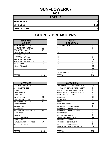## **SUNFLOWER/67**

| <b>TOTALS</b>       |     |
|---------------------|-----|
| <b>REFERRALS</b>    | 210 |
| <b>OFFENSES</b>     | 210 |
| <b>DISPOSITIONS</b> | 210 |

| <b>RACE AND</b><br><b>GENDER</b> |                | <b>AGE AT</b><br><b>DISPOSITION</b> |
|----------------------------------|----------------|-------------------------------------|
| <b>AFRICAN AM. MALE</b>          | 112            | 7 AND UNDER                         |
| AFRICAN AM. FEMALE               | 86             | 8                                   |
| <b>CAUCASIAN MALE</b>            | 10             | 9                                   |
| <b>CAUCASIAN FEMALE</b>          | $\overline{2}$ | 10                                  |
| <b>HISPANIC MALE</b>             | 0              | 11                                  |
| <b>HISPANIC FEMALE</b>           | 0              | 12                                  |
| AMER. INDIAN MALE                | 0              | 13                                  |
| AMER. INDIAN FEMALE              | 0              | 14                                  |
| <b>ASIAN MALE</b>                | 0              | 15                                  |
| <b>ASIAN FEMALE</b>              | 0              | 16                                  |
|                                  |                | 17                                  |
|                                  |                | 18                                  |
|                                  |                | 19 AND OVER                         |
| <b>TOTAL</b>                     | 210            | TOTAL                               |

| <b>RACE AND</b>         |          | <b>AGE AT</b>      |          |
|-------------------------|----------|--------------------|----------|
| <b>GENDER</b>           |          | <b>DISPOSITION</b> |          |
| AFRICAN AM. MALE        | 112      | 7 AND UNDER        | $\Omega$ |
| AFRICAN AM. FEMALE      | 86       |                    | 0        |
| <b>CAUCASIAN MALE</b>   | 10       | 9                  |          |
| <b>CAUCASIAN FEMALE</b> | 2        | 10                 | 3        |
| <b>HISPANIC MALE</b>    | 0        | 11                 | 3        |
| HISPANIC FEMALE         | $\Omega$ | 12                 | 8        |
| AMER. INDIAN MALE       | 0        | 13                 | 18       |
| AMER. INDIAN FEMALE     | 0        | 14                 | 32       |
| ASIAN MALE              | 0        | 15                 | 47       |
| <b>ASIAN FEMALE</b>     | 0        | 16                 | 68       |
|                         |          | 17                 | 30       |
|                         |          | 18                 | 0        |
|                         |          | 19 AND OVER        | 0        |
| <b>TOTAL</b>            | 210      | TOTAL              | 210      |

| <b>OFFENSES</b>                    |                | <b>DISPOSITIONS</b>             |
|------------------------------------|----------------|---------------------------------|
| AGGRAVATED ASSAULT                 | 0              | <b>ADOLESCENT OFFENDER PR</b>   |
| <b>ALCOHOL OFFENSES</b>            | 1              | COMMUNITY SERVICE WORK          |
| <b>ARSON</b>                       | $\overline{2}$ | CERTIFIED/WAIVED/TRANSFE        |
| <b>BOMB THREATS</b>                | 0              | <b>COMMITMENT TO TRAINING S</b> |
| <b>BURGLARY</b>                    | 30             | <b>COMMUNITY PROGRAMS</b>       |
| CHINS/ RUN AWAY                    | 51             | <b>DISMISSED</b>                |
| <b>CONTEMPT OF COURT</b>           | 4              | <b>DETENTION</b>                |
| <b>DISORDERLY CONDUCT</b>          | 15             | FINED                           |
| <b>DRUG OFFENSES</b>               | 3              | <b>HELD OPEN / RETIRED</b>      |
| <b>GRAND LARCENY</b>               | 1              | PLACEMENT WITH INDIVIDUA        |
| <b>HARASSMENT</b>                  | 5              | <b>REFERRED TO PRIVATE AGEI</b> |
| <b>MALICIOUS MISCHIEF/ VANDAL.</b> | 16             | REFERRED TO PUBLIC AGEN         |
| PETIT LARCENY                      | 6              | <b>RESTITUTION</b>              |
| <b>ROBBERY</b>                     | 0              | RUNAWAY RETURNED                |
| <b>SEXUAL OFFENSES</b>             | 0              | SUPERVISED PROBATION            |
| <b>SHOPLIFTING</b>                 | 1              | <b>SUSPENDED LICENSE</b>        |
| SIMPLE ASSAULT/DOM. VIOLEN         | 74             | <b>SUSPENDED COMMITMENT</b>     |
| <b>WEAPON OFFENSES</b>             | 1              | UNSUPERVISED PROBATION          |
|                                    |                | <b>WARNED ADJUSTED COUNSE</b>   |
|                                    |                |                                 |
| <b>TOTAL</b>                       | 210            | <b>TOTAL</b>                    |

| <b>OFFENSES</b>             |                | <b>DISPOSITIONS</b>            |          |
|-----------------------------|----------------|--------------------------------|----------|
| AGGRAVATED ASSAULT          | 0              | ADOLESCENT OFFENDER PROGRAM    | 18       |
| ALCOHOL OFFENSES            |                | COMMUNITY SERVICE WORK PROGRAM | 0        |
| ARSON                       | $\overline{2}$ | CERTIFIED/WAIVED/TRANSFERRED   | 0        |
| <b>BOMB THREATS</b>         | 0              | COMMITMENT TO TRAINING SCHOOL  | 8        |
| BURGLARY                    | 30             | COMMUNITY PROGRAMS             | 0        |
| CHINS/ RUN AWAY             | 51             | <b>DISMISSED</b>               | 34       |
| CONTEMPT OF COURT           | 4              | <b>DETENTION</b>               | 0        |
| DISORDERLY CONDUCT          | 15             | <b>FINFD</b>                   | 1        |
| <b>DRUG OFFENSES</b>        | 3              | <b>HELD OPEN / RETIRED</b>     | 89       |
| GRAND LARCENY               |                | PLACEMENT WITH INDIVIDUAL      | 0        |
| HARASSMENT                  | 5              | REFERRED TO PRIVATE AGENCY     | 3        |
| MALICIOUS MISCHIEF/ VANDAL. | 16             | REFERRED TO PUBLIC AGENCY      | 0        |
| PETIT LARCENY               | 6              | <b>RESTITUTION</b>             | 0        |
| <b>ROBBERY</b>              | $\Omega$       | RUNAWAY RETURNED               | $\Omega$ |
| <b>SEXUAL OFFENSES</b>      | 0              | <b>SUPERVISED PROBATION</b>    | 30       |
| SHOPLIFTING                 | 1              | <b>SUSPENDED LICENSE</b>       | 0        |
| SIMPLE ASSAULT/DOM. VIOLEN  | 74             | <b>SUSPENDED COMMITMENT</b>    | 3        |
| <b>WEAPON OFFENSES</b>      | 1              | UNSUPERVISED PROBATION         | 9        |
|                             |                | WARNED ADJUSTED COUNSELED      | 15       |
| TOTAL                       | 210            | <b>TOTAL</b>                   | 210      |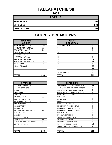## **TALLAHATCHIE/68**

**2008**

| <b>TOTALS</b>       |     |
|---------------------|-----|
| <b>REFERRALS</b>    | 209 |
| <b>OFFENSES</b>     | 209 |
| <b>DISPOSITIONS</b> | 209 |

| <b>RACE AND</b><br><b>GENDER</b> |     | <b>AGE AT</b><br><b>DISPOSITION</b> |
|----------------------------------|-----|-------------------------------------|
| <b>AFRICAN AM. MALE</b>          | 109 | 7 AND UNDER                         |
| AFRICAN AM. FEMALE               | 77  | 8                                   |
| <b>CAUCASIAN MALE</b>            | 14  | 9                                   |
| <b>CAUCASIAN FEMALE</b>          | 9   | 10                                  |
| <b>HISPANIC MALE</b>             | 0   | 11                                  |
| <b>HISPANIC FEMALE</b>           | 0   | 12                                  |
| AMER. INDIAN MALE                | 0   | 13                                  |
| <b>AMER. INDIAN FEMALE</b>       | 0   | 14                                  |
| <b>ASIAN MALE</b>                | 0   | 15                                  |
| <b>ASIAN FEMALE</b>              | 0   | 16                                  |
|                                  |     | 17                                  |
|                                  |     | 18                                  |
|                                  |     | <b>19 AND OVER</b>                  |
| <b>TOTAL</b>                     | 209 | TOTAL                               |

| <b>RACE AND</b><br><b>GENDER</b> |          | <b>AGE AT</b><br><b>DISPOSITION</b> |          |
|----------------------------------|----------|-------------------------------------|----------|
| AFRICAN AM. MALE                 | 109      | 7 AND UNDER                         | 0        |
| AFRICAN AM. FEMALE               | 77       | 8                                   |          |
| CAUCASIAN MALE                   | 14       | 9                                   | $\Omega$ |
| CAUCASIAN FEMALE                 | 9        | 10                                  |          |
| <b>HISPANIC MALE</b>             | $\Omega$ | 11                                  |          |
| <b>HISPANIC FEMALE</b>           | $\Omega$ | 12                                  | 6        |
| AMER. INDIAN MALE                | $\Omega$ | 13                                  | 14       |
| AMER. INDIAN FEMALE              | 0        | 14                                  | 36       |
| ASIAN MALE                       | $\Omega$ | 15                                  | 41       |
| ASIAN FEMALE                     | $\Omega$ | 16                                  | 60       |
|                                  |          | 17                                  | 49       |
|                                  |          | 18                                  | 0        |
|                                  |          | 19 AND OVER                         | $\Omega$ |
| <b>TOTAL</b>                     | 209      | <b>TOTAL</b>                        | 209      |

| <b>OFFENSES</b>                    |                | <b>DISPOSITIONS</b>             |
|------------------------------------|----------------|---------------------------------|
| AGGRAVATED ASSAULT                 | 0              | <b>ADOLESCENT OFFENDER PR</b>   |
| <b>ALCOHOL OFFENSES</b>            | 3              | <b>COMMUNITY SERVICE WORK</b>   |
| ARSON                              | 0              | CERTIFIED/WAIVED/TRANSFE        |
| <b>BOMB THREATS</b>                | 0              | COMMITMENT TO TRAINING S        |
| <b>BURGLARY</b>                    | 9              | <b>COMMUNITY PROGRAMS</b>       |
| CHINS/RUN AWAY                     | 30             | <b>DISMISSED</b>                |
| CONTEMPT OF COURT                  | $\overline{7}$ | <b>DETENTION</b>                |
| <b>DISORDERLY CONDUCT</b>          | 58             | <b>FINED</b>                    |
| <b>DRUG OFFENSES</b>               | 9              | <b>HELD OPEN / RETIRED</b>      |
| <b>GRAND LARCENY</b>               | 5              | PLACEMENT WITH INDIVIDUA        |
| <b>HARASSMENT</b>                  | $\overline{2}$ | <b>REFERRED TO PRIVATE AGEI</b> |
| <b>MALICIOUS MISCHIEF/ VANDAL.</b> | 13             | <b>REFERRED TO PUBLIC AGEN</b>  |
| PETIT LARCENY                      | 0              | <b>RESTITUTION</b>              |
| <b>ROBBERY</b>                     | 0              | RUNAWAY RETURNED                |
| <b>SEXUAL OFFENSES</b>             | 0              | <b>SUPERVISED PROBATION</b>     |
| <b>ISHOPLIFTING</b>                | 11             | <b>SUSPENDED LICENSE</b>        |
| ISIMPLE ASSAULT/DOM. VIOLEN        | 57             | <b>SUSPENDED COMMITMENT</b>     |
| <b>WEAPON OFFENSES</b>             | 5              | UNSUPERVISED PROBATION          |
|                                    |                | <b>WARNED ADJUSTED COUNSE</b>   |
|                                    |                |                                 |
| <b>TOTAL</b>                       | 209            | <b>TOTAL</b>                    |

| <b>OFFENSES</b>             |                | <b>DISPOSITIONS</b>            |     |
|-----------------------------|----------------|--------------------------------|-----|
| AGGRAVATED ASSAULT          | 0              | ADOLESCENT OFFENDER PROGRAM    | 55  |
| ALCOHOL OFFENSES            | 3              | COMMUNITY SERVICE WORK PROGRAM | 0   |
| ARSON                       | 0              | CERTIFIED/WAIVED/TRANSFERRED   | 3   |
| <b>BOMB THREATS</b>         | 0              | COMMITMENT TO TRAINING SCHOOL  | 4   |
| BURGLARY                    | 9              | COMMUNITY PROGRAMS             | 0   |
| CHINS/ RUN AWAY             | 30             | <b>DISMISSED</b>               | 7   |
| CONTEMPT OF COURT           |                | <b>DETENTION</b>               | 0   |
| DISORDERLY CONDUCT          | 58             | <b>FINFD</b>                   | 0   |
| <b>DRUG OFFENSES</b>        | 9              | <b>HELD OPEN / RETIRED</b>     | 0   |
| GRAND LARCENY               | 5              | PLACEMENT WITH INDIVIDUAL      | 0   |
| HARASSMENT                  | $\overline{2}$ | REFERRED TO PRIVATE AGENCY     | 0   |
| MALICIOUS MISCHIEF/ VANDAL. | 13             | REFERRED TO PUBLIC AGENCY      | 0   |
| PETIT LARCENY               | 0              | <b>RESTITUTION</b>             | 0   |
| ROBBERY                     | $\Omega$       | RUNAWAY RETURNED               | 0   |
| <b>SEXUAL OFFENSES</b>      | $\Omega$       | <b>SUPERVISED PROBATION</b>    | 0   |
| SHOPLIFTING                 | 11             | <b>SUSPENDED LICENSE</b>       | 0   |
| SIMPLE ASSAULT/DOM. VIOLEN  | 57             | SUSPENDED COMMITMENT           | 0   |
| WEAPON OFFENSES             | 5              | UNSUPERVISED PROBATION         | 13  |
|                             |                | WARNED ADJUSTED COUNSELED      | 127 |
|                             |                |                                |     |
| TOTAL                       | 209            | <b>TOTAL</b>                   | 209 |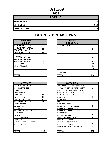#### **TATE/69 2008**

| <b>TOTALS</b>       |     |
|---------------------|-----|
| <b>REFERRALS</b>    | 112 |
| <b>OFFENSES</b>     | 112 |
| <b>DISPOSITIONS</b> | 112 |

#### **COUNTY BREAKDOWN**

| <b>RACE AND</b><br><b>GENDER</b> |                | <b>AGE AT</b><br><b>DISPOSITION</b> |                |
|----------------------------------|----------------|-------------------------------------|----------------|
| <b>AFRICAN AM. MALE</b>          | 47             | <b>7 AND UNDER</b>                  | 0              |
| AFRICAN AM. FEMALE               | 23             |                                     | 0              |
| <b>CAUCASIAN MALE</b>            | 28             |                                     | $\mathbf 0$    |
| <b>CAUCASIAN FEMALE</b>          | 11             | 10                                  | 0              |
| <b>HISPANIC MALE</b>             | $\overline{2}$ | 11                                  | 3              |
| <b>HISPANIC FEMALE</b>           |                | 12                                  | 3              |
| AMER. INDIAN MALE                | $\Omega$       | 13                                  | 8              |
| AMER. INDIAN FEMALE              | $\Omega$       | 14                                  | 9              |
| <b>ASIAN MALE</b>                | 0              | 15                                  | 33             |
| <b>ASIAN FEMALE</b>              | 0              | 16                                  | 3'             |
|                                  |                | 17                                  | 23             |
|                                  |                | 18                                  | $\overline{2}$ |
|                                  |                | 19 AND OVER                         | 0              |
| <b>TOTAL</b>                     | 112            | <b>TOTAL</b>                        | 11             |

| AMER. INDIAN MALE<br>0             | 13                             | 8              |
|------------------------------------|--------------------------------|----------------|
| AMER. INDIAN FEMALE<br>0           | 14                             | 9              |
| 0<br>ASIAN MALE                    | 15                             | 33             |
| ASIAN FEMALE<br>$\Omega$           | 16                             | 31             |
|                                    | 17                             | 23             |
|                                    | 18                             | $\overline{2}$ |
|                                    | 19 AND OVER                    | $\Omega$       |
| <b>TOTAL</b><br>112                | <b>TOTAL</b>                   | 112            |
| <b>OFFENSES</b>                    | <b>DISPOSITIONS</b>            |                |
|                                    |                                |                |
| 0<br>AGGRAVATED ASSAULT            | ADOLESCENT OFFENDER PROGRAM    | 0              |
| $\overline{2}$<br>ALCOHOL OFFENSES | COMMUNITY SERVICE WORK PROGRAM | $\mathbf 0$    |
| 0<br>ARSON                         | CERTIFIED/WAIVED/TRANSFERRED   | 0              |
| 0<br><b>BOMB THREATS</b>           | COMMITMENT TO TRAINING SCHOOL  | 0              |
| 11<br>BURGLARY                     | <b>COMMUNITY PROGRAMS</b>      | $\mathbf 0$    |
| 13<br>CHINS/RUN AWAY               | <b>DISMISSED</b>               | 8              |
| 13<br>CONTEMPT OF COURT            | <b>DETENTION</b>               | $\mathbf 0$    |
| 23<br>DISORDERLY CONDUCT           | <b>FINED</b>                   | 0              |
| 9<br><b>DRUG OFFENSES</b>          | <b>HELD OPEN / RETIRED</b>     | 3              |
| 0<br><b>GRAND LARCENY</b>          | PLACEMENT WITH INDIVIDUAL      | 6              |
|                                    |                                |                |
| 0<br>HARASSMENT                    | REFERRED TO PRIVATE AGENCY     | 0              |
| 5<br>MALICIOUS MISCHIEF/ VANDAL.   | REFERRED TO PUBLIC AGENCY      | 0              |
| 6<br>PETIT LARCENY                 | <b>RESTITUTION</b>             | $\mathbf 0$    |

| <b>OFFENSES</b>                    |     | <b>DISPOSITIONS</b>           |
|------------------------------------|-----|-------------------------------|
| AGGRAVATED ASSAULT                 | 0   | <b>ADOLESCENT OFFENDER PR</b> |
| ALCOHOL OFFENSES                   | 2   | COMMUNITY SERVICE WORK        |
| ARSON                              | 0   | CERTIFIED/WAIVED/TRANSFE      |
| <b>BOMB THREATS</b>                | 0   | COMMITMENT TO TRAINING S      |
| <b>BURGLARY</b>                    | 11  | COMMUNITY PROGRAMS            |
| CHINS/RUN AWAY                     | 13  | <b>DISMISSED</b>              |
| ICONTEMPT OF COURT                 | 13  | <b>DETENTION</b>              |
| DISORDERLY CONDUCT                 | 23  | FINED                         |
| <b>DRUG OFFENSES</b>               | 9   | <b>HELD OPEN / RETIRED</b>    |
| <b>GRAND LARCENY</b>               | 0   | PLACEMENT WITH INDIVIDUA      |
| <b>HARASSMENT</b>                  | 0   | REFERRED TO PRIVATE AGEI      |
| <b>MALICIOUS MISCHIEF/ VANDAL.</b> | 5   | REFERRED TO PUBLIC AGEN       |
| PETIT LARCENY                      | 6   | <b>RESTITUTION</b>            |
| <b>ROBBERY</b>                     | 0   | RUNAWAY RETURNED              |
| <b>SEXUAL OFFENSES</b>             | 0   | SUPERVISED PROBATION          |
| <b>SHOPLIFTING</b>                 | 8   | <b>SUSPENDED LICENSE</b>      |
| ISIMPLE ASSAULT/DOM. VIOLEN        | 22  | <b>SUSPENDED COMMITMENT</b>   |
| <b>WEAPON OFFENSES</b>             | 0   | UNSUPERVISED PROBATION        |
|                                    |     | WARNED ADJUSTED COUNSE        |
|                                    |     |                               |
| <b>TOTAL</b>                       | 112 | TOTAL                         |

| TOTAL                       | 112 | <b>TOTAL</b>                      | 112 |
|-----------------------------|-----|-----------------------------------|-----|
|                             |     |                                   |     |
|                             |     | WARNED ADJUSTED COUNSELED         | 8   |
| <b>WEAPON OFFENSES</b>      |     | UNSUPERVISED PROBATION            |     |
| SIMPLE ASSAULT/DOM. VIOLEN  | 22  | SUSPENDED COMMITMENT              |     |
| SHOPLIFTING                 | 8   | <b>SUSPENDED LICENSE</b>          |     |
| SEXUAL OFFENSES             | 0   | SUPERVISED PROBATION              | 87  |
| ROBBERY                     | ი   | <b>RUNAWAY RETURNED</b>           |     |
| PETIT LARCENY               | 6   | <b>RESTITUTION</b>                |     |
| MALICIOUS MISCHIEF/ VANDAL. | 5   | <b>REFERRED TO PUBLIC AGENCY</b>  |     |
| HARASSMENT                  | 0   | <b>REFERRED TO PRIVATE AGENCY</b> |     |
| <b>GRAND LARCENY</b>        | 0   | PLACEMENT WITH INDIVIDUAL         | 6   |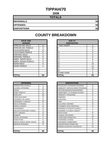## **TIPPAH/70**

**2008**

| <b>TOTALS</b>       |    |
|---------------------|----|
| <b>REFERRALS</b>    | 50 |
| <b>OFFENSES</b>     | 50 |
| <b>DISPOSITIONS</b> | 50 |

| <b>RACE AND</b><br><b>GENDER</b> |                | <b>AGE AT</b><br><b>DISPOSITION</b> |
|----------------------------------|----------------|-------------------------------------|
| <b>AFRICAN AM. MALE</b>          | 21             | 7 AND UNDER                         |
| AFRICAN AM. FEMALE               | 4              | 8                                   |
| <b>CAUCASIAN MALE</b>            | 17             | 9                                   |
| <b>CAUCASIAN FEMALE</b>          | 6              | 10                                  |
| <b>HISPANIC MALE</b>             | $\overline{2}$ | 11                                  |
| <b>HISPANIC FEMALE</b>           | 0              | 12                                  |
| AMER. INDIAN MALE                | 0              | 13                                  |
| AMER. INDIAN FEMALE              | 0              | 14                                  |
| <b>ASIAN MALE</b>                | 0              | 15                                  |
| <b>ASIAN FEMALE</b>              | 0              | 16                                  |
|                                  |                | 17                                  |
|                                  |                | 18                                  |
|                                  |                | <b>19 AND OVER</b>                  |
| <b>TOTAL</b>                     | 50             | <b>TOTAL</b>                        |

| <b>OFFENSES</b>             |                | <b>DISPOSITIONS</b>        |
|-----------------------------|----------------|----------------------------|
| <b>AGGRAVATED ASSAULT</b>   | 1              | ADOLESCENT OFFENDER PR     |
| <b>ALCOHOL OFFENSES</b>     | 0              | COMMUNITY SERVICE WORK     |
| ARSON                       | 0              | CERTIFIED/WAIVED/TRANSFE   |
| <b>BOMB THREATS</b>         | 0              | COMMITMENT TO TRAINING S   |
| <b>BURGLARY</b>             | 12             | COMMUNITY PROGRAMS         |
| CHINS/ RUN AWAY             | 3              | <b>DISMISSED</b>           |
| <b>CONTEMPT OF COURT</b>    | $\overline{2}$ | DETENTION                  |
| <b>DISORDERLY CONDUCT</b>   | 8              | <b>FINED</b>               |
| <b>DRUG OFFENSES</b>        | $\overline{2}$ | <b>HELD OPEN / RETIRED</b> |
| <b>GRAND LARCENY</b>        | 0              | PLACEMENT WITH INDIVIDUA   |
| <b>HARASSMENT</b>           | 0              | REFERRED TO PRIVATE AGEI   |
| MALICIOUS MISCHIEF/ VANDAL. | 3              | REFERRED TO PUBLIC AGEN    |
| PETIT LARCENY               | 3              | RESTITUTION                |
| <b>ROBBERY</b>              | 0              | RUNAWAY RETURNED           |
| SEXUAL OFFENSES             | 1              | SUPERVISED PROBATION       |
| <b>SHOPLIFTING</b>          | 1              | SUSPENDED LICENSE          |
| SIMPLE ASSAULT/DOM. VIOLEN  | 14             | SUSPENDED COMMITMENT       |
| <b>WEAPON OFFENSES</b>      | 0              | UNSUPERVISED PROBATION     |
|                             |                | WARNED ADJUSTED COUNSE     |
|                             |                |                            |
| <b>TOTAL</b>                | 50             | TOTAL                      |

| <b>RACE AND</b><br><b>GENDER</b> |                | <b>AGE AT</b><br><b>DISPOSITION</b> |          |
|----------------------------------|----------------|-------------------------------------|----------|
| AFRICAN AM. MALE                 | 21             | <b>7 AND UNDER</b>                  | $\Omega$ |
| AFRICAN AM. FEMALE               | 4              | 8                                   | 0        |
| <b>CAUCASIAN MALE</b>            | 17             | 9                                   | $\Omega$ |
| <b>CAUCASIAN FEMALE</b>          | 6              | 10                                  | $\Omega$ |
| <b>HISPANIC MALE</b>             | $\overline{2}$ | 11                                  | $\Omega$ |
| <b>HISPANIC FEMALE</b>           | $\mathbf 0$    | 12                                  | 0        |
| AMER. INDIAN MALE                | $\mathbf 0$    | 13                                  | 6        |
| AMER. INDIAN FEMALE              | $\Omega$       | 14                                  | 5        |
| ASIAN MALE                       | $\Omega$       | 15                                  | 13       |
| <b>ASIAN FEMALE</b>              | $\Omega$       | 16                                  | 11       |
|                                  |                | 17                                  | 13       |
|                                  |                | 18                                  | 2        |
|                                  |                | 19 AND OVER                         | $\Omega$ |
| <b>TOTAL</b>                     | 50             | <b>TOTAL</b>                        | 50       |

| <b>OFFENSES</b>             |                | <b>DISPOSITIONS</b>            |          |
|-----------------------------|----------------|--------------------------------|----------|
| AGGRAVATED ASSAULT          |                | ADOLESCENT OFFENDER PROGRAM    | 5        |
| ALCOHOL OFFENSES            | 0              | COMMUNITY SERVICE WORK PROGRAM | 0        |
| ARSON                       | 0              | CERTIFIED/WAIVED/TRANSFERRED   | 3        |
| BOMB THREATS                | 0              | COMMITMENT TO TRAINING SCHOOL  | 0        |
| BURGLARY                    | 12             | <b>COMMUNITY PROGRAMS</b>      | 0        |
| CHINS/ RUN AWAY             | 3              | <b>DISMISSED</b>               | 1        |
| CONTEMPT OF COURT           | $\overline{2}$ | <b>DETENTION</b>               | 0        |
| DISORDERLY CONDUCT          | 8              | <b>FINED</b>                   | 3        |
| <b>DRUG OFFENSES</b>        | 2              | <b>HELD OPEN / RETIRED</b>     | 8        |
| <b>GRAND LARCENY</b>        | 0              | PLACEMENT WITH INDIVIDUAL      | 0        |
| HARASSMENT                  | 0              | REFERRED TO PRIVATE AGENCY     | 1        |
| MALICIOUS MISCHIEF/ VANDAL. | 3              | REFERRED TO PUBLIC AGENCY      | 1        |
| PETIT LARCENY               | 3              | <b>RESTITUTION</b>             | 0        |
| ROBBERY                     | 0              | RUNAWAY RETURNED               | 0        |
| <b>SEXUAL OFFENSES</b>      |                | <b>SUPERVISED PROBATION</b>    | 17       |
| SHOPLIFTING                 | 1              | <b>SUSPENDED LICENSE</b>       | 0        |
| SIMPLE ASSAULT/DOM. VIOLEN  | 14             | <b>SUSPENDED COMMITMENT</b>    | 0        |
| WEAPON OFFENSES             | 0              | UNSUPERVISED PROBATION         | $\Omega$ |
|                             |                | WARNED ADJUSTED COUNSELED      | 11       |
|                             |                |                                |          |
| TOTAL                       | 50             | <b>TOTAL</b>                   | 50       |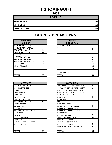## **TISHOMINGO/71**

**2008**

| <b>TOTALS</b>       |    |
|---------------------|----|
| <b>REFERRALS</b>    | 58 |
| <b>OFFENSES</b>     | 58 |
| <b>DISPOSITIONS</b> | 58 |

| <b>RACE AND</b><br><b>GENDER</b> |    | <b>AGE AT</b><br><b>DISPOSITION</b> |
|----------------------------------|----|-------------------------------------|
| <b>AFRICAN AM. MALE</b>          | 1  | 7 AND UNDER                         |
| AFRICAN AM. FEMALE               | 0  | 8                                   |
| <b>CAUCASIAN MALE</b>            | 44 | 9                                   |
| <b>CAUCASIAN FEMALE</b>          | 12 | 10                                  |
| <b>HISPANIC MALE</b>             |    | 11                                  |
| <b>HISPANIC FEMALE</b>           | 0  | 12                                  |
| <b>AMER. INDIAN MALE</b>         | 0  | 13                                  |
| AMER. INDIAN FEMALE              | 0  | 14                                  |
| <b>ASIAN MALE</b>                | 0  | 15                                  |
| <b>ASIAN FEMALE</b>              | 0  | 16                                  |
|                                  |    | 17                                  |
|                                  |    | 18                                  |
|                                  |    | 19 AND OVER                         |
| <b>TOTAL</b>                     | 58 | TOTAL                               |

| <b>OFFENSES</b>             |                | <b>DISPOSITIONS</b>        |
|-----------------------------|----------------|----------------------------|
| AGGRAVATED ASSAULT          | 2              | ADOLESCENT OFFENDER PR     |
| <b>ALCOHOL OFFENSES</b>     | 8              | COMMUNITY SERVICE WORK     |
| ARSON                       | 0              | CERTIFIED/WAIVED/TRANSFE   |
| <b>BOMB THREATS</b>         | 0              | COMMITMENT TO TRAINING S   |
| <b>BURGLARY</b>             | 2              | COMMUNITY PROGRAMS         |
| <b>CHINS/ RUN AWAY</b>      | 7              | <b>DISMISSED</b>           |
| <b>CONTEMPT OF COURT</b>    | 0              | DETENTION                  |
| <b>DISORDERLY CONDUCT</b>   | 12             | <b>FINED</b>               |
| <b>DRUG OFFENSES</b>        | 8              | <b>HELD OPEN / RETIRED</b> |
| <b>GRAND LARCENY</b>        | 0              | PLACEMENT WITH INDIVIDUA   |
| <b>HARASSMENT</b>           | 3              | REFERRED TO PRIVATE AGEI   |
| MALICIOUS MISCHIEF/ VANDAL. | 5              | REFERRED TO PUBLIC AGEN    |
| PETIT LARCENY               | $\overline{2}$ | RESTITUTION                |
| <b>ROBBERY</b>              | 0              | RUNAWAY RETURNED           |
| SEXUAL OFFENSES             | 0              | SUPERVISED PROBATION       |
| <b>SHOPLIFTING</b>          | 0              | SUSPENDED LICENSE          |
| SIMPLE ASSAULT/DOM. VIOLEN  | 9              | SUSPENDED COMMITMENT       |
| <b>WEAPON OFFENSES</b>      | 0              | UNSUPERVISED PROBATION     |
|                             |                | WARNED ADJUSTED COUNSE     |
|                             |                |                            |
| <b>TOTAL</b>                | 58             | <b>TOTAL</b>               |

| <b>RACE AND</b><br><b>GENDER</b> |          | <b>AGE AT</b><br><b>DISPOSITION</b> |             |
|----------------------------------|----------|-------------------------------------|-------------|
| AFRICAN AM. MALE                 |          | 7 AND UNDER                         | 0           |
| AFRICAN AM. FEMALE               | 0        | 8                                   | 0           |
| <b>CAUCASIAN MALE</b>            | 44       | 9                                   | $\mathbf 0$ |
| <b>CAUCASIAN FEMALE</b>          | 12       | 10                                  | 3           |
| <b>HISPANIC MALE</b>             |          | 11                                  | 0           |
| <b>HISPANIC FEMALE</b>           | 0        | 12                                  | 0           |
| AMER. INDIAN MALE                | $\Omega$ | 13                                  | 4           |
| AMER. INDIAN FEMALE              | $\Omega$ | 14                                  | 8           |
| ASIAN MALE                       | 0        | 15                                  | 14          |
| <b>ASIAN FEMALE</b>              | $\Omega$ | 16                                  | 15          |
|                                  |          | 17                                  | 14          |
|                                  |          | 18                                  | 0           |
|                                  |          | 19 AND OVER                         | $\Omega$    |
| TOTAL                            | 58       | TOTAL                               | 58          |

| <b>OFFENSES</b>             |                | <b>DISPOSITIONS</b>            |                |
|-----------------------------|----------------|--------------------------------|----------------|
| AGGRAVATED ASSAULT          | 2              | ADOLESCENT OFFENDER PROGRAM    | 6              |
| ALCOHOL OFFENSES            | 8              | COMMUNITY SERVICE WORK PROGRAM | 0              |
| ARSON                       | 0              | CERTIFIED/WAIVED/TRANSFERRED   | 0              |
| BOMB THREATS                | 0              | COMMITMENT TO TRAINING SCHOOL  | $\overline{2}$ |
| <b>BURGLARY</b>             | 2              | <b>COMMUNITY PROGRAMS</b>      | 0              |
| CHINS/ RUN AWAY             | 7              | <b>DISMISSED</b>               | 0              |
| CONTEMPT OF COURT           | 0              | <b>DETENTION</b>               | 0              |
| DISORDERLY CONDUCT          | 12             | <b>FINED</b>                   | 0              |
| <b>DRUG OFFENSES</b>        | 8              | <b>HELD OPEN / RETIRED</b>     | 0              |
| <b>GRAND LARCENY</b>        | 0              | PLACEMENT WITH INDIVIDUAL      | 0              |
| HARASSMENT                  | 3              | REFERRED TO PRIVATE AGENCY     | 0              |
| MALICIOUS MISCHIEF/ VANDAL. | 5              | REFERRED TO PUBLIC AGENCY      | 0              |
| PETIT LARCENY               | $\overline{2}$ | <b>RESTITUTION</b>             | 0              |
| <b>ROBBERY</b>              | 0              | RUNAWAY RETURNED               | $\Omega$       |
| <b>SEXUAL OFFENSES</b>      | 0              | SUPERVISED PROBATION           | 34             |
| SHOPLIFTING                 | $\Omega$       | SUSPENDED LICENSE              | $\Omega$       |
| SIMPLE ASSAULT/DOM. VIOLEN  | 9              | <b>SUSPENDED COMMITMENT</b>    | 0              |
| <b>WEAPON OFFENSES</b>      | $\Omega$       | UNSUPERVISED PROBATION         | 7              |
|                             |                | WARNED ADJUSTED COUNSELED      | 9              |
|                             |                |                                |                |
| TOTAL                       | 58             | <b>TOTAL</b>                   | 58             |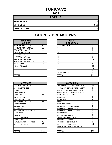## **TUNICA/72**

**2008**

| <b>TOTALS</b>       |     |
|---------------------|-----|
| <b>REFERRALS</b>    | 111 |
| <b>OFFENSES</b>     | 111 |
| <b>DISPOSITIONS</b> | 111 |

| <b>RACE AND</b><br><b>GENDER</b> |                | <b>AGE AT</b><br><b>DISPOSITION</b> |
|----------------------------------|----------------|-------------------------------------|
| <b>AFRICAN AM. MALE</b>          | 64             | <b>7 AND UNDER</b>                  |
| AFRICAN AM. FEMALE               | 39             | 8                                   |
| <b>CAUCASIAN MALE</b>            | 4              | 9                                   |
| <b>CAUCASIAN FEMALE</b>          | $\overline{2}$ | 10                                  |
| <b>HISPANIC MALE</b>             |                | 11                                  |
| <b>HISPANIC FEMALE</b>           |                | 12                                  |
| AMER. INDIAN MALE                | 0              | 13                                  |
| AMER. INDIAN FEMALE              | 0              | 14                                  |
| <b>ASIAN MALE</b>                | 0              | 15                                  |
| ASIAN FEMALE                     | 0              | 16                                  |
|                                  |                | 17                                  |
|                                  |                | 18                                  |
|                                  |                | 19 AND OVER                         |
| <b>TOTAL</b>                     | 111            | TOTAL                               |

| <b>OFFENSES</b>             |     | <b>DISPOSITIONS</b>             |
|-----------------------------|-----|---------------------------------|
| <b>AGGRAVATED ASSAULT</b>   | 0   | <b>ADOLESCENT OFFENDER PR</b>   |
| <b>ALCOHOL OFFENSES</b>     | 5   | <b>COMMUNITY SERVICE WORK</b>   |
| <b>ARSON</b>                | 0   | CERTIFIED/WAIVED/TRANSFE        |
| <b>BOMB THREATS</b>         | 0   | <b>COMMITMENT TO TRAINING S</b> |
| <b>BURGLARY</b>             | 11  | <b>COMMUNITY PROGRAMS</b>       |
| CHINS/RUN AWAY              | 5   | <b>DISMISSED</b>                |
| CONTEMPT OF COURT           | 1   | <b>DETENTION</b>                |
| DISORDERLY CONDUCT          | 11  | <b>FINED</b>                    |
| <b>DRUG OFFENSES</b>        | 2   | <b>HELD OPEN / RETIRED</b>      |
| <b>GRAND LARCENY</b>        | 0   | PLACEMENT WITH INDIVIDUA        |
| <b>HARASSMENT</b>           | 0   | <b>REFERRED TO PRIVATE AGEI</b> |
| MALICIOUS MISCHIEF/ VANDAL. | 0   | <b>REFERRED TO PUBLIC AGEN</b>  |
| <b>PETIT LARCENY</b>        | 1   | <b>RESTITUTION</b>              |
| <b>ROBBERY</b>              | 0   | <b>RUNAWAY RETURNED</b>         |
| <b>SEXUAL OFFENSES</b>      | 0   | SUPERVISED PROBATION            |
| <b>SHOPLIFTING</b>          | 7   | <b>SUSPENDED LICENSE</b>        |
| SIMPLE ASSAULT/DOM. VIOLEN  | 40  | <b>SUSPENDED COMMITMENT</b>     |
| <b>WEAPON OFFENSES</b>      | 28  | UNSUPERVISED PROBATION          |
|                             |     | <b>WARNED ADJUSTED COUNSE</b>   |
|                             |     |                                 |
| <b>TOTAL</b>                | 111 | <b>TOTAL</b>                    |

| <b>RACE AND</b><br><b>GENDER</b> |                | <b>AGE AT</b><br><b>DISPOSITION</b> |                |
|----------------------------------|----------------|-------------------------------------|----------------|
| AFRICAN AM. MALE                 | 64             | <b>7 AND UNDER</b>                  | 0              |
| AFRICAN AM. FEMALE               | 39             | o                                   | 0              |
| <b>CAUCASIAN MALE</b>            | 4              | 9                                   | 0              |
| <b>CAUCASIAN FEMALE</b>          | $\overline{2}$ | 10                                  | 0              |
| <b>HISPANIC MALE</b>             |                | 11                                  | $\overline{2}$ |
| <b>HISPANIC FEMALE</b>           |                | 12                                  | 5              |
| AMER. INDIAN MALE                | $\Omega$       | 13                                  | 14             |
| AMER. INDIAN FEMALE              | 0              | 14                                  | 12             |
| ASIAN MALE                       | 0              | 15                                  | 27             |
| <b>ASIAN FEMALE</b>              | 0              | 16                                  | 32             |
|                                  |                | 17                                  | 16             |
|                                  |                | 18                                  | 3              |
|                                  |                | 19 AND OVER                         | $\Omega$       |
| <b>TOTAL</b>                     | 111            | TOTAL                               | 111            |

| <b>OFFENSES</b>             |                |
|-----------------------------|----------------|
| AGGRAVATED ASSAULT          | 0              |
| ALCOHOL OFFENSES            | 5              |
| ARSON                       | 0              |
| <b>BOMB THREATS</b>         | 0              |
| <b>BURGLARY</b>             | 11             |
| CHINS/ RUN AWAY             | 5              |
| CONTEMPT OF COURT           |                |
| DISORDERLY CONDUCT          | 11             |
| <b>DRUG OFFENSES</b>        | $\overline{2}$ |
| <b>GRAND LARCENY</b>        | $\Omega$       |
| HARASSMENT                  | 0              |
| MALICIOUS MISCHIEF/ VANDAL. | 0              |
| PETIT LARCENY               | 1              |
| ROBBERY                     | 0              |
| <b>SEXUAL OFFENSES</b>      | 0              |
| SHOPLIFTING                 | $\overline{7}$ |
| SIMPLE ASSAULT/DOM. VIOLEN  | 40             |
| WEAPON OFFENSES             | 28             |
|                             |                |
|                             |                |
| TOTAL                       | 111            |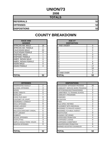## **UNION/73**

**2008**

| <b>TOTALS</b>       |    |
|---------------------|----|
| <b>REFERRALS</b>    | 52 |
| <b>OFFENSES</b>     | 52 |
| <b>DISPOSITIONS</b> | 52 |

| <b>RACE AND</b><br><b>GENDER</b> |                | <b>AGE AT</b><br><b>DISPOSITION</b> |
|----------------------------------|----------------|-------------------------------------|
| <b>AFRICAN AM. MALE</b>          | 18             | <b>7 AND UNDER</b>                  |
| AFRICAN AM. FEMALE               | $\overline{2}$ | 8                                   |
| <b>CAUCASIAN MALE</b>            | 22             | 9                                   |
| <b>CAUCASIAN FEMALE</b>          | 8              | 10                                  |
| <b>HISPANIC MALE</b>             |                | 11                                  |
| <b>HISPANIC FEMALE</b>           |                | 12                                  |
| <b>AMER. INDIAN MALE</b>         | 0              | 13                                  |
| AMER. INDIAN FEMALE              | 0              | 14                                  |
| <b>ASIAN MALE</b>                | 0              | 15                                  |
| ASIAN FEMALE                     | 0              | 16                                  |
|                                  |                | 17                                  |
|                                  |                | 18                                  |
|                                  |                | 19 AND OVER                         |
| <b>TOTAL</b>                     | 52             | TOTAL                               |

| <b>OFFENSES</b>                    |                | <b>DISPOSITIONS</b>        |
|------------------------------------|----------------|----------------------------|
| AGGRAVATED ASSAULT                 | 2              | ADOLESCENT OFFENDER PR     |
| ALCOHOL OFFENSES                   | 4              | COMMUNITY SERVICE WORK     |
| <b>ARSON</b>                       | $\overline{2}$ | CERTIFIED/WAIVED/TRANSFE   |
| <b>BOMB THREATS</b>                | 0              | COMMITMENT TO TRAINING S   |
| <b>BURGLARY</b>                    | $\overline{7}$ | COMMUNITY PROGRAMS         |
| CHINS/ RUN AWAY                    | 0              | <b>DISMISSED</b>           |
| <b>CONTEMPT OF COURT</b>           | 3              | <b>DETENTION</b>           |
| <b>DISORDERLY CONDUCT</b>          | $\overline{2}$ | <b>FINED</b>               |
| <b>DRUG OFFENSES</b>               | 9              | <b>HELD OPEN / RETIRED</b> |
| <b>GRAND LARCENY</b>               | 4              | PLACEMENT WITH INDIVIDUA   |
| <b>HARASSMENT</b>                  | 0              | REFERRED TO PRIVATE AGEI   |
| <b>MALICIOUS MISCHIEF/ VANDAL.</b> | 6              | REFERRED TO PUBLIC AGEN    |
| PETIT LARCENY                      | 1              | RESTITUTION                |
| <b>ROBBERY</b>                     | 0              | RUNAWAY RETURNED           |
| <b>SEXUAL OFFENSES</b>             | 0              | SUPERVISED PROBATION       |
| <b>SHOPLIFTING</b>                 | 3              | <b>SUSPENDED LICENSE</b>   |
| SIMPLE ASSAULT/DOM. VIOLEN         | 9              | SUSPENDED COMMITMENT       |
| <b>WEAPON OFFENSES</b>             | 0              | UNSUPERVISED PROBATION     |
|                                    |                | WARNED ADJUSTED COUNSE     |
|                                    |                |                            |
| <b>TOTAL</b>                       | 52             | <b>TOTAL</b>               |

| <b>RACE AND</b><br><b>GENDER</b> |          | <b>AGE AT</b><br><b>DISPOSITION</b> |          |
|----------------------------------|----------|-------------------------------------|----------|
| AFRICAN AM. MALE                 | 18       | 7 AND UNDER                         | $\Omega$ |
| AFRICAN AM. FEMALE               | 2        | 8                                   | $\Omega$ |
| <b>CAUCASIAN MALE</b>            | 22       | 9                                   | $\Omega$ |
| <b>CAUCASIAN FEMALE</b>          | 8        | 10                                  |          |
| <b>HISPANIC MALE</b>             | 1        | 11                                  | 0        |
| <b>HISPANIC FEMALE</b>           |          | 12                                  | $\Omega$ |
| AMER. INDIAN MALE                | $\Omega$ | 13                                  | 7        |
| AMER. INDIAN FEMALE              | $\Omega$ | 14                                  | 6        |
| ASIAN MALE                       | 0        | 15                                  | 8        |
| <b>ASIAN FEMALE</b>              | 0        | 16                                  | 17       |
|                                  |          | 17                                  | 10       |
|                                  |          | 18                                  | 3        |
|                                  |          | 19 AND OVER                         | $\Omega$ |
| <b>TOTAL</b>                     | 52       | TOTAL                               | 52       |

| <b>OFFENSES</b>             |          | <b>DISPOSITIONS</b>            |                |
|-----------------------------|----------|--------------------------------|----------------|
| AGGRAVATED ASSAULT          | 2        | ADOLESCENT OFFENDER PROGRAM    | 25             |
| ALCOHOL OFFENSES            | 4        | COMMUNITY SERVICE WORK PROGRAM | 0              |
| ARSON                       | 2        | CERTIFIED/WAIVED/TRANSFERRED   | $\overline{2}$ |
| BOMB THREATS                | 0        | COMMITMENT TO TRAINING SCHOOL  | 0              |
| BURGLARY                    |          | <b>COMMUNITY PROGRAMS</b>      |                |
| CHINS/ RUN AWAY             | 0        | <b>DISMISSED</b>               | 2              |
| CONTEMPT OF COURT           | 3        | <b>DETENTION</b>               | 0              |
| DISORDERLY CONDUCT          | 2        | <b>FINED</b>                   | 3              |
| <b>DRUG OFFENSES</b>        | 9        | <b>HELD OPEN / RETIRED</b>     | $\overline{2}$ |
| <b>GRAND LARCENY</b>        | 4        | PLACEMENT WITH INDIVIDUAL      | 0              |
| HARASSMENT                  | 0        | REFERRED TO PRIVATE AGENCY     | 0              |
| MALICIOUS MISCHIEF/ VANDAL. | 6        | REFERRED TO PUBLIC AGENCY      | 1              |
| PETIT LARCENY               |          | <b>RESTITUTION</b>             | 0              |
| ROBBERY                     | 0        | RUNAWAY RETURNED               | 0              |
| <b>SEXUAL OFFENSES</b>      | 0        | <b>SUPERVISED PROBATION</b>    | 4              |
| SHOPLIFTING                 | 3        | <b>SUSPENDED LICENSE</b>       | 0              |
| SIMPLE ASSAULT/DOM. VIOLEN  | 9        | <b>SUSPENDED COMMITMENT</b>    | $\overline{2}$ |
| WEAPON OFFENSES             | $\Omega$ | UNSUPERVISED PROBATION         | 6              |
|                             |          | WARNED ADJUSTED COUNSELED      | 4              |
| TOTAL                       | 52       | <b>TOTAL</b>                   | 52             |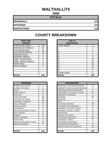## **WALTHALL/74**

**2008**

| <b>TOTALS</b>       |     |
|---------------------|-----|
| <b>REFERRALS</b>    | 121 |
| <b>OFFENSES</b>     | 121 |
| <b>DISPOSITIONS</b> | 121 |

# **COUNTY BREAKDOWN**

| <b>RACE AND</b><br><b>GENDER</b> |          | <b>AGE AT</b><br><b>DISPOSITION</b> |                |  |
|----------------------------------|----------|-------------------------------------|----------------|--|
| <b>AFRICAN AM. MALE</b>          | 49       | 7 AND UNDER                         |                |  |
| AFRICAN AM. FEMALE               | 24       | 8                                   | 0              |  |
| <b>CAUCASIAN MALE</b>            | 32       | 9                                   | 0              |  |
| <b>CAUCASIAN FEMALE</b>          | 16       | 10                                  | 1              |  |
| <b>HISPANIC MALE</b>             | 0        | 11                                  | 3              |  |
| <b>HISPANIC FEMALE</b>           | 0        | 12                                  | 9              |  |
| AMER. INDIAN MALE                | 0        | 13                                  | 19             |  |
| AMER. INDIAN FEMALE              | $\Omega$ | 14                                  | 21             |  |
| <b>ASIAN MALE</b>                | $\Omega$ | 15                                  | 22             |  |
| ASIAN FEMALE                     | 0        | 16                                  | 26             |  |
|                                  |          | 17                                  | 17             |  |
|                                  |          | 18                                  | $\overline{2}$ |  |
|                                  |          | 19 AND OVER                         | 0              |  |
| <b>TOTAL</b>                     | 121      | TOTAL                               | 121            |  |

| <b>GENDER</b>           |     | <b>DISPOSITION</b> |    |
|-------------------------|-----|--------------------|----|
| AFRICAN AM. MALE        | 49  | <b>7 AND UNDER</b> |    |
| AFRICAN AM. FEMALE      | 24  |                    | 0  |
| CAUCASIAN MALE          | 32  | 9                  | 0  |
| <b>CAUCASIAN FEMALE</b> | 16  | 10                 |    |
| <b>HISPANIC MALE</b>    | 0   | 11                 | 3  |
| <b>HISPANIC FEMALE</b>  | 0   | 12                 | 9  |
| AMER. INDIAN MALE       | ი   | 13                 | 19 |
| AMER. INDIAN FEMALE     | ი   | 14                 | 21 |
| ASIAN MALE              | 0   | 15                 | 22 |
| ASIAN FEMALE            | 0   | 16                 | 26 |
|                         |     | 17                 | 17 |
|                         |     | 18                 | 2  |
|                         |     | 19 AND OVER        | 0  |
| -----                   | 101 | ---- <i>-</i>      |    |

| <b>OFFENSES</b>                    |     | <b>DISPOSITIONS</b>         |
|------------------------------------|-----|-----------------------------|
| AGGRAVATED ASSAULT                 | 1   | ADOLESCENT OFFENDER PR      |
| <b>ALCOHOL OFFENSES</b>            | 1   | COMMUNITY SERVICE WORK      |
| <b>ARSON</b>                       | 0   | CERTIFIED/WAIVED/TRANSFE    |
| <b>BOMB THREATS</b>                | 0   | COMMITMENT TO TRAINING S    |
| <b>BURGLARY</b>                    | 5   | COMMUNITY PROGRAMS          |
| <b>CHINS/ RUN AWAY</b>             | 10  | DISMISSED                   |
| CONTEMPT OF COURT                  | 16  | <b>DETENTION</b>            |
| <b>DISORDERLY CONDUCT</b>          | 47  | FINED                       |
| <b>DRUG OFFENSES</b>               | 9   | <b>HELD OPEN / RETIRED</b>  |
| <b>GRAND LARCENY</b>               | 4   | PLACEMENT WITH INDIVIDUA    |
| <b>HARASSMENT</b>                  | 3   | REFERRED TO PRIVATE AGEI    |
| <b>MALICIOUS MISCHIEF/ VANDAL.</b> | 6   | REFERRED TO PUBLIC AGEN     |
| <b>PETIT LARCENY</b>               | 3   | <b>RESTITUTION</b>          |
| <b>ROBBERY</b>                     | 0   | RUNAWAY RETURNED            |
| <b>SEXUAL OFFENSES</b>             | 1   | <b>SUPERVISED PROBATION</b> |
| <b>SHOPLIFTING</b>                 | 0   | <b>SUSPENDED LICENSE</b>    |
| SIMPLE ASSAULT/DOM. VIOLEN         | 10  | SUSPENDED COMMITMENT        |
| <b>WEAPON OFFENSES</b>             | 5   | UNSUPERVISED PROBATION      |
|                                    |     | WARNED ADJUSTED COUNSE      |
|                                    |     |                             |
| <b>TOTAL</b>                       | 121 | <b>TOTAL</b>                |

| <b>OFFENSES</b>             |          | <b>DISPOSITIONS</b>            |                |
|-----------------------------|----------|--------------------------------|----------------|
| AGGRAVATED ASSAULT          |          | ADOLESCENT OFFENDER PROGRAM    | $\overline{2}$ |
| ALCOHOL OFFENSES            |          | COMMUNITY SERVICE WORK PROGRAM | 2              |
| ARSON                       | 0        | CERTIFIED/WAIVED/TRANSFERRED   | 1              |
| <b>BOMB THREATS</b>         | 0        | COMMITMENT TO TRAINING SCHOOL  | 13             |
| BURGLARY                    | 5        | COMMUNITY PROGRAMS             | 1              |
| CHINS/ RUN AWAY             | 10       | <b>DISMISSED</b>               | 13             |
| CONTEMPT OF COURT           | 16       | <b>DETENTION</b>               |                |
| DISORDERLY CONDUCT          | 47       | <b>FINED</b>                   | 1              |
| <b>DRUG OFFENSES</b>        | 9        | <b>HELD OPEN / RETIRED</b>     | 15             |
| GRAND LARCENY               | 4        | PLACEMENT WITH INDIVIDUAL      | 1              |
| HARASSMENT                  | 3        | REFERRED TO PRIVATE AGENCY     | 3              |
| MALICIOUS MISCHIEF/ VANDAL. | 6        | REFERRED TO PUBLIC AGENCY      | 13             |
| PETIT LARCENY               | 3        | <b>RESTITUTION</b>             | 2              |
| ROBBERY                     | 0        | RUNAWAY RETURNED               | $\Omega$       |
| <b>SEXUAL OFFENSES</b>      | 1        | <b>SUPERVISED PROBATION</b>    | 19             |
| SHOPLIFTING                 | $\Omega$ | <b>SUSPENDED LICENSE</b>       | 0              |
| SIMPLE ASSAULT/DOM. VIOLEN  | 10       | <b>SUSPENDED COMMITMENT</b>    | 1              |
| WEAPON OFFENSES             | 5        | UNSUPERVISED PROBATION         | $\Omega$       |
|                             |          | WARNED ADJUSTED COUNSELED      | 33             |
| TOTAL                       | 121      | <b>TOTAL</b>                   | 121            |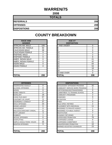## **WARREN/75**

**2008**

| <b>TOTALS</b>       |     |
|---------------------|-----|
| <b>REFERRALS</b>    | 208 |
| <b>OFFENSES</b>     | 208 |
| <b>DISPOSITIONS</b> | 208 |

#### **COUNTY BREAKDOWN**

| <b>RACE AND</b><br><b>GENDER</b> |                | <b>AGE AT</b><br><b>DISPOSITION</b> |
|----------------------------------|----------------|-------------------------------------|
| <b>AFRICAN AM. MALE</b>          | 109            | <b>7 AND UNDER</b>                  |
| AFRICAN AM. FEMALE               | 50             | 8                                   |
| <b>CAUCASIAN MALE</b>            | 38             | 9                                   |
| <b>CAUCASIAN FEMALE</b>          | 9              | 10                                  |
| <b>HISPANIC MALE</b>             | $\overline{2}$ | 11                                  |
| <b>HISPANIC FEMALE</b>           | 0              | 12                                  |
| AMER. INDIAN MALE                | 0              | 13                                  |
| AMER. INDIAN FEMALE              | 0              | 14                                  |
| <b>ASIAN MALE</b>                | 0              | 15                                  |
| ASIAN FEMALE                     | 0              | 16                                  |
|                                  |                | 17                                  |
|                                  |                | 18                                  |
|                                  |                | 19 AND OVER                         |
| <b>TOTAL</b>                     | 208            | TOTAL                               |

| ASIAN MALE                  | 0        | 15                             | 64             |
|-----------------------------|----------|--------------------------------|----------------|
| ASIAN FEMALE                | $\Omega$ | 16                             | 53             |
|                             |          | 17                             | 18             |
|                             |          | 18                             | $\Omega$       |
|                             |          | 19 AND OVER                    | $\Omega$       |
| <b>TOTAL</b>                | 208      | <b>TOTAL</b>                   | 208            |
|                             |          |                                |                |
|                             |          |                                |                |
| <b>OFFENSES</b>             |          | <b>DISPOSITIONS</b>            |                |
| AGGRAVATED ASSAULT          | 0        | ADOLESCENT OFFENDER PROGRAM    | 32             |
| ALCOHOL OFFENSES            | 0        | COMMUNITY SERVICE WORK PROGRAM | 0              |
| ARSON                       | 0        | CERTIFIED/WAIVED/TRANSFERRED   | $\Omega$       |
| <b>BOMB THREATS</b>         | 0        | COMMITMENT TO TRAINING SCHOOL  | 8              |
| <b>BURGLARY</b>             | 19       | <b>COMMUNITY PROGRAMS</b>      | $\overline{2}$ |
| CHINS/ RUN AWAY             | 57       | <b>DISMISSED</b>               | 9              |
| CONTEMPT OF COURT           | 9        | <b>DETENTION</b>               | $\overline{7}$ |
| DISORDERLY CONDUCT          | 37       | <b>FINED</b>                   | $\Omega$       |
| <b>DRUG OFFENSES</b>        | 23       | <b>HELD OPEN / RETIRED</b>     | $\overline{2}$ |
| <b>GRAND LARCENY</b>        | 6        | PLACEMENT WITH INDIVIDUAL      | 11             |
| HARASSMENT                  | $\Omega$ | REFERRED TO PRIVATE AGENCY     | 1              |
| MALICIOUS MISCHIEF/ VANDAL. | 11       | REFERRED TO PUBLIC AGENCY      | 9              |
| PETIT LARCENY               | 3        | <b>RESTITUTION</b>             | $\overline{7}$ |
| ROBBERY                     | 1        | RUNAWAY RETURNED               | $\Omega$       |
| <b>SEXUAL OFFENSES</b>      | 6        | SUPERVISED PROBATION           | 76             |
| SHOPLIFTING                 | 1        | <b>SUSPENDED LICENSE</b>       | $\mathbf 0$    |
| SIMPLE ASSAULT/DOM. VIOLEN  | 26       | <b>SUSPENDED COMMITMENT</b>    | 11             |
| WEAPON OFFENSES             | 9        | UNSUPERVISED PROBATION         | 10             |
|                             |          | WARNED ADJUSTED COUNSELED      | 23             |
|                             |          |                                |                |

| <b>GENDER</b>           |                | <b>DISPOSITION</b> |          |
|-------------------------|----------------|--------------------|----------|
| AFRICAN AM. MALE        | 109            | 7 AND UNDER        | $\Omega$ |
| AFRICAN AM. FEMALE      | 50             | 8                  | $\Omega$ |
| <b>CAUCASIAN MALE</b>   | 38             | 9                  | 0        |
| <b>CAUCASIAN FEMALE</b> | 9              | 10                 | 0        |
| <b>HISPANIC MALE</b>    | $\overline{2}$ | 11                 | 2        |
| <b>HISPANIC FEMALE</b>  | 0              | 12                 | 8        |
| AMER. INDIAN MALE       | 0              | 13                 | 21       |
| AMER. INDIAN FEMALE     | 0              | 14                 | 42       |
| ASIAN MALE              | 0              | 15 <sub>1</sub>    | 64       |
| ASIAN FEMALE            | $\Omega$       | 16                 | 53       |
|                         |                | 17                 | 18       |
|                         |                | 18                 | 0        |
|                         |                | 19 AND OVER        | $\Omega$ |
| <b>TOTAL</b>            | 208            | TOTAL              | 208      |

| TOTAL                              | 208 |
|------------------------------------|-----|
|                                    |     |
|                                    |     |
| WEAPON OFFENSES                    | 9   |
| SIMPLE ASSAULT/DOM. VIOLEN         | 26  |
| SHOPLIFTING                        | 1   |
| SEXUAL OFFENSES                    | 6   |
| <b>ROBBERY</b>                     | 1   |
| PETIT LARCENY                      | 3   |
| <b>MALICIOUS MISCHIEF/ VANDAL.</b> | 11  |
| <b>HARASSMENT</b>                  | 0   |
| <b>GRAND LARCENY</b>               | 6   |
| <b>DRUG OFFENSES</b>               | 23  |
| DISORDERLY CONDUCT                 | 37  |
| CONTEMPT OF COURT                  | 9   |
| CHINS/ RUN AWAY                    | 57  |
| <b>BURGLARY</b>                    | 19  |
| <b>BOMB THREATS</b>                | 0   |
| ARSON                              | 0   |
| ALCOHOL OFFENSES                   | ი   |
| AGGRAVATED ASSAULT                 | 0   |

| AGGRAVATED ASSAULT          | 0        | ADOLESCENT OFFENDER PROGRAM    | 32             |
|-----------------------------|----------|--------------------------------|----------------|
| ALCOHOL OFFENSES            | 0        | COMMUNITY SERVICE WORK PROGRAM | 0              |
| ARSON                       | 0        | CERTIFIED/WAIVED/TRANSFERRED   | $\Omega$       |
| BOMB THREATS                | $\Omega$ | COMMITMENT TO TRAINING SCHOOL  | 8              |
| BURGLARY                    | 19       | COMMUNITY PROGRAMS             | 2              |
| CHINS/ RUN AWAY             | 57       | <b>DISMISSED</b>               | 9              |
| CONTEMPT OF COURT           | 9        | <b>DETENTION</b>               | 7              |
| DISORDERLY CONDUCT          | 37       | <b>FINED</b>                   | 0              |
| DRUG OFFENSES               | 23       | <b>HELD OPEN / RETIRED</b>     | $\overline{2}$ |
| GRAND LARCENY               | 6        | PLACEMENT WITH INDIVIDUAL      | 11             |
| HARASSMENT                  | $\Omega$ | REFERRED TO PRIVATE AGENCY     |                |
| MALICIOUS MISCHIEF/ VANDAL. | 11       | REFERRED TO PUBLIC AGENCY      | 9              |
| PETIT LARCENY               | 3        | <b>RESTITUTION</b>             | 7              |
| ROBBERY                     |          | RUNAWAY RETURNED               | 0              |
| SEXUAL OFFENSES             | 6        | <b>SUPERVISED PROBATION</b>    | 76             |
| SHOPLIFTING                 |          | SUSPENDED LICENSE              | 0              |
| SIMPLE ASSAULT/DOM. VIOLEN  | 26       | SUSPENDED COMMITMENT           | 11             |
| WEAPON OFFENSES             | 9        | UNSUPERVISED PROBATION         | 10             |
|                             |          | WARNED ADJUSTED COUNSELED      | 23             |
|                             |          |                                |                |
| TOTAL                       | 208      | <b>TOTAL</b>                   | 208            |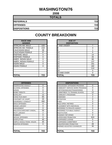#### **WASHINGTON/76**

**2008**

| <b>TOTALS</b>       |     |
|---------------------|-----|
| <b>REFERRALS</b>    | 723 |
| <b>OFFENSES</b>     | 723 |
| <b>DISPOSITIONS</b> | 723 |

#### **RACE AND GENDER DISPOSITION** AFRICAN AM. MALE | 428 AFRICAN AM. FEMALE | 219 CAUCASIAN MALE 39 CAUCASIAN FEMALE | 37 HISPANIC MALE 0 HISPANIC FEMALE 1 0 AMER. INDIAN MALE 0 AMER. INDIAN FEMALE | 0 ASIAN MALE 0 ASIAN FEMALE 20 **TOTAL 723 TOTAL 723**

|                                    |                | ľŏ                              |
|------------------------------------|----------------|---------------------------------|
|                                    |                | 19 AND OVER                     |
| <b>TOTAL</b>                       | 723            | <b>TOTAL</b>                    |
|                                    |                |                                 |
| <b>OFFENSES</b>                    |                | <b>DISPOSITIONS</b>             |
| AGGRAVATED ASSAULT                 | 0              | ADOLESCENT OFFENDER PR          |
| ALCOHOL OFFENSES                   | 0              | <b>COMMUNITY SERVICE WORK</b>   |
| ARSON                              | 0              | CERTIFIED/WAIVED/TRANSFE        |
| <b>BOMB THREATS</b>                | 0              | <b>COMMITMENT TO TRAINING S</b> |
| <b>BURGLARY</b>                    | 12             | <b>COMMUNITY PROGRAMS</b>       |
| CHINS/ RUN AWAY                    | 65             | <b>DISMISSED</b>                |
| CONTEMPT OF COURT                  | 25             | <b>DETENTION</b>                |
| <b>DISORDERLY CONDUCT</b>          | 490            | <b>FINED</b>                    |
| <b>DRUG OFFENSES</b>               | 0              | <b>HELD OPEN / RETIRED</b>      |
| <b>GRAND LARCENY</b>               | 0              | PLACEMENT WITH INDIVIDUA        |
| <b>HARASSMENT</b>                  | 0              | <b>REFERRED TO PRIVATE AGEI</b> |
| <b>MALICIOUS MISCHIEF/ VANDAL.</b> | 59             | <b>REFERRED TO PUBLIC AGEN</b>  |
| <b>PETIT LARCENY</b>               | $\overline{2}$ | <b>RESTITUTION</b>              |
| <b>ROBBERY</b>                     | $\Omega$       | <b>RUNAWAY RETURNED</b>         |
| <b>SEXUAL OFFENSES</b>             | $\Omega$       | SUPERVISED PROBATION            |
| <b>SHOPLIFTING</b>                 | 40             | SUSPENDED LICENSE               |
| SIMPLE ASSAULT/DOM. VIOLEN         | 30             | <b>SUSPENDED COMMITMENT</b>     |
| <b>WEAPON OFFENSES</b>             | 0              | UNSUPERVISED PROBATION          |
|                                    |                | <b>WARNED ADJUSTED COUNSE</b>   |
|                                    |                |                                 |

| <b>AGE AT</b><br><b>DISPOSITION</b> |     |
|-------------------------------------|-----|
| <b>7 AND UNDER</b>                  | 7   |
| 8                                   | 4   |
| 9                                   | 1   |
| 10                                  | 5   |
| 11                                  | 14  |
| 12                                  | 26  |
| 13                                  | 68  |
| 14                                  | 137 |
| 15                                  | 161 |
| 16                                  | 182 |
| 17                                  | 114 |
| 18                                  | 4   |
| 19 AND OVER                         | 0   |
| <b>TOTAL</b>                        | 723 |

| <b>OFFENSES</b>             |          |
|-----------------------------|----------|
| AGGRAVATED ASSAULT          | 0        |
| ALCOHOL OFFENSES            | $\Omega$ |
| ARSON                       | $\Omega$ |
| <b>BOMB THREATS</b>         | 0        |
| <b>BURGLARY</b>             | 12       |
| CHINS/ RUN AWAY             | 65       |
| CONTEMPT OF COURT           | 25       |
| DISORDERLY CONDUCT          | 490      |
| <b>DRUG OFFENSES</b>        | 0        |
| <b>GRAND LARCENY</b>        | 0        |
| HARASSMENT                  | $\Omega$ |
| MALICIOUS MISCHIEF/ VANDAL. | 59       |
| PETIT LARCENY               | 2        |
| ROBBERY                     | 0        |
| <b>SEXUAL OFFENSES</b>      | $\Omega$ |
| SHOPLIFTING                 | 40       |
| SIMPLE ASSAULT/DOM. VIOLEN  | 30       |
| <b>WEAPON OFFENSES</b>      | $\Omega$ |
|                             |          |
|                             |          |
| <b>TOTAL</b>                | 723      |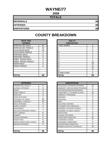## **WAYNE/77**

**2008**

| <b>TOTALS</b>       |    |
|---------------------|----|
| <b>REFERRALS</b>    | 88 |
| <b>OFFENSES</b>     | 88 |
| <b>DISPOSITIONS</b> | 88 |

| <b>RACE AND</b><br><b>GENDER</b> |    | <b>AGE AT</b><br><b>DISPOSITION</b> |
|----------------------------------|----|-------------------------------------|
| <b>AFRICAN AM. MALE</b>          | 52 | 7 AND UNDER                         |
| AFRICAN AM. FEMALE               | 14 | 8                                   |
| <b>CAUCASIAN MALE</b>            | 18 | 9                                   |
| <b>CAUCASIAN FEMALE</b>          | 4  | 10                                  |
| <b>HISPANIC MALE</b>             | 0  | 11                                  |
| <b>HISPANIC FEMALE</b>           | 0  | 12                                  |
| AMER. INDIAN MALE                | 0  | 13                                  |
| <b>AMER. INDIAN FEMALE</b>       | 0  | 14                                  |
| <b>ASIAN MALE</b>                | 0  | 15                                  |
| <b>ASIAN FEMALE</b>              | 0  | 16                                  |
|                                  |    | 17                                  |
|                                  |    | 18                                  |
|                                  |    | 19 AND OVER                         |
| <b>TOTAL</b>                     | 88 | <b>TOTAL</b>                        |

| <b>OFFENSES</b>                    |    | <b>DISPOSITIONS</b>        |
|------------------------------------|----|----------------------------|
| <b>AGGRAVATED ASSAULT</b>          | 0  | ADOLESCENT OFFENDER PR     |
| <b>ALCOHOL OFFENSES</b>            | 0  | COMMUNITY SERVICE WORK     |
| <b>ARSON</b>                       | 0  | CERTIFIED/WAIVED/TRANSFE   |
| <b>BOMB THREATS</b>                | 0  | COMMITMENT TO TRAINING S   |
| <b>BURGLARY</b>                    | 3  | COMMUNITY PROGRAMS         |
| CHINS/RUN AWAY                     | 1  | <b>DISMISSED</b>           |
| CONTEMPT OF COURT                  | 10 | <b>DETENTION</b>           |
| <b>DISORDERLY CONDUCT</b>          | 24 | <b>FINED</b>               |
| <b>DRUG OFFENSES</b>               | 4  | <b>HELD OPEN / RETIRED</b> |
| <b>GRAND LARCENY</b>               | 3  | PLACEMENT WITH INDIVIDUA   |
| <b>HARASSMENT</b>                  | 1  | REFERRED TO PRIVATE AGEI   |
| <b>MALICIOUS MISCHIEF/ VANDAL.</b> | 7  | REFERRED TO PUBLIC AGEN    |
| <b>PETIT LARCENY</b>               | 6  | <b>RESTITUTION</b>         |
| <b>ROBBERY</b>                     | 0  | RUNAWAY RETURNED           |
| <b>SEXUAL OFFENSES</b>             | 0  | SUPERVISED PROBATION       |
| <b>SHOPLIFTING</b>                 | 5  | SUSPENDED LICENSE          |
| SIMPLE ASSAULT/DOM. VIOLEN         | 24 | SUSPENDED COMMITMENT       |
| <b>WEAPON OFFENSES</b>             | 0  | UNSUPERVISED PROBATION     |
|                                    |    | WARNED ADJUSTED COUNSE     |
|                                    |    |                            |
| <b>TOTAL</b>                       | 88 | <b>TOTAL</b>               |

| <b>RACE AND</b><br><b>GENDER</b> |          | <b>AGE AT</b><br><b>DISPOSITION</b> |    |
|----------------------------------|----------|-------------------------------------|----|
| AFRICAN AM. MALE                 | 52       | <b>7 AND UNDER</b>                  | 0  |
| AFRICAN AM. FEMALE               | 14       | o                                   | 0  |
| <b>CAUCASIAN MALE</b>            | 18       | 9                                   | 0  |
| <b>CAUCASIAN FEMALE</b>          | 4        | 10                                  | 0  |
| <b>HISPANIC MALE</b>             | 0        | 11                                  | 2  |
| <b>HISPANIC FEMALE</b>           | $\Omega$ | 12                                  | 3  |
| AMER. INDIAN MALE                | $\Omega$ | 13                                  |    |
| AMER. INDIAN FEMALE              | $\Omega$ | 14                                  | 13 |
| ASIAN MALE                       | $\Omega$ | 15                                  | 23 |
| ASIAN FEMALE                     | 0        | 16                                  | 15 |
|                                  |          | 17                                  | 31 |
|                                  |          | 18                                  | 0  |
|                                  |          | 19 AND OVER                         | 0  |
| <b>TOTAL</b>                     | 88       | TOTAL                               | 88 |

| <b>OFFENSES</b>             |          |
|-----------------------------|----------|
| AGGRAVATED ASSAULT          | $\Omega$ |
| ALCOHOL OFFENSES            | 0        |
| ARSON                       | 0        |
| <b>BOMB THREATS</b>         | 0        |
| <b>BURGLARY</b>             | 3        |
| CHINS/ RUN AWAY             | 1        |
| CONTEMPT OF COURT           | 10       |
| DISORDERLY CONDUCT          | 24       |
| DRUG OFFENSES               | 4        |
| <b>GRAND LARCENY</b>        | 3        |
| HARASSMENT                  |          |
| MALICIOUS MISCHIEF/ VANDAL. | 7        |
| PETIT LARCENY               | 6        |
| ROBBERY                     | 0        |
| <b>SEXUAL OFFENSES</b>      | 0        |
| SHOPLIFTING                 | 5        |
| SIMPLE ASSAULT/DOM. VIOLEN  | 24       |
| <b>WEAPON OFFENSES</b>      | $\Omega$ |
|                             |          |
|                             |          |
| TOTAL                       | 88       |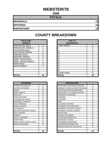## **WEBSTER/78**

**2008**

| <b>TOTALS</b>       |    |
|---------------------|----|
| <b>REFERRALS</b>    | 14 |
| <b>OFFENSES</b>     | 14 |
| <b>DISPOSITIONS</b> | 14 |

| <b>RACE AND</b><br><b>GENDER</b> |                | <b>AGE AT</b><br><b>DISPOSITION</b> |
|----------------------------------|----------------|-------------------------------------|
| <b>AFRICAN AM. MALE</b>          | 5              | <b>7 AND UNDER</b>                  |
| AFRICAN AM. FEMALE               |                | 8                                   |
| <b>CAUCASIAN MALE</b>            | $\overline{2}$ | 9                                   |
| <b>CAUCASIAN FEMALE</b>          | 5              | 10                                  |
| <b>HISPANIC MALE</b>             | 0              | 11                                  |
| <b>HISPANIC FEMALE</b>           | 0              | 12                                  |
| AMER. INDIAN MALE                |                | 13                                  |
| AMER. INDIAN FEMALE              | 0              | 14                                  |
| <b>ASIAN MALE</b>                | 0              | 15                                  |
| <b>ASIAN FEMALE</b>              | 0              | 16                                  |
|                                  |                | 17                                  |
|                                  |                | 18                                  |
|                                  |                | 19 AND OVER                         |
| ITOTAL                           | 14             | TOTAL                               |

| <b>OFFENSES</b>             |    | <b>DISPOSITIONS</b>        |
|-----------------------------|----|----------------------------|
| <b>AGGRAVATED ASSAULT</b>   | 0  | ADOLESCENT OFFENDER PR     |
| <b>ALCOHOL OFFENSES</b>     | 0  | COMMUNITY SERVICE WORK     |
| ARSON                       | 0  | CERTIFIED/WAIVED/TRANSFE   |
| <b>BOMB THREATS</b>         | 0  | COMMITMENT TO TRAINING S   |
| <b>BURGLARY</b>             | 2  | COMMUNITY PROGRAMS         |
| CHINS/ RUN AWAY             | 4  | <b>DISMISSED</b>           |
| <b>CONTEMPT OF COURT</b>    | 0  | DETENTION                  |
| <b>DISORDERLY CONDUCT</b>   | 0  | <b>FINED</b>               |
| <b>DRUG OFFENSES</b>        | 0  | <b>HELD OPEN / RETIRED</b> |
| <b>GRAND LARCENY</b>        | 0  | PLACEMENT WITH INDIVIDUA   |
| <b>HARASSMENT</b>           | 0  | REFERRED TO PRIVATE AGEI   |
| MALICIOUS MISCHIEF/ VANDAL. | 1  | REFERRED TO PUBLIC AGEN    |
| PETIT LARCENY               | 3  | RESTITUTION                |
| <b>ROBBERY</b>              | 0  | RUNAWAY RETURNED           |
| SEXUAL OFFENSES             | 0  | SUPERVISED PROBATION       |
| <b>SHOPLIFTING</b>          | 1  | SUSPENDED LICENSE          |
| SIMPLE ASSAULT/DOM. VIOLEN  | 3  | SUSPENDED COMMITMENT       |
| <b>WEAPON OFFENSES</b>      | 0  | UNSUPERVISED PROBATION     |
|                             |    | WARNED ADJUSTED COUNSE     |
|                             |    |                            |
| <b>TOTAL</b>                | 14 | TOTAL                      |

| <b>RACE AND</b><br><b>GENDER</b> |          | <b>AGE AT</b><br><b>DISPOSITION</b> |                |
|----------------------------------|----------|-------------------------------------|----------------|
| AFRICAN AM. MALE                 | 5        | 7 AND UNDER                         | $\Omega$       |
| AFRICAN AM. FEMALE               |          | Ο                                   | $\Omega$       |
| <b>CAUCASIAN MALE</b>            | 2        | 9                                   | 0              |
| <b>CAUCASIAN FEMALE</b>          | 5        | 10                                  | $\Omega$       |
| <b>HISPANIC MALE</b>             | 0        | 11                                  | 0              |
| <b>HISPANIC FEMALE</b>           | 0        | 12                                  |                |
| AMER. INDIAN MALE                |          | 13                                  | 3              |
| AMER. INDIAN FEMALE              | $\Omega$ | 14                                  | $\mathbf{2}$   |
| ASIAN MALE                       | 0        | 15                                  |                |
| ASIAN FEMALE                     | $\Omega$ | 16                                  | $\overline{4}$ |
|                                  |          | 17                                  | 3              |
|                                  |          | 18                                  | $\Omega$       |
|                                  |          | 19 AND OVER                         | $\Omega$       |
| <b>TOTAL</b>                     | 14       | TOTAL                               | 14             |

| <b>OFFENSES</b>             |                |
|-----------------------------|----------------|
| AGGRAVATED ASSAULT          | 0              |
| ALCOHOL OFFENSES            | 0              |
| ARSON                       | 0              |
| <b>BOMB THREATS</b>         | $\Omega$       |
| <b>BURGLARY</b>             | $\overline{2}$ |
| CHINS/ RUN AWAY             | 4              |
| CONTEMPT OF COURT           | 0              |
| DISORDERLY CONDUCT          | 0              |
| DRUG OFFENSES               | 0              |
| <b>GRAND LARCENY</b>        | 0              |
| HARASSMENT                  | 0              |
| MALICIOUS MISCHIEF/ VANDAL. | 1              |
| PETIT LARCENY               | 3              |
| <b>ROBBERY</b>              | 0              |
| <b>SEXUAL OFFENSES</b>      | 0              |
| SHOPLIFTING                 | 1              |
| SIMPLE ASSAULT/DOM. VIOLEN  | 3              |
| <b>WEAPON OFFENSES</b>      | $\Omega$       |
|                             |                |
|                             |                |
| TOTAL                       | 14             |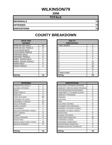## **WILKINSON/79**

**2008**

| <b>TOTALS</b>       |    |
|---------------------|----|
| <b>REFERRALS</b>    | 73 |
| <b>OFFENSES</b>     | 73 |
| <b>DISPOSITIONS</b> | 73 |

| <b>RACE AND</b><br><b>GENDER</b> |          | <b>AGE AT</b><br><b>DISPOSITION</b> |
|----------------------------------|----------|-------------------------------------|
| <b>AFRICAN AM. MALE</b>          | 55       | <b>7 AND UNDER</b>                  |
| AFRICAN AM. FEMALE               | 17       | 8                                   |
| <b>CAUCASIAN MALE</b>            | $\Omega$ | 9                                   |
| <b>CAUCASIAN FEMALE</b>          | 1        | 10                                  |
| <b>HISPANIC MALE</b>             | 0        | 11                                  |
| <b>HISPANIC FEMALE</b>           | 0        | 12                                  |
| <b>AMER. INDIAN MALE</b>         | 0        | 13                                  |
| AMER. INDIAN FEMALE              | 0        | 14                                  |
| <b>ASIAN MALE</b>                | 0        | 15                                  |
| <b>ASIAN FEMALE</b>              | $\Omega$ | 16                                  |
|                                  |          | 17                                  |
|                                  |          | 18                                  |
|                                  |          | 19 AND OVER                         |
| <b>TOTAL</b>                     | 73       | TOTAL                               |

| <b>OFFENSES</b>                    |    | <b>DISPOSITIONS</b>           |
|------------------------------------|----|-------------------------------|
| <b>AGGRAVATED ASSAULT</b>          | 3  | <b>ADOLESCENT OFFENDER PR</b> |
| <b>ALCOHOL OFFENSES</b>            | 0  | COMMUNITY SERVICE WORK        |
| ARSON                              | 1  | CERTIFIED/WAIVED/TRANSFE      |
| <b>BOMB THREATS</b>                | 0  | COMMITMENT TO TRAINING S      |
| <b>BURGLARY</b>                    | 2  | COMMUNITY PROGRAMS            |
| <b>CHINS/ RUN AWAY</b>             | 20 | <b>DISMISSED</b>              |
| <b>CONTEMPT OF COURT</b>           | 1  | DETENTION                     |
| DISORDERLY CONDUCT                 | 11 | <b>FINED</b>                  |
| <b>DRUG OFFENSES</b>               | 9  | <b>HELD OPEN / RETIRED</b>    |
| <b>GRAND LARCENY</b>               | 1  | PLACEMENT WITH INDIVIDUA      |
| <b>HARASSMENT</b>                  | 1  | REFERRED TO PRIVATE AGEI      |
| <b>MALICIOUS MISCHIEF/ VANDAL.</b> | 2  | REFERRED TO PUBLIC AGEN       |
| PETIT LARCENY                      | 4  | <b>RESTITUTION</b>            |
| <b>ROBBERY</b>                     | 3  | RUNAWAY RETURNED              |
| SEXUAL OFFENSES                    | 0  | SUPERVISED PROBATION          |
| <b>SHOPLIFTING</b>                 | 1  | SUSPENDED LICENSE             |
| SIMPLE ASSAULT/DOM. VIOLEN         | 14 | SUSPENDED COMMITMENT          |
| <b>WEAPON OFFENSES</b>             | 0  | UNSUPERVISED PROBATION        |
|                                    |    | WARNED ADJUSTED COUNSE        |
|                                    |    |                               |
| <b>TOTAL</b>                       | 73 | <b>TOTAL</b>                  |

| <b>RACE AND</b><br><b>GENDER</b> |          | <b>AGE AT</b><br><b>DISPOSITION</b> |          |
|----------------------------------|----------|-------------------------------------|----------|
| AFRICAN AM. MALE                 | 55       | 7 AND UNDER                         | 0        |
| AFRICAN AM. FEMALE               | 17       | O                                   | $\Omega$ |
| <b>CAUCASIAN MALE</b>            | $\Omega$ | 9                                   | 0        |
| <b>CAUCASIAN FEMALE</b>          |          | 10                                  | $\Omega$ |
| <b>HISPANIC MALE</b>             | $\Omega$ | 11                                  | 0        |
| <b>HISPANIC FEMALE</b>           | 0        | 12                                  | $\Omega$ |
| AMER. INDIAN MALE                | $\Omega$ | 13                                  | 7        |
| AMER. INDIAN FEMALE              | $\Omega$ | 14                                  | 14       |
| ASIAN MALE                       | 0        | 15                                  | 13       |
| ASIAN FEMALE                     | $\Omega$ | 16                                  | 28       |
|                                  |          | 17                                  | 11       |
|                                  |          | 18                                  | $\Omega$ |
|                                  |          | 19 AND OVER                         | $\Omega$ |
| <b>TOTAL</b>                     | 73       | TOTAL                               | 73       |

| <b>OFFENSES</b>             |    | <b>DISPOSITIONS</b>            |                |
|-----------------------------|----|--------------------------------|----------------|
| AGGRAVATED ASSAULT          | 3  | ADOLESCENT OFFENDER PROGRAM    | 7              |
| ALCOHOL OFFENSES            | 0  | COMMUNITY SERVICE WORK PROGRAM | 0              |
| ARSON                       |    | CERTIFIED/WAIVED/TRANSFERRED   | 0              |
| BOMB THREATS                | 0  | COMMITMENT TO TRAINING SCHOOL  | 6              |
| <b>BURGLARY</b>             | 2  | <b>COMMUNITY PROGRAMS</b>      | 0              |
| CHINS/ RUN AWAY             | 20 | <b>DISMISSED</b>               | 5              |
| CONTEMPT OF COURT           |    | <b>DETENTION</b>               | 4              |
| DISORDERLY CONDUCT          | 11 | <b>FINED</b>                   |                |
| <b>DRUG OFFENSES</b>        | 9  | <b>HELD OPEN / RETIRED</b>     | 0              |
| <b>GRAND LARCENY</b>        |    | PLACEMENT WITH INDIVIDUAL      | 0              |
| HARASSMENT                  |    | REFERRED TO PRIVATE AGENCY     | $\overline{2}$ |
| MALICIOUS MISCHIEF/ VANDAL. | 2  | REFERRED TO PUBLIC AGENCY      | 1              |
| PETIT LARCENY               | 4  | <b>RESTITUTION</b>             | 0              |
| ROBBERY                     | 3  | RUNAWAY RETURNED               | 1              |
| <b>SEXUAL OFFENSES</b>      | 0  | SUPERVISED PROBATION           | 42             |
| SHOPLIFTING                 | 1  | SUSPENDED LICENSE              | $\Omega$       |
| SIMPLE ASSAULT/DOM. VIOLEN  | 14 | <b>SUSPENDED COMMITMENT</b>    | 0              |
| <b>WEAPON OFFENSES</b>      | 0  | UNSUPERVISED PROBATION         | 0              |
|                             |    | WARNED ADJUSTED COUNSELED      | 4              |
|                             |    |                                |                |
| TOTAL                       | 73 | <b>TOTAL</b>                   | 73             |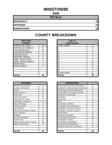## **WINSTON/80**

**2008**

| <b>TOTALS</b>       |    |
|---------------------|----|
| <b>REFERRALS</b>    | 42 |
| <b>OFFENSES</b>     | 42 |
| <b>DISPOSITIONS</b> | 42 |

| <b>RACE AND</b><br><b>GENDER</b> |    | <b>AGE AT</b><br><b>DISPOSITION</b> |
|----------------------------------|----|-------------------------------------|
| <b>AFRICAN AM. MALE</b>          | 16 | <b>7 AND UNDER</b>                  |
| AFRICAN AM. FEMALE               | 9  | 8                                   |
| <b>CAUCASIAN MALE</b>            | 12 | 9                                   |
| <b>CAUCASIAN FEMALE</b>          | 4  | 10                                  |
| <b>HISPANIC MALE</b>             | 0  | 11                                  |
| <b>HISPANIC FEMALE</b>           | 0  | 12                                  |
| <b>AMER. INDIAN MALE</b>         | 0  | 13                                  |
| AMER. INDIAN FEMALE              | 0  | 14                                  |
| <b>ASIAN MALE</b>                |    | 15                                  |
| ASIAN FEMALE                     | 0  | 16                                  |
|                                  |    | 17                                  |
|                                  |    | 18                                  |
|                                  |    | 19 AND OVER                         |
| <b>TOTAL</b>                     | 42 | TOTAL                               |

| <b>OFFENSES</b>                    |                | <b>DISPOSITIONS</b>           |
|------------------------------------|----------------|-------------------------------|
| <b>AGGRAVATED ASSAULT</b>          | 0              | <b>ADOLESCENT OFFENDER PR</b> |
| <b>ALCOHOL OFFENSES</b>            | 0              | COMMUNITY SERVICE WORK        |
| ARSON                              | 0              | CERTIFIED/WAIVED/TRANSFE      |
| <b>BOMB THREATS</b>                | 0              | COMMITMENT TO TRAINING S      |
| <b>BURGLARY</b>                    | 0              | COMMUNITY PROGRAMS            |
| <b>CHINS/ RUN AWAY</b>             | 5              | <b>DISMISSED</b>              |
| <b>CONTEMPT OF COURT</b>           | 1              | DETENTION                     |
| DISORDERLY CONDUCT                 | 9              | <b>FINED</b>                  |
| <b>DRUG OFFENSES</b>               | $\overline{2}$ | <b>HELD OPEN / RETIRED</b>    |
| <b>GRAND LARCENY</b>               | 1              | PLACEMENT WITH INDIVIDUA      |
| <b>HARASSMENT</b>                  | 0              | REFERRED TO PRIVATE AGEI      |
| <b>MALICIOUS MISCHIEF/ VANDAL.</b> | 1              | REFERRED TO PUBLIC AGEN       |
| PETIT LARCENY                      | $\overline{2}$ | <b>RESTITUTION</b>            |
| <b>ROBBERY</b>                     | 0              | RUNAWAY RETURNED              |
| SEXUAL OFFENSES                    | 0              | SUPERVISED PROBATION          |
| <b>SHOPLIFTING</b>                 | 3              | SUSPENDED LICENSE             |
| SIMPLE ASSAULT/DOM. VIOLEN         | 18             | SUSPENDED COMMITMENT          |
| <b>WEAPON OFFENSES</b>             | 0              | UNSUPERVISED PROBATION        |
|                                    |                | WARNED ADJUSTED COUNSE        |
|                                    |                |                               |
| <b>TOTAL</b>                       | 42             | <b>TOTAL</b>                  |

| <b>RACE AND</b><br><b>GENDER</b> |          | <b>AGE AT</b><br><b>DISPOSITION</b> |          |
|----------------------------------|----------|-------------------------------------|----------|
| AFRICAN AM. MALE                 | 16       | 7 AND UNDER                         | 0        |
| AFRICAN AM. FEMALE               | 9        | ö                                   | $\Omega$ |
| <b>CAUCASIAN MALE</b>            | 12       | 9                                   | 0        |
| CAUCASIAN FEMALE                 | 4        | 10                                  |          |
| <b>HISPANIC MALE</b>             | 0        | 11                                  | 0        |
| <b>HISPANIC FEMALE</b>           | 0        | 12                                  |          |
| AMER. INDIAN MALE                | $\Omega$ | 13                                  | 5        |
| AMER. INDIAN FEMALE              | $\Omega$ | 14                                  | 12       |
| ASIAN MALE                       |          | 15                                  | 11       |
| <b>ASIAN FEMALE</b>              | $\Omega$ | 16                                  | 8        |
|                                  |          | 17                                  | 3        |
|                                  |          | 18                                  |          |
|                                  |          | 19 AND OVER                         | $\Omega$ |
| <b>TOTAL</b>                     | 42       | TOTAL                               | 42       |

| <b>OFFENSES</b>             |                | <b>DISPOSITIONS</b>            |                |
|-----------------------------|----------------|--------------------------------|----------------|
| AGGRAVATED ASSAULT          | $\Omega$       | ADOLESCENT OFFENDER PROGRAM    | 6              |
| ALCOHOL OFFENSES            | 0              | COMMUNITY SERVICE WORK PROGRAM | 0              |
| ARSON                       | 0              | CERTIFIED/WAIVED/TRANSFERRED   | 0              |
| <b>BOMB THREATS</b>         | 0              | COMMITMENT TO TRAINING SCHOOL  | $\overline{2}$ |
| <b>BURGLARY</b>             | 0              | <b>COMMUNITY PROGRAMS</b>      | 0              |
| CHINS/ RUN AWAY             | 5              | <b>DISMISSED</b>               | 1              |
| CONTEMPT OF COURT           |                | <b>DETENTION</b>               | 0              |
| DISORDERLY CONDUCT          | 9              | <b>FINED</b>                   | 0              |
| <b>DRUG OFFENSES</b>        | $\overline{2}$ | <b>HELD OPEN / RETIRED</b>     | 0              |
| <b>GRAND LARCENY</b>        |                | PLACEMENT WITH INDIVIDUAL      | $\Omega$       |
| HARASSMENT                  | $\Omega$       | REFERRED TO PRIVATE AGENCY     | $\Omega$       |
| MALICIOUS MISCHIEF/ VANDAL. | 1              | REFERRED TO PUBLIC AGENCY      | 0              |
| PETIT LARCENY               | $\overline{2}$ | <b>RESTITUTION</b>             | 0              |
| ROBBERY                     | 0              | RUNAWAY RETURNED               | $\Omega$       |
| <b>SEXUAL OFFENSES</b>      | 0              | SUPERVISED PROBATION           | 22             |
| SHOPLIFTING                 | 3              | <b>SUSPENDED LICENSE</b>       | 0              |
| SIMPLE ASSAULT/DOM. VIOLEN  | 18             | SUSPENDED COMMITMENT           | 0              |
| WEAPON OFFENSES             | 0              | UNSUPERVISED PROBATION         | 0              |
|                             |                | WARNED ADJUSTED COUNSELED      | 11             |
| TOTAL                       | 42             | <b>TOTAL</b>                   | 42             |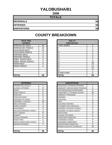## **YALOBUSHA/81**

**2008**

| <b>TOTALS</b>       |    |
|---------------------|----|
| <b>REFERRALS</b>    | 56 |
| <b>OFFENSES</b>     | 56 |
| <b>DISPOSITIONS</b> | 56 |

| <b>RACE AND</b><br><b>GENDER</b> |    |   | <b>AGE AT</b><br><b>DISPOSITION</b> |
|----------------------------------|----|---|-------------------------------------|
| <b>AFRICAN AM. MALE</b>          | 28 |   | 7 AND UNDER                         |
| AFRICAN AM. FEMALE               | 12 | 8 |                                     |
| <b>CAUCASIAN MALE</b>            | 12 | 9 |                                     |
| <b>CAUCASIAN FEMALE</b>          | 4  |   | 10                                  |
| <b>HISPANIC MALE</b>             | 0  |   | 11                                  |
| <b>HISPANIC FEMALE</b>           | 0  |   | 12                                  |
| AMER. INDIAN MALE                | 0  |   | 13                                  |
| AMER. INDIAN FEMALE              | 0  |   | 14                                  |
| <b>ASIAN MALE</b>                | 0  |   | 15                                  |
| <b>ASIAN FEMALE</b>              | 0  |   | 16                                  |
|                                  |    |   | 17                                  |
|                                  |    |   | 18                                  |
|                                  |    |   | 19 AND OVER                         |
| <b>TOTAL</b>                     | 56 |   | <b>TOTAL</b>                        |

| <b>OFFENSES</b>                    |                | <b>DISPOSITIONS</b>           |
|------------------------------------|----------------|-------------------------------|
| <b>AGGRAVATED ASSAULT</b>          | 1              | <b>ADOLESCENT OFFENDER PR</b> |
| <b>ALCOHOL OFFENSES</b>            | 0              | COMMUNITY SERVICE WORK        |
| ARSON                              | 0              | CERTIFIED/WAIVED/TRANSFE      |
| <b>BOMB THREATS</b>                | 0              | COMMITMENT TO TRAINING S      |
| <b>BURGLARY</b>                    | 8              | COMMUNITY PROGRAMS            |
| <b>CHINS/ RUN AWAY</b>             | 2              | <b>DISMISSED</b>              |
| <b>CONTEMPT OF COURT</b>           | 5              | DETENTION                     |
| DISORDERLY CONDUCT                 | 10             | <b>FINED</b>                  |
| <b>DRUG OFFENSES</b>               | 2              | <b>HELD OPEN / RETIRED</b>    |
| <b>GRAND LARCENY</b>               | 3              | PLACEMENT WITH INDIVIDUA      |
| <b>HARASSMENT</b>                  | 0              | REFERRED TO PRIVATE AGEI      |
| <b>MALICIOUS MISCHIEF/ VANDAL.</b> | 3              | REFERRED TO PUBLIC AGEN       |
| PETIT LARCENY                      | 9              | <b>RESTITUTION</b>            |
| <b>ROBBERY</b>                     | $\overline{2}$ | RUNAWAY RETURNED              |
| SEXUAL OFFENSES                    | 0              | SUPERVISED PROBATION          |
| <b>SHOPLIFTING</b>                 | 1              | SUSPENDED LICENSE             |
| SIMPLE ASSAULT/DOM. VIOLEN         | 9              | SUSPENDED COMMITMENT          |
| <b>WEAPON OFFENSES</b>             | 1              | UNSUPERVISED PROBATION        |
|                                    |                | WARNED ADJUSTED COUNSE        |
|                                    |                |                               |
| <b>TOTAL</b>                       | 56             | <b>TOTAL</b>                  |

| <b>RACE AND</b><br><b>GENDER</b> |          | <b>AGE AT</b><br><b>DISPOSITION</b> |          |
|----------------------------------|----------|-------------------------------------|----------|
| AFRICAN AM. MALE                 | 28       | 7 AND UNDER                         | $\Omega$ |
| AFRICAN AM. FEMALE               | 12       | ö                                   |          |
| <b>CAUCASIAN MALE</b>            | 12       | 9                                   | $\Omega$ |
| <b>CAUCASIAN FEMALE</b>          | 4        | 10                                  | $\Omega$ |
| <b>HISPANIC MALE</b>             | 0        | 11                                  | 0        |
| <b>HISPANIC FEMALE</b>           | 0        | 12                                  | 0        |
| AMER. INDIAN MALE                | $\Omega$ | 13                                  | 2        |
| AMER. INDIAN FEMALE              | $\Omega$ | 14                                  | 12       |
| ASIAN MALE                       | 0        | 15                                  | 16       |
| ASIAN FEMALE                     | 0        | 16                                  | 12       |
|                                  |          | 17                                  | 13       |
|                                  |          | 18                                  | 0        |
|                                  |          | 19 AND OVER                         | 0        |
| <b>TOTAL</b>                     | 56       | TOTAL                               | 56       |

| <b>OFFENSES</b>             |                | <b>DISPOSITIONS</b>            |          |
|-----------------------------|----------------|--------------------------------|----------|
| AGGRAVATED ASSAULT          |                | ADOLESCENT OFFENDER PROGRAM    | 7        |
| ALCOHOL OFFENSES            | 0              | COMMUNITY SERVICE WORK PROGRAM | 0        |
| ARSON                       | 0              | CERTIFIED/WAIVED/TRANSFERRED   | 0        |
| BOMB THREATS                | 0              | COMMITMENT TO TRAINING SCHOOL  | 16       |
| <b>BURGLARY</b>             | 8              | <b>COMMUNITY PROGRAMS</b>      | 0        |
| CHINS/ RUN AWAY             | 2              | <b>DISMISSED</b>               | 7        |
| CONTEMPT OF COURT           | 5              | <b>DETENTION</b>               | 0        |
| DISORDERLY CONDUCT          | 10             | <b>FINED</b>                   | 0        |
| <b>DRUG OFFENSES</b>        | $\overline{2}$ | <b>HELD OPEN / RETIRED</b>     | 0        |
| <b>GRAND LARCENY</b>        | 3              | PLACEMENT WITH INDIVIDUAL      | 0        |
| HARASSMENT                  | 0              | REFERRED TO PRIVATE AGENCY     | 0        |
| MALICIOUS MISCHIEF/ VANDAL. | 3              | REFERRED TO PUBLIC AGENCY      | 0        |
| PETIT LARCENY               | 9              | <b>RESTITUTION</b>             | 0        |
| <b>ROBBERY</b>              | $\overline{2}$ | RUNAWAY RETURNED               | 0        |
| <b>SEXUAL OFFENSES</b>      | 0              | SUPERVISED PROBATION           | 7        |
| SHOPLIFTING                 | 1              | SUSPENDED LICENSE              | 0        |
| SIMPLE ASSAULT/DOM. VIOLEN  | 9              | <b>SUSPENDED COMMITMENT</b>    | 0        |
| <b>WEAPON OFFENSES</b>      | 1              | UNSUPERVISED PROBATION         | $\Omega$ |
|                             |                | WARNED ADJUSTED COUNSELED      | 19       |
|                             |                |                                |          |
| TOTAL                       | 56             | <b>TOTAL</b>                   | 56       |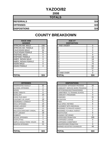## **YAZOO/82**

**2008**

| <b>TOTALS</b>       |     |
|---------------------|-----|
| <b>REFERRALS</b>    | 324 |
| <b>OFFENSES</b>     | 324 |
| <b>DISPOSITIONS</b> | 324 |

### **COUNTY BREAKDOWN**

| <b>RACE AND</b><br><b>GENDER</b> |          | <b>AGE AT</b><br><b>DISPOSITION</b> |                 |
|----------------------------------|----------|-------------------------------------|-----------------|
| <b>AFRICAN AM. MALE</b>          | 158      | 7 AND UNDER                         | 0               |
| AFRICAN AM. FEMALE               | 101      | 8                                   | $\mathbf 0$     |
| <b>CAUCASIAN MALE</b>            | 34       | 9                                   | $\mathbf 0$     |
| <b>CAUCASIAN FEMALE</b>          | 31       | 10                                  | 0               |
| <b>HISPANIC MALE</b>             | 0        | 11                                  | 9               |
| <b>HISPANIC FEMALE</b>           | 0        | 12                                  | 16              |
| AMER. INDIAN MALE                | $\Omega$ | 13                                  | 18              |
| AMER. INDIAN FEMALE              | 0        | 14                                  | 70              |
| <b>ASIAN MALE</b>                | $\Omega$ | 15                                  | 70              |
| <b>ASIAN FEMALE</b>              | 0        | 16                                  | 84              |
|                                  |          | 17                                  | 57              |
|                                  |          | 18                                  | 0               |
|                                  |          | 19 AND OVER                         | $\mathbf 0$     |
| <b>TOTAL</b>                     | 324      | TOTAL                               | 32 <sub>4</sub> |

| בבתוזוס ו טוויות וטוו ו     | ັ              | $\sim$                         | ιv             |
|-----------------------------|----------------|--------------------------------|----------------|
| AMER. INDIAN MALE           | 0              | 13                             | 18             |
| AMER. INDIAN FEMALE         | $\Omega$       | 14                             | 70             |
| ASIAN MALE                  | 0              | 15                             | 70             |
| <b>ASIAN FEMALE</b>         | $\Omega$       | 16                             | 84             |
|                             |                | 17                             | 57             |
|                             |                | 18                             | 0              |
|                             |                | 19 AND OVER                    | $\Omega$       |
| <b>TOTAL</b>                | 324            | <b>TOTAL</b>                   | 324            |
| <b>OFFENSES</b>             |                | <b>DISPOSITIONS</b>            |                |
|                             |                |                                |                |
| AGGRAVATED ASSAULT          | 32             | ADOLESCENT OFFENDER PROGRAM    | 20             |
| ALCOHOL OFFENSES            | $\overline{2}$ | COMMUNITY SERVICE WORK PROGRAM | $\Omega$       |
| ARSON                       | 0              | CERTIFIED/WAIVED/TRANSFERRED   | $\overline{2}$ |
| <b>BOMB THREATS</b>         | $\Omega$       | COMMITMENT TO TRAINING SCHOOL  | 5              |
| <b>BURGLARY</b>             | 10             | <b>COMMUNITY PROGRAMS</b>      | 0              |
| CHINS/ RUN AWAY             | $\overline{2}$ | <b>DISMISSED</b>               | 31             |
| CONTEMPT OF COURT           | 19             | <b>DETENTION</b>               | 8              |
| DISORDERLY CONDUCT          | 71             | <b>FINFD</b>                   | $\Omega$       |
| <b>DRUG OFFENSES</b>        | 14             | <b>HELD OPEN / RETIRED</b>     | 6              |
| <b>GRAND LARCENY</b>        | 10             | PLACEMENT WITH INDIVIDUAL      |                |
| <b>HARASSMENT</b>           | $\Omega$       | REFERRED TO PRIVATE AGENCY     | 6              |
| MALICIOUS MISCHIEF/ VANDAL. | 83             | REFERRED TO PUBLIC AGENCY      | 2              |
| PETIT LARCENY               | 18             | <b>RESTITUTION</b>             | 6              |
| <b>ROBBERY</b>              | 0              | RUNAWAY RETURNED               | $\overline{2}$ |
| <b>SEXUAL OFFENSES</b>      | $\mathfrak{p}$ | <b>SUPERVISED PROBATION</b>    | 185            |

| <b>OFFENSES</b>             |                | <b>DISPOSITIONS</b>               |                |
|-----------------------------|----------------|-----------------------------------|----------------|
| AGGRAVATED ASSAULT          | 32             | ADOLESCENT OFFENDER PROGRAM       | 20             |
| ALCOHOL OFFENSES            | $\overline{2}$ | COMMUNITY SERVICE WORK PROGRAM    | 0              |
| ARSON                       | 0              | CERTIFIED/WAIVED/TRANSFERRED      | $\overline{2}$ |
| <b>BOMB THREATS</b>         | $\mathbf 0$    | ICOMMITMENT TO TRAINING SCHOOL    | 5              |
| <b>BURGLARY</b>             | 10             | <b>COMMUNITY PROGRAMS</b>         | 0              |
| CHINS/RUN AWAY              | 2              | <b>DISMISSED</b>                  | 31             |
| CONTEMPT OF COURT           | 19             | <b>DETENTION</b>                  | 8              |
| DISORDERLY CONDUCT          | 71             | <b>FINED</b>                      | 0              |
| <b>DRUG OFFENSES</b>        | 14             | <b>HELD OPEN / RETIRED</b>        | 6              |
| GRAND LARCENY               | 10             | PLACEMENT WITH INDIVIDUAL         | 1              |
| <b>HARASSMENT</b>           | 0              | <b>REFERRED TO PRIVATE AGENCY</b> | 6              |
| MALICIOUS MISCHIEF/ VANDAL. | 83             | REFERRED TO PUBLIC AGENCY         | $\overline{2}$ |
| PETIT LARCENY               | 18             | <b>RESTITUTION</b>                | 6              |
| <b>ROBBERY</b>              | 0              | <b>RUNAWAY RETURNED</b>           | $\overline{2}$ |
| <b>SEXUAL OFFENSES</b>      | 2              | SUPERVISED PROBATION              | 185            |
| <b>ISHOPLIFTING</b>         | 7              | <b>SUSPENDED LICENSE</b>          | 0              |
| SIMPLE ASSAULT/DOM. VIOLEN  | 43             | SUSPENDED COMMITMENT              | $\overline{2}$ |
| WEAPON OFFENSES             | 11             | UNSUPERVISED PROBATION            | $\Omega$       |
|                             |                | WARNED ADJUSTED COUNSELED         | 48             |
| <b>TOTAL</b>                | 324            | <b>TOTAL</b>                      | 324            |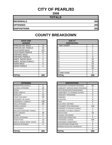# **CITY OF PEARL/83**

**2008**

| <b>TOTALS</b>       |     |
|---------------------|-----|
| <b>REFERRALS</b>    | 265 |
| <b>OFFENSES</b>     | 265 |
| <b>DISPOSITIONS</b> | 265 |

# **COUNTY BREAKDOWN**

| <b>RACE AND</b><br><b>GENDER</b> |     | <b>AGE AT</b><br><b>DISPOSITION</b> |
|----------------------------------|-----|-------------------------------------|
| <b>AFRICAN AM. MALE</b>          | 70  | 7 AND UNDER                         |
| AFRICAN AM. FEMALE               | 18  | 8                                   |
| <b>CAUCASIAN MALE</b>            | 122 | 9                                   |
| <b>CAUCASIAN FEMALE</b>          | 51  | 10                                  |
| <b>HISPANIC MALE</b>             | 3   | 11                                  |
| <b>HISPANIC FEMALE</b>           |     | 12                                  |
| AMER. INDIAN MALE                | 0   | 13                                  |
| AMER. INDIAN FEMALE              | 0   | 14                                  |
| <b>ASIAN MALE</b>                | 0   | 15                                  |
| <b>ASIAN FEMALE</b>              | 0   | 16                                  |
|                                  |     | 17                                  |
|                                  |     | 18                                  |
|                                  |     | 19 AND OVER                         |
| <b>TOTAL</b>                     | 265 | TOTAL                               |

| <b>OFFENSES</b>                    |     | <b>DISPOSITIONS</b>       |
|------------------------------------|-----|---------------------------|
|                                    |     |                           |
| AGGRAVATED ASSAULT                 | 0   | ADOLESCENT OFFENDER PR    |
| <b>ALCOHOL OFFENSES</b>            | 16  | COMMUNITY SERVICE WORK    |
| ARSON                              | 0   | CERTIFIED/WAIVED/TRANSFE  |
| <b>BOMB THREATS</b>                | 0   | COMMITMENT TO TRAINING S  |
| <b>BURGLARY</b>                    | 13  | <b>COMMUNITY PROGRAMS</b> |
| <b>CHINS/ RUN AWAY</b>             | 19  | DISMISSED                 |
| <b>CONTEMPT OF COURT</b>           | 4   | <b>DETENTION</b>          |
| <b>DISORDERLY CONDUCT</b>          | 130 | <b>FINED</b>              |
| <b>DRUG OFFENSES</b>               | 20  | HELD OPEN / RETIRED       |
| <b>GRAND LARCENY</b>               | 1   | PLACEMENT WITH INDIVIDUA  |
| <b>HARASSMENT</b>                  | 1   | REFERRED TO PRIVATE AGEI  |
| <b>MALICIOUS MISCHIEF/ VANDAL.</b> | 7   | REFERRED TO PUBLIC AGEN   |
| <b>PETIT LARCENY</b>               | 19  | <b>RESTITUTION</b>        |
| <b>ROBBERY</b>                     | 0   | RUNAWAY RETURNED          |
| <b>SEXUAL OFFENSES</b>             | 7   | SUPERVISED PROBATION      |
| <b>SHOPLIFTING</b>                 | 13  | <b>SUSPENDED LICENSE</b>  |
| SIMPLE ASSAULT/DOM. VIOLEN         | 13  | SUSPENDED COMMITMENT      |
| <b>WEAPON OFFENSES</b>             | 2   | UNSUPERVISED PROBATION    |
|                                    |     | WARNED ADJUSTED COUNSE    |
|                                    |     |                           |
| <b>TOTAL</b>                       | 265 | <b>TOTAL</b>              |

| <b>RACE AND</b><br><b>GENDER</b> |          | <b>AGE AT</b><br><b>DISPOSITION</b> |                |
|----------------------------------|----------|-------------------------------------|----------------|
| AFRICAN AM. MALE                 | 70       | 7 AND UNDER                         | $\Omega$       |
| AFRICAN AM. FEMALE               | 18       |                                     | $\overline{2}$ |
| <b>CAUCASIAN MALE</b>            | 122      | 9                                   |                |
| CAUCASIAN FEMALE                 | 51       | 10                                  | $\overline{2}$ |
| <b>HISPANIC MALE</b>             | 3        | 11                                  | 3              |
| <b>HISPANIC FEMALE</b>           |          | 12                                  | 9              |
| AMER. INDIAN MALE                | 0        | 13                                  | 25             |
| AMER. INDIAN FEMALE              | $\Omega$ | 14                                  | 48             |
| ASIAN MALE                       | 0        | 15                                  | 63             |
| <b>ASIAN FEMALE</b>              | 0        | 16                                  | 59             |
|                                  |          | 17                                  | 53             |
|                                  |          | 18                                  | 0              |
|                                  |          | 19 AND OVER                         | $\Omega$       |
| TOTAL                            | 265      | TOTAL                               | 265            |

| <b>OFFENSES</b>             |          | <b>DISPOSITIONS</b>            |                |
|-----------------------------|----------|--------------------------------|----------------|
| AGGRAVATED ASSAULT          | $\Omega$ | ADOLESCENT OFFENDER PROGRAM    | 83             |
| ALCOHOL OFFENSES            | 16       | COMMUNITY SERVICE WORK PROGRAM | 3              |
| ARSON                       | 0        | CERTIFIED/WAIVED/TRANSFERRED   | 5              |
| BOMB THREATS                | 0        | COMMITMENT TO TRAINING SCHOOL  | 0              |
| BURGLARY                    | 13       | <b>COMMUNITY PROGRAMS</b>      | 9              |
| CHINS/ RUN AWAY             | 19       | <b>DISMISSED</b>               | $\overline{2}$ |
| CONTEMPT OF COURT           | 4        | <b>DETENTION</b>               | 8              |
| DISORDERLY CONDUCT          | 130      | <b>FINED</b>                   | 0              |
| <b>DRUG OFFENSES</b>        | 20       | <b>HELD OPEN / RETIRED</b>     | 1              |
| <b>GRAND LARCENY</b>        |          | PLACEMENT WITH INDIVIDUAL      | 110            |
| HARASSMENT                  | 1        | REFERRED TO PRIVATE AGENCY     | 0              |
| MALICIOUS MISCHIEF/ VANDAL. | 7        | REFERRED TO PUBLIC AGENCY      | 2              |
| PETIT LARCENY               | 19       | <b>RESTITUTION</b>             | 10             |
| ROBBERY                     | 0        | RUNAWAY RETURNED               |                |
| SEXUAL OFFENSES             | 7        | <b>SUPERVISED PROBATION</b>    | $\Omega$       |
| SHOPLIFTING                 | 13       | <b>SUSPENDED LICENSE</b>       | 104            |
| SIMPLE ASSAULT/DOM. VIOLEN  | 13       | <b>SUSPENDED COMMITMENT</b>    | 0              |
| WEAPON OFFENSES             | 2        | UNSUPERVISED PROBATION         | 0              |
|                             |          | WARNED ADJUSTED COUNSELED      | $\overline{2}$ |
|                             |          |                                | 8              |
| TOTAL                       | 265      | <b>TOTAL</b>                   | 265            |